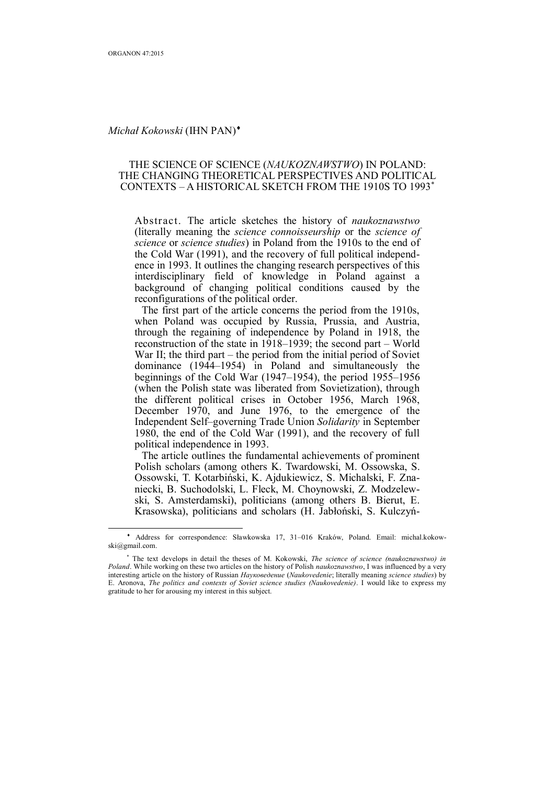$\overline{a}$ 

# *Michał Kokowski* (IHN PAN)

# THE SCIENCE OF SCIENCE (*NAUKOZNAWSTWO*) IN POLAND: THE CHANGING THEORETICAL PERSPECTIVES AND POLITICAL CONTEXTS – A HISTORICAL SKETCH FROM THE 1910S TO 1993

Abstract. The article sketches the history of *naukoznawstwo* (literally meaning the *science connoisseurship* or the *science of science* or *science studies*) in Poland from the 1910s to the end of the Cold War (1991), and the recovery of full political independence in 1993. It outlines the changing research perspectives of this interdisciplinary field of knowledge in Poland against a background of changing political conditions caused by the reconfigurations of the political order.

The first part of the article concerns the period from the 1910s, when Poland was occupied by Russia, Prussia, and Austria, through the regaining of independence by Poland in 1918, the reconstruction of the state in 1918–1939; the second part – World War II; the third part – the period from the initial period of Soviet dominance (1944–1954) in Poland and simultaneously the beginnings of the Cold War (1947–1954), the period 1955–1956 (when the Polish state was liberated from Sovietization), through the different political crises in October 1956, March 1968, December 1970, and June 1976, to the emergence of the Independent Self–governing Trade Union *Solidarity* in September 1980, the end of the Cold War (1991), and the recovery of full political independence in 1993.

The article outlines the fundamental achievements of prominent Polish scholars (among others K. Twardowski, M. Ossowska, S. Ossowski, T. Kotarbiński, K. Ajdukiewicz, S. Michalski, F. Znaniecki, B. Suchodolski, L. Fleck, M. Choynowski, Z. Modzelewski, S. Amsterdamski), politicians (among others B. Bierut, E. Krasowska), politicians and scholars (H. Jabłoński, S. Kulczyń-

 Address for correspondence: Sławkowska 17, 31–016 Kraków, Poland. Email: michal.kokowski@gmail.com.

 The text develops in detail the theses of M. Kokowski, *The science of science (naukoznawstwo) in Poland*. While working on these two articles on the history of Polish *naukoznawstwo*, I was influenced by a very interesting article on the history of Russian *Науковедение* (*Naukovedenie*; literally meaning *science studies*) by E. Aronova, *The politics and contexts of Soviet science studies (Naukovedenie)*. I would like to express my gratitude to her for arousing my interest in this subject.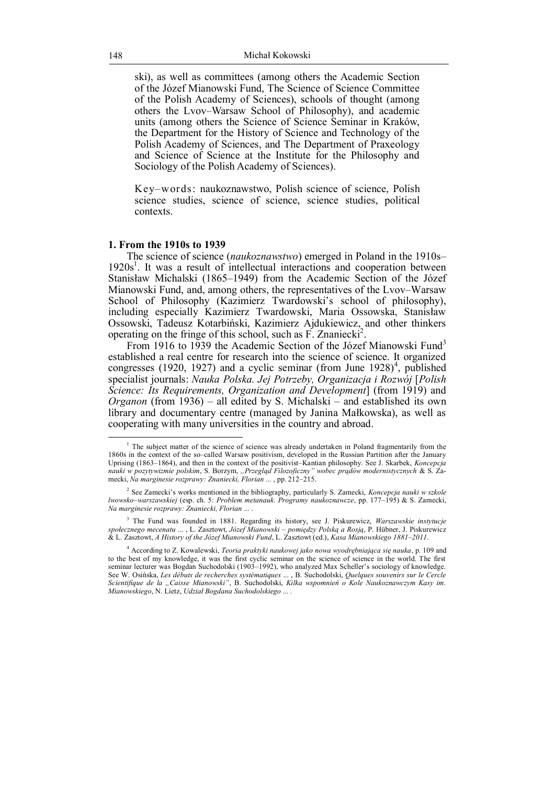ski), as well as committees (among others the Academic Section of the Józef Mianowski Fund, The Science of Science Committee of the Polish Academy of Sciences), schools of thought (among others the Lvov–Warsaw School of Philosophy), and academic units (among others the Science of Science Seminar in Kraków, the Department for the History of Science and Technology of the Polish Academy of Sciences, and The Department of Praxeology and Science of Science at the Institute for the Philosophy and Sociology of the Polish Academy of Sciences).

Key–words: naukoznawstwo, Polish science of science, Polish science studies, science of science, science studies, political contexts.

# **1. From the 1910s to 1939**

The science of science (*naukoznawstwo*) emerged in Poland in the 1910s– 1920s<sup>1</sup>. It was a result of intellectual interactions and cooperation between Stanisław Michalski (1865–1949) from the Academic Section of the Józef Mianowski Fund, and, among others, the representatives of the Lvov–Warsaw School of Philosophy (Kazimierz Twardowski's school of philosophy), including especially Kazimierz Twardowski, Maria Ossowska, Stanisław Ossowski, Tadeusz Kotarbiński, Kazimierz Ajdukiewicz, and other thinkers operating on the fringe of this school, such as  $\vec{F}$ . Znaniecki<sup>2</sup>.

From 1916 to 1939 the Academic Section of the Józef Mianowski Fund<sup>3</sup> established a real centre for research into the science of science. It organized congresses (1920, 1927) and a cyclic seminar (from June  $1928$ <sup>4</sup>, published specialist journals: *Nauka Polska. Jej Potrzeby, Organizacja i Rozwój* [*Polish Science: Its Requirements, Organization and Development*] (from 1919) and *Organon* (from 1936) – all edited by S. Michalski – and established its own library and documentary centre (managed by Janina Małkowska), as well as cooperating with many universities in the country and abroad.

3 The Fund was founded in 1881. Regarding its history, see J. Piskurewicz, *Warszawskie instytucje społecznego mecenatu* ... , L. Zasztowt, *Józef Mianowski – pomiędzy Polską a Rosją*, P. Hübner, J. Piskurewicz & L. Zasztowt, *A History of the Józef Mianowski Fund*, L. Zasztowt (ed.), *Kasa Mianowskiego 1881–2011*.

<sup>1</sup> The subject matter of the science of science was already undertaken in Poland fragmentarily from the 1860s in the context of the so–called Warsaw positivism, developed in the Russian Partition after the January Uprising (1863–1864), and then in the context of the positivist–Kantian philosophy. See J. Skarbek, *Koncepcja nauki w pozytywizmie polskim*, S. Borzym, *,,Przegląd Filozoficzny" wobec prądów modernistycznych* & S. Zamecki, *Na marginesie rozprawy: Znaniecki, Florian* ... , pp. 212–215.

<sup>2</sup> See Zamecki's works mentioned in the bibliography, particularly S. Zamecki, *Koncepcja nauki w szkole lwowsko–warszawskiej* (esp. ch. 5: *Problem metanauk. Programy naukoznawcze*, pp. 177–195) & S. Zamecki, *Na marginesie rozprawy: Znaniecki, Florian* ... .

<sup>4</sup> According to Z. Kowalewski, *Teoria praktyki naukowej jako nowa wyodrębniająca się nauka*, p. 109 and to the best of my knowledge, it was the first cyclic seminar on the science of science in the world. The first seminar lecturer was Bogdan Suchodolski (1903–1992), who analyzed Max Scheller's sociology of knowledge. See W. Osińska, *Les débuts de recherches systématiques* ... , B. Suchodolski, *Quelques souvenirs sur le Cercle Scientifique de la "Caisse Mianowski"*, B. Suchodolski, *Kilka wspomnień o Kole Naukoznawczym Kasy im. Mianowskiego*, N. Lietz, *Udział Bogdana Suchodolskiego* ... .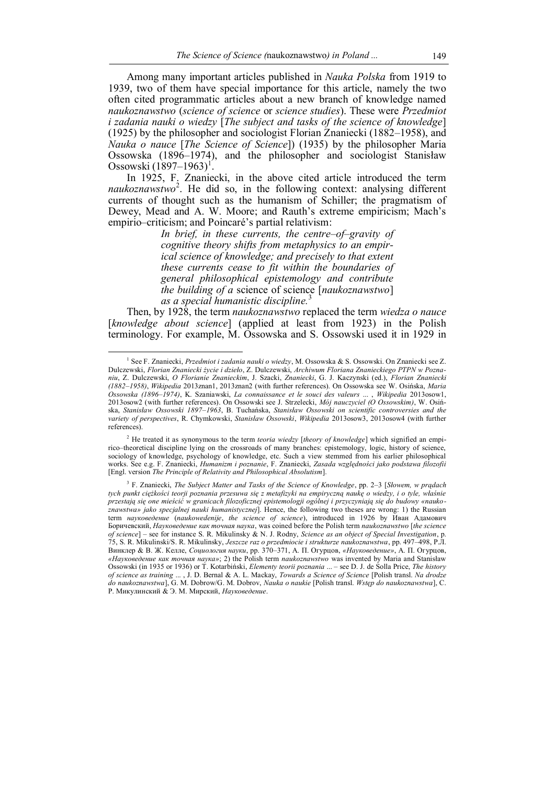Among many important articles published in *Nauka Polska* from 1919 to 1939, two of them have special importance for this article, namely the two often cited programmatic articles about a new branch of knowledge named *naukoznawstwo* (*science of science* or *science studies*). These were *Przedmiot i zadania nauki o wiedzy* [*The subject and tasks of the science of knowledge*] (1925) by the philosopher and sociologist Florian Znaniecki (1882–1958), and *Nauka o nauce* [*The Science of Science*]) (1935) by the philosopher Maria Ossowska (1896–1974), and the philosopher and sociologist Stanisław Ossowski  $(1897 - 1963)^{17}$ .

In 1925, F. Znaniecki, in the above cited article introduced the term naukoznawstwo<sup>2</sup>. He did so, in the following context: analysing different currents of thought such as the humanism of Schiller; the pragmatism of Dewey, Mead and A. W. Moore; and Rauth's extreme empiricism; Mach's empirio–criticism; and Poincaré's partial relativism:

> *In brief, in these currents, the centre–of–gravity of cognitive theory shifts from metaphysics to an empirical science of knowledge; and precisely to that extent these currents cease to fit within the boundaries of general philosophical epistemology and contribute the building of a* science of science [*naukoznawstwo*] *as a special humanistic discipline.*<sup>3</sup>

Then, by 1928, the term *naukoznawstwo* replaced the term *wiedza o nauce* [*knowledge about science*] (applied at least from 1923) in the Polish terminology. For example, M. Ossowska and S. Ossowski used it in 1929 in

<sup>1</sup> See F. Znaniecki, *Przedmiot i zadania nauki o wiedzy*, M. Ossowska & S. Ossowski. On Znaniecki see Z. Dulczewski, *Florian Znaniecki życie i dzieło*, Z. Dulczewski, *Archiwum Floriana Znanieckiego PTPN w Poznaniu*, Z. Dulczewski, *O Florianie Znanieckim*, J. Szacki, *Znaniecki*, G. J. Kaczynski (ed.), *Florian Znaniecki (1882–1958)*, *Wikipedia* 2013znan1, 2013znan2 (with further references). On Ossowska see W. Osińska, *Maria Ossowska (1896–1974)*, K. Szaniawski, *La connaissance et le souci des valeurs* ... , *Wikipedia* 2013osow1, 2013osow2 (with further references). On Ossowski see J. Strzelecki, *Mój nauczyciel (O Ossowskim)*, W. Osińska, *Stanisław Ossowski 1897–1963*, B. Tuchańska, *Stanisław Ossowski on scientific controversies and the variety of perspectives*, R. Chymkowski, *Stanisław Ossowski*, *Wikipedia* 2013osow3, 2013osow4 (with further references).

<sup>2</sup> He treated it as synonymous to the term *teoria wiedzy* [*theory of knowledge*] which signified an empirico–theoretical discipline lying on the crossroads of many branches: epistemology, logic, history of science, sociology of knowledge, psychology of knowledge, etc. Such a view stemmed from his earlier philosophical works. See e.g. F. Znaniecki, *Humanizm i poznanie*, F. Znaniecki, *Zasada względności jako podstawa filozofii* [Engl. version *The Principle of Relativity and Philosophical Absolutism*].

<sup>3</sup> F. Znaniecki, *The Subject Matter and Tasks of the Science of Knowledge*, pp. 2–3 [*Słowem, w prądach tych punkt ciężkości teorji poznania przesuwa się z metafizyki na empiryczną naukę o wiedzy, i o tyle, właśnie przestają się one mieścić w granicach filozoficznej epistemologji ogólnej i przyczyniają się do budowy «naukoznawstwa» jako specjalnej nauki humanistycznej*]. Hence, the following two theses are wrong: 1) the Russian term *науковедение* (*naukowedenije*, *the science of science*), introduced in 1926 by Иван Адамович Боричевский, *Науковедение как точная наука*, was coined before the Polish term *naukoznawstwo* [*the science of science*] – see for instance S. R. Mikulinsky & N. J. Rodny, *Science as an object of Special Investigation*, p. 75, S. R. Mikulinski/S. R. Mikulinsky, *Jeszcze raz o przedmiocie i strukturze naukoznawstwa*, pp. 497–498, Р.Л. Винклер & В. Ж. Келле, *Социология науки*, pp. 370–371, А. П. Огурцов, *«Науковедение»*, А. П. Огурцов, *«Науковедение как точная наука»*; 2) the Polish term *naukoznawstwo* was invented by Maria and Stanisław Ossowski (in 1935 or 1936) or T. Kotarbiński, *Elementy teorii poznania* ... – see D. J. de Solla Price, *The history of science as training* ... , J. D. Bernal & A. L. Mackay, *Towards a Science of Science* [Polish transl. *Na drodze do naukoznawstwa*], G. M. Dobrow/G. M. Dobrov, *Nauka o naukie* [Polish transl. *Wstęp do naukoznawstwa*], С. Р. Микулинский & Э. М. Мирский, *Науковедение*.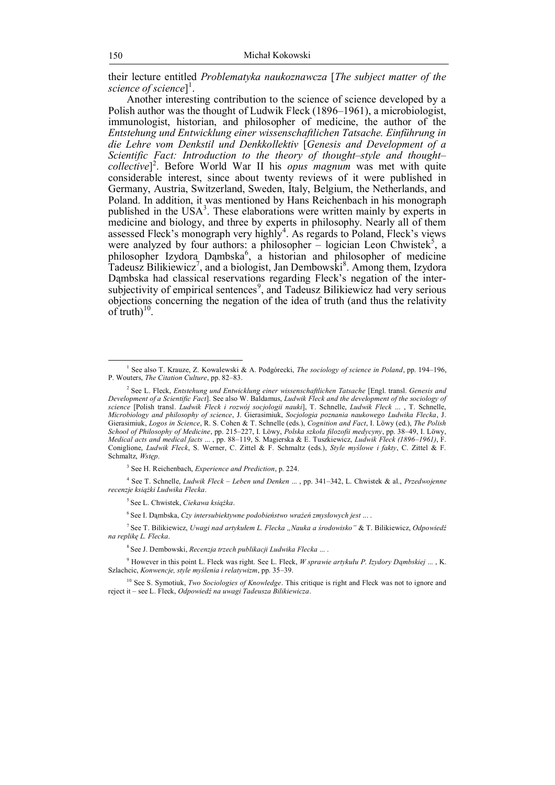their lecture entitled *Problematyka naukoznawcza* [*The subject matter of the*  science of science]<sup>1</sup>.

Another interesting contribution to the science of science developed by a Polish author was the thought of Ludwik Fleck (1896–1961), a microbiologist, immunologist, historian, and philosopher of medicine, the author of the *Entstehung und Entwicklung einer wissenschaftlichen Tatsache. Einführung in die Lehre vom Denkstil und Denkkollektiv* [*Genesis and Development of a Scientific Fact: Introduction to the theory of thought–style and thought– collective*] 2 . Before World War II his *opus magnum* was met with quite considerable interest, since about twenty reviews of it were published in Germany, Austria, Switzerland, Sweden, Italy, Belgium, the Netherlands, and Poland. In addition, it was mentioned by Hans Reichenbach in his monograph published in the USA<sup>3</sup>. These elaborations were written mainly by experts in medicine and biology, and three by experts in philosophy. Nearly all of them assessed Fleck's monograph very highly<sup>4</sup>. As regards to Poland, Fleck's views were analyzed by four authors: a philosopher – logician Leon Chwistek<sup>5</sup>, a philosopher Izydora Dąmbska<sup>6</sup>, a historian and philosopher of medicine Tadeusz Bilikiewicz<sup>7</sup>, and a biologist, Jan Dembowski<sup>8</sup>. Among them, Izydora Dąmbska had classical reservations regarding Fleck's negation of the intersubjectivity of empirical sentences<sup>9</sup>, and Tadeusz Bilikiewicz had very serious objections concerning the negation of the idea of truth (and thus the relativity of truth) $10$ .

3 See H. Reichenbach, *Experience and Prediction*, p. 224.

4 See T. Schnelle, *Ludwik Fleck* – *Leben und Denken* ... , pp. 341–342, L. Chwistek & al., *Przedwojenne recenzje książki Ludwika Flecka*.

5 See L. Chwistek, *Ciekawa książka*.

6 See I. Dąmbska, *Czy intersubiektywne podobieństwo wrażeń zmysłowych jest* ... .

<sup>7</sup> See T. Bilikiewicz, *Uwagi nad artykułem L. Flecka "Nauka a środowisko" &* T. Bilikiewicz, *Odpowiedź na replikę L. Flecka*.

8 See J. Dembowski, *Recenzja trzech publikacji Ludwika Flecka* ... .

9 However in this point L. Fleck was right. See L. Fleck, *W sprawie artykułu P. Izydory Dąmbskiej* ... , K. Szlachcic, *Konwencje, style myślenia i relatywizm*, pp. 35–39.

<sup>10</sup> See S. Symotiuk, *Two Sociologies of Knowledge*. This critique is right and Fleck was not to ignore and reject it – see L. Fleck, *Odpowiedź na uwagi Tadeusza Bilikiewicza*.

<sup>1</sup> See also T. Krauze, Z. Kowalewski & A. Podgórecki, *The sociology of science in Poland*, pp. 194–196, P. Wouters, *The Citation Culture*, pp. 82–83.

<sup>2</sup> See L. Fleck, *Entstehung und Entwicklung einer wissenschaftlichen Tatsache* [Engl. transl. *Genesis and Development of a Scientific Fact*]. See also W. Baldamus, *Ludwik Fleck and the development of the sociology of science* [Polish transl. *Ludwik Fleck i rozwój socjologii nauki*], T. Schnelle, *Ludwik Fleck* ... , T. Schnelle, *Microbiology and philosophy of science*, J. Gierasimiuk, *Socjologia poznania naukowego Ludwika Flecka*, J. Gierasimiuk, *Logos in Science*, R. S. Cohen & T. Schnelle (eds.), *Cognition and Fact*, I. Löwy (ed.), *The Polish School of Philosophy of Medicine*, pp. 215–227, I. Löwy, *Polska szkoła filozofii medycyny*, pp. 38–49, I. Löwy, *Medical acts and medical facts* ... , pp. 88–119, S. Magierska & E. Tuszkiewicz, *Ludwik Fleck (1896–1961)*, F. Coniglione, *Ludwik Fleck*, S. Werner, C. Zittel & F. Schmaltz (eds.), *Style myślowe i fakty*, C. Zittel & F. Schmaltz, *Wstęp*.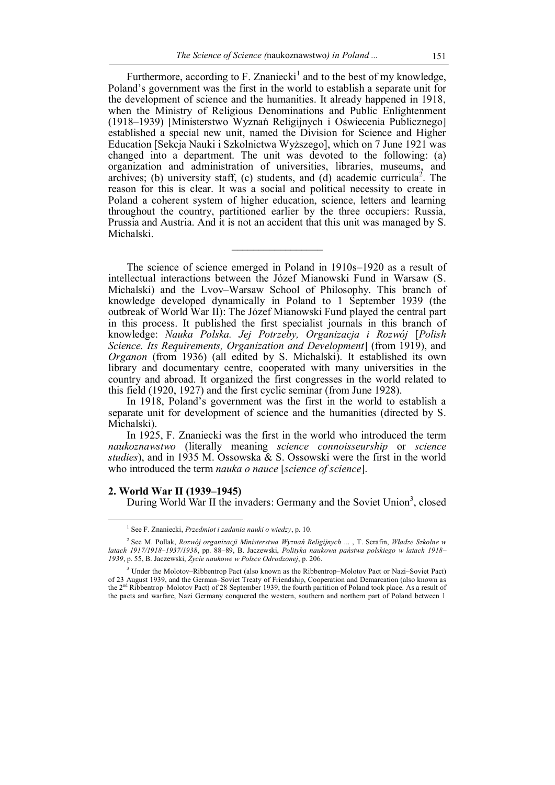Furthermore, according to F. Znaniecki<sup>1</sup> and to the best of my knowledge, Poland's government was the first in the world to establish a separate unit for the development of science and the humanities. It already happened in 1918, when the Ministry of Religious Denominations and Public Enlightenment (1918–1939) [Ministerstwo Wyznań Religijnych i Oświecenia Publicznego] established a special new unit, named the Division for Science and Higher Education [Sekcja Nauki i Szkolnictwa Wyższego], which on 7 June 1921 was changed into a department. The unit was devoted to the following: (a) organization and administration of universities, libraries, museums, and archives; (b) university staff, (c) students, and (d) academic curricula<sup>2</sup>. The reason for this is clear. It was a social and political necessity to create in Poland a coherent system of higher education, science, letters and learning throughout the country, partitioned earlier by the three occupiers: Russia, Prussia and Austria. And it is not an accident that this unit was managed by S. Michalski.

The science of science emerged in Poland in 1910s–1920 as a result of intellectual interactions between the Józef Mianowski Fund in Warsaw (S. Michalski) and the Lvov–Warsaw School of Philosophy. This branch of knowledge developed dynamically in Poland to 1 September 1939 (the outbreak of World War II): The Józef Mianowski Fund played the central part in this process. It published the first specialist journals in this branch of knowledge: *Nauka Polska. Jej Potrzeby, Organizacja i Rozwój* [*Polish Science. Its Requirements, Organization and Development*] (from 1919), and *Organon* (from 1936) (all edited by S. Michalski). It established its own library and documentary centre, cooperated with many universities in the country and abroad. It organized the first congresses in the world related to this field (1920, 1927) and the first cyclic seminar (from June 1928).

 $\mathcal{L}_\text{max}$ 

In 1918, Poland's government was the first in the world to establish a separate unit for development of science and the humanities (directed by S. Michalski).

In 1925, F. Znaniecki was the first in the world who introduced the term *naukoznawstwo* (literally meaning *science connoisseurship* or *science studies*), and in 1935 M. Ossowska & S. Ossowski were the first in the world who introduced the term *nauka o nauce* [*science of science*].

## **2. World War II (1939–1945)**

 $\overline{a}$ 

During World War II the invaders: Germany and the Soviet Union<sup>3</sup>, closed

<sup>1</sup> See F. Znaniecki, *Przedmiot i zadania nauki o wiedzy*, p. 10.

<sup>2</sup> See M. Pollak, *Rozwój organizacji Ministerstwa Wyznań Religijnych* ... , T. Serafin, *Władze Szkolne w latach 1917/1918–1937/1938*, pp. 88–89, B. Jaczewski, *Polityka naukowa państwa polskiego w latach 1918– 1939*, p. 55, B. Jaczewski, *Życie naukowe w Polsce Odrodzonej*, p. 206.

<sup>3</sup> Under the Molotov–Ribbentrop Pact (also known as the Ribbentrop–Molotov Pact or Nazi–Soviet Pact) of 23 August 1939, and the German–Soviet Treaty of Friendship, Cooperation and Demarcation (also known as the 2<sup>nd</sup> Ribbentrop–Molotov Pact) of 28 September 1939, the fourth partition of Poland took place. As a result of the pacts and warfare, Nazi Germany conquered the western, southern and northern part of Poland between 1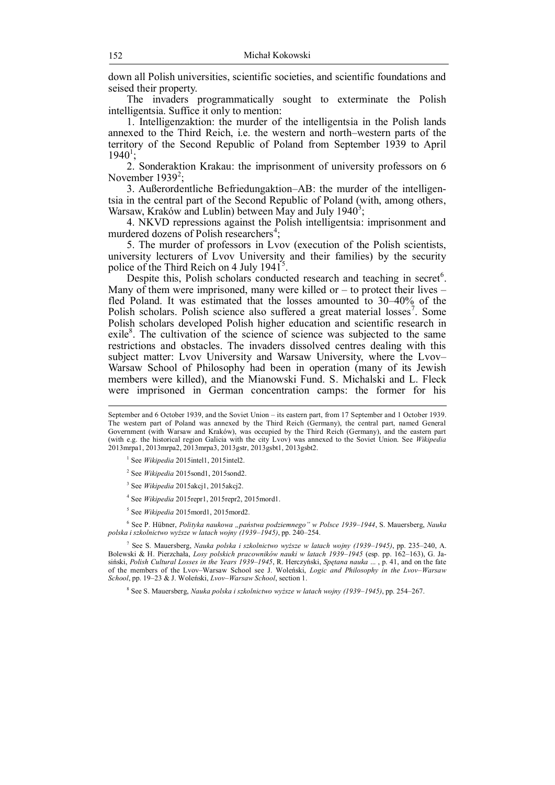down all Polish universities, scientific societies, and scientific foundations and seised their property.

The invaders programmatically sought to exterminate the Polish intelligentsia. Suffice it only to mention:

1. Intelligenzaktion: the murder of the intelligentsia in the Polish lands annexed to the Third Reich, i.e. the western and north–western parts of the territory of the Second Republic of Poland from September 1939 to April  $1940^1$ ;

2. Sonderaktion Krakau: the imprisonment of university professors on 6 November  $1939^2$ ;

3. Außerordentliche Befriedungaktion–AB: the murder of the intelligentsia in the central part of the Second Republic of Poland (with, among others, Warsaw, Kraków and Lublin) between May and July 1940<sup>3</sup>;

4. NKVD repressions against the Polish intelligentsia: imprisonment and murdered dozens of Polish researchers<sup>4</sup>;

5. The murder of professors in Lvov (execution of the Polish scientists, university lecturers of Lvov University and their families) by the security police of the Third Reich on 4 July  $1941^5$ .

Despite this, Polish scholars conducted research and teaching in secret<sup>6</sup>. Many of them were imprisoned, many were killed or  $-$  to protect their lives  $$ fled Poland. It was estimated that the losses amounted to 30–40% of the Polish scholars. Polish science also suffered a great material losses<sup>7</sup>. Some Polish scholars developed Polish higher education and scientific research in exile $\delta$ . The cultivation of the science of science was subjected to the same restrictions and obstacles. The invaders dissolved centres dealing with this subject matter: Lvov University and Warsaw University, where the Lvov– Warsaw School of Philosophy had been in operation (many of its Jewish members were killed), and the Mianowski Fund. S. Michalski and L. Fleck were imprisoned in German concentration camps: the former for his

2 See *Wikipedia* 2015sond1, 2015sond2.

- 4 See *Wikipedia* 2015repr1, 2015repr2, 2015mord1.
- 5 See *Wikipedia* 2015mord1, 2015mord2.

6 See P. Hübner, *Polityka naukowa "państwa podziemnego" w Polsce 1939–1944*, S. Mauersberg, *Nauka polska i szkolnictwo wyższe w latach wojny (1939–1945)*, pp. 240–254.

7 See S. Mauersberg, *Nauka polska i szkolnictwo wyższe w latach wojny (1939–1945)*, pp. 235–240, A. Bolewski & H. Pierzchała, *Losy polskich pracowników nauki w latach 1939–1945* (esp. pp. 162–163), G. Jasiński, *Polish Cultural Losses in the Years 1939–1945*, R. Herczyński, *Spętana nauka* ... , p. 41, and on the fate of the members of the Lvov–Warsaw School see J. Woleński, *Logic and Philosophy in the Lvov–Warsaw School*, pp. 19–23 & J. Woleński, *Lvov–Warsaw School*, section 1.

8 See S. Mauersberg, *Nauka polska i szkolnictwo wyższe w latach wojny (1939–1945)*, pp. 254–267.

September and 6 October 1939, and the Soviet Union – its eastern part, from 17 September and 1 October 1939. The western part of Poland was annexed by the Third Reich (Germany), the central part, named General Government (with Warsaw and Kraków), was occupied by the Third Reich (Germany), and the eastern part (with e.g. the historical region Galicia with the city Lvov) was annexed to the Soviet Union. See *Wikipedia*  2013mrpa1, 2013mrpa2, 2013mrpa3, 2013gstr, 2013gsbt1, 2013gsbt2.

<sup>&</sup>lt;sup>1</sup> See *Wikipedia* 2015intel1, 2015intel2.

<sup>3</sup> See *Wikipedia* 2015akcj1, 2015akcj2.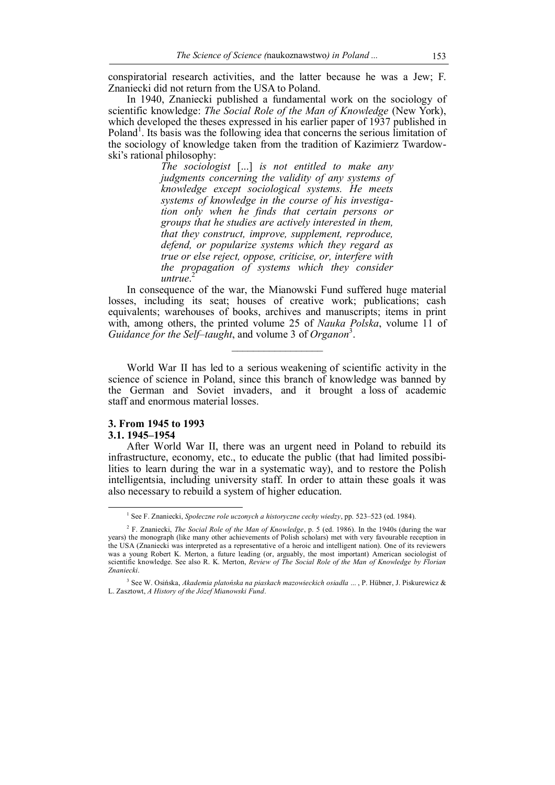conspiratorial research activities, and the latter because he was a Jew; F. Znaniecki did not return from the USA to Poland.

In 1940, Znaniecki published a fundamental work on the sociology of scientific knowledge: *The Social Role of the Man of Knowledge* (New York), which developed the theses expressed in his earlier paper of 1937 published in Poland<sup>1</sup>. Its basis was the following idea that concerns the serious limitation of the sociology of knowledge taken from the tradition of Kazimierz Twardowski's rational philosophy:

> *The sociologist* [...] *is not entitled to make any judgments concerning the validity of any systems of knowledge except sociological systems. He meets systems of knowledge in the course of his investigation only when he finds that certain persons or groups that he studies are actively interested in them, that they construct, improve, supplement, reproduce, defend, or popularize systems which they regard as true or else reject, oppose, criticise, or, interfere with the propagation of systems which they consider untrue*. 2

In consequence of the war, the Mianowski Fund suffered huge material losses, including its seat; houses of creative work; publications; cash equivalents; warehouses of books, archives and manuscripts; items in print with, among others, the printed volume 25 of *Nauka Polska*, volume 11 of *Guidance for the Self–taught*, and volume 3 of *Organon*<sup>3</sup> .

 $\mathcal{L}_\text{max}$ 

World War II has led to a serious weakening of scientific activity in the science of science in Poland, since this branch of knowledge was banned by the German and Soviet invaders, and it brought a loss of academic staff and enormous material losses.

# **3. From 1945 to 1993 3.1. 1945–1954**

 $\overline{a}$ 

After World War II, there was an urgent need in Poland to rebuild its infrastructure, economy, etc., to educate the public (that had limited possibilities to learn during the war in a systematic way), and to restore the Polish intelligentsia, including university staff. In order to attain these goals it was also necessary to rebuild a system of higher education.

<sup>1</sup> See F. Znaniecki, *Społeczne role uczonych a historyczne cechy wiedzy*, pp. 523–523 (ed. 1984).

<sup>2</sup> F. Znaniecki, *The Social Role of the Man of Knowledge*, p. 5 (ed. 1986). In the 1940s (during the war years) the monograph (like many other achievements of Polish scholars) met with very favourable reception in the USA (Znaniecki was interpreted as a representative of a heroic and intelligent nation). One of its reviewers was a young Robert K. Merton, a future leading (or, arguably, the most important) American sociologist of scientific knowledge. See also R. K. Merton, *Review of The Social Role of the Man of Knowledge by Florian Znaniecki*.

<sup>3</sup> See W. Osińska, *Akademia platońska na piaskach mazowieckich osiadła* ... , P. Hübner, J. Piskurewicz & L. Zasztowt, *A History of the Józef Mianowski Fund*.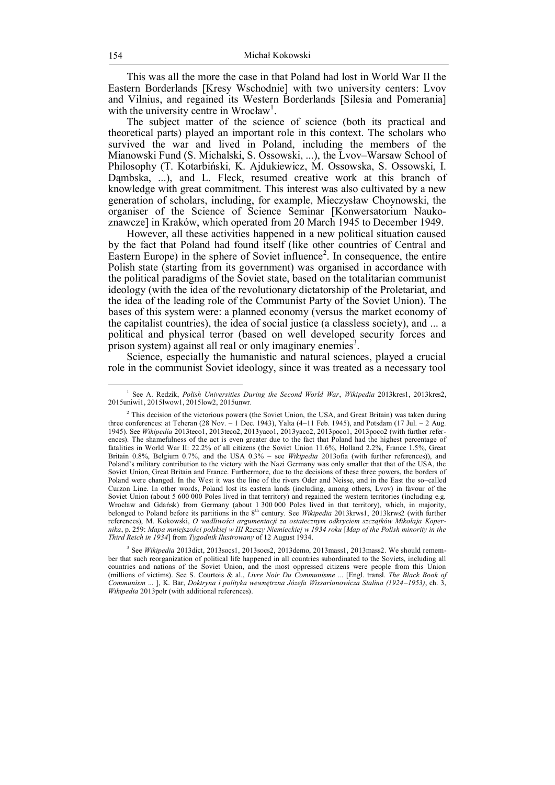This was all the more the case in that Poland had lost in World War II the Eastern Borderlands [Kresy Wschodnie] with two university centers: Lvov and Vilnius, and regained its Western Borderlands [Silesia and Pomerania] with the university centre in Wrocław<sup>1</sup>.

The subject matter of the science of science (both its practical and theoretical parts) played an important role in this context. The scholars who survived the war and lived in Poland, including the members of the Mianowski Fund (S. Michalski, S. Ossowski, ...), the Lvov–Warsaw School of Philosophy (T. Kotarbiński, K. Ajdukiewicz, M. Ossowska, S. Ossowski, I. Dąmbska, ...), and L. Fleck, resumed creative work at this branch of knowledge with great commitment. This interest was also cultivated by a new generation of scholars, including, for example, Mieczysław Choynowski, the organiser of the Science of Science Seminar [Konwersatorium Naukoznawcze] in Kraków, which operated from 20 March 1945 to December 1949.

However, all these activities happened in a new political situation caused by the fact that Poland had found itself (like other countries of Central and Eastern Europe) in the sphere of Soviet influence<sup>2</sup>. In consequence, the entire Polish state (starting from its government) was organised in accordance with the political paradigms of the Soviet state, based on the totalitarian communist ideology (with the idea of the revolutionary dictatorship of the Proletariat, and the idea of the leading role of the Communist Party of the Soviet Union). The bases of this system were: a planned economy (versus the market economy of the capitalist countries), the idea of social justice (a classless society), and ... a political and physical terror (based on well developed security forces and prison system) against all real or only imaginary enemies<sup>3</sup>.

Science, especially the humanistic and natural sciences, played a crucial role in the communist Soviet ideology, since it was treated as a necessary tool

<sup>1</sup> See A. Redzik, *Polish Universities During the Second World War*, *Wikipedia* 2013kres1, 2013kres2, 2015uniwi1, 2015lwow1, 2015low2, 2015unwr.

<sup>&</sup>lt;sup>2</sup> This decision of the victorious powers (the Soviet Union, the USA, and Great Britain) was taken during three conferences: at Teheran (28 Nov. – 1 Dec. 1943), Yalta (4–11 Feb. 1945), and Potsdam (17 Jul. – 2 Aug. 1945). See *Wikipedia* 2013teco1, 2013teco2, 2013yaco1, 2013yaco2, 2013poco1, 2013poco2 (with further references). The shamefulness of the act is even greater due to the fact that Poland had the highest percentage of fatalities in World War II: 22.2% of all citizens (the Soviet Union 11.6%, Holland 2.2%, France 1.5%, Great Britain 0.8%, Belgium 0.7%, and the USA 0.3% – see *Wikipedia* 2013ofia (with further references)), and Poland's military contribution to the victory with the Nazi Germany was only smaller that that of the USA, the Soviet Union, Great Britain and France. Furthermore, due to the decisions of these three powers, the borders of Poland were changed. In the West it was the line of the rivers Oder and Neisse, and in the East the so–called Curzon Line. In other words, Poland lost its eastern lands (including, among others, Lvov) in favour of the Soviet Union (about 5 600 000 Poles lived in that territory) and regained the western territories (including e.g. Wrocław and Gdańsk) from Germany (about 1 300 000 Poles lived in that territory), which, in majority, belonged to Poland before its partitions in the 8th century. See *Wikipedia* 2013krws1, 2013krws2 (with further references), M. Kokowski, *O wadliwości argumentacji za ostatecznym odkryciem szczątków Mikołaja Kopernika*, p. 259: *Mapa mniejszości polskiej w III Rzeszy Niemieckiej w 1934 roku* [*Map of the Polish minority in the Third Reich in 1934*] from *Tygodnik Ilustrowany* of 12 August 1934.

<sup>&</sup>lt;sup>3</sup> See *Wikipedia* 2013dict, 2013socs1, 2013socs2, 2013demo, 2013mass1, 2013mass2. We should remember that such reorganization of political life happened in all countries subordinated to the Soviets, including all countries and nations of the Soviet Union, and the most oppressed citizens were people from this Union (millions of victims). See S. Courtois & al., *Livre Noir Du Communisme* ... [Engl. transl. *The Black Book of Communism* ... ], K. Bar, *Doktryna i polityka wewnętrzna Józefa Wissarionowicza Stalina (1924–1953)*, ch. 3, *Wikipedia* 2013polr (with additional references).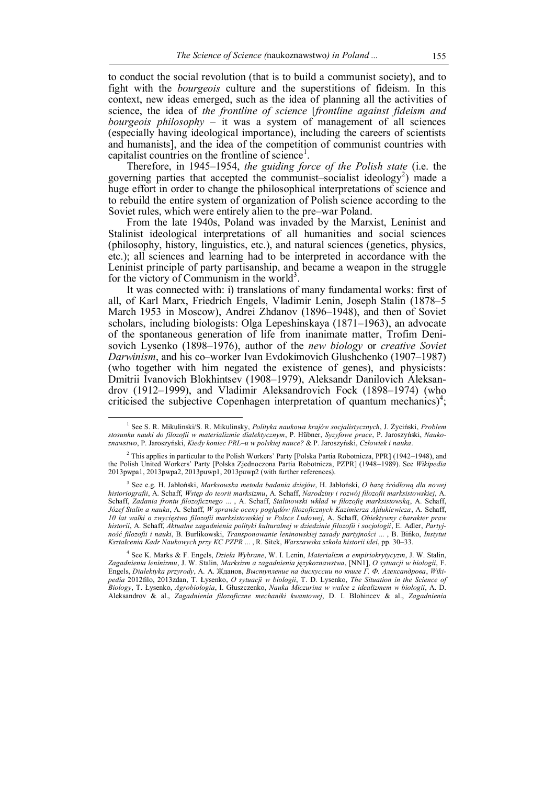to conduct the social revolution (that is to build a communist society), and to fight with the *bourgeois* culture and the superstitions of fideism. In this context, new ideas emerged, such as the idea of planning all the activities of science, the idea of *the frontline of science* [*frontline against fideism and bourgeois philosophy* – it was a system of management of all sciences (especially having ideological importance), including the careers of scientists and humanists], and the idea of the competition of communist countries with capitalist countries on the frontline of science<sup>1</sup>.

Therefore, in 1945–1954, *the guiding force of the Polish state* (i.e. the governing parties that accepted the communist–socialist ideology<sup>2</sup>) made a huge effort in order to change the philosophical interpretations of science and to rebuild the entire system of organization of Polish science according to the Soviet rules, which were entirely alien to the pre–war Poland.

From the late 1940s, Poland was invaded by the Marxist, Leninist and Stalinist ideological interpretations of all humanities and social sciences (philosophy, history, linguistics, etc.), and natural sciences (genetics, physics, etc.); all sciences and learning had to be interpreted in accordance with the Leninist principle of party partisanship, and became a weapon in the struggle for the victory of Communism in the world<sup>3</sup>.

It was connected with: i) translations of many fundamental works: first of all, of Karl Marx, Friedrich Engels, Vladimir Lenin, Joseph Stalin (1878–5 March 1953 in Moscow), Andrei Zhdanov (1896–1948), and then of Soviet scholars, including biologists: Olga Lepeshinskaya (1871–1963), an advocate of the spontaneous generation of life from inanimate matter, Trofim Denisovich Lysenko (1898–1976), author of the *new biology* or *creative Soviet Darwinism*, and his co–worker Ivan Evdokimovich Glushchenko (1907–1987) (who together with him negated the existence of genes), and physicists: Dmitrii Ivanovich Blokhintsev (1908–1979), Aleksandr Danilovich Aleksandrov (1912–1999), and Vladimir Aleksandrovich Fock (1898–1974) (who criticised the subjective Copenhagen interpretation of quantum mechanics)<sup>4</sup>;

<sup>1</sup> See S. R. Mikulinski/S. R. Mikulinsky, *Polityka naukowa krajów socjalistycznych*, J. Życiński, *Problem stosunku nauki do filozofii w materializmie dialektycznym*, P. Hübner, *Syzyfowe prace*, P. Jaroszyński, *Naukoznawstwo*, P. Jaroszyński, *Kiedy koniec PRL–u w polskiej nauce?* & P. Jaroszyński, *Człowiek i nauka*.

<sup>2</sup> This applies in particular to the Polish Workers' Party [Polska Partia Robotnicza, PPR] (1942–1948), and the Polish United Workers' Party [Polska Zjednoczona Partia Robotnicza, PZPR] (1948–1989). See *Wikipedia* 2013pwpa1, 2013pwpa2, 2013puwp1, 2013puwp2 (with further references).

<sup>3</sup> See e.g. H. Jabłoński, *Marksowska metoda badania dziejów*, H. Jabłoński, *O bazę źródłową dla nowej historiografii*, A. Schaff, *Wstęp do teorii marksizmu*, A. Schaff, *Narodziny i rozwój filozofii marksistowskiej*, A. Schaff, *Zadania frontu filozoficznego* ... , A. Schaff, *Stalinowski wkład w filozofię marksistowską*, A. Schaff, *Józef Stalin a nauka*, A. Schaff, *W sprawie oceny poglądów filozoficznych Kazimierza Ajdukiewicza*, A. Schaff, *10 lat walki o zwycięstwo filozofii marksistowskiej w Polsce Ludowej*, A. Schaff, *Obiektywny charakter praw historii*, A. Schaff, *Aktualne zagadnienia polityki kulturalnej w dziedzinie filozofii i socjologii*, E. Adler, *Partyjność filozofii i nauki*, B. Burlikowski, *Transponowanie leninowskiej zasady partyjności* ... , B. Bińko, *Instytut Kształcenia Kadr Naukowych przy KC PZPR* ... , R. Sitek, *Warszawska szkoła historii idei*, pp. 30–33.

<sup>4</sup> See K. Marks & F. Engels, *Dzieła Wybrane*, W. I. Lenin, *Materializm a empiriokrytycyzm*, J. W. Stalin, *Zagadnienia leninizmu*, J. W. Stalin, *Marksizm a zagadnienia językoznawstwa*, [NN1], *O sytuacji w biologii*, F. Engels, *Dialektyka przyrody*, А. А. Жданов, *Выступление на дискуссии по книге Г. Ф. Александрова*, *Wikipedia* 2012filo, 2013zdan, T. Łysenko, *O sytuacji w biologii*, T. D. Lysenko, *The Situation in the Science of Biology*, T. Łysenko, *Agrobiologia*, I. Głuszczenko, *Nauka Miczurina w walce z idealizmem w biologii*, A. D. Aleksandrov & al., *Zagadnienia filozoficzne mechaniki kwantowej*, D. I. Blohincev & al., *Zagadnienia*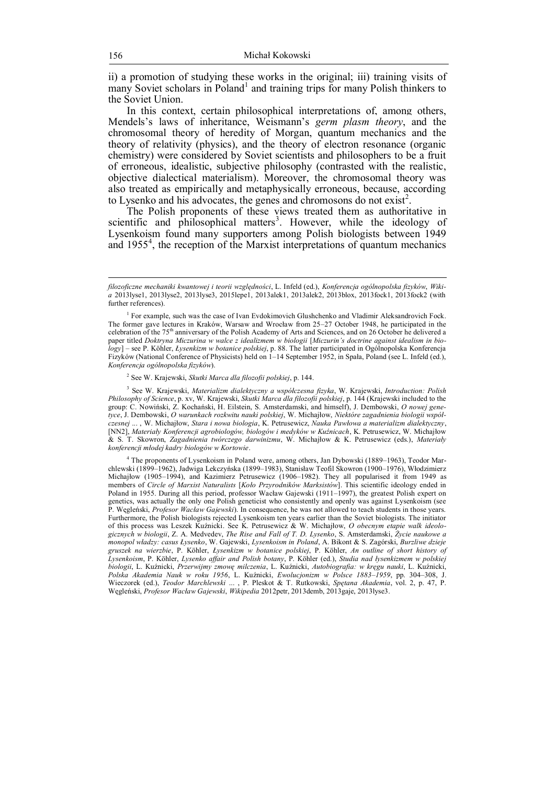ii) a promotion of studying these works in the original; iii) training visits of many Soviet scholars in Poland<sup>1</sup> and training trips for many Polish thinkers to the Soviet Union.

In this context, certain philosophical interpretations of, among others, Mendels's laws of inheritance, Weismann's *germ plasm theory*, and the chromosomal theory of heredity of Morgan, quantum mechanics and the theory of relativity (physics), and the theory of electron resonance (organic chemistry) were considered by Soviet scientists and philosophers to be a fruit of erroneous, idealistic, subjective philosophy (contrasted with the realistic, objective dialectical materialism). Moreover, the chromosomal theory was also treated as empirically and metaphysically erroneous, because, according to Lysenko and his advocates, the genes and chromosons do not exist<sup>2</sup>.

The Polish proponents of these views treated them as authoritative in scientific and philosophical matters<sup>3</sup>. However, while the ideology of Lysenkoism found many supporters among Polish biologists between 1949 and  $1955<sup>4</sup>$ , the reception of the Marxist interpretations of quantum mechanics

2 See W. Krajewski, *Skutki Marca dla filozofii polskiej*, p. 144.

3 See W. Krajewski, *Materializm dialektyczny a współczesna fizyka*, W. Krajewski, *Introduction: Polish Philosophy of Science*, p. xv, W. Krajewski, *Skutki Marca dla filozofii polskiej*, p. 144 (Krajewski included to the group: C. Nowiński, Z. Kochański, H. Eilstein, S. Amsterdamski, and himself), J. Dembowski, *O nowej genetyce*, J. Dembowski, *O warunkach rozkwitu nauki polskiej*, W. Michajłow, *Niektóre zagadnienia biologii współczesnej* ... , W. Michajłow, *Stara i nowa biologia*, K. Petrusewicz, *Nauka Pawłowa a materializm dialektyczny*, [NN2], *Materiały Konferencji agrobiologów, biologów i medyków w Kuźnicach*, K. Petrusewicz, W. Michajłow & S. T. Skowron, *Zagadnienia twórczego darwinizmu*, W. Michajłow & K. Petrusewicz (eds.), *Materiały konferencji młodej kadry biologów w Kortowie*.

4 The proponents of Lysenkoism in Poland were, among others, Jan Dybowski (1889–1963), Teodor Marchlewski (1899–1962), Jadwiga Lekczyńska (1899–1983), Stanisław Teofil Skowron (1900–1976), Włodzimierz Michajłow (1905–1994), and Kazimierz Petrusewicz (1906–1982). They all popularised it from 1949 as members of *Circle of Marxist Naturalists* [*Koło Przyrodników Marksistów*]. This scientific ideology ended in Poland in 1955. During all this period, professor Wacław Gajewski (1911–1997), the greatest Polish expert on genetics, was actually the only one Polish geneticist who consistently and openly was against Lysenkoism (see P. Węgleński, *Profesor Wacław Gajewski*). In consequence, he was not allowed to teach students in those years. Furthermore, the Polish biologists rejected Lysenkoism ten years earlier than the Soviet biologists. The initiator of this process was Leszek Kuźnicki. See K. Petrusewicz & W. Michajłow, *O obecnym etapie walk ideologicznych w biologii*, Z. A. Medvedev, *The Rise and Fall of T. D. Lysenko*, S. Amsterdamski, *Życie naukowe a monopol władzy: casus Łysenko*, W. Gajewski, *Lysenkoism in Poland*, A. Bikont & S. Zagórski, *Burzliwe dzieje gruszek na wierzbie*, P. Köhler, *Łysenkizm w botanice polskiej*, P. Köhler, *An outline of short history of Lysenkoism*, P. Köhler, *Lysenko affair and Polish botany*, P. Köhler (ed.), *Studia nad łysenkizmem w polskiej biologii*, L. Kuźnicki, *Przerwijmy zmowę milczenia*, L. Kuźnicki, *Autobiografia: w kręgu nauki*, L. Kuźnicki, *Polska Akademia Nauk w roku 1956*, L. Kuźnicki, *Ewolucjonizm w Polsce 1883–1959*, pp. 304–308, J. Wieczorek (ed.), *Teodor Marchlewski* ... , P. Pleskot & T. Rutkowski, *Spętana Akademia*, vol. 2, p. 47, P. Węgleński, *Profesor Wacław Gajewski*, *Wikipedia* 2012petr, 2013demb, 2013gaje, 2013lyse3.

*filozoficzne mechaniki kwantowej i teorii względności*, L. Infeld (ed.), *Konferencja ogólnopolska fizyków*, *Wikia* 2013lyse1, 2013lyse2, 2013lyse3, 2015lepe1, 2013alek1, 2013alek2, 2013blox, 2013fock1, 2013fock2 (with further references).

<sup>&</sup>lt;sup>1</sup> For example, such was the case of Ivan Evdokimovich Glushchenko and Vladimir Aleksandrovich Fock. The former gave lectures in Kraków, Warsaw and Wrocław from 25–27 October 1948, he participated in the celebration of the 75th anniversary of the Polish Academy of Arts and Sciences, and on 26 October he delivered a paper titled *Doktryna Miczurina w walce z idealizmem w biologii [Miczurin's doctrine against idealism in biology*] – see P. Köhler, *Łysenkizm w botanice polskiej*, p. 88. The latter participated in Ogólnopolska Konferencja Fizyków (National Conference of Physicists) held on 1–14 September 1952, in Spała, Poland (see L. Infeld (ed.), *Konferencja ogólnopolska fizyków*).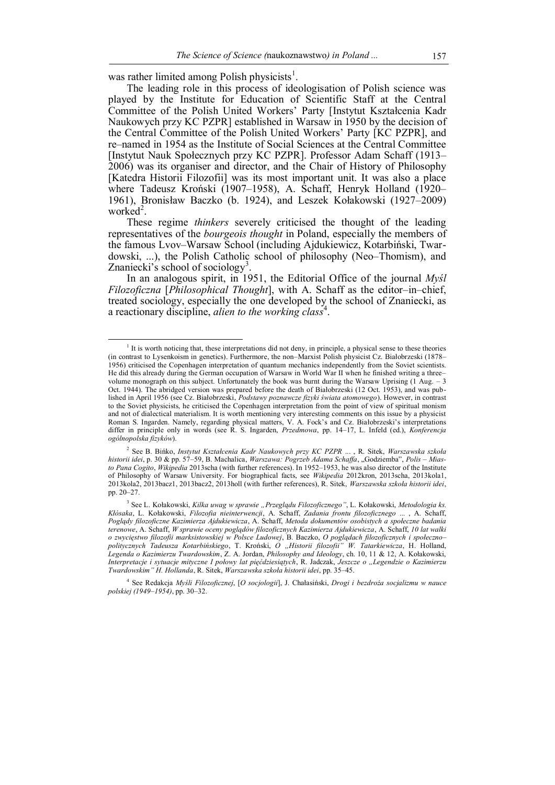was rather limited among Polish physicists<sup>1</sup>.

The leading role in this process of ideologisation of Polish science was played by the Institute for Education of Scientific Staff at the Central Committee of the Polish United Workers' Party [Instytut Kształcenia Kadr Naukowych przy KC PZPR] established in Warsaw in 1950 by the decision of the Central Committee of the Polish United Workers' Party [KC PZPR], and re–named in 1954 as the Institute of Social Sciences at the Central Committee [Instytut Nauk Społecznych przy KC PZPR]. Professor Adam Schaff (1913– 2006) was its organiser and director, and the Chair of History of Philosophy [Katedra Historii Filozofii] was its most important unit. It was also a place where Tadeusz Kroński (1907–1958), A. Schaff, Henryk Holland (1920– 1961), Bronisław Baczko (b. 1924), and Leszek Kołakowski (1927–2009) worked<sup>2</sup>.

These regime *thinkers* severely criticised the thought of the leading representatives of the *bourgeois thought* in Poland, especially the members of the famous Lvov–Warsaw School (including Ajdukiewicz, Kotarbiński, Twardowski, ...), the Polish Catholic school of philosophy (Neo–Thomism), and Znaniecki's school of sociology<sup>3</sup>.

In an analogous spirit, in 1951, the Editorial Office of the journal *Myśl Filozoficzna* [*Philosophical Thought*], with A. Schaff as the editor–in–chief, treated sociology, especially the one developed by the school of Znaniecki, as a reactionary discipline, *alien to the working class*<sup>4</sup>.

4 See Redakcja *Myśli Filozoficznej*, [*O socjologii*], J. Chałasiński, *Drogi i bezdroża socjalizmu w nauce polskiej (1949–1954)*, pp. 30–32.

 $\overline{a}$ <sup>1</sup> It is worth noticing that, these interpretations did not deny, in principle, a physical sense to these theories (in contrast to Lysenkoism in genetics). Furthermore, the non–Marxist Polish physicist Cz. Białobrzeski (1878– 1956) criticised the Copenhagen interpretation of quantum mechanics independently from the Soviet scientists. He did this already during the German occupation of Warsaw in World War II when he finished writing a three– volume monograph on this subject. Unfortunately the book was burnt during the Warsaw Uprising (1 Aug. – 3 Oct. 1944). The abridged version was prepared before the death of Białobrzeski (12 Oct. 1953), and was published in April 1956 (see Cz. Białobrzeski, *Podstawy poznawcze fizyki świata atomowego*). However, in contrast to the Soviet physicists, he criticised the Copenhagen interpretation from the point of view of spiritual monism and not of dialectical materialism. It is worth mentioning very interesting comments on this issue by a physicist Roman S. Ingarden. Namely, regarding physical matters, V. A. Fock's and Cz. Białobrzeski's interpretations differ in principle only in words (see R. S. Ingarden, *Przedmowa*, pp. 14–17, L. Infeld (ed.), *Konferencja ogólnopolska fizyków*).

<sup>2</sup> See B. Bińko, *Instytut Kształcenia Kadr Naukowych przy KC PZPR* ... , R. Sitek, *Warszawska szkoła historii idei*, p. 30 & pp. 57–59, B. Machalica, *Warszawa: Pogrzeb Adama Schaffa*, "Godziemba", *Polis – Miasto Pana Cogito*, *Wikipedia* 2013scha (with further references). In 1952–1953, he was also director of the Institute of Philosophy of Warsaw University. For biographical facts, see *Wikipedia* 2012kron, 2013scha, 2013kola1, 2013kola2, 2013bacz1, 2013bacz2, 2013holl (with further references), R. Sitek, *Warszawska szkoła historii idei*, pp. 20–27.

<sup>&</sup>lt;sup>3</sup> See L. Kołakowski, *Kilka uwag w sprawie "Przeglądu Filozoficznego"*, L. Kołakowski, *Metodologia ks. Kłósaka*, L. Kołakowski, *Filozofia nieinterwencji*, A. Schaff, *Zadania frontu filozoficznego* ... , A. Schaff, *Poglądy filozoficzne Kazimierza Ajdukiewicza*, A. Schaff, *Metoda dokumentów osobistych a społeczne badania terenowe*, A. Schaff, *W sprawie oceny poglądów filozoficznych Kazimierza Ajdukiewicza*, A. Schaff, *10 lat walki o zwycięstwo filozofii marksistowskiej w Polsce Ludowej*, B. Baczko, *O poglądach filozoficznych i społeczno– politycznych Tadeusza Kotarbińskiego*, T. Kroński, *O "Historii filozofii" W. Tatarkiewicza*, H. Holland, *Legenda o Kazimierzu Twardowskim*, Z. A. Jordan, *Philosophy and Ideology*, ch. 10, 11 & 12, A. Kołakowski, *Interpretacje i sytuacje mityczne I połowy lat pięćdziesiątych*, R. Jadczak, *Jeszcze o "Legendzie o Kazimierzu Twardowskim" H. Hollanda*, R. Sitek, *Warszawska szkoła historii idei*, pp. 35–45.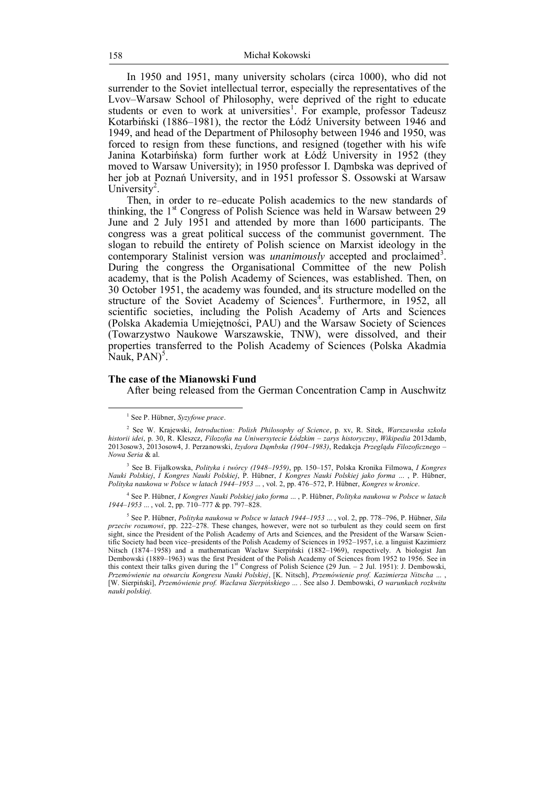In 1950 and 1951, many university scholars (circa 1000), who did not surrender to the Soviet intellectual terror, especially the representatives of the Lvov–Warsaw School of Philosophy, were deprived of the right to educate students or even to work at universities<sup>1</sup>. For example, professor Tadeusz Kotarbiński (1886–1981), the rector the Łódź University between 1946 and 1949, and head of the Department of Philosophy between 1946 and 1950, was forced to resign from these functions, and resigned (together with his wife Janina Kotarbińska) form further work at Łódź University in 1952 (they moved to Warsaw University); in 1950 professor I. Dąmbska was deprived of her job at Poznań University, and in 1951 professor S. Ossowski at Warsaw University<sup>2</sup>.

Then, in order to re–educate Polish academics to the new standards of thinking, the  $1<sup>st</sup>$  Congress of Polish Science was held in Warsaw between 29 June and 2 July 1951 and attended by more than 1600 participants. The congress was a great political success of the communist government. The slogan to rebuild the entirety of Polish science on Marxist ideology in the contemporary Stalinist version was *unanimously* accepted and proclaimed<sup>3</sup>. During the congress the Organisational Committee of the new Polish academy, that is the Polish Academy of Sciences, was established. Then, on 30 October 1951, the academy was founded, and its structure modelled on the structure of the Soviet Academy of Sciences<sup>4</sup>. Furthermore, in 1952, all scientific societies, including the Polish Academy of Arts and Sciences (Polska Akademia Umiejętności, PAU) and the Warsaw Society of Sciences (Towarzystwo Naukowe Warszawskie, TNW), were dissolved, and their properties transferred to the Polish Academy of Sciences (Polska Akadmia Nauk, PAN)<sup>5</sup>.

## **The case of the Mianowski Fund**

After being released from the German Concentration Camp in Auschwitz

 $\overline{a}$ 

3 See B. Fijałkowska, *Polityka i twórcy (1948–1959)*, pp. 150–157, Polska Kronika Filmowa, *I Kongres Nauki Polskiej*, *I Kongres Nauki Polskiej*, P. Hübner, *I Kongres Nauki Polskiej jako forma* ... , P. Hübner, *Polityka naukowa w Polsce w latach 1944–1953* ... , vol. 2, pp. 476–572, P. Hübner, *Kongres w kronice*.

4 See P. Hübner, *I Kongres Nauki Polskiej jako forma* ... , P. Hübner, *Polityka naukowa w Polsce w latach 1944–1953* ... , vol. 2, pp. 710–777 & pp. 797–828.

5 See P. Hübner, *Polityka naukowa w Polsce w latach 1944–1953* ... , vol. 2, pp. 778–796, P. Hübner, *Siła przeciw rozumowi*, pp. 222–278. These changes, however, were not so turbulent as they could seem on first sight, since the President of the Polish Academy of Arts and Sciences, and the President of the Warsaw Scientific Society had been vice–presidents of the Polish Academy of Sciences in 1952–1957, i.e. a linguist Kazimierz Nitsch (1874–1958) and a mathematican Wacław Sierpiński (1882–1969), respectively. A biologist Jan Dembowski (1889–1963) was the first President of the Polish Academy of Sciences from 1952 to 1956. See in this context their talks given during the  $1<sup>st</sup>$  Congress of Polish Science (29 Jun. – 2 Jul. 1951): J. Dembowski, *Przemówienie na otwarciu Kongresu Nauki Polskiej*, [K. Nitsch], *Przemówienie prof. Kazimierza Nitscha* ... , [W. Sierpiński], *Przemówienie prof. Wacława Sierpińskiego* ... . See also J. Dembowski, *O warunkach rozkwitu nauki polskiej*.

<sup>1</sup> See P. Hübner, *Syzyfowe prace*.

<sup>2</sup> See W. Krajewski, *Introduction: Polish Philosophy of Science*, p. xv, R. Sitek, *Warszawska szkoła historii idei*, p. 30, R. Kleszcz, *Filozofia na Uniwersytecie Łódzkim – zarys historyczny*, *Wikipedia* 2013damb, 2013osow3, 2013osow4, J. Perzanowski, *Izydora Dąmbska (1904–1983)*, Redakcja *Przeglądu Filozoficznego – Nowa Seria* & al.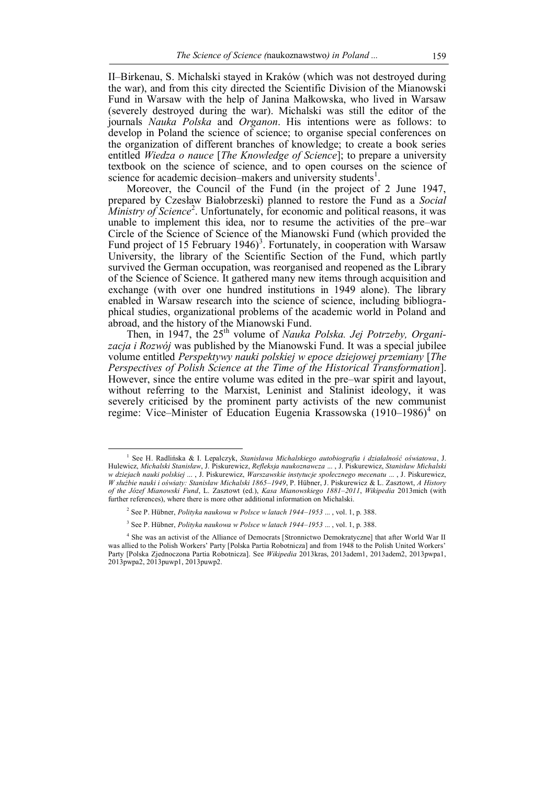II–Birkenau, S. Michalski stayed in Kraków (which was not destroyed during the war), and from this city directed the Scientific Division of the Mianowski Fund in Warsaw with the help of Janina Małkowska, who lived in Warsaw (severely destroyed during the war). Michalski was still the editor of the journals *Nauka Polska* and *Organon*. His intentions were as follows: to develop in Poland the science of science; to organise special conferences on the organization of different branches of knowledge; to create a book series entitled *Wiedza o nauce* [*The Knowledge of Science*]; to prepare a university textbook on the science of science, and to open courses on the science of science for academic decision–makers and university students<sup>1</sup>.

Moreover, the Council of the Fund (in the project of 2 June 1947, prepared by Czesław Białobrzeski) planned to restore the Fund as a *Social Ministry of Science*<sup>2</sup>. Unfortunately, for economic and political reasons, it was unable to implement this idea, nor to resume the activities of the pre–war Circle of the Science of Science of the Mianowski Fund (which provided the Fund project of 15 February 1946)<sup>3</sup>. Fortunately, in cooperation with Warsaw University, the library of the Scientific Section of the Fund, which partly survived the German occupation, was reorganised and reopened as the Library of the Science of Science. It gathered many new items through acquisition and exchange (with over one hundred institutions in 1949 alone). The library enabled in Warsaw research into the science of science, including bibliographical studies, organizational problems of the academic world in Poland and abroad, and the history of the Mianowski Fund.

Then, in 1947, the 25<sup>th</sup> volume of *Nauka Polska. Jej Potrzeby, Organizacja i Rozwój* was published by the Mianowski Fund. It was a special jubilee volume entitled *Perspektywy nauki polskiej w epoce dziejowej przemiany* [*The Perspectives of Polish Science at the Time of the Historical Transformation*]. However, since the entire volume was edited in the pre–war spirit and layout, without referring to the Marxist, Leninist and Stalinist ideology, it was severely criticised by the prominent party activists of the new communist regime: Vice–Minister of Education Eugenia Krassowska (1910–1986)<sup>4</sup> on

<sup>1</sup> See H. Radlińska & I. Lepalczyk, *Stanisława Michalskiego autobiografia i działalność oświatowa*, J. Hulewicz, *Michalski Stanisław*, J. Piskurewicz, *Refleksja naukoznawcza* ... , J. Piskurewicz, *Stanisław Michalski w dziejach nauki polskiej* ... , J. Piskurewicz, *Warszawskie instytucje społecznego mecenatu* ... , J. Piskurewicz, *W służbie nauki i oświaty: Stanisław Michalski 1865–1949*, P. Hübner, J. Piskurewicz & L. Zasztowt, *A History of the Józef Mianowski Fund*, L. Zasztowt (ed.), *Kasa Mianowskiego 1881–2011*, *Wikipedia* 2013mich (with further references), where there is more other additional information on Michalski.

<sup>2</sup> See P. Hübner, *Polityka naukowa w Polsce w latach 1944–1953* ... , vol. 1, p. 388.

<sup>3</sup> See P. Hübner, *Polityka naukowa w Polsce w latach 1944–1953* ... , vol. 1, p. 388.

<sup>4</sup> She was an activist of the Alliance of Democrats [Stronnictwo Demokratyczne] that after World War II was allied to the Polish Workers' Party [Polska Partia Robotnicza] and from 1948 to the Polish United Workers' Party [Polska Zjednoczona Partia Robotnicza]. See *Wikipedia* 2013kras, 2013adem1, 2013adem2, 2013pwpa1, 2013pwpa2, 2013puwp1, 2013puwp2.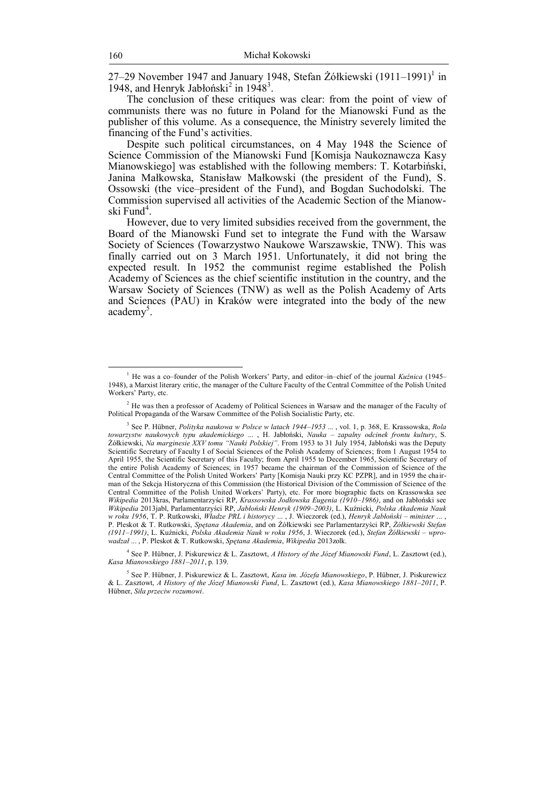27–29 November 1947 and January 1948, Stefan Żółkiewski  $(1911-1991)$ <sup>1</sup> in 1948, and Henryk Jabłoński<sup>2</sup> in 1948<sup>3</sup>.

The conclusion of these critiques was clear: from the point of view of communists there was no future in Poland for the Mianowski Fund as the publisher of this volume. As a consequence, the Ministry severely limited the financing of the Fund's activities.

Despite such political circumstances, on 4 May 1948 the Science of Science Commission of the Mianowski Fund [Komisja Naukoznawcza Kasy Mianowskiego] was established with the following members: T. Kotarbiński, Janina Małkowska, Stanisław Małkowski (the president of the Fund), S. Ossowski (the vice–president of the Fund), and Bogdan Suchodolski. The Commission supervised all activities of the Academic Section of the Mianowski Fund<sup>4</sup>.

However, due to very limited subsidies received from the government, the Board of the Mianowski Fund set to integrate the Fund with the Warsaw Society of Sciences (Towarzystwo Naukowe Warszawskie, TNW). This was finally carried out on 3 March 1951. Unfortunately, it did not bring the expected result. In 1952 the communist regime established the Polish Academy of Sciences as the chief scientific institution in the country, and the Warsaw Society of Sciences (TNW) as well as the Polish Academy of Arts and Sciences (PAU) in Kraków were integrated into the body of the new  $academy<sup>5</sup>$ .

4 See P. Hübner, J. Piskurewicz & L. Zasztowt, *A History of the Józef Mianowski Fund*, L. Zasztowt (ed.), *Kasa Mianowskiego 1881–2011*, p. 139.

<sup>&</sup>lt;sup>1</sup> He was a co–founder of the Polish Workers' Party, and editor–in–chief of the journal *Kuźnica* (1945– 1948), a Marxist literary critic, the manager of the Culture Faculty of the Central Committee of the Polish United Workers' Party, etc.

<sup>&</sup>lt;sup>2</sup> He was then a professor of Academy of Political Sciences in Warsaw and the manager of the Faculty of Political Propaganda of the Warsaw Committee of the Polish Socialistic Party, etc.

<sup>3</sup> See P. Hübner, *Polityka naukowa w Polsce w latach 1944–1953* ... , vol. 1, p. 368, E. Krassowska, *Rola towarzystw naukowych typu akademickiego* ... , H. Jabłoński, *Nauka – zapalny odcinek frontu kultury*, S. Żółkiewski, *Na marginesie XXV tomu "Nauki Polskiej"*. From 1953 to 31 July 1954, Jabłoński was the Deputy Scientific Secretary of Faculty I of Social Sciences of the Polish Academy of Sciences; from 1 August 1954 to April 1955, the Scientific Secretary of this Faculty; from April 1955 to December 1965, Scientific Secretary of the entire Polish Academy of Sciences; in 1957 became the chairman of the Commission of Science of the Central Committee of the Polish United Workers' Party [Komisja Nauki przy KC PZPR], and in 1959 the chairman of the Sekcja Historyczna of this Commission (the Historical Division of the Commission of Science of the Central Committee of the Polish United Workers' Party), etc. For more biographic facts on Krassowska see *Wikipedia* 2013kras, Parlamentarzyści RP, *Krassowska Jodłowska Eugenia (1910–1986)*, and on Jabłoński see *Wikipedia* 2013jabl, Parlamentarzyści RP, *Jabłoński Henryk (1909–2003)*, L. Kuźnicki, *Polska Akademia Nauk w roku 1956*, T. P. Rutkowski, *Władze PRL i historycy* ... , J. Wieczorek (ed.), *Henryk Jabłoński – minister* ... , P. Pleskot & T. Rutkowski, *Spętana Akademia*, and on Żółkiewski see Parlamentarzyści RP, *Żółkiewski Stefan (1911–1991)*, L. Kuźnicki, *Polska Akademia Nauk w roku 1956*, J. Wieczorek (ed.), *Stefan Żółkiewski – wprowadzał* ... , P. Pleskot & T. Rutkowski, *Spętana Akademia*, *Wikipedia* 2013zolk.

<sup>5</sup> See P. Hübner, J. Piskurewicz & L. Zasztowt, *Kasa im. Józefa Mianowskiego*, P. Hübner, J. Piskurewicz & L. Zasztowt, *A History of the Józef Mianowski Fund*, L. Zasztowt (ed.), *Kasa Mianowskiego 1881–2011*, P. Hübner, *Siła przeciw rozumowi*.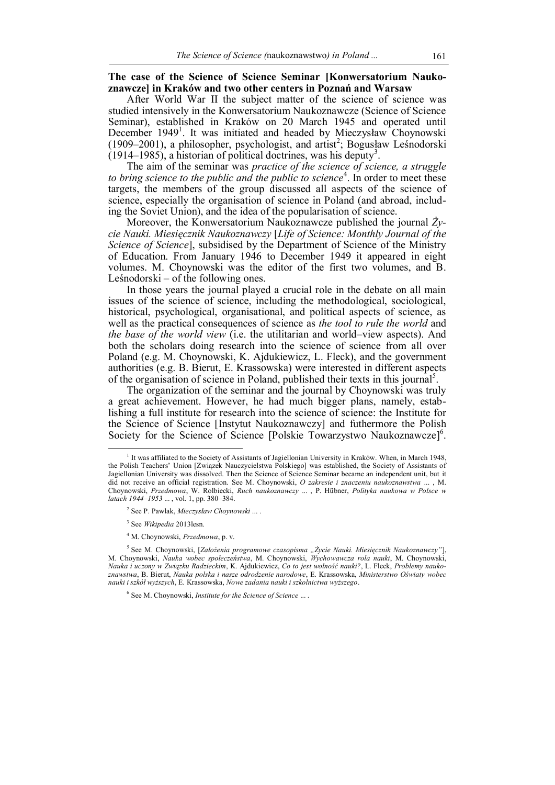## **The case of the Science of Science Seminar [Konwersatorium Naukoznawcze] in Kraków and two other centers in Poznań and Warsaw**

After World War II the subject matter of the science of science was studied intensively in the Konwersatorium Naukoznawcze (Science of Science Seminar), established in Kraków on 20 March 1945 and operated until December 1949<sup>1</sup>. It was initiated and headed by Mieczysław Choynowski  $(1909-2001)$ , a philosopher, psychologist, and artist<sup>2</sup>; Bogusław Leśnodorski  $(1914–1985)$ , a historian of political doctrines, was his deputy<sup>3</sup>.

The aim of the seminar was *practice of the science of science, a struggle*  to bring science to the public and the public to science<sup>4</sup>. In order to meet these targets, the members of the group discussed all aspects of the science of science, especially the organisation of science in Poland (and abroad, including the Soviet Union), and the idea of the popularisation of science.

Moreover, the Konwersatorium Naukoznawcze published the journal *Życie Nauki. Miesięcznik Naukoznawczy* [*Life of Science: Monthly Journal of the Science of Science*], subsidised by the Department of Science of the Ministry of Education. From January 1946 to December 1949 it appeared in eight volumes. M. Choynowski was the editor of the first two volumes, and B. Leśnodorski – of the following ones.

In those years the journal played a crucial role in the debate on all main issues of the science of science, including the methodological, sociological, historical, psychological, organisational, and political aspects of science, as well as the practical consequences of science as *the tool to rule the world* and *the base of the world view* (i.e. the utilitarian and world–view aspects). And both the scholars doing research into the science of science from all over Poland (e.g. M. Choynowski, K. Ajdukiewicz, L. Fleck), and the government authorities (e.g. B. Bierut, E. Krassowska) were interested in different aspects of the organisation of science in Poland, published their texts in this journal<sup>5</sup>.

The organization of the seminar and the journal by Choynowski was truly a great achievement. However, he had much bigger plans, namely, establishing a full institute for research into the science of science: the Institute for the Science of Science [Instytut Naukoznawczy] and futhermore the Polish Society for the Science of Science [Polskie Towarzystwo Naukoznawcze]<sup>6</sup>.

<sup>&</sup>lt;sup>1</sup> It was affiliated to the Society of Assistants of Jagiellonian University in Kraków. When, in March 1948, the Polish Teachers' Union [Związek Nauczycielstwa Polskiego] was established, the Society of Assistants of Jagiellonian University was dissolved. Then the Science of Science Seminar became an independent unit, but it did not receive an official registration. See M. Choynowski, *O zakresie i znaczeniu naukoznawstwa* ... , M. Choynowski, *Przedmowa*, W. Rolbiecki, *Ruch naukoznawczy* ... , P. Hübner, *Polityka naukowa w Polsce w latach 1944–1953* ... , vol. 1, pp. 380–384.

<sup>2</sup> See P. Pawlak, *Mieczysław Choynowski* ... .

<sup>3</sup> See *Wikipedia* 2013lesn.

<sup>4</sup> M. Choynowski, *Przedmowa*, p. v.

<sup>5</sup> See M. Choynowski, [*Założenia programowe czasopisma "Życie Nauki. Miesięcznik Naukoznawczy"*], M. Choynowski, *Nauka wobec społeczeństwa*, M. Choynowski, *Wychowawcza rola nauki*, M. Choynowski, *Nauka i uczony w Związku Radzieckim*, K. Ajdukiewicz, *Co to jest wolność nauki?*, L. Fleck, *Problemy naukoznawstwa*, B. Bierut, *Nauka polska i nasze odrodzenie narodowe*, E. Krassowska, *Ministerstwo Oświaty wobec nauki i szkół wyższych*, E. Krassowska, *Nowe zadania nauki i szkolnictwa wyższego*.

<sup>6</sup> See M. Choynowski, *Institute for the Science of Science* ... .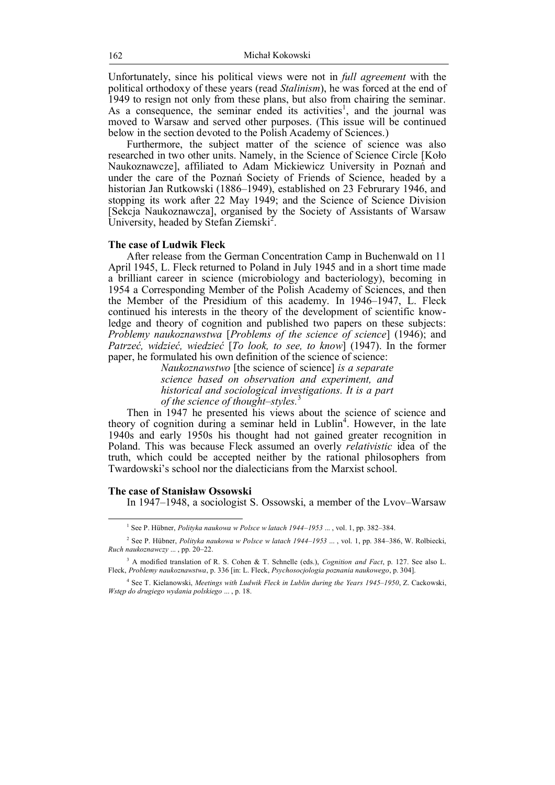Unfortunately, since his political views were not in *full agreement* with the political orthodoxy of these years (read *Stalinism*), he was forced at the end of 1949 to resign not only from these plans, but also from chairing the seminar. As a consequence, the seminar ended its activities<sup>1</sup>, and the journal was moved to Warsaw and served other purposes. (This issue will be continued below in the section devoted to the Polish Academy of Sciences.)

Furthermore, the subject matter of the science of science was also researched in two other units. Namely, in the Science of Science Circle [Koło Naukoznawcze], affiliated to Adam Mickiewicz University in Poznań and under the care of the Poznań Society of Friends of Science, headed by a historian Jan Rutkowski (1886–1949), established on 23 Februrary 1946, and stopping its work after 22 May 1949; and the Science of Science Division [Sekcja Naukoznawcza], organised by the Society of Assistants of Warsaw University, headed by Stefan Ziemski<sup>2</sup>.

## **The case of Ludwik Fleck**

After release from the German Concentration Camp in Buchenwald on 11 April 1945, L. Fleck returned to Poland in July 1945 and in a short time made a brilliant career in science (microbiology and bacteriology), becoming in 1954 a Corresponding Member of the Polish Academy of Sciences, and then the Member of the Presidium of this academy. In 1946–1947, L. Fleck continued his interests in the theory of the development of scientific knowledge and theory of cognition and published two papers on these subjects: *Problemy naukoznawstwa* [*Problems of the science of science*] (1946); and *Patrzeć, widzieć, wiedzieć* [*To look, to see, to know*] (1947). In the former paper, he formulated his own definition of the science of science:

> *Naukoznawstwo* [the science of science] *is a separate science based on observation and experiment, and historical and sociological investigations. It is a part of the science of thought–styles.* 3

Then in 1947 he presented his views about the science of science and theory of cognition during a seminar held in Lublin<sup>4</sup>. However, in the late 1940s and early 1950s his thought had not gained greater recognition in Poland. This was because Fleck assumed an overly *relativistic* idea of the truth, which could be accepted neither by the rational philosophers from Twardowski's school nor the dialecticians from the Marxist school.

## **The case of Stanisław Ossowski**

 $\overline{a}$ 

In 1947–1948, a sociologist S. Ossowski, a member of the Lvov–Warsaw

<sup>&</sup>lt;sup>1</sup> See P. Hübner, *Polityka naukowa w Polsce w latach 1944–1953* ..., vol. 1, pp. 382–384.

<sup>2</sup> See P. Hübner, *Polityka naukowa w Polsce w latach 1944–1953* ... , vol. 1, pp. 384–386, W. Rolbiecki, *Ruch naukoznawczy* ... , pp. 20–22.

<sup>3</sup> A modified translation of R. S. Cohen & T. Schnelle (eds.), *Cognition and Fact*, p. 127. See also L. Fleck, *Problemy naukoznawstwa*, p. 336 [in: L. Fleck, *Psychosocjologia poznania naukowego*, p. 304].

<sup>4</sup> See T. Kielanowski, *Meetings with Ludwik Fleck in Lublin during the Years 1945–1950*, Z. Cackowski, *Wstęp do drugiego wydania polskiego* ... , p. 18.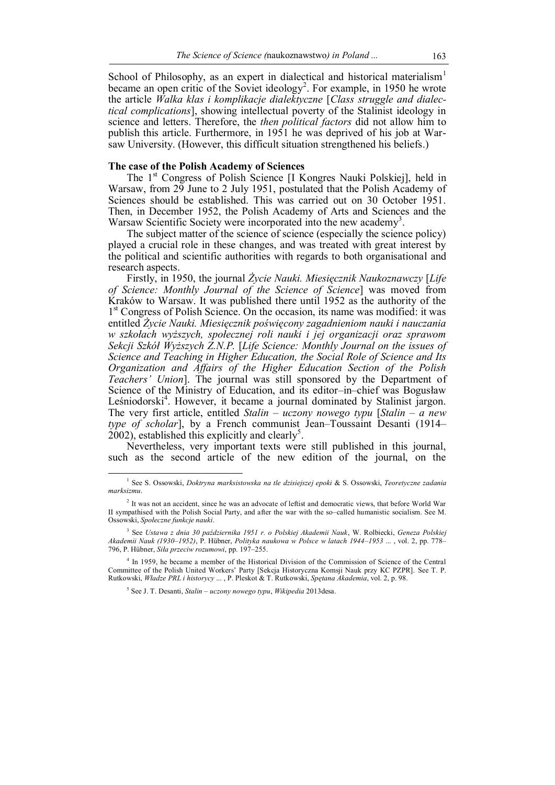School of Philosophy, as an expert in dialectical and historical materialism<sup>1</sup> became an open critic of the Soviet ideology<sup>2</sup>. For example, in 1950 he wrote the article *Walka klas i komplikacje dialektyczne* [*Class struggle and dialectical complications*], showing intellectual poverty of the Stalinist ideology in science and letters. Therefore, the *then political factors* did not allow him to publish this article. Furthermore, in 1951 he was deprived of his job at Warsaw University. (However, this difficult situation strengthened his beliefs.)

### **The case of the Polish Academy of Sciences**

The 1<sup>st</sup> Congress of Polish Science [I Kongres Nauki Polskiej], held in Warsaw, from 29 June to 2 July 1951, postulated that the Polish Academy of Sciences should be established. This was carried out on 30 October 1951. Then, in December 1952, the Polish Academy of Arts and Sciences and the Warsaw Scientific Society were incorporated into the new academy<sup>3</sup>.

The subject matter of the science of science (especially the science policy) played a crucial role in these changes, and was treated with great interest by the political and scientific authorities with regards to both organisational and research aspects.

Firstly, in 1950, the journal *Życie Nauki. Miesięcznik Naukoznawczy* [*Life of Science: Monthly Journal of the Science of Science*] was moved from Kraków to Warsaw. It was published there until 1952 as the authority of the 1<sup>st</sup> Congress of Polish Science. On the occasion, its name was modified: it was entitled *Życie Nauki. Miesięcznik poświęcony zagadnieniom nauki i nauczania w szkołach wyższych, społecznej roli nauki i jej organizacji oraz sprawom Sekcji Szkół Wyższych Z.N.P.* [*Life Science: Monthly Journal on the issues of Science and Teaching in Higher Education, the Social Role of Science and Its Organization and Affairs of the Higher Education Section of the Polish Teachers' Union*]. The journal was still sponsored by the Department of Science of the Ministry of Education, and its editor–in–chief was Bogusław Leśniodorski<sup>4</sup>. However, it became a journal dominated by Stalinist jargon. The very first article, entitled *Stalin – uczony nowego typu* [*Stalin – a new type of scholar*], by a French communist Jean–Toussaint Desanti (1914–  $2002$ , established this explicitly and clearly<sup>5</sup>.

Nevertheless, very important texts were still published in this journal, such as the second article of the new edition of the journal, on the

<sup>1</sup> See S. Ossowski, *Doktryna marksistowska na tle dzisiejszej epoki* & S. Ossowski, *Teoretyczne zadania marksizmu*.

<sup>&</sup>lt;sup>2</sup> It was not an accident, since he was an advocate of leftist and democratic views, that before World War II sympathised with the Polish Social Party, and after the war with the so–called humanistic socialism. See M. Ossowski, *Społeczne funkcje nauki*.

<sup>3</sup> See *Ustawa z dnia 30 października 1951 r. o Polskiej Akademii Nauk*, W. Rolbiecki, *Geneza Polskiej Akademii Nauk (1930–1952)*, P. Hübner, *Polityka naukowa w Polsce w latach 1944–1953* ... , vol. 2, pp. 778– 796, P. Hübner, *Siła przeciw rozumowi*, pp. 197–255.

<sup>4</sup> In 1959, he became a member of the Historical Division of the Commission of Science of the Central Committee of the Polish United Workers' Party [Sekcja Historyczna Komsji Nauk przy KC PZPR]. See T. P. Rutkowski, *Władze PRL i historycy* ... , P. Pleskot & T. Rutkowski, *Spętana Akademia*, vol. 2, p. 98.

<sup>5</sup> See J. T. Desanti, *Stalin – uczony nowego typu*, *Wikipedia* 2013desa.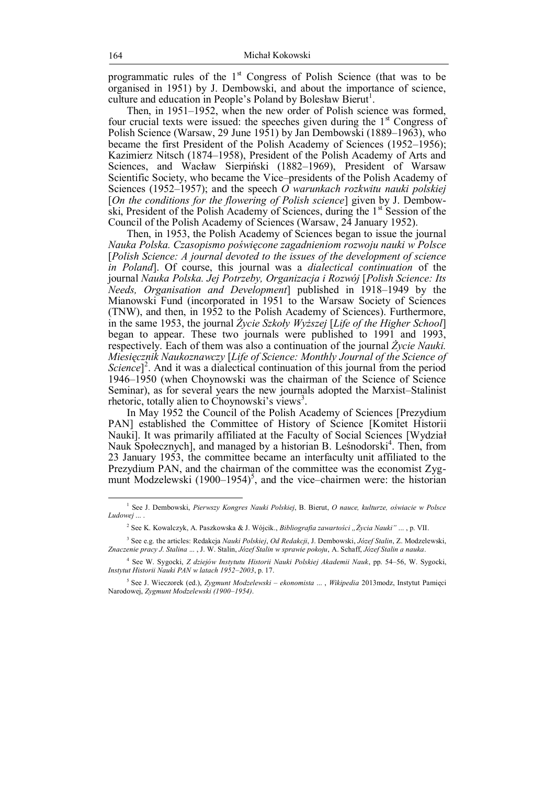programmatic rules of the  $1<sup>st</sup>$  Congress of Polish Science (that was to be organised in 1951) by J. Dembowski, and about the importance of science, culture and education in People's Poland by Bolesław Bierut<sup>1</sup>.

Then, in 1951–1952, when the new order of Polish science was formed, four crucial texts were issued: the speeches given during the  $1<sup>st</sup>$  Congress of Polish Science (Warsaw, 29 June 1951) by Jan Dembowski (1889–1963), who became the first President of the Polish Academy of Sciences (1952–1956); Kazimierz Nitsch (1874–1958), President of the Polish Academy of Arts and Sciences, and Wacław Sierpiński (1882–1969), President of Warsaw Scientific Society, who became the Vice–presidents of the Polish Academy of Sciences (1952–1957); and the speech *O warunkach rozkwitu nauki polskiej* [*On the conditions for the flowering of Polish science*] given by J. Dembowski, President of the Polish Academy of Sciences, during the  $1<sup>st</sup>$  Session of the Council of the Polish Academy of Sciences (Warsaw, 24 January 1952).

Then, in 1953, the Polish Academy of Sciences began to issue the journal *Nauka Polska. Czasopismo poświęcone zagadnieniom rozwoju nauki w Polsce* [*Polish Science: A journal devoted to the issues of the development of science in Poland*]. Of course, this journal was a *dialectical continuation* of the journal *Nauka Polska. Jej Potrzeby, Organizacja i Rozwój* [*Polish Science: Its Needs, Organisation and Development*] published in 1918–1949 by the Mianowski Fund (incorporated in 1951 to the Warsaw Society of Sciences (TNW), and then, in 1952 to the Polish Academy of Sciences). Furthermore, in the same 1953, the journal *Życie Szkoły Wyższej* [*Life of the Higher School*] began to appear. These two journals were published to 1991 and 1993, respectively. Each of them was also a continuation of the journal *Życie Nauki. Miesięcznik Naukoznawczy* [*Life of Science: Monthly Journal of the Science of*  Science]<sup>2</sup>. And it was a dialectical continuation of this journal from the period 1946–1950 (when Choynowski was the chairman of the Science of Science Seminar), as for several years the new journals adopted the Marxist–Stalinist rhetoric, totally alien to Choynowski's views<sup>3</sup>.

In May 1952 the Council of the Polish Academy of Sciences [Prezydium PAN] established the Committee of History of Science [Komitet Historii Nauki]. It was primarily affiliated at the Faculty of Social Sciences [Wydział Nauk Społecznych], and managed by a historian B. Leśnodorski<sup>4</sup>. Then, from 23 January 1953, the committee became an interfaculty unit affiliated to the Prezydium PAN, and the chairman of the committee was the economist Zygmunt Modzelewski  $(1900-1954)^5$ , and the vice–chairmen were: the historian

<sup>1</sup> See J. Dembowski, *Pierwszy Kongres Nauki Polskiej*, B. Bierut, *O nauce, kulturze, oświacie w Polsce Ludowej* ... .

<sup>&</sup>lt;sup>2</sup> See K. Kowalczyk, A. Paszkowska & J. Wójcik., *Bibliografia zawartości "Życia Nauki"* ... , p. VII.

<sup>3</sup> See e.g. the articles: Redakcja *Nauki Polskiej*, *Od Redakcji*, J. Dembowski, *Józef Stalin*, Z. Modzelewski, *Znaczenie pracy J. Stalina* ... , J. W. Stalin, *Józef Stalin w sprawie pokoju*, A. Schaff, *Józef Stalin a nauka*.

<sup>4</sup> See W. Sygocki, *Z dziejów Instytutu Historii Nauki Polskiej Akademii Nauk*, pp. 54–56, W. Sygocki, *Instytut Historii Nauki PAN w latach 1952–2003*, p. 17.

<sup>5</sup> See J. Wieczorek (ed.), *Zygmunt Modzelewski – ekonomista* ... , *Wikipedia* 2013modz, Instytut Pamięci Narodowej, *Zygmunt Modzelewski (1900–1954)*.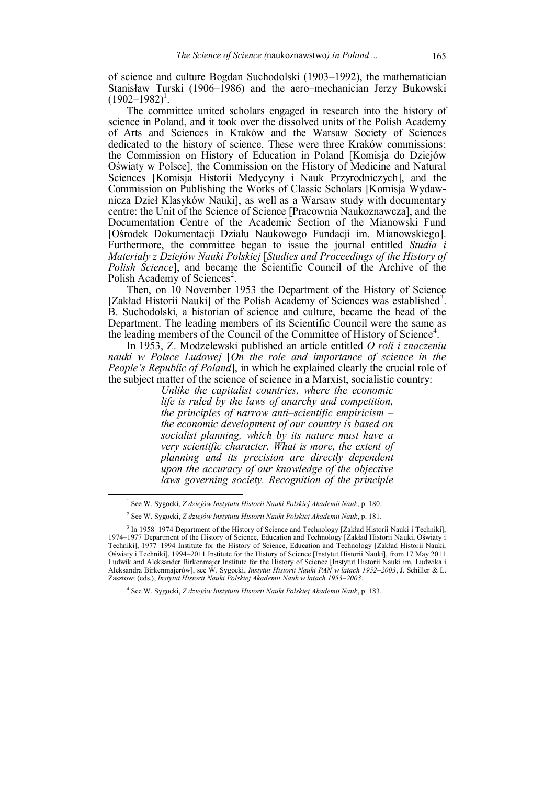of science and culture Bogdan Suchodolski (1903–1992), the mathematician Stanisław Turski (1906–1986) and the aero–mechanician Jerzy Bukowski  $(1902 - 1982)^{1}$ .

The committee united scholars engaged in research into the history of science in Poland, and it took over the dissolved units of the Polish Academy of Arts and Sciences in Kraków and the Warsaw Society of Sciences dedicated to the history of science. These were three Kraków commissions: the Commission on History of Education in Poland [Komisja do Dziejów Oświaty w Polsce], the Commission on the History of Medicine and Natural Sciences [Komisja Historii Medycyny i Nauk Przyrodniczych], and the Commission on Publishing the Works of Classic Scholars [Komisja Wydawnicza Dzieł Klasyków Nauki], as well as a Warsaw study with documentary centre: the Unit of the Science of Science [Pracownia Naukoznawcza], and the Documentation Centre of the Academic Section of the Mianowski Fund [Ośrodek Dokumentacji Działu Naukowego Fundacji im. Mianowskiego]. Furthermore, the committee began to issue the journal entitled *Studia i Materiały z Dziejów Nauki Polskiej* [*Studies and Proceedings of the History of Polish Science*], and became the Scientific Council of the Archive of the Polish Academy of Sciences<sup>2</sup>.

Then, on 10 November 1953 the Department of the History of Science [Zakład Historii Nauki] of the Polish Academy of Sciences was established<sup>3</sup>. B. Suchodolski, a historian of science and culture, became the head of the Department. The leading members of its Scientific Council were the same as the leading members of the Council of the Committee of History of Science<sup>4</sup>.

In 1953, Z. Modzelewski published an article entitled *O roli i znaczeniu nauki w Polsce Ludowej* [*On the role and importance of science in the People's Republic of Poland*], in which he explained clearly the crucial role of the subject matter of the science of science in a Marxist, socialistic country:

*Unlike the capitalist countries, where the economic life is ruled by the laws of anarchy and competition, the principles of narrow anti–scientific empiricism – the economic development of our country is based on socialist planning, which by its nature must have a very scientific character. What is more, the extent of planning and its precision are directly dependent upon the accuracy of our knowledge of the objective laws governing society. Recognition of the principle* 

<sup>1</sup> See W. Sygocki, *Z dziejów Instytutu Historii Nauki Polskiej Akademii Nauk*, p. 180.

<sup>2</sup> See W. Sygocki, *Z dziejów Instytutu Historii Nauki Polskiej Akademii Nauk*, p. 181.

<sup>&</sup>lt;sup>3</sup> In 1958–1974 Department of the History of Science and Technology [Zakład Historii Nauki i Techniki], 1974–1977 Department of the History of Science, Education and Technology [Zakład Historii Nauki, Oświaty i Techniki], 1977–1994 Institute for the History of Science, Education and Technology [Zakład Historii Nauki, Oświaty i Techniki], 1994–2011 Institute for the History of Science [Instytut Historii Nauki], from 17 May 2011 Ludwik and Aleksander Birkenmajer Institute for the History of Science [Instytut Historii Nauki im. Ludwika i Aleksandra Birkenmajerów], see W. Sygocki, *Instytut Historii Nauki PAN w latach 1952–2003*, J. Schiller & L. Zasztowt (eds.), *Instytut Historii Nauki Polskiej Akademii Nauk w latach 1953–2003*.

<sup>4</sup> See W. Sygocki, *Z dziejów Instytutu Historii Nauki Polskiej Akademii Nauk*, p. 183.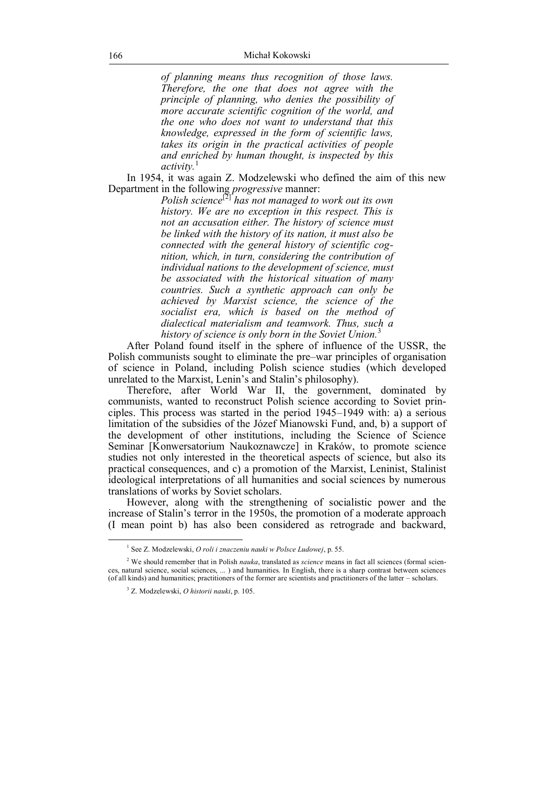*of planning means thus recognition of those laws. Therefore, the one that does not agree with the principle of planning, who denies the possibility of more accurate scientific cognition of the world, and the one who does not want to understand that this knowledge, expressed in the form of scientific laws, takes its origin in the practical activities of people and enriched by human thought, is inspected by this activity.* 1

In 1954, it was again Z. Modzelewski who defined the aim of this new Department in the following *progressive* manner:

*Polish science*[2] *has not managed to work out its own history. We are no exception in this respect. This is not an accusation either. The history of science must be linked with the history of its nation, it must also be connected with the general history of scientific cognition, which, in turn, considering the contribution of individual nations to the development of science, must be associated with the historical situation of many countries. Such a synthetic approach can only be achieved by Marxist science, the science of the socialist era, which is based on the method of dialectical materialism and teamwork. Thus, such a history of science is only born in the Soviet Union.* 3

After Poland found itself in the sphere of influence of the USSR, the Polish communists sought to eliminate the pre–war principles of organisation of science in Poland, including Polish science studies (which developed unrelated to the Marxist, Lenin's and Stalin's philosophy).

Therefore, after World War II, the government, dominated by communists, wanted to reconstruct Polish science according to Soviet principles. This process was started in the period 1945–1949 with: a) a serious limitation of the subsidies of the Józef Mianowski Fund, and, b) a support of the development of other institutions, including the Science of Science Seminar [Konwersatorium Naukoznawcze] in Kraków, to promote science studies not only interested in the theoretical aspects of science, but also its practical consequences, and c) a promotion of the Marxist, Leninist, Stalinist ideological interpretations of all humanities and social sciences by numerous translations of works by Soviet scholars.

However, along with the strengthening of socialistic power and the increase of Stalin's terror in the 1950s, the promotion of a moderate approach (I mean point b) has also been considered as retrograde and backward,

<sup>1</sup> See Z. Modzelewski, *O roli i znaczeniu nauki w Polsce Ludowej*, p. 55.

<sup>2</sup> We should remember that in Polish *nauka*, translated as *science* means in fact all sciences (formal sciences, natural science, social sciences, ... ) and humanities. In English, there is a sharp contrast between sciences (of all kinds) and humanities; practitioners of the former are scientists and practitioners of the latter – scholars.

<sup>3</sup> Z. Modzelewski, *O historii nauki*, p. 105.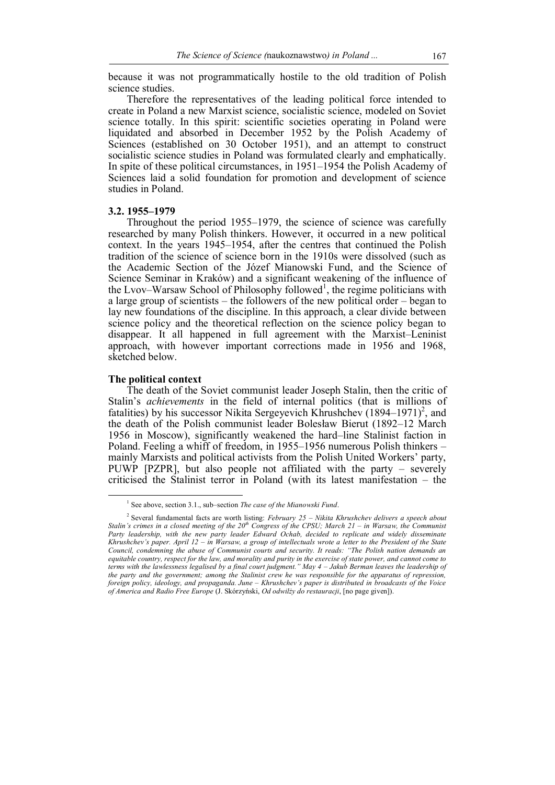because it was not programmatically hostile to the old tradition of Polish science studies.

Therefore the representatives of the leading political force intended to create in Poland a new Marxist science, socialistic science, modeled on Soviet science totally. In this spirit: scientific societies operating in Poland were liquidated and absorbed in December 1952 by the Polish Academy of Sciences (established on 30 October 1951), and an attempt to construct socialistic science studies in Poland was formulated clearly and emphatically. In spite of these political circumstances, in 1951–1954 the Polish Academy of Sciences laid a solid foundation for promotion and development of science studies in Poland.

## **3.2. 1955–1979**

Throughout the period 1955–1979, the science of science was carefully researched by many Polish thinkers. However, it occurred in a new political context. In the years 1945–1954, after the centres that continued the Polish tradition of the science of science born in the 1910s were dissolved (such as the Academic Section of the Józef Mianowski Fund, and the Science of Science Seminar in Kraków) and a significant weakening of the influence of the Lvov–Warsaw School of Philosophy followed<sup>1</sup>, the regime politicians with a large group of scientists – the followers of the new political order – began to lay new foundations of the discipline. In this approach, a clear divide between science policy and the theoretical reflection on the science policy began to disappear. It all happened in full agreement with the Marxist–Leninist approach, with however important corrections made in 1956 and 1968, sketched below.

#### **The political context**

 $\overline{a}$ 

The death of the Soviet communist leader Joseph Stalin, then the critic of Stalin's *achievements* in the field of internal politics (that is millions of fatalities) by his successor Nikita Sergeyevich Khrushchev  $(1894-1971)^2$ , and the death of the Polish communist leader Bolesław Bierut (1892–12 March 1956 in Moscow), significantly weakened the hard–line Stalinist faction in Poland. Feeling a whiff of freedom, in 1955–1956 numerous Polish thinkers – mainly Marxists and political activists from the Polish United Workers' party, PUWP [PZPR], but also people not affiliated with the party – severely criticised the Stalinist terror in Poland (with its latest manifestation – the

<sup>&</sup>lt;sup>1</sup> See above, section 3.1., sub–section *The case of the Mianowski Fund*.

<sup>2</sup> Several fundamental facts are worth listing: *February 25 – Nikita Khrushchev delivers a speech about Stalin's crimes in a closed meeting of the 20th Congress of the CPSU; March 21 – in Warsaw, the Communist*  Party leadership, with the new party leader Edward Ochab, decided to replicate and widely disseminate *Khrushchev's paper. April 12 – in Warsaw, a group of intellectuals wrote a letter to the President of the State Council, condemning the abuse of Communist courts and security. It reads: "The Polish nation demands an equitable country, respect for the law, and morality and purity in the exercise of state power, and cannot come to terms with the lawlessness legalised by a final court judgment." May 4 – Jakub Berman leaves the leadership of the party and the government; among the Stalinist crew he was responsible for the apparatus of repression, foreign policy, ideology, and propaganda. June – Khrushchev's paper is distributed in broadcasts of the Voice of America and Radio Free Europe* (J. Skórzyński, *Od odwilży do restauracji*, [no page given]).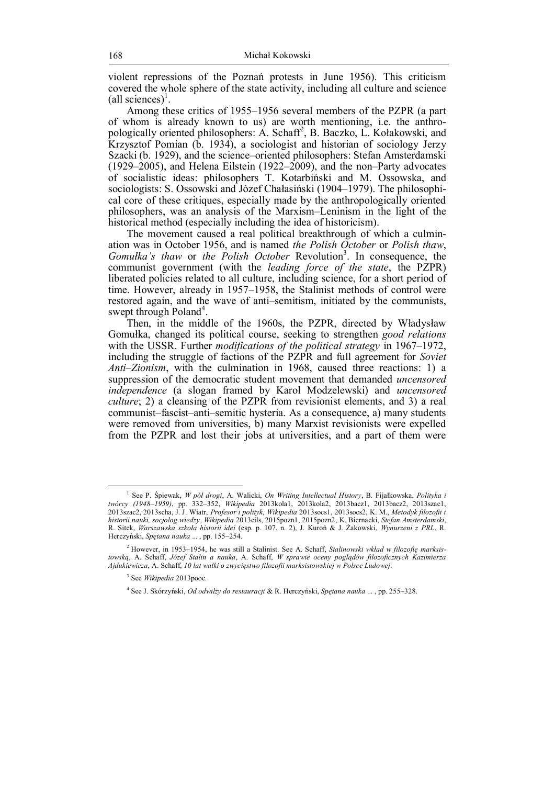violent repressions of the Poznań protests in June 1956). This criticism covered the whole sphere of the state activity, including all culture and science (all sciences)<sup>1</sup>.

Among these critics of 1955–1956 several members of the PZPR (a part of whom is already known to us) are worth mentioning, i.e. the anthropologically oriented philosophers: A. Schaff<sup>2</sup>, B. Baczko, L. Kołakowski, and Krzysztof Pomian (b. 1934), a sociologist and historian of sociology Jerzy Szacki (b. 1929), and the science–oriented philosophers: Stefan Amsterdamski (1929–2005), and Helena Eilstein (1922–2009), and the non–Party advocates of socialistic ideas: philosophers T. Kotarbiński and M. Ossowska, and sociologists: S. Ossowski and Józef Chałasiński (1904–1979). The philosophical core of these critiques, especially made by the anthropologically oriented philosophers, was an analysis of the Marxism–Leninism in the light of the historical method (especially including the idea of historicism).

The movement caused a real political breakthrough of which a culmination was in October 1956, and is named *the Polish October* or *Polish thaw*, Gomułka's thaw or the Polish October Revolution<sup>3</sup>. In consequence, the communist government (with the *leading force of the state*, the PZPR) liberated policies related to all culture, including science, for a short period of time. However, already in 1957–1958, the Stalinist methods of control were restored again, and the wave of anti–semitism, initiated by the communists, swept through Poland<sup>4</sup>.

Then, in the middle of the 1960s, the PZPR, directed by Władysław Gomułka, changed its political course, seeking to strengthen *good relations* with the USSR. Further *modifications of the political strategy* in 1967–1972, including the struggle of factions of the PZPR and full agreement for *Soviet Anti–Zionism*, with the culmination in 1968, caused three reactions: 1) a suppression of the democratic student movement that demanded *uncensored independence* (a slogan framed by Karol Modzelewski) and *uncensored culture*; 2) a cleansing of the PZPR from revisionist elements, and 3) a real communist–fascist–anti–semitic hysteria. As a consequence, a) many students were removed from universities, b) many Marxist revisionists were expelled from the PZPR and lost their jobs at universities, and a part of them were

 1 See P. Śpiewak, *W pół drogi*, A. Walicki, *On Writing Intellectual History*, B. Fijałkowska, *Polityka i twórcy (1948–1959)*, pp. 332–352, *Wikipedia* 2013kola1, 2013kola2, 2013bacz1, 2013bacz2, 2013szac1, 2013szac2, 2013scha, J. J. Wiatr, *Profesor i polityk*, *Wikipedia* 2013socs1, 2013socs2, K. M., *Metodyk filozofii i historii nauki, socjolog wiedzy*, *Wikipedia* 2013eils, 2015pozn1, 2015pozn2, K. Biernacki, *Stefan Amsterdamski*, R. Sitek, *Warszawska szkoła historii idei* (esp. p. 107, n. 2), J. Kuroń & J. Żakowski, *Wynurzeni z PRL*, R. Herczyński, *Spętana nauka* ... , pp. 155–254.

<sup>2</sup> However, in 1953–1954, he was still a Stalinist. See A. Schaff, *Stalinowski wkład w filozofię marksistowską*, A. Schaff, *Józef Stalin a nauka*, A. Schaff, *W sprawie oceny poglądów filozoficznych Kazimierza Ajdukiewicza*, A. Schaff, *10 lat walki o zwycięstwo filozofii marksistowskiej w Polsce Ludowej*.

<sup>3</sup> See *Wikipedia* 2013pooc*.*

<sup>4</sup> See J. Skórzyński, *Od odwilży do restauracji* & R. Herczyński, *Spętana nauka* ... , pp. 255–328.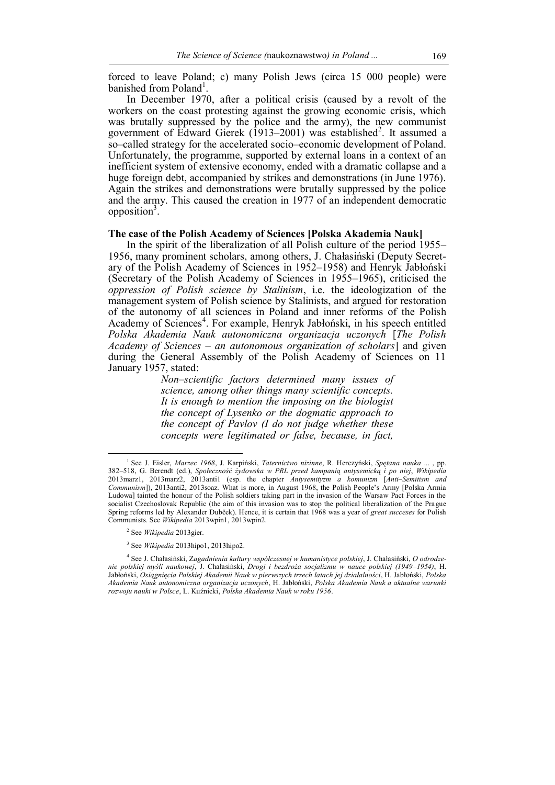forced to leave Poland; c) many Polish Jews (circa 15 000 people) were banished from Poland<sup>1</sup>.

In December 1970, after a political crisis (caused by a revolt of the workers on the coast protesting against the growing economic crisis, which was brutally suppressed by the police and the army), the new communist government of Edward Gierek (1913–2001) was established<sup>2</sup>. It assumed a so–called strategy for the accelerated socio–economic development of Poland. Unfortunately, the programme, supported by external loans in a context of an inefficient system of extensive economy, ended with a dramatic collapse and a huge foreign debt, accompanied by strikes and demonstrations (in June 1976). Again the strikes and demonstrations were brutally suppressed by the police and the army. This caused the creation in 1977 of an independent democratic opposition<sup>3</sup>.

## **The case of the Polish Academy of Sciences [Polska Akademia Nauk]**

In the spirit of the liberalization of all Polish culture of the period 1955– 1956, many prominent scholars, among others, J. Chałasiński (Deputy Secretary of the Polish Academy of Sciences in 1952–1958) and Henryk Jabłoński (Secretary of the Polish Academy of Sciences in 1955–1965), criticised the *oppression of Polish science by Stalinism*, i.e. the ideologization of the management system of Polish science by Stalinists, and argued for restoration of the autonomy of all sciences in Poland and inner reforms of the Polish Academy of Sciences<sup>4</sup>. For example, Henryk Jabłoński, in his speech entitled *Polska Akademia Nauk autonomiczna organizacja uczonych* [*The Polish Academy of Sciences – an autonomous organization of scholars*] and given during the General Assembly of the Polish Academy of Sciences on 11 January 1957, stated:

> *Non–scientific factors determined many issues of science, among other things many scientific concepts. It is enough to mention the imposing on the biologist the concept of Lysenko or the dogmatic approach to the concept of Pavlov (I do not judge whether these concepts were legitimated or false, because, in fact,*

<sup>1</sup> See J. Eisler, *Marzec 1968*, J. Karpiński, *Taternictwo nizinne*, R. Herczyński, *Spętana nauka* ... , pp. 382–518, G. Berendt (ed.), *Społeczność żydowska w PRL przed kampanią antysemicką i po niej*, *Wikipedia* 2013marz1, 2013marz2, 2013anti1 (esp. the chapter *Antysemityzm a komunizm* [*Anti–Semitism and Communism*]), 2013anti2, 2013soaz. What is more, in August 1968, the Polish People's Army [Polska Armia Ludowa] tainted the honour of the Polish soldiers taking part in the invasion of the Warsaw Pact Forces in the socialist Czechoslovak Republic (the aim of this invasion was to stop the political liberalization of the Prague Spring reforms led by Alexander Dubček). Hence, it is certain that 1968 was a year of *great succeses* for Polish Communists. See *Wikipedia* 2013wpin1, 2013wpin2.

<sup>2</sup> See *Wikipedia* 2013gier.

<sup>3</sup> See *Wikipedia* 2013hipo1, 2013hipo2.

<sup>4</sup> See J. Chałasiński, Z*agadnienia kultury współczesnej w humanistyce polskiej*, J. Chałasiński, *O odrodzenie polskiej myśli naukowej*, J. Chałasiński, *Drogi i bezdroża socjalizmu w nauce polskiej (1949–1954)*, H. Jabłoński, *Osiągnięcia Polskiej Akademii Nauk w pierwszych trzech latach jej działalności*, H. Jabłoński, *Polska Akademia Nauk autonomiczna organizacja uczonych*, H. Jabłoński, *Polska Akademia Nauk a aktualne warunki rozwoju nauki w Polsce*, L. Kuźnicki, *Polska Akademia Nauk w roku 1956*.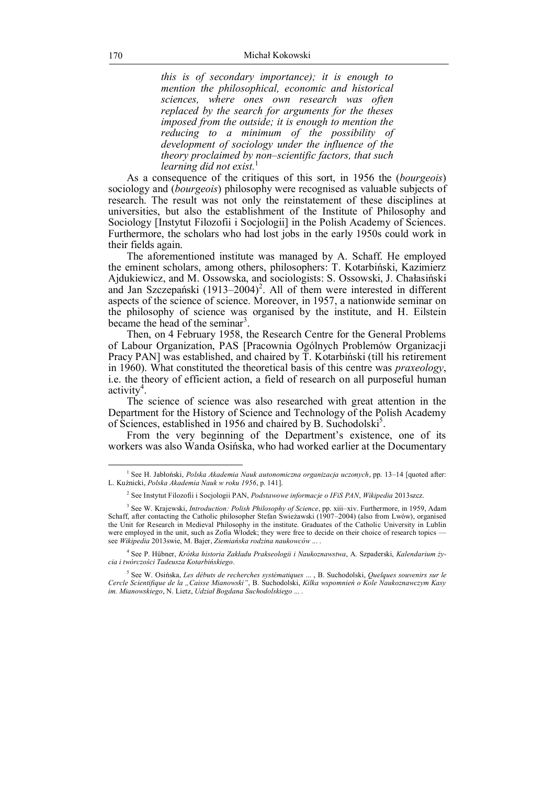*this is of secondary importance); it is enough to mention the philosophical, economic and historical sciences, where ones own research was often replaced by the search for arguments for the theses imposed from the outside; it is enough to mention the reducing to a minimum of the possibility of development of sociology under the influence of the theory proclaimed by non–scientific factors, that such learning did not exist.* 1

As a consequence of the critiques of this sort, in 1956 the (*bourgeois*) sociology and (*bourgeois*) philosophy were recognised as valuable subjects of research. The result was not only the reinstatement of these disciplines at universities, but also the establishment of the Institute of Philosophy and Sociology [Instytut Filozofii i Socjologii] in the Polish Academy of Sciences. Furthermore, the scholars who had lost jobs in the early 1950s could work in their fields again.

The aforementioned institute was managed by A. Schaff. He employed the eminent scholars, among others, philosophers: T. Kotarbiński, Kazimierz Ajdukiewicz, and M. Ossowska, and sociologists: S. Ossowski, J. Chałasiński and Jan Szczepański  $(1913-2004)^2$ . All of them were interested in different aspects of the science of science. Moreover, in 1957, a nationwide seminar on the philosophy of science was organised by the institute, and H. Eilstein became the head of the seminar<sup>3</sup>.

Then, on 4 February 1958, the Research Centre for the General Problems of Labour Organization, PAS [Pracownia Ogólnych Problemów Organizacji Pracy PAN] was established, and chaired by T. Kotarbiński (till his retirement in 1960). What constituted the theoretical basis of this centre was *praxeology*, i.e. the theory of efficient action, a field of research on all purposeful human activity<sup>4</sup>.

The science of science was also researched with great attention in the Department for the History of Science and Technology of the Polish Academy of Sciences, established in 1956 and chaired by B. Suchodolski<sup>5</sup>.

From the very beginning of the Department's existence, one of its workers was also Wanda Osińska, who had worked earlier at the Documentary

<sup>1</sup> See H. Jabłoński, *Polska Akademia Nauk autonomiczna organizacja uczonych*, pp. 13–14 [quoted after: L. Kuźnicki, *Polska Akademia Nauk w roku 1956*, p. 141].

<sup>2</sup> See Instytut Filozofii i Socjologii PAN, *Podstawowe informacje o IFiS PAN*, *Wikipedia* 2013szcz.

<sup>&</sup>lt;sup>3</sup> See W. Krajewski, *Introduction: Polish Philosophy of Science*, pp. xiii–xiv. Furthermore, in 1959, Adam Schaff, after contacting the Catholic philosopher Stefan Swieżawski (1907–2004) (also from Lwów), organised the Unit for Research in Medieval Philosophy in the institute. Graduates of the Catholic University in Lublin were employed in the unit, such as Zofia Włodek; they were free to decide on their choice of research topics see *Wikipedia* 2013swie, M. Bajer, *Ziemiańska rodzina naukowców* ... .

<sup>4</sup> See P. Hübner, *Krótka historia Zakładu Prakseologii i Naukoznawstwa*, A. Szpaderski, *Kalendarium życia i twórczości Tadeusza Kotarbińskiego*.

<sup>5</sup> See W. Osińska, *Les débuts de recherches systématiques* ... , B. Suchodolski, *Quelques souvenirs sur le Cercle Scientifique de la "Caisse Mianowski"*, B. Suchodolski, *Kilka wspomnień o Kole Naukoznawczym Kasy im. Mianowskiego*, N. Lietz, *Udział Bogdana Suchodolskiego* ... .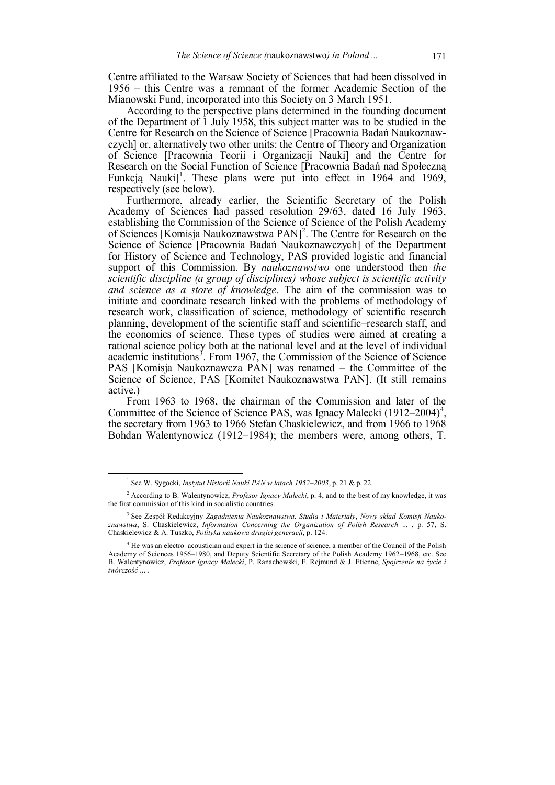Centre affiliated to the Warsaw Society of Sciences that had been dissolved in 1956 – this Centre was a remnant of the former Academic Section of the Mianowski Fund, incorporated into this Society on 3 March 1951.

According to the perspective plans determined in the founding document of the Department of 1 July 1958, this subject matter was to be studied in the Centre for Research on the Science of Science [Pracownia Badań Naukoznawczych] or, alternatively two other units: the Centre of Theory and Organization of Science [Pracownia Teorii i Organizacji Nauki] and the Centre for Research on the Social Function of Science [Pracownia Badań nad Społeczną Funkcją Nauki]<sup>1</sup>. These plans were put into effect in 1964 and 1969, respectively (see below).

Furthermore, already earlier, the Scientific Secretary of the Polish Academy of Sciences had passed resolution 29/63, dated 16 July 1963, establishing the Commission of the Science of Science of the Polish Academy of Sciences [Komisja Naukoznawstwa PAN] 2 . The Centre for Research on the Science of Science [Pracownia Badań Naukoznawczych] of the Department for History of Science and Technology, PAS provided logistic and financial support of this Commission. By *naukoznawstwo* one understood then *the scientific discipline (a group of disciplines) whose subject is scientific activity and science as a store of knowledge*. The aim of the commission was to initiate and coordinate research linked with the problems of methodology of research work, classification of science, methodology of scientific research planning, development of the scientific staff and scientific–research staff, and the economics of science. These types of studies were aimed at creating a rational science policy both at the national level and at the level of individual academic institutions<sup>3</sup>. From 1967, the Commission of the Science of Science PAS [Komisja Naukoznawcza PAN] was renamed – the Committee of the Science of Science, PAS [Komitet Naukoznawstwa PAN]. (It still remains active.)

From 1963 to 1968, the chairman of the Commission and later of the Committee of the Science of Science PAS, was Ignacy Malecki (1912–2004)<sup>4</sup>, the secretary from 1963 to 1966 Stefan Chaskielewicz, and from 1966 to 1968 Bohdan Walentynowicz (1912–1984); the members were, among others, T.

<sup>&</sup>lt;sup>1</sup> See W. Sygocki, *Instytut Historii Nauki PAN w latach 1952–2003*, p. 21 & p. 22.

<sup>2</sup> According to B. Walentynowicz, *Profesor Ignacy Malecki*, p. 4, and to the best of my knowledge, it was the first commission of this kind in socialistic countries.

<sup>3</sup> See Zespół Redakcyjny *Zagadnienia Naukoznawstwa. Studia i Materiały*, *Nowy skład Komisji Naukoznawstwa*, S. Chaskielewicz, *Information Concerning the Organization of Polish Research* ... , p. 57, S. Chaskielewicz & A. Tuszko, *Polityka naukowa drugiej generacji*, p. 124.

<sup>4</sup> He was an electro–acoustician and expert in the science of science, a member of the Council of the Polish Academy of Sciences 1956–1980, and Deputy Scientific Secretary of the Polish Academy 1962–1968, etc. See B. Walentynowicz, *Profesor Ignacy Malecki*, P. Ranachowski, F. Rejmund & J. Etienne, *Spojrzenie na życie i twórczość* ... .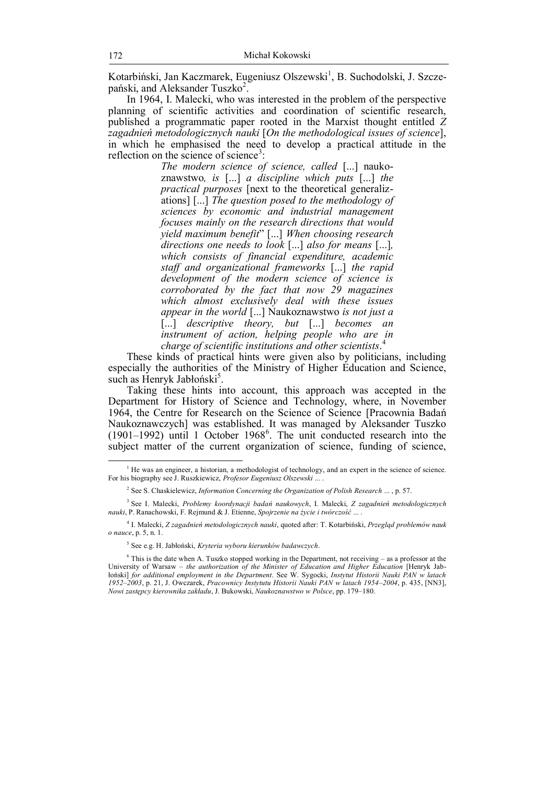Kotarbiński, Jan Kaczmarek, Eugeniusz Olszewski<sup>1</sup>, B. Suchodolski, J. Szczepański, and Aleksander Tuszko<sup>2</sup>.

In 1964, I. Malecki, who was interested in the problem of the perspective planning of scientific activities and coordination of scientific research, published a programmatic paper rooted in the Marxist thought entitled *Z zagadnień metodologicznych nauki* [*On the methodological issues of science*], in which he emphasised the need to develop a practical attitude in the reflection on the science of science<sup>3</sup>:

*The modern science of science, called* [...] naukoznawstwo*, is* [...] *a discipline which puts* [...] *the practical purposes* [next to the theoretical generalizations] [...] *The question posed to the methodology of sciences by economic and industrial management focuses mainly on the research directions that would yield maximum benefit*" [...] *When choosing research directions one needs to look* [...] *also for means* [...]*, which consists of financial expenditure, academic staff and organizational frameworks* [...] *the rapid development of the modern science of science is corroborated by the fact that now 29 magazines which almost exclusively deal with these issues appear in the world* [...] Naukoznawstwo *is not just a* [...] *descriptive theory, but* [...] *becomes an instrument of action, helping people who are in charge of scientific institutions and other scientists*. 4

These kinds of practical hints were given also by politicians, including especially the authorities of the Ministry of Higher Education and Science, such as Henryk Jabłoński<sup>5</sup>.

Taking these hints into account, this approach was accepted in the Department for History of Science and Technology, where, in November 1964, the Centre for Research on the Science of Science [Pracownia Badań Naukoznawczych] was established. It was managed by Aleksander Tuszko  $(1901-1992)$  until 1 October 1968<sup>6</sup>. The unit conducted research into the subject matter of the current organization of science, funding of science,

 $<sup>1</sup>$  He was an engineer, a historian, a methodologist of technology, and an expert in the science of science.</sup> For his biography see J. Ruszkiewicz, *Profesor Eugeniusz Olszewski* ... .

<sup>2</sup> See S. Chaskielewicz, *Information Concerning the Organization of Polish Research* ... , p. 57.

<sup>3</sup> See I. Malecki, *Problemy koordynacji badań naukowych*, I. Malecki, *Z zagadnień metodologicznych nauki*, P. Ranachowski, F. Rejmund & J. Etienne, *Spojrzenie na życie i twórczość* ... .

<sup>4</sup> I. Malecki, *Z zagadnień metodologicznych nauki*, quoted after: T. Kotarbiński, *Przegląd problemów nauk o nauce*, p. 5, n. 1.

<sup>5</sup> See e.g. H. Jabłoński, *Kryteria wyboru kierunków badawczych*.

 $6$  This is the date when A. Tuszko stopped working in the Department, not receiving – as a professor at the University of Warsaw – *the authorization of the Minister of Education and Higher Education* [Henryk Jabłoński] *for additional employment in the Department*. See W. Sygocki, *Instytut Historii Nauki PAN w latach 1952–2003*, p. 21, J. Owczarek, *Pracownicy Instytutu Historii Nauki PAN w latach 1954–2004*, p. 435, [NN3], *Nowi zastępcy kierownika zakładu*, J. Bukowski, *Naukoznawstwo w Polsce*, pp. 179–180.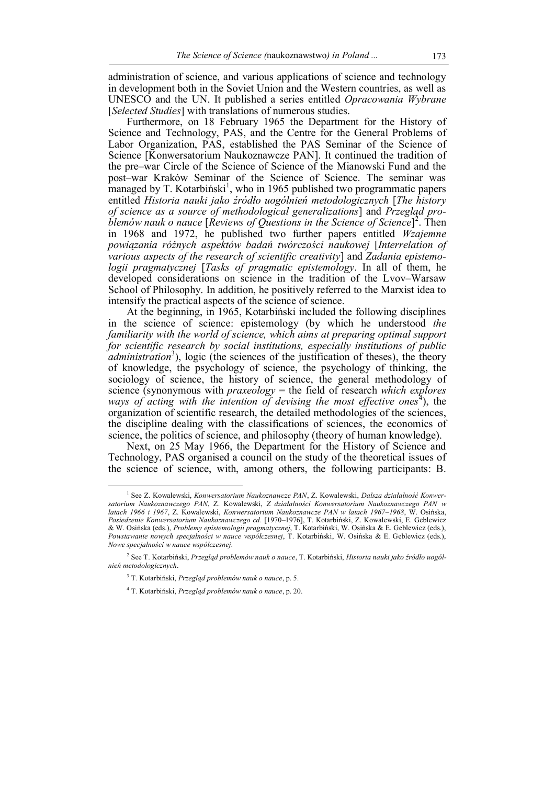administration of science, and various applications of science and technology in development both in the Soviet Union and the Western countries, as well as UNESCO and the UN. It published a series entitled *Opracowania Wybrane* [*Selected Studies*] with translations of numerous studies.

Furthermore, on 18 February 1965 the Department for the History of Science and Technology, PAS, and the Centre for the General Problems of Labor Organization, PAS, established the PAS Seminar of the Science of Science [Konwersatorium Naukoznawcze PAN]. It continued the tradition of the pre–war Circle of the Science of Science of the Mianowski Fund and the post–war Kraków Seminar of the Science of Science. The seminar was managed by T. Kotarbiński<sup>1</sup>, who in 1965 published two programmatic papers entitled *Historia nauki jako źródło uogólnień metodologicznych* [*The history of science as a source of methodological generalizations*] and *Przegląd pro*blemów nauk o nauce [Reviews of Questions in the Science of Science]<sup>2</sup>. Then in 1968 and 1972, he published two further papers entitled *Wzajemne powiązania różnych aspektów badań twórczości naukowej* [*Interrelation of various aspects of the research of scientific creativity*] and *Zadania epistemologii pragmatycznej* [*Tasks of pragmatic epistemology*. In all of them, he developed considerations on science in the tradition of the Lvov–Warsaw School of Philosophy. In addition, he positively referred to the Marxist idea to intensify the practical aspects of the science of science.

At the beginning, in 1965, Kotarbiński included the following disciplines in the science of science: epistemology (by which he understood *the familiarity with the world of science, which aims at preparing optimal support for scientific research by social institutions, especially institutions of public administration*<sup>3</sup>), logic (the sciences of the justification of theses), the theory of knowledge, the psychology of science, the psychology of thinking, the sociology of science, the history of science, the general methodology of science (synonymous with *praxeology* = the field of research *which explores*  ways of acting with the intention of devising the most effective ones<sup>4</sup>), the organization of scientific research, the detailed methodologies of the sciences, the discipline dealing with the classifications of sciences, the economics of science, the politics of science, and philosophy (theory of human knowledge).

Next, on 25 May 1966, the Department for the History of Science and Technology, PAS organised a council on the study of the theoretical issues of the science of science, with, among others, the following participants: B.

<sup>1</sup> See Z. Kowalewski, *Konwersatorium Naukoznawcze PAN*, Z. Kowalewski, *Dalsza działalność Konwersatorium Naukoznawczego PAN*, Z. Kowalewski, *Z działalności Konwersatorium Naukoznawczego PAN w latach 1966 i 1967*, Z. Kowalewski, *Konwersatorium Naukoznawcze PAN w latach 1967–1968*, W. Osińska, *Posiedzenie Konwersatorium Naukoznawczego cd.* [1970–1976], T. Kotarbiński, Z. Kowalewski, E. Geblewicz & W. Osińska (eds.), *Problemy epistemologii pragmatycznej*, T. Kotarbiński, W. Osińska & E. Geblewicz (eds.), *Powstawanie nowych specjalności w nauce współczesnej*, T. Kotarbiński, W. Osińska & E. Geblewicz (eds.), *Nowe specjalności w nauce współczesnej*.

<sup>2</sup> See T. Kotarbiński, *Przegląd problemów nauk o nauce*, T. Kotarbiński, *Historia nauki jako źródło uogólnień metodologicznych*.

<sup>3</sup> T. Kotarbiński, *Przegląd problemów nauk o nauce*, p. 5.

<sup>4</sup> T. Kotarbiński, *Przegląd problemów nauk o nauce*, p. 20.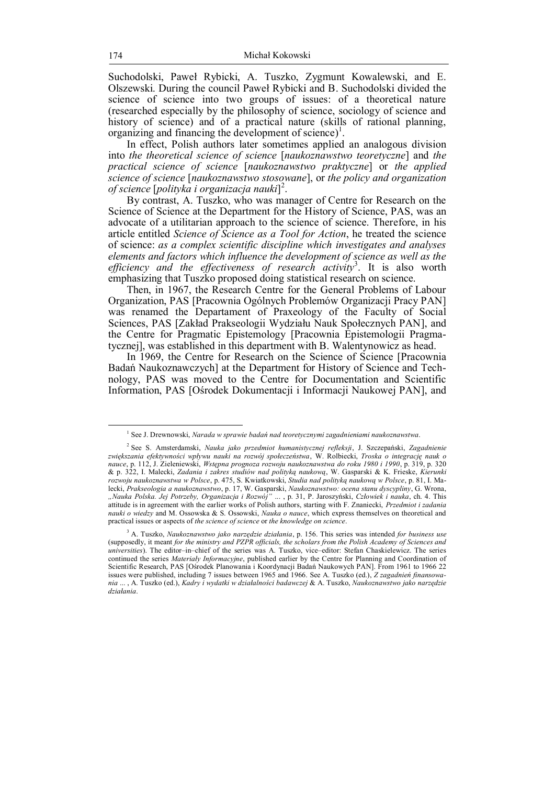Suchodolski, Paweł Rybicki, A. Tuszko, Zygmunt Kowalewski, and E. Olszewski. During the council Paweł Rybicki and B. Suchodolski divided the science of science into two groups of issues: of a theoretical nature (researched especially by the philosophy of science, sociology of science and history of science) and of a practical nature (skills of rational planning, organizing and financing the development of science $)^1$ .

In effect, Polish authors later sometimes applied an analogous division into *the theoretical science of science* [*naukoznawstwo teoretyczne*] and *the practical science of science* [*naukoznawstwo praktyczne*] or *the applied science of science* [*naukoznawstwo stosowane*], or *the policy and organization of science* [*polityka i organizacja nauki*] 2 .

By contrast, A. Tuszko, who was manager of Centre for Research on the Science of Science at the Department for the History of Science, PAS, was an advocate of a utilitarian approach to the science of science. Therefore, in his article entitled *Science of Science as a Tool for Action*, he treated the science of science: *as a complex scientific discipline which investigates and analyses elements and factors which influence the development of science as well as the efficiency and the effectiveness of research activity*<sup>3</sup> . It is also worth emphasizing that Tuszko proposed doing statistical research on science.

Then, in 1967, the Research Centre for the General Problems of Labour Organization, PAS [Pracownia Ogólnych Problemów Organizacji Pracy PAN] was renamed the Departament of Praxeology of the Faculty of Social Sciences, PAS [Zakład Prakseologii Wydziału Nauk Społecznych PAN], and the Centre for Pragmatic Epistemology [Pracownia Epistemologii Pragmatycznej], was established in this department with B. Walentynowicz as head.

In 1969, the Centre for Research on the Science of Science [Pracownia Badań Naukoznawczych] at the Department for History of Science and Technology, PAS was moved to the Centre for Documentation and Scientific Information, PAS [Ośrodek Dokumentacji i Informacji Naukowej PAN], and

<sup>1</sup> See J. Drewnowski, *Narada w sprawie badań nad teoretycznymi zagadnieniami naukoznawstwa*.

<sup>2</sup> See S. Amsterdamski, *Nauka jako przedmiot humanistycznej refleksji*, J. Szczepański, *Zagadnienie zwiększania efektywności wpływu nauki na rozwój społeczeństwa*, W. Rolbiecki, *Troska o integrację nauk o nauce*, p. 112, J. Zieleniewski, *Wstępna prognoza rozwoju naukoznawstwa do roku 1980 i 1990*, p. 319, p. 320 & p. 322, I. Malecki, *Zadania i zakres studiów nad polityką naukową*, W. Gasparski & K. Frieske, *Kierunki rozwoju naukoznawstwa w Polsce*, p. 475, S. Kwiatkowski, *Studia nad polityką naukową w Polsce*, p. 81, I. Malecki, *Prakseologia a naukoznawstwo*, p. 17, W. Gasparski, *Naukoznawstwo: ocena stanu dyscypliny*, G. Wrona, *"Nauka Polska. Jej Potrzeby, Organizacja i Rozwój"* ... , p. 31, P. Jaroszyński, *Człowiek i nauka*, ch. 4. This attitude is in agreement with the earlier works of Polish authors, starting with F. Znaniecki, *Przedmiot i zadania nauki o wiedzy* and M. Ossowska & S. Ossowski, *Nauka o nauce*, which express themselves on theoretical and practical issues or aspects of *the science of science* or *the knowledge on science*.

<sup>3</sup> A. Tuszko, *Naukoznawstwo jako narzędzie działania*, p. 156. This series was intended *for business use* (supposedly, it meant *for the ministry and PZPR officials, the scholars from the Polish Academy of Sciences and universities*). The editor–in–chief of the series was A. Tuszko, vice–editor: Stefan Chaskielewicz. The series continued the series *Materiały Informacyjne*, published earlier by the Centre for Planning and Coordination of Scientific Research, PAS [Ośrodek Planowania i Koordynacji Badań Naukowych PAN]. From 1961 to 1966 22 issues were published, including 7 issues between 1965 and 1966. See A. Tuszko (ed.), *Z zagadnień finansowania* ... , A. Tuszko (ed.), *Kadry i wydatki w działalności badawczej* & A. Tuszko, *Naukoznawstwo jako narzędzie działania*.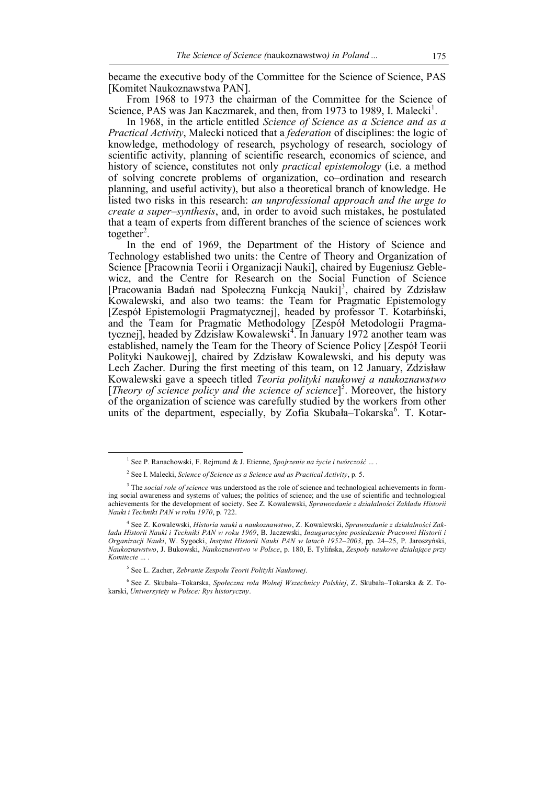became the executive body of the Committee for the Science of Science, PAS [Komitet Naukoznawstwa PAN].

From 1968 to 1973 the chairman of the Committee for the Science of Science, PAS was Jan Kaczmarek, and then, from 1973 to 1989, I. Malecki<sup>1</sup>.

In 1968, in the article entitled *Science of Science as a Science and as a Practical Activity*, Malecki noticed that a *federation* of disciplines: the logic of knowledge, methodology of research, psychology of research, sociology of scientific activity, planning of scientific research, economics of science, and history of science, constitutes not only *practical epistemology* (i.e. a method of solving concrete problems of organization, co–ordination and research planning, and useful activity), but also a theoretical branch of knowledge. He listed two risks in this research: *an unprofessional approach and the urge to create a super–synthesis*, and, in order to avoid such mistakes, he postulated that a team of experts from different branches of the science of sciences work together<sup>2</sup>.

In the end of 1969, the Department of the History of Science and Technology established two units: the Centre of Theory and Organization of Science [Pracownia Teorii i Organizacji Nauki], chaired by Eugeniusz Geblewicz, and the Centre for Research on the Social Function of Science [Pracowania Badań nad Społeczną Funkcją Nauki]<sup>3</sup>, chaired by Zdzisław Kowalewski, and also two teams: the Team for Pragmatic Epistemology [Zespół Epistemologii Pragmatycznej], headed by professor T. Kotarbiński, and the Team for Pragmatic Methodology [Zespół Metodologii Pragmatycznej], headed by Zdzisław Kowalewski<sup>4</sup>. In January 1972 another team was established, namely the Team for the Theory of Science Policy [Zespół Teorii Polityki Naukowej], chaired by Zdzisław Kowalewski, and his deputy was Lech Zacher. During the first meeting of this team, on 12 January, Zdzisław Kowalewski gave a speech titled *Teoria polityki naukowej a naukoznawstwo* [*Theory of science policy and the science of science*]<sup>5</sup>. Moreover, the history of the organization of science was carefully studied by the workers from other units of the department, especially, by Zofia Skubała–Tokarska<sup>6</sup>. T. Kotar-

<sup>1</sup> See P. Ranachowski, F. Rejmund & J. Etienne, *Spojrzenie na życie i twórczość* ... .

<sup>2</sup> See I. Malecki, *Science of Science as a Science and as Practical Activity*, p. 5.

<sup>3</sup> The *social role of science* was understood as the role of science and technological achievements in forming social awareness and systems of values; the politics of science; and the use of scientific and technological achievements for the development of society. See Z. Kowalewski, *Sprawozdanie z działalności Zakładu Historii Nauki i Techniki PAN w roku 1970*, p. 722.

<sup>4</sup> See Z. Kowalewski, *Historia nauki a naukoznawstwo*, Z. Kowalewski, *Sprawozdanie z działalności Zakładu Historii Nauki i Techniki PAN w roku 1969*, B. Jaczewski, *Inauguracyjne posiedzenie Pracowni Historii i Organizacji Nauki*, W. Sygocki, *Instytut Historii Nauki PAN w latach 1952–2003*, pp. 24–25, P. Jaroszyński, *Naukoznawstwo*, J. Bukowski, *Naukoznawstwo w Polsce*, p. 180, E. Tylińska, *Zespoły naukowe działające przy Komitecie* ... .

<sup>5</sup> See L. Zacher, *Zebranie Zespołu Teorii Polityki Naukowej*.

<sup>6</sup> See Z. Skubała–Tokarska, *Społeczna rola Wolnej Wszechnicy Polskiej*, Z. Skubała–Tokarska & Z. Tokarski, *Uniwersytety w Polsce: Rys historyczny*.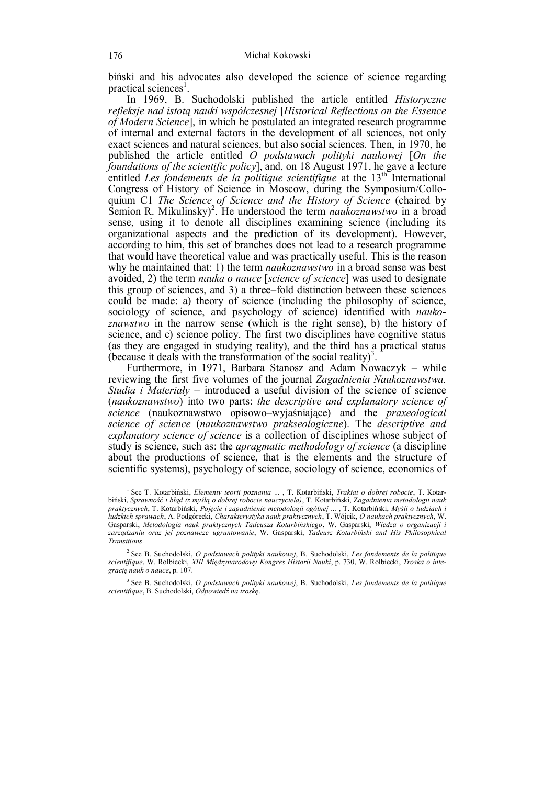biński and his advocates also developed the science of science regarding practical sciences<sup>1</sup> .

In 1969, B. Suchodolski published the article entitled *Historyczne refleksje nad istotą nauki współczesnej* [*Historical Reflections on the Essence of Modern Science*], in which he postulated an integrated research programme of internal and external factors in the development of all sciences, not only exact sciences and natural sciences, but also social sciences. Then, in 1970, he published the article entitled *O podstawach polityki naukowej* [*On the foundations of the scientific policy*], and, on 18 August 1971, he gave a lecture entitled *Les fondements de la politique scientifique* at the 13<sup>th</sup> International Congress of History of Science in Moscow, during the Symposium/Colloquium C1 *The Science of Science and the History of Science* (chaired by Semion R. Mikulinsky)<sup>2</sup>. He understood the term *naukoznawstwo* in a broad sense, using it to denote all disciplines examining science (including its organizational aspects and the prediction of its development). However, according to him, this set of branches does not lead to a research programme that would have theoretical value and was practically useful. This is the reason why he maintained that: 1) the term *naukoznawstwo* in a broad sense was best avoided, 2) the term *nauka o nauce* [*science of science*] was used to designate this group of sciences, and 3) a three–fold distinction between these sciences could be made: a) theory of science (including the philosophy of science, sociology of science, and psychology of science) identified with *naukoznawstwo* in the narrow sense (which is the right sense), b) the history of science, and c) science policy. The first two disciplines have cognitive status (as they are engaged in studying reality), and the third has a practical status (because it deals with the transformation of the social reality)<sup>3</sup>.

Furthermore, in 1971, Barbara Stanosz and Adam Nowaczyk – while reviewing the first five volumes of the journal *Zagadnienia Naukoznawstwa. Studia i Materiały* – introduced a useful division of the science of science (*naukoznawstwo*) into two parts: *the descriptive and explanatory science of science* (naukoznawstwo opisowo–wyjaśniające) and the *praxeological science of science* (*naukoznawstwo prakseologiczne*). The *descriptive and explanatory science of science* is a collection of disciplines whose subject of study is science, such as: the *apragmatic methodology of science* (a discipline about the productions of science, that is the elements and the structure of scientific systems), psychology of science, sociology of science, economics of

<sup>1</sup> See T. Kotarbiński, *Elementy teorii poznania* ... , T. Kotarbiński, *Traktat o dobrej robocie*, T. Kotarbiński, *Sprawność i błąd (z myślą o dobrej robocie nauczyciela)*, T. Kotarbiński, Z*agadnienia metodologii nauk praktycznych*, T. Kotarbiński, *Pojęcie i zagadnienie metodologii ogólnej* ... , T. Kotarbiński, *Myśli o ludziach i ludzkich sprawach*, A. Podgórecki, *Charakterystyka nauk praktycznych*, T. Wójcik, *O naukach praktycznych*, W. Gasparski, *Metodologia nauk praktycznych Tadeusza Kotarbińskiego*, W. Gasparski, *Wiedza o organizacji i zarządzaniu oraz jej poznawcze ugruntowanie*, W. Gasparski, *Tadeusz Kotarbiński and His Philosophical Transitions*.

<sup>2</sup> See B. Suchodolski, *O podstawach polityki naukowej*, B. Suchodolski, *Les fondements de la politique scientifique*, W. Rolbiecki, *XIII Międzynarodowy Kongres Historii Nauki*, p. 730, W. Rolbiecki, *Troska o integrację nauk o nauce*, p. 107.

<sup>3</sup> See B. Suchodolski, *O podstawach polityki naukowej*, B. Suchodolski, *Les fondements de la politique scientifique*, B. Suchodolski, *Odpowiedź na troskę*.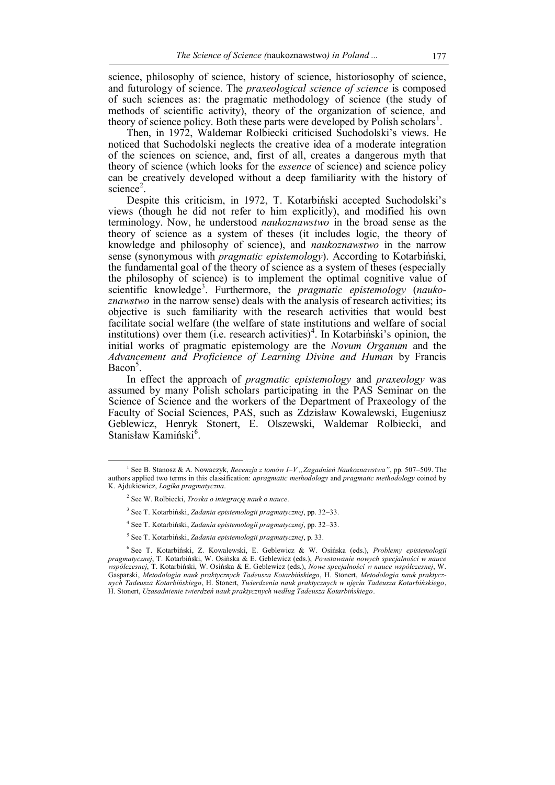science, philosophy of science, history of science, historiosophy of science, and futurology of science. The *praxeological science of science* is composed of such sciences as: the pragmatic methodology of science (the study of methods of scientific activity), theory of the organization of science, and theory of science policy. Both these parts were developed by Polish scholars<sup>1</sup>.

Then, in 1972, Waldemar Rolbiecki criticised Suchodolski's views. He noticed that Suchodolski neglects the creative idea of a moderate integration of the sciences on science, and, first of all, creates a dangerous myth that theory of science (which looks for the *essence* of science) and science policy can be creatively developed without a deep familiarity with the history of science<sup>2</sup>.

Despite this criticism, in 1972, T. Kotarbiński accepted Suchodolski's views (though he did not refer to him explicitly), and modified his own terminology. Now, he understood *naukoznawstwo* in the broad sense as the theory of science as a system of theses (it includes logic, the theory of knowledge and philosophy of science), and *naukoznawstwo* in the narrow sense (synonymous with *pragmatic epistemology*). According to Kotarbiński, the fundamental goal of the theory of science as a system of theses (especially the philosophy of science) is to implement the optimal cognitive value of scientific knowledge<sup>3</sup>. Furthermore, the *pragmatic epistemology* (*naukoznawstwo* in the narrow sense) deals with the analysis of research activities; its objective is such familiarity with the research activities that would best facilitate social welfare (the welfare of state institutions and welfare of social institutions) over them (i.e. research activities)<sup>4</sup>. In Kotarbiński's opinion, the initial works of pragmatic epistemology are the *Novum Organum* and the *Advancement and Proficience of Learning Divine and Human* by Francis Bacon<sup>5</sup>.

In effect the approach of *pragmatic epistemology* and *praxeology* was assumed by many Polish scholars participating in the PAS Seminar on the Science of Science and the workers of the Department of Praxeology of the Faculty of Social Sciences, PAS, such as Zdzisław Kowalewski, Eugeniusz Geblewicz, Henryk Stonert, E. Olszewski, Waldemar Rolbiecki, and Stanisław Kamiński<sup>6</sup>.

 $\overline{a}$ 

5 See T. Kotarbiński, *Zadania epistemologii pragmatycznej*, p. 33.

<sup>&</sup>lt;sup>1</sup> See B. Stanosz & A. Nowaczyk, *Recenzja z tomów I–V "Zagadnień Naukoznawstwa"*, pp. 507–509. The authors applied two terms in this classification: *apragmatic methodology* and *pragmatic methodology* coined by K. Ajdukiewicz, *Logika pragmatyczna*.

<sup>2</sup> See W. Rolbiecki, *Troska o integrację nauk o nauce*.

<sup>3</sup> See T. Kotarbiński, *Zadania epistemologii pragmatycznej*, pp. 32–33.

<sup>4</sup> See T. Kotarbiński, *Zadania epistemologii pragmatycznej*, pp. 32–33.

<sup>6</sup> See T. Kotarbiński, Z. Kowalewski, E. Geblewicz & W. Osińska (eds.), *Problemy epistemologii pragmatycznej*, T. Kotarbiński, W. Osińska & E. Geblewicz (eds.), *Powstawanie nowych specjalności w nauce współczesnej*, T. Kotarbiński, W. Osińska & E. Geblewicz (eds.), *Nowe specjalności w nauce współczesnej*, W. Gasparski, *Metodologia nauk praktycznych Tadeusza Kotarbińskiego*, H. Stonert, *Metodologia nauk praktycznych Tadeusza Kotarbińskiego*, H. Stonert, *Twierdzenia nauk praktycznych w ujęciu Tadeusza Kotarbińskiego*, H. Stonert, *Uzasadnienie twierdzeń nauk praktycznych według Tadeusza Kotarbińskiego*.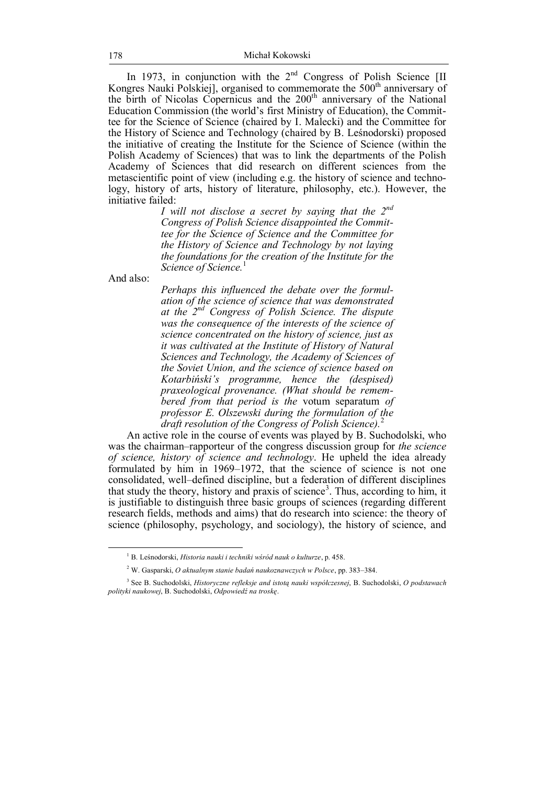In 1973, in conjunction with the  $2<sup>nd</sup>$  Congress of Polish Science [II Kongres Nauki Polskiej], organised to commemorate the 500<sup>th</sup> anniversary of the birth of Nicolas Copernicus and the  $200<sup>th</sup>$  anniversary of the National Education Commission (the world's first Ministry of Education), the Committee for the Science of Science (chaired by I. Malecki) and the Committee for the History of Science and Technology (chaired by B. Leśnodorski) proposed the initiative of creating the Institute for the Science of Science (within the Polish Academy of Sciences) that was to link the departments of the Polish Academy of Sciences that did research on different sciences from the metascientific point of view (including e.g. the history of science and technology, history of arts, history of literature, philosophy, etc.). However, the initiative failed:

*I will not disclose a secret by saying that the 2nd Congress of Polish Science disappointed the Committee for the Science of Science and the Committee for the History of Science and Technology by not laying the foundations for the creation of the Institute for the Science of Science.* 1

And also:

 $\overline{a}$ 

*Perhaps this influenced the debate over the formulation of the science of science that was demonstrated at the 2nd Congress of Polish Science. The dispute was the consequence of the interests of the science of science concentrated on the history of science, just as it was cultivated at the Institute of History of Natural Sciences and Technology, the Academy of Sciences of the Soviet Union, and the science of science based on Kotarbiński's programme, hence the (despised) praxeological provenance. (What should be remembered from that period is the* votum separatum *of professor E. Olszewski during the formulation of the draft resolution of the Congress of Polish Science).* 2

An active role in the course of events was played by B. Suchodolski, who was the chairman–rapporteur of the congress discussion group for *the science of science, history of science and technology*. He upheld the idea already formulated by him in 1969–1972, that the science of science is not one consolidated, well–defined discipline, but a federation of different disciplines that study the theory, history and praxis of science<sup>3</sup>. Thus, according to him, it is justifiable to distinguish three basic groups of sciences (regarding different research fields, methods and aims) that do research into science: the theory of science (philosophy, psychology, and sociology), the history of science, and

<sup>1</sup> B. Leśnodorski, *Historia nauki i techniki wśród nauk o kulturze*, p. 458.

<sup>2</sup> W. Gasparski, *O aktualnym stanie badań naukoznawczych w Polsce*, pp. 383–384.

<sup>3</sup> See B. Suchodolski, *Historyczne refleksje and istotą nauki współczesnej*, B. Suchodolski, *O podstawach polityki naukowej*, B. Suchodolski, *Odpowiedź na troskę*.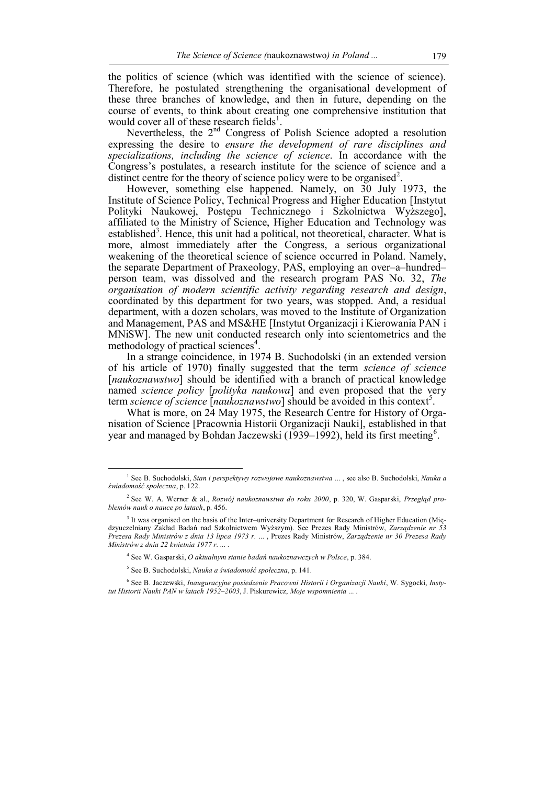the politics of science (which was identified with the science of science). Therefore, he postulated strengthening the organisational development of these three branches of knowledge, and then in future, depending on the course of events, to think about creating one comprehensive institution that would cover all of these research fields<sup>1</sup>.

Nevertheless, the  $2<sup>nd</sup>$  Congress of Polish Science adopted a resolution expressing the desire to *ensure the development of rare disciplines and specializations, including the science of science*. In accordance with the Congress's postulates, a research institute for the science of science and a distinct centre for the theory of science policy were to be organised<sup>2</sup>.

However, something else happened. Namely, on 30 July 1973, the Institute of Science Policy, Technical Progress and Higher Education [Instytut Polityki Naukowej, Postępu Technicznego i Szkolnictwa Wyższego], affiliated to the Ministry of Science, Higher Education and Technology was established<sup>3</sup>. Hence, this unit had a political, not theoretical, character. What is more, almost immediately after the Congress, a serious organizational weakening of the theoretical science of science occurred in Poland. Namely, the separate Department of Praxeology, PAS, employing an over–a–hundred– person team, was dissolved and the research program PAS No. 32, *The organisation of modern scientific activity regarding research and design*, coordinated by this department for two years, was stopped. And, a residual department, with a dozen scholars, was moved to the Institute of Organization and Management, PAS and MS&HE [Instytut Organizacji i Kierowania PAN i MNiSW]. The new unit conducted research only into scientometrics and the methodology of practical sciences<sup>4</sup>.

In a strange coincidence, in 1974 B. Suchodolski (in an extended version of his article of 1970) finally suggested that the term *science of science* [*naukoznawstwo*] should be identified with a branch of practical knowledge named *science policy* [*polityka naukowa*] and even proposed that the very term *science of science* [*naukoznawstwo*] should be avoided in this context<sup>5</sup>.

What is more, on 24 May 1975, the Research Centre for History of Organisation of Science [Pracownia Historii Organizacji Nauki], established in that year and managed by Bohdan Jaczewski (1939–1992), held its first meeting<sup>6</sup>.

<sup>1</sup> See B. Suchodolski, *Stan i perspektywy rozwojowe naukoznawstwa* ... , see also B. Suchodolski, *Nauka a świadomość społeczna*, p. 122.

<sup>2</sup> See W. A. Werner & al., *Rozwój naukoznawstwa do roku 2000*, p. 320, W. Gasparski, *Przegląd problemów nauk o nauce po latach*, p. 456.

<sup>&</sup>lt;sup>3</sup> It was organised on the basis of the Inter–university Department for Research of Higher Education (Międzyuczelniany Zakład Badań nad Szkolnictwem Wyższym). See Prezes Rady Ministrów, *Zarządzenie nr 53 Prezesa Rady Ministrów z dnia 13 lipca 1973 r.* ... , Prezes Rady Ministrów, *Zarządzenie nr 30 Prezesa Rady Ministrów z dnia 22 kwietnia 1977 r. ... .*

<sup>4</sup> See W. Gasparski, *O aktualnym stanie badań naukoznawczych w Polsce*, p. 384.

<sup>5</sup> See B. Suchodolski, *Nauka a świadomość społeczna*, p. 141.

<sup>6</sup> See B. Jaczewski, *Inauguracyjne posiedzenie Pracowni Historii i Organizacji Nauki*, W. Sygocki, *Instytut Historii Nauki PAN w latach 1952–2003*, J. Piskurewicz, *Moje wspomnienia* ... .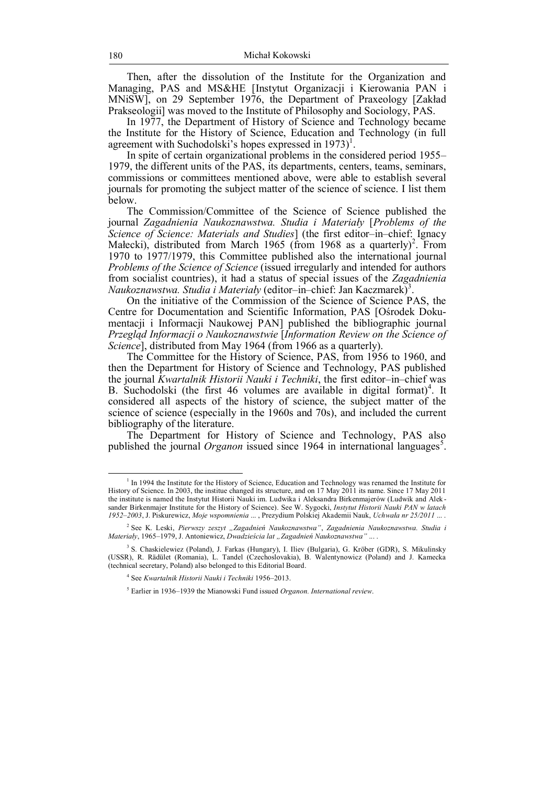Then, after the dissolution of the Institute for the Organization and Managing, PAS and MS&HE [Instytut Organizacji i Kierowania PAN i MNiSW], on 29 September 1976, the Department of Praxeology [Zakład Prakseologii] was moved to the Institute of Philosophy and Sociology, PAS.

In 1977, the Department of History of Science and Technology became the Institute for the History of Science, Education and Technology (in full agreement with Suchodolski's hopes expressed in  $1973$ <sup>1</sup>.

In spite of certain organizational problems in the considered period 1955– 1979, the different units of the PAS, its departments, centers, teams, seminars, commissions or committees mentioned above, were able to establish several journals for promoting the subject matter of the science of science. I list them **b**elow

The Commission/Committee of the Science of Science published the journal *Zagadnienia Naukoznawstwa. Studia i Materiały* [*Problems of the Science of Science: Materials and Studies*] (the first editor–in–chief: Ignacy Małecki), distributed from March 1965 (from 1968 as a quarterly)<sup>2</sup>. From 1970 to 1977/1979, this Committee published also the international journal *Problems of the Science of Science* (issued irregularly and intended for authors from socialist countries), it had a status of special issues of the *Zagadnienia Naukoznawstwa. Studia i Materiały* (editor–in–chief: Jan Kaczmarek)<sup>3</sup> .

On the initiative of the Commission of the Science of Science PAS, the Centre for Documentation and Scientific Information, PAS [Ośrodek Dokumentacji i Informacji Naukowej PAN] published the bibliographic journal *Przegląd Informacji o Naukoznawstwie* [*Information Review on the Science of Science*], distributed from May 1964 (from 1966 as a quarterly).

The Committee for the History of Science, PAS, from 1956 to 1960, and then the Department for History of Science and Technology, PAS published the journal *Kwartalnik Historii Nauki i Techniki*, the first editor–in–chief was B. Suchodolski (the first 46 volumes are available in digital format)<sup>4</sup>. It considered all aspects of the history of science, the subject matter of the science of science (especially in the 1960s and 70s), and included the current bibliography of the literature.

The Department for History of Science and Technology, PAS also published the journal *Organon* issued since 1964 in international languages<sup>5</sup>.

<sup>&</sup>lt;sup>1</sup> In 1994 the Institute for the History of Science, Education and Technology was renamed the Institute for History of Science. In 2003, the institue changed its structure, and on 17 May 2011 its name. Since 17 May 2011 the institute is named the Instytut Historii Nauki im. Ludwika i Aleksandra Birkenmajerów (Ludwik and Alek sander Birkenmajer Institute for the History of Science). See W. Sygocki, *Instytut Historii Nauki PAN w latach 1952–2003*, J. Piskurewicz, *Moje wspomnienia* ... , Prezydium Polskiej Akademii Nauk, *Uchwała nr 25/2011* ... .

<sup>&</sup>lt;sup>2</sup> See K. Leski, *Pierwszy zeszyt "Zagadnień Naukoznawstwa"*, Zagadnienia Naukoznawstwa. Studia i *Materiały*, 1965–1979, J. Antoniewicz, *Dwadzieścia lat "Zagadnień Naukoznawstwa"* ... .

<sup>3</sup> S. Chaskielewiez (Poland), J. Farkas (Hungary), I. Iliev (Bulgaria), G. Kröber (GDR), S. Mikulinsky (USSR), R. Rädület (Romania), L. Tandel (Czechoslovakia), B. Walentynowicz (Poland) and J. Kamecka (technical secretary, Poland) also belonged to this Editorial Board.

<sup>4</sup> See *Kwartalnik Historii Nauki i Techniki* 1956–2013.

<sup>5</sup> Earlier in 1936–1939 the Mianowski Fund issued *Organon. International review*.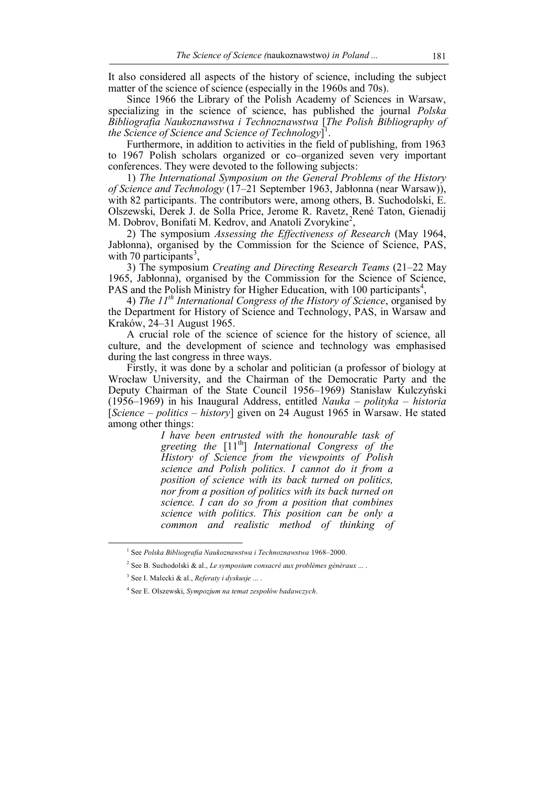It also considered all aspects of the history of science, including the subject matter of the science of science (especially in the 1960s and 70s).

Since 1966 the Library of the Polish Academy of Sciences in Warsaw, specializing in the science of science, has published the journal *Polska Bibliografia Naukoznawstwa i Technoznawstwa* [*The Polish Bibliography of the Science of Science and Science of Technology*] 1 .

Furthermore, in addition to activities in the field of publishing, from 1963 to 1967 Polish scholars organized or co–organized seven very important conferences. They were devoted to the following subjects:

1) *The International Symposium on the General Problems of the History of Science and Technology* (17–21 September 1963, Jabłonna (near Warsaw)), with 82 participants. The contributors were, among others, B. Suchodolski, E. Olszewski, Derek J. de Solla Price, Jerome R. Ravetz, René Taton, Gienadij M. Dobrov, Bonifati M. Kedrov, and Anatoli Zvorykine<sup>2</sup>,

2) The symposium *Assessing the Effectiveness of Research* (May 1964, Jabłonna), organised by the Commission for the Science of Science, PAS, with 70 participants<sup>3</sup>,

3) The symposium *Creating and Directing Research Teams* (21–22 May 1965, Jabłonna), organised by the Commission for the Science of Science, PAS and the Polish Ministry for Higher Education, with 100 participants<sup>4</sup>,

4) *The 11th International Congress of the History of Science*, organised by the Department for History of Science and Technology, PAS, in Warsaw and Kraków, 24–31 August 1965.

A crucial role of the science of science for the history of science, all culture, and the development of science and technology was emphasised during the last congress in three ways.

Firstly, it was done by a scholar and politician (a professor of biology at Wrocław University, and the Chairman of the Democratic Party and the Deputy Chairman of the State Council 1956–1969) Stanisław Kulczyński (1956–1969) in his Inaugural Address, entitled *Nauka – polityka – historia*  [*Science – politics – history*] given on 24 August 1965 in Warsaw. He stated among other things:

> *I have been entrusted with the honourable task of greeting the* [11th] *International Congress of the History of Science from the viewpoints of Polish science and Polish politics. I cannot do it from a position of science with its back turned on politics, nor from a position of politics with its back turned on science. I can do so from a position that combines science with politics. This position can be only a common and realistic method of thinking of*

<sup>1</sup> See *Polska Bibliografia Naukoznawstwa i Technoznawstwa* 1968–2000.

<sup>2</sup> See B. Suchodolski & al., *Le symposium consacré aux problèmes généraux* ... .

<sup>3</sup> See I. Malecki & al., *Referaty i dyskusje* ... .

<sup>4</sup> See E. Olszewski, *Sympozjum na temat zespołów badawczych*.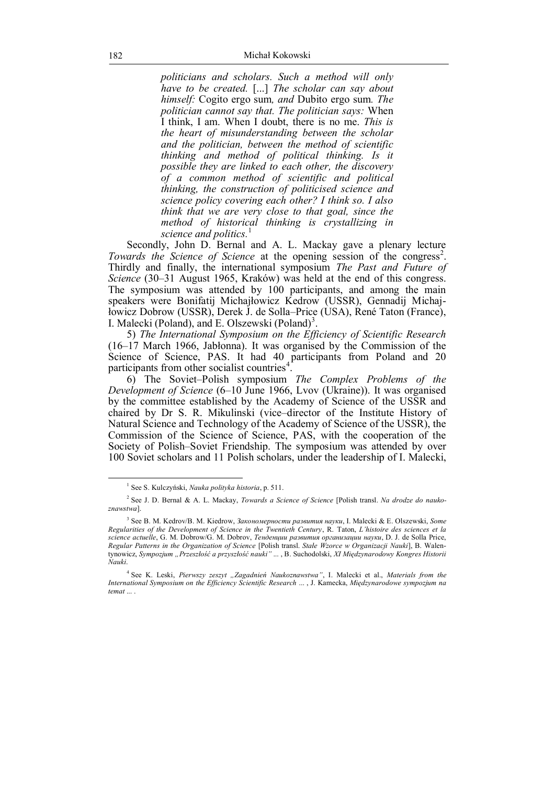*politicians and scholars. Such a method will only have to be created.* [...] *The scholar can say about himself:* Cogito ergo sum*, and* Dubito ergo sum*. The politician cannot say that. The politician says:* When I think, I am. When I doubt, there is no me. *This is the heart of misunderstanding between the scholar and the politician, between the method of scientific thinking and method of political thinking. Is it possible they are linked to each other, the discovery of a common method of scientific and political thinking, the construction of politicised science and science policy covering each other? I think so. I also think that we are very close to that goal, since the method of historical thinking is crystallizing in science and politics.* 1

Secondly, John D. Bernal and A. L. Mackay gave a plenary lecture Towards the Science of Science at the opening session of the congress<sup>2</sup>. Thirdly and finally, the international symposium *The Past and Future of Science* (30–31 August 1965, Kraków) was held at the end of this congress. The symposium was attended by 100 participants, and among the main speakers were Bonifatij Michajłowicz Kedrow (USSR), Gennadij Michajłowicz Dobrow (USSR), Derek J. de Solla–Price (USA), René Taton (France), I. Malecki (Poland), and E. Olszewski (Poland)<sup>3</sup>.

5) *The International Symposium on the Efficiency of Scientific Research* (16–17 March 1966, Jabłonna). It was organised by the Commission of the Science of Science, PAS. It had 40 participants from Poland and 20 participants from other socialist countries<sup>4</sup>.

6) The Soviet–Polish symposium *The Complex Problems of the Development of Science* (6–10 June 1966, Lvov (Ukraine)). It was organised by the committee established by the Academy of Science of the USSR and chaired by Dr S. R. Mikulinski (vice–director of the Institute History of Natural Science and Technology of the Academy of Science of the USSR), the Commission of the Science of Science, PAS, with the cooperation of the Society of Polish–Soviet Friendship. The symposium was attended by over 100 Soviet scholars and 11 Polish scholars, under the leadership of I. Malecki,

<sup>1</sup> See S. Kulczyński, *Nauka polityka historia*, p. 511.

<sup>2</sup> See J. D. Bernal & A. L. Mackay, *Towards a Science of Science* [Polish transl. *Na drodze do naukoznawstwa*].

<sup>3</sup> See B. M. Kedrov/B. M. Kiedrow, *Закономерности развития науки*, I. Malecki & E. Olszewski, *Some Regularities of the Development of Science in the Twentieth Century*, R. Taton, *L'histoire des sciences et la science actuelle*, G. M. Dobrow/G. M. Dobrov, *Тенденции развития организации науки*, D. J. de Solla Price, *Regular Patterns in the Organization of Science* [Polish transl. *Stałe Wzorce w Organizacji Nauki*], B. Walentynowicz, *Sympozjum "Przeszłość a przyszłość nauki"* ... , B. Suchodolski, *XI Międzynarodowy Kongres Historii Nauki*.

<sup>&</sup>lt;sup>4</sup> See K. Leski, *Pierwszy zeszyt "Zagadnień Naukoznawstwa"*, I. Malecki et al., Materials from the *International Symposium on the Efficiency Scientific Research* ... , J. Kamecka, *Międzynarodowe sympozjum na temat* ... .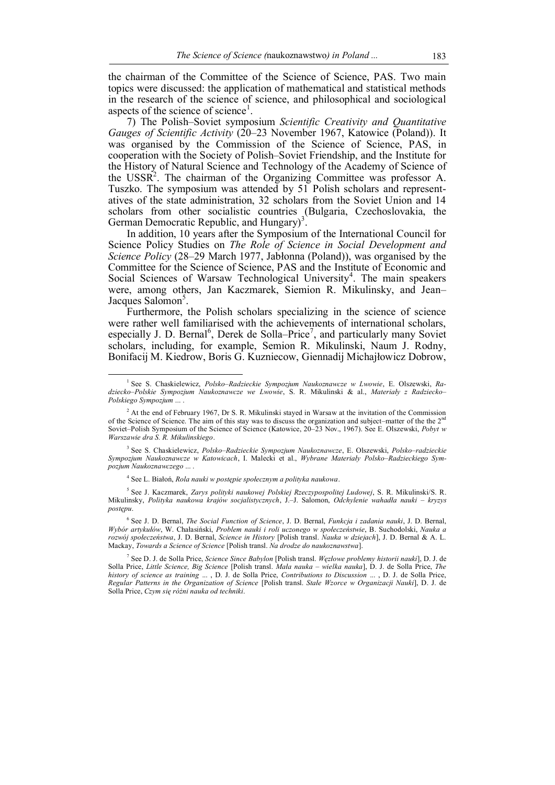the chairman of the Committee of the Science of Science, PAS. Two main topics were discussed: the application of mathematical and statistical methods in the research of the science of science, and philosophical and sociological aspects of the science of science<sup>1</sup>.

7) The Polish–Soviet symposium *Scientific Creativity and Quantitative Gauges of Scientific Activity* (20–23 November 1967, Katowice (Poland)). It was organised by the Commission of the Science of Science, PAS, in cooperation with the Society of Polish–Soviet Friendship, and the Institute for the History of Natural Science and Technology of the Academy of Science of the USSR<sup>2</sup>. The chairman of the Organizing Committee was professor A. Tuszko. The symposium was attended by 51 Polish scholars and representatives of the state administration, 32 scholars from the Soviet Union and 14 scholars from other socialistic countries (Bulgaria, Czechoslovakia, the German Democratic Republic, and Hungary)<sup>3</sup>.

In addition, 10 years after the Symposium of the International Council for Science Policy Studies on *The Role of Science in Social Development and Science Policy* (28–29 March 1977, Jabłonna (Poland)), was organised by the Committee for the Science of Science, PAS and the Institute of Economic and Social Sciences of Warsaw Technological University<sup>4</sup>. The main speakers were, among others, Jan Kaczmarek, Siemion R. Mikulinsky, and Jean– Jacques Salomon<sup>5</sup>.

Furthermore, the Polish scholars specializing in the science of science were rather well familiarised with the achievements of international scholars, especially J. D. Bernal<sup>6</sup>, Derek de Solla–Price<sup>7</sup>, and particularly many Soviet scholars, including, for example, Semion R. Mikulinski, Naum J. Rodny, Bonifacij M. Kiedrow, Boris G. Kuzniecow, Giennadij Michajłowicz Dobrow,

3 See S. Chaskielewicz, *Polsko–Radzieckie Sympozjum Naukoznawcze*, E. Olszewski, *Polsko–radzieckie Sympozjum Naukoznawcze w Katowicach*, I. Malecki et al., *Wybrane Materiały Polsko–Radzieckiego Sympozjum Naukoznawczego* ... .

4 See L. Białoń, *Rola nauki w postępie społecznym a polityka naukowa*.

 $\overline{a}$ 

5 See J. Kaczmarek, *Zarys polityki naukowej Polskiej Rzeczypospolitej Ludowej*, S. R. Mikulinski/S. R. Mikulinsky, *Polityka naukowa krajów socjalistycznych*, J.–J. Salomon, *Odchylenie wahadła nauki – kryzys postępu*.

6 See J. D. Bernal, *The Social Function of Science*, J. D. Bernal, *Funkcja i zadania nauki*, J. D. Bernal, *Wybór artykułów*, W. Chałasiński, *Problem nauki i roli uczonego w społeczeństwie*, B. Suchodolski, *Nauka a rozwój społeczeństwa*, J. D. Bernal, *Science in History* [Polish transl. *Nauka w dziejach*], J. D. Bernal & A. L. Mackay, *Towards a Science of Science* [Polish transl. *Na drodze do naukoznawstwa*].

7 See D. J. de Solla Price, *Science Since Babylon* [Polish transl. *Węzłowe problemy historii nauki*], D. J. de Solla Price, *Little Science, Big Science* [Polish transl. *Mała nauka – wielka nauka*], D. J. de Solla Price, *The history of science as training* ... , D. J. de Solla Price, *Contributions to Discussion* ... , D. J. de Solla Price, *Regular Patterns in the Organization of Science* [Polish transl. *Stałe Wzorce w Organizacji Nauki*], D. J. de Solla Price, *Czym się różni nauka od techniki*.

<sup>1</sup> See S. Chaskielewicz, *Polsko–Radzieckie Sympozjum Naukoznawcze w Lwowie*, E. Olszewski, *Radziecko–Polskie Sympozjum Naukoznawcze we Lwowie*, S. R. Mikulinski & al., *Materiały z Radziecko– Polskiego Sympozjum* ... .

<sup>&</sup>lt;sup>2</sup> At the end of February 1967, Dr S. R. Mikulinski stayed in Warsaw at the invitation of the Commission of the Science of Science. The aim of this stay was to discuss the organization and subject–matter of the the  $2<sup>n</sup>$ Soviet–Polish Symposium of the Science of Science (Katowice, 20–23 Nov., 1967). See E. Olszewski, *Pobyt w Warszawie dra S. R. Mikulinskiego*.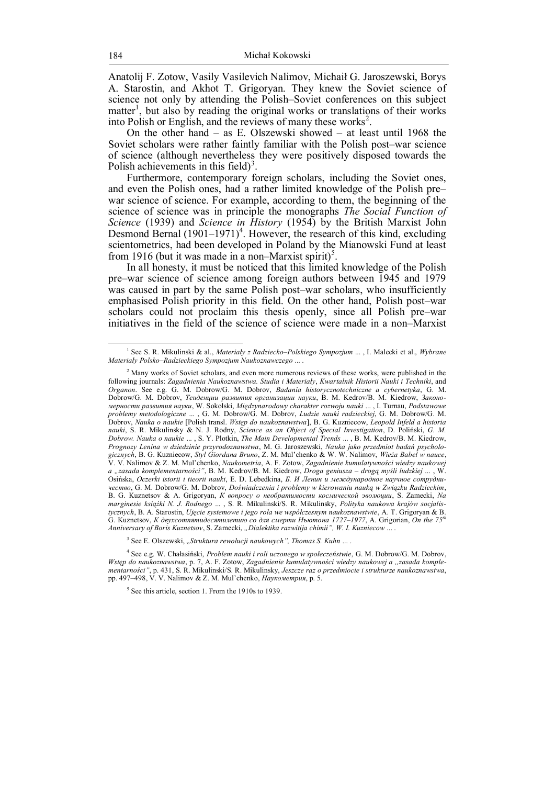Anatolij F. Zotow, Vasily Vasilevich Nalimov, Michaił G. Jaroszewski, Borys A. Starostin, and Akhot T. Grigoryan. They knew the Soviet science of science not only by attending the Polish–Soviet conferences on this subject matter<sup>1</sup>, but also by reading the original works or translations of their works into Polish or English, and the reviews of many these works<sup>2</sup>.

On the other hand – as E. Olszewski showed – at least until 1968 the Soviet scholars were rather faintly familiar with the Polish post–war science of science (although nevertheless they were positively disposed towards the Polish achievements in this field)<sup>3</sup>.

Furthermore, contemporary foreign scholars, including the Soviet ones, and even the Polish ones, had a rather limited knowledge of the Polish pre– war science of science. For example, according to them, the beginning of the science of science was in principle the monographs *The Social Function of Science* (1939) and *Science in History* (1954) by the British Marxist John Desmond Bernal  $(1901-1971)^4$ . However, the research of this kind, excluding scientometrics, had been developed in Poland by the Mianowski Fund at least from 1916 (but it was made in a non–Marxist spirit)<sup>5</sup>.

In all honesty, it must be noticed that this limited knowledge of the Polish pre–war science of science among foreign authors between 1945 and 1979 was caused in part by the same Polish post–war scholars, who insufficiently emphasised Polish priority in this field. On the other hand, Polish post–war scholars could not proclaim this thesis openly, since all Polish pre–war initiatives in the field of the science of science were made in a non–Marxist

<sup>1</sup> See S. R. Mikulinski & al., *Materiały z Radziecko–Polskiego Sympozjum* ... , I. Malecki et al., *Wybrane Materiały Polsko–Radzieckiego Sympozjum Naukoznawczego* ... .

<sup>&</sup>lt;sup>2</sup> Many works of Soviet scholars, and even more numerous reviews of these works, were published in the following journals: *Zagadnienia Naukoznawstwa. Studia i Materiały*, *Kwartalnik Historii Nauki i Techniki*, and *Organon*. See e.g. G. M. Dobrow/G. M. Dobrov, *Badania historycznotechniczne a cybernetyka*, G. M. Dobrow/G. M. Dobrov, *Тенденции развития организации науки*, B. M. Kedrov/B. M. Kiedrow, *Закономерности развития науки*, W. Sokolski, *Międzynarodowy charakter rozwoju nauki* ... , I. Turnau, *Podstawowe problemy metodologiczne* ... , G. M. Dobrow/G. M. Dobrov, *Ludzie nauki radzieckiej*, G. M. Dobrow/G. M. Dobrov, *Nauka o naukie* [Polish transl. *Wstęp do naukoznawstwa*], B. G. Kuzniecow, *Leopold Infeld a historia nauki*, S. R. Mikulinsky & N. J. Rodny, *Science as an Object of Special Investigation*, D. Poliński, *G. M. Dobrow. Nauka o naukie* ... , S. Y. Plotkin, *The Main Developmental Trends* ... , B. M. Kedrov/B. M. Kiedrow, *Prognozy Lenina w dziedzinie przyrodoznawstwa*, M. G. Jaroszewski, *Nauka jako przedmiot badań psychologicznych*, B. G. Kuzniecow, *Styl Giordana Bruno*, Z. M. Mul'chenko & W. W. Nalimov, *Wieża Babel w nauce*, V. V. Nalimov & Z. M. Mul'chenko, *Naukometria*, A. F. Zotow, *Zagadnienie kumulatywności wiedzy naukowej a "zasada komplementarności"*, B. M. Kedrov/B. M. Kiedrow, *Droga geniusza – drogą myśli ludzkiej* ... , W. Osińska, *Oczerki istorii i tieorii nauki*, E. D. Lebedkina, *Б. И Ленин и международное научное сотрудничество*, G. M. Dobrow/G. M. Dobrov, *Doświadczenia i problemy w kierowaniu nauką w Związku Radzieckim*, B. G. Kuznetsov & A. Grigoryan, *К вопросy о необратимости космической эволюции*, S. Zamecki, *Na marginesie książki N. J. Rodnego* ... , S. R. Mikulinski/S. R. Mikulinsky, *Polityka naukowa krajów socjalistycznych*, B. A. Starostin, *Ujęcie systemowe i jego rola we współczesnym naukoznawstwie*, A. T. Grigoryan & B. G. Kuznetsov, *К двухсотпятидесятилетию со для смерти Нъютона 1727–1977*, A. Grigorian, *On the 75th Anniversary of Boris Kuznetsov*, S. Zamecki, *"Dialektika razwitija chimii", W. I. Kuzniecow* ... .

<sup>&</sup>lt;sup>3</sup> See E. Olszewski, "*Struktura rewolucji naukowych", Thomas S. Kuhn* ... .

<sup>4</sup> See e.g. W. Chałasiński, *Problem nauki i roli uczonego w społeczeństwie*, G. M. Dobrow/G. M. Dobrov, *Wstęp do naukoznawstwa*, p. 7, A. F. Zotow, *Zagadnienie kumulatywności wiedzy naukowej a "zasada komplementarności"*, p. 431, S. R. Mikulinski/S. R. Mikulinsky, *Jeszcze raz o przedmiocie i strukturze naukoznawstwa*, pp. 497–498, V. V. Nalimov & Z. M. Mul'chenko, *Наукометрия*, p. 5.

<sup>&</sup>lt;sup>5</sup> See this article, section 1. From the 1910s to 1939.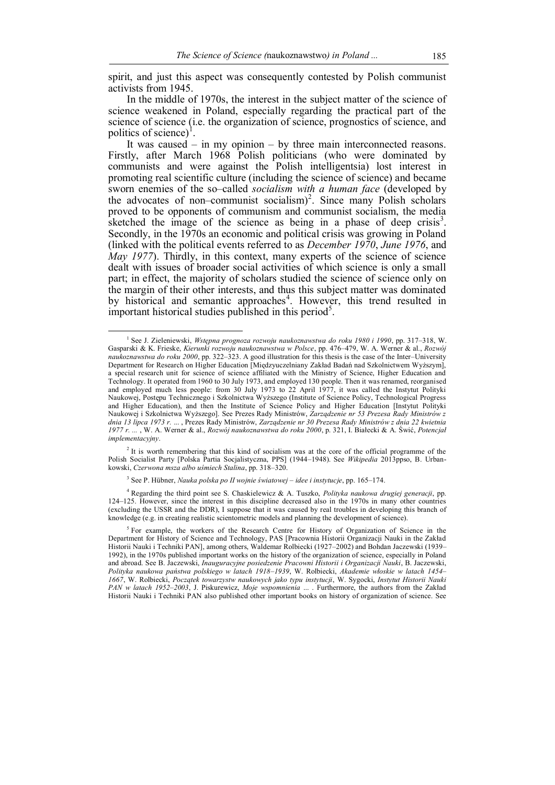spirit, and just this aspect was consequently contested by Polish communist activists from 1945.

In the middle of 1970s, the interest in the subject matter of the science of science weakened in Poland, especially regarding the practical part of the science of science (i.e. the organization of science, prognostics of science, and politics of science)<sup> $\dagger$ </sup>.

It was caused – in my opinion – by three main interconnected reasons. Firstly, after March 1968 Polish politicians (who were dominated by communists and were against the Polish intelligentsia) lost interest in promoting real scientific culture (including the science of science) and became sworn enemies of the so–called *socialism with a human face* (developed by the advocates of non-communist socialism)<sup>2</sup>. Since many Polish scholars proved to be opponents of communism and communist socialism, the media sketched the image of the science as being in a phase of deep crisis<sup>3</sup>. Secondly, in the 1970s an economic and political crisis was growing in Poland (linked with the political events referred to as *December 1970*, *June 1976*, and *May 1977*). Thirdly, in this context, many experts of the science of science dealt with issues of broader social activities of which science is only a small part; in effect, the majority of scholars studied the science of science only on the margin of their other interests, and thus this subject matter was dominated by historical and semantic approaches<sup>4</sup>. However, this trend resulted in important historical studies published in this period<sup>5</sup>.

 $\overline{a}$ 

<sup>4</sup> Regarding the third point see S. Chaskielewicz & A. Tuszko, *Polityka naukowa drugiej generacji*, pp. 124–125. However, since the interest in this discipline decreased also in the 1970s in many other countries (excluding the USSR and the DDR), I suppose that it was caused by real troubles in developing this branch of knowledge (e.g. in creating realistic scientometric models and planning the development of science).

<sup>1</sup> See J. Zieleniewski, *Wstępna prognoza rozwoju naukoznawstwa do roku 1980 i 1990*, pp. 317–318, W. Gasparski & K. Frieske, *Kierunki rozwoju naukoznawstwa w Polsce*, pp. 476–479, W. A. Werner & al., *Rozwój naukoznawstwa do roku 2000*, pp. 322–323. A good illustration for this thesis is the case of the Inter–University Department for Research on Higher Education [Międzyuczelniany Zakład Badań nad Szkolnictwem Wyższym], a special research unit for science of science affiliated with the Ministry of Science, Higher Education and Technology. It operated from 1960 to 30 July 1973, and employed 130 people. Then it was renamed, reorganised and employed much less people: from 30 July 1973 to 22 April 1977, it was called the Instytut Polityki Naukowej, Postępu Technicznego i Szkolnictwa Wyższego (Institute of Science Policy, Technological Progress and Higher Education), and then the Institute of Science Policy and Higher Education [Instytut Polityki Naukowej i Szkolnictwa Wyższego]. See Prezes Rady Ministrów, *Zarządzenie nr 53 Prezesa Rady Ministrów z dnia 13 lipca 1973 r.* ... , Prezes Rady Ministrów, *Zarządzenie nr 30 Prezesa Rady Ministrów z dnia 22 kwietnia 1977 r. ...* , W. A. Werner & al., *Rozwój naukoznawstwa do roku 2000*, p. 321, I. Białecki & A. Świć, *Potencjał implementacyjny*.

<sup>&</sup>lt;sup>2</sup> It is worth remembering that this kind of socialism was at the core of the official programme of the Polish Socialist Party [Polska Partia Socjalistyczna, PPS] (1944–1948). See *Wikipedia* 2013ppso, B. Urbankowski, *Czerwona msza albo uśmiech Stalina*, pp. 318–320.

<sup>3</sup> See P. Hübner, *Nauka polska po II wojnie światowej – idee i instytucje*, pp. 165–174.

<sup>&</sup>lt;sup>5</sup> For example, the workers of the Research Centre for History of Organization of Science in the Department for History of Science and Technology, PAS [Pracownia Historii Organizacji Nauki in the Zakład Historii Nauki i Techniki PAN], among others, Waldemar Rolbiecki (1927–2002) and Bohdan Jaczewski (1939– 1992), in the 1970s published important works on the history of the organization of science, especially in Poland and abroad. See B. Jaczewski, *Inauguracyjne posiedzenie Pracowni Historii i Organizacji Nauki*, B. Jaczewski, *Polityka naukowa państwa polskiego w latach 1918–1939*, W. Rolbiecki, *Akademie włoskie w latach 1454– 1667*, W. Rolbiecki, *Początek towarzystw naukowych jako typu instytucji*, W. Sygocki, *Instytut Historii Nauki PAN w latach 1952–2003*, J. Piskurewicz, *Moje wspomnienia* ... . Furthermore, the authors from the Zakład Historii Nauki i Techniki PAN also published other important books on history of organization of science. See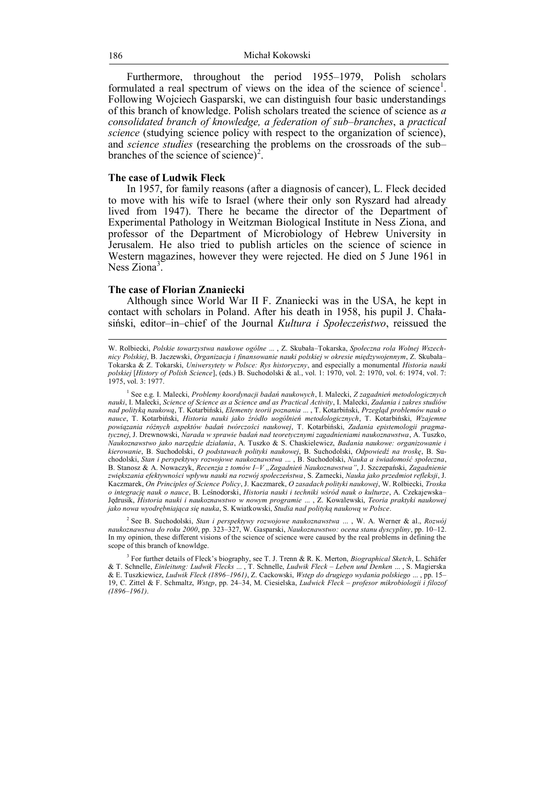Furthermore, throughout the period 1955–1979, Polish scholars formulated a real spectrum of views on the idea of the science of science<sup>1</sup>. Following Wojciech Gasparski, we can distinguish four basic understandings of this branch of knowledge. Polish scholars treated the science of science as *a consolidated branch of knowledge, a federation of sub–branches*, a *practical science* (studying science policy with respect to the organization of science), and *science studies* (researching the problems on the crossroads of the sub– branches of the science of science)<sup>2</sup>.

#### **The case of Ludwik Fleck**

In 1957, for family reasons (after a diagnosis of cancer), L. Fleck decided to move with his wife to Israel (where their only son Ryszard had already lived from 1947). There he became the director of the Department of Experimental Pathology in Weitzman Biological Institute in Ness Ziona, and professor of the Department of Microbiology of Hebrew University in Jerusalem. He also tried to publish articles on the science of science in Western magazines, however they were rejected. He died on 5 June 1961 in Ness Ziona<sup>3</sup>.

## **The case of Florian Znaniecki**

Although since World War II F. Znaniecki was in the USA, he kept in contact with scholars in Poland. After his death in 1958, his pupil J. Chałasiński, editor–in–chief of the Journal *Kultura i Społeczeństwo*, reissued the

W. Rolbiecki, *Polskie towarzystwa naukowe ogólne* ... , Z. Skubała–Tokarska, *Społeczna rola Wolnej Wszechnicy Polskiej*, B. Jaczewski, *Organizacja i finansowanie nauki polskiej w okresie międzywojennym*, Z. Skubała– Tokarska & Z. Tokarski, *Uniwersytety w Polsce: Rys historyczny*, and especially a monumental *Historia nauki polskiej* [*History of Polish Science*], (eds.) B. Suchodolski & al., vol. 1: 1970, vol. 2: 1970, vol. 6: 1974, vol. 7: 1975, vol. 3: 1977.

1 See e.g. I. Malecki, *Problemy koordynacji badań naukowych*, I. Malecki, *Z zagadnień metodologicznych nauki*, I. Malecki, *Science of Science as a Science and as Practical Activity*, I. Malecki, *Zadania i zakres studiów nad polityką naukową*, T. Kotarbiński, *Elementy teorii poznania* ... , T. Kotarbiński, *Przegląd problemów nauk o nauce*, T. Kotarbiński, *Historia nauki jako źródło uogólnień metodologicznych*, T. Kotarbiński, *Wzajemne powiązania różnych aspektów badań twórczości naukowej*, T. Kotarbiński, *Zadania epistemologii pragmatycznej*, J. Drewnowski, *Narada w sprawie badań nad teoretycznymi zagadnieniami naukoznawstwa*, A. Tuszko, *Naukoznawstwo jako narzędzie działania*, A. Tuszko & S. Chaskielewicz, *Badania naukowe: organizowanie i kierowanie*, B. Suchodolski, *O podstawach polityki naukowej*, B. Suchodolski, *Odpowiedź na troskę*, B. Suchodolski, *Stan i perspektywy rozwojowe naukoznawstwa* ... , B. Suchodolski, *Nauka a świadomość społeczna*, B. Stanosz & A. Nowaczyk, *Recenzja z tomów I–V "Zagadnień Naukoznawstwa"*, J. Szczepański, *Zagadnienie zwiększania efektywności wpływu nauki na rozwój społeczeństwa*, S. Zamecki, *Nauka jako przedmiot refleksji*, J. Kaczmarek, *On Principles of Science Policy*, J. Kaczmarek, *O zasadach polityki naukowej*, W. Rolbiecki, *Troska o integrację nauk o nauce*, B. Leśnodorski, *Historia nauki i techniki wśród nauk o kulturze*, A. Czekajewska– Jędrusik, *Historia nauki i naukoznawstwo w nowym programie* ... , Z. Kowalewski, *Teoria praktyki naukowej jako nowa wyodrębniająca się nauka*, S. Kwiatkowski, *Studia nad polityką naukową w Polsce*.

2 See B. Suchodolski, *Stan i perspektywy rozwojowe naukoznawstwa* ... , W. A. Werner & al., *Rozwój naukoznawstwa do roku 2000*, pp. 323–327, W. Gasparski, *Naukoznawstwo: ocena stanu dyscypliny*, pp. 10–12. In my opinion, these different visions of the science of science were caused by the real problems in defining the scope of this branch of knowldge.

3 For further details of Fleck's biography, see T. J. Trenn & R. K. Merton, *Biographical Sketch*, L. Schäfer & T. Schnelle, *Einleitung: Ludwik Flecks* ... , T. Schnelle, *Ludwik Fleck* – *Leben und Denken* ... , S. Magierska & E. Tuszkiewicz, *Ludwik Fleck (1896–1961)*, Z. Cackowski, *Wstęp do drugiego wydania polskiego* ... , pp. 15– 19, C. Zittel & F. Schmaltz, *Wstęp*, pp. 24–34, M. Ciesielska, *Ludwick Fleck – profesor mikrobiologii i filozof (1896–1961)*.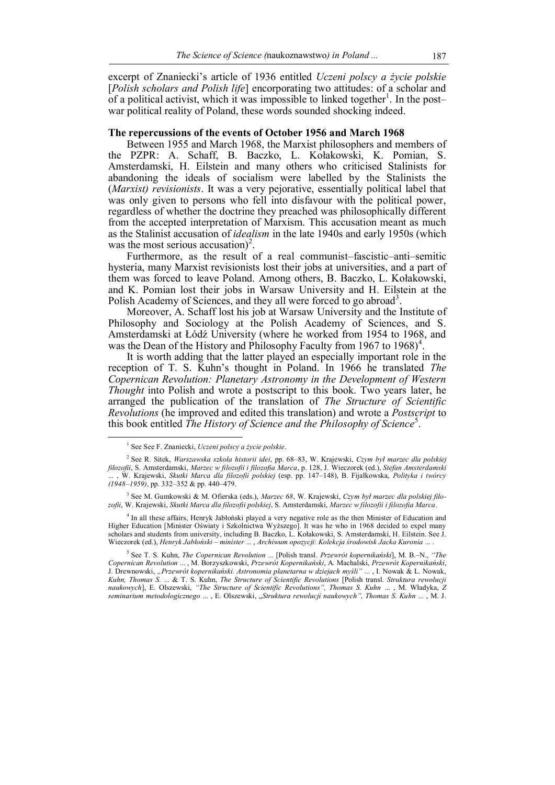excerpt of Znaniecki's article of 1936 entitled *Uczeni polscy a życie polskie* [*Polish scholars and Polish life*] encorporating two attitudes: of a scholar and of a political activist, which it was impossible to linked together<sup>1</sup>. In the postwar political reality of Poland, these words sounded shocking indeed.

### **The repercussions of the events of October 1956 and March 1968**

Between 1955 and March 1968, the Marxist philosophers and members of the PZPR: A. Schaff, B. Baczko, L. Kołakowski, K. Pomian, S. Amsterdamski, H. Eilstein and many others who criticised Stalinists for abandoning the ideals of socialism were labelled by the Stalinists the (*Marxist) revisionists*. It was a very pejorative, essentially political label that was only given to persons who fell into disfavour with the political power, regardless of whether the doctrine they preached was philosophically different from the accepted interpretation of Marxism. This accusation meant as much as the Stalinist accusation of *idealism* in the late 1940s and early 1950s (which was the most serious accusation)<sup>2</sup>.

Furthermore, as the result of a real communist–fascistic–anti–semitic hysteria, many Marxist revisionists lost their jobs at universities, and a part of them was forced to leave Poland. Among others, B. Baczko, L. Kołakowski, and K. Pomian lost their jobs in Warsaw University and H. Eilstein at the Polish Academy of Sciences, and they all were forced to go abroad<sup>3</sup>.

Moreover, A. Schaff lost his job at Warsaw University and the Institute of Philosophy and Sociology at the Polish Academy of Sciences, and S. Amsterdamski at Łódź University (where he worked from 1954 to 1968, and was the Dean of the History and Philosophy Faculty from 1967 to 1968)<sup>4</sup>.

It is worth adding that the latter played an especially important role in the reception of T. S. Kuhn's thought in Poland. In 1966 he translated *The Copernican Revolution: Planetary Astronomy in the Development of Western Thought* into Polish and wrote a postscript to this book. Two years later, he arranged the publication of the translation of *The Structure of Scientific Revolutions* (he improved and edited this translation) and wrote a *Postscript* to this book entitled *The History of Science and the Philosophy of Science*<sup>5</sup> .

<sup>1</sup> See See F. Znaniecki, *Uczeni polscy a życie polskie*.

<sup>2</sup> See R. Sitek, *Warszawska szkoła historii idei*, pp. 68–83, W. Krajewski, *Czym był marzec dla polskiej filozofii*, S. Amsterdamski, *Marzec w filozofii i filozofia Marca*, p. 128, J. Wieczorek (ed.), *Stefan Amsterdamski* ... , W. Krajewski, *Skutki Marca dla filozofii polskiej* (esp. pp. 147–148), B. Fijałkowska, *Polityka i twórcy (1948–1959)*, pp. 332–352 & pp. 440–479.

<sup>3</sup> See M. Gumkowski & M. Ofierska (eds.), *Marzec 68*, W. Krajewski, *Czym był marzec dla polskiej filozofii*, W. Krajewski, *Skutki Marca dla filozofii polskiej*, S. Amsterdamski, *Marzec w filozofii i filozofia Marca*.

<sup>&</sup>lt;sup>4</sup> In all these affairs, Henryk Jabłoński played a very negative role as the then Minister of Education and Higher Education [Minister Oświaty i Szkolnictwa Wyższego]. It was he who in 1968 decided to expel many scholars and students from university, including B. Baczko, L. Kołakowski, S. Amsterdamski, H. Eilstein. See J. Wieczorek (ed.), *Henryk Jabłoński – minister* ... , *Archiwum opozycji*: *Kolekcja środowisk Jacka Kuronia* ... .

<sup>5</sup> See T. S. Kuhn, *The Copernican Revolution* ... [Polish transl. *Przewrót kopernikański*], M. B.–N., *"The Copernican Revolution* ... , M. Borzyszkowski, *Przewrót Kopernikański*, A. Machalski, *Przewrót Kopernikański*, J. Drewnowski, "Przewrót kopernikański. Astronomia planetarna w dziejach myśli" ... , I. Nowak & L. Nowak, *Kuhn, Thomas S.* ... & T. S. Kuhn, *The Structure of Scientific Revolutions* [Polish transl. *Struktura rewolucji naukowych*], E. Olszewski, *"The Structure of Scientific Revolutions", Thomas S. Kuhn* ... , M. Władyka, *Z seminarium metodologicznego* ... , E. Olszewski, "*Struktura rewolucji naukowych", Thomas S. Kuhn* ... , M. J.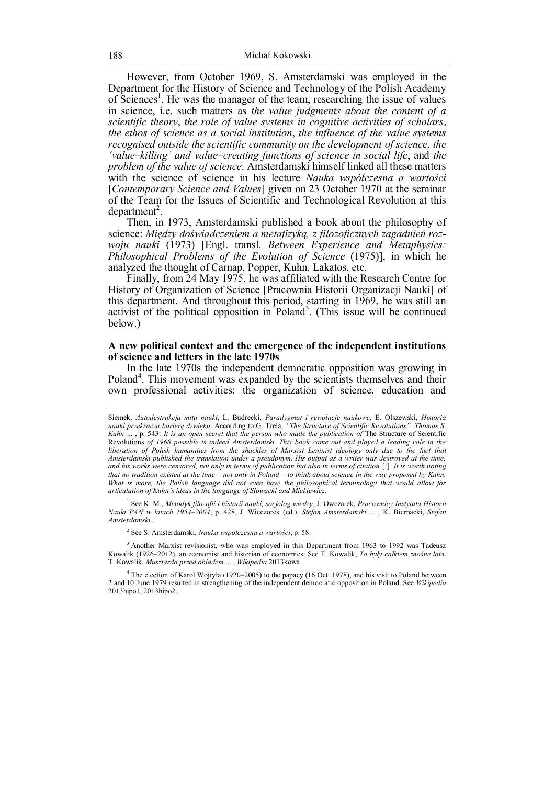However, from October 1969, S. Amsterdamski was employed in the Department for the History of Science and Technology of the Polish Academy of Sciences<sup>1</sup>. He was the manager of the team, researching the issue of values in science, i.e. such matters as *the value judgments about the content of a scientific theory*, *the role of value systems in cognitive activities of scholars*, *the ethos of science as a social institution*, *the influence of the value systems recognised outside the scientific community on the development of science*, *the 'value–killing' and value–creating functions of science in social life*, and *the problem of the value of science*. Amsterdamski himself linked all these matters with the science of science in his lecture *Nauka współczesna a wartości* [*Contemporary Science and Values*] given on 23 October 1970 at the seminar of the Team for the Issues of Scientific and Technological Revolution at this  $department<sup>2</sup>$ .

Then, in 1973, Amsterdamski published a book about the philosophy of science: *Między doświadczeniem a metafizyką, z filozoficznych zagadnień rozwoju nauki* (1973) [Engl. transl. *Between Experience and Metaphysics: Philosophical Problems of the Evolution of Science* (1975)], in which he analyzed the thought of Carnap, Popper, Kuhn, Lakatos, etc.

Finally, from 24 May 1975, he was affiliated with the Research Centre for History of Organization of Science [Pracownia Historii Organizacji Nauki] of this department. And throughout this period, starting in 1969, he was still an activist of the political opposition in  $P$ oland<sup>3</sup>. (This issue will be continued below.)

# **A new political context and the emergence of the independent institutions of science and letters in the late 1970s**

In the late 1970s the independent democratic opposition was growing in Poland<sup>4</sup>. This movement was expanded by the scientists themselves and their own professional activities: the organization of science, education and

1 See K. M., *Metodyk filozofii i historii nauki, socjolog wiedzy*, J. Owczarek, *Pracownicy Instytutu Historii Nauki PAN w latach 1954–2004*, p. 428, J. Wieczorek (ed.), *Stefan Amsterdamski* ... , K. Biernacki, *Stefan Amsterdamski*.

2 See S. Amsterdamski, *Nauka współczesna a wartości*, p. 58.

<sup>3</sup> Another Marxist revisionist, who was employed in this Department from 1963 to 1992 was Tadeusz Kowalik (1926–2012), an economist and historian of economics. See T. Kowalik, *To były całkiem znośne lata*, T. Kowalik, *Musztarda przed obiadem* ... , *Wikipedia* 2013kowa.

<sup>4</sup> The election of Karol Wojtyła (1920–2005) to the papacy (16 Oct. 1978), and his visit to Poland between 2 and 10 June 1979 resulted in strengthening of the independent democratic opposition in Poland. See *Wikipedia*  2013hipo1, 2013hipo2.

Siemek, *Autodestrukcja mitu nauki*, L. Budrecki, *Paradygmat i rewolucje naukowe*, E. Olszewski, *Historia nauki przekracza barierę dźwięku*. According to G. Trela, *"The Structure of Scientific Revolutions", Thomas S. Kuhn* ... , p. 543: *It is an open secret that the person who made the publication of* The Structure of Scientific Revolutions *of 1968 possible is indeed Amsterdamski. This book came out and played a leading role in the liberation of Polish humanities from the shackles of Marxist–Leninist ideology only due to the fact that Amsterdamski published the translation under a pseudonym. His output as a writer was destroyed at the time, and his works were censored, not only in terms of publication but also in terms of citation* [!]*. It is worth noting that no tradition existed at the time – not only in Poland – to think about science in the way proposed by Kuhn. What is more, the Polish language did not even have the philosophical terminology that would allow for articulation of Kuhn's ideas in the language of Słowacki and Mickiewicz*.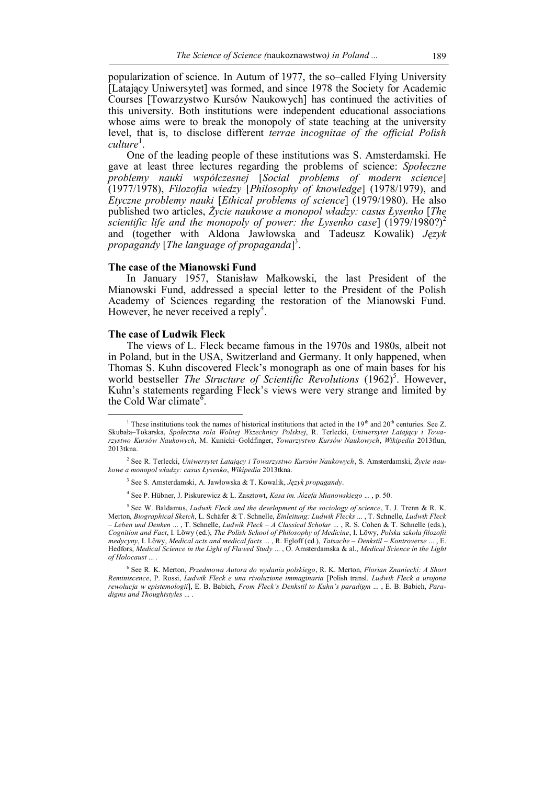popularization of science. In Autum of 1977, the so–called Flying University [Latający Uniwersytet] was formed, and since 1978 the Society for Academic Courses [Towarzystwo Kursów Naukowych] has continued the activities of this university. Both institutions were independent educational associations whose aims were to break the monopoly of state teaching at the university level, that is, to disclose different *terrae incognitae of the official Polish*  culture<sup>1</sup>.

One of the leading people of these institutions was S. Amsterdamski. He gave at least three lectures regarding the problems of science: *Społeczne problemy nauki współczesnej* [*Social problems of modern science*] (1977/1978), *Filozofia wiedzy* [*Philosophy of knowledge*] (1978/1979), and *Etyczne problemy nauki* [*Ethical problems of science*] (1979/1980). He also published two articles, *Życie naukowe a monopol władzy: casus Łysenko* [*The scientific life and the monopoly of power: the Lysenko case*]  $(1979/1980?)^2$ and (together with Aldona Jawłowska and Tadeusz Kowalik) *Język propagandy* [*The language of propaganda*] 3 .

### **The case of the Mianowski Fund**

In January 1957, Stanisław Małkowski, the last President of the Mianowski Fund, addressed a special letter to the President of the Polish Academy of Sciences regarding the restoration of the Mianowski Fund. However, he never received a reply<sup>4</sup>.

#### **The case of Ludwik Fleck**

 $\overline{a}$ 

The views of L. Fleck became famous in the 1970s and 1980s, albeit not in Poland, but in the USA, Switzerland and Germany. It only happened, when Thomas S. Kuhn discovered Fleck's monograph as one of main bases for his world bestseller *The Structure of Scientific Revolutions* (1962)<sup>5</sup>. However, Kuhn's statements regarding Fleck's views were very strange and limited by the Cold War climate<sup>6</sup>.

These institutions took the names of historical institutions that acted in the  $19<sup>th</sup>$  and  $20<sup>th</sup>$  centuries. See Z. Skubała–Tokarska, *Społeczna rola Wolnej Wszechnicy Polskiej*, R. Terlecki, *Uniwersytet Latający i Towarzystwo Kursów Naukowych*, M. Kunicki–Goldfinger, *Towarzystwo Kursów Naukowych*, *Wikipedia* 2013flun, 2013tkna.

<sup>2</sup> See R. Terlecki, *Uniwersytet Latający i Towarzystwo Kursów Naukowych*, S. Amsterdamski, *Życie naukowe a monopol władzy: casus Łysenko*, *Wikipedia* 2013tkna.

<sup>3</sup> See S. Amsterdamski, A. Jawłowska & T. Kowalik, *Język propagandy*.

<sup>4</sup> See P. Hübner, J. Piskurewicz & L. Zasztowt, *Kasa im. Józefa Mianowskiego* ... , p. 50.

<sup>5</sup> See W. Baldamus, *Ludwik Fleck and the development of the sociology of science*, T. J. Trenn & R. K. Merton, *Biographical Sketch*, L. Schäfer & T. Schnelle, *Einleitung: Ludwik Flecks* ... , T. Schnelle, *Ludwik Fleck*  – *Leben und Denken* ... , T. Schnelle, *Ludwik Fleck – A Classical Scholar* ... , R. S. Cohen & T. Schnelle (eds.), *Cognition and Fact*, I. Löwy (ed.), *The Polish School of Philosophy of Medicine*, I. Löwy, *Polska szkoła filozofii medycyny*, I. Löwy, *Medical acts and medical facts* ... , R. Egloff (ed.), *Tatsache – Denkstil – Kontroverse* ... , E. Hedfors, *Medical Science in the Light of Flawed Study* ... , O. Amsterdamska & al., *Medical Science in the Light of Holocaust* ... .

<sup>6</sup> See R. K. Merton, *Przedmowa Autora do wydania polskiego*, R. K. Merton, *Florian Znaniecki: A Short Reminiscence*, P. Rossi, *Ludwik Fleck e una rivoluzione immaginaria* [Polish transl. *Ludwik Fleck a urojona rewolucja w epistemologii*], E. B. Babich, *From Fleck's Denkstil to Kuhn's paradigm* ... , E. B. Babich, *Paradigms and Thoughtstyles* ... .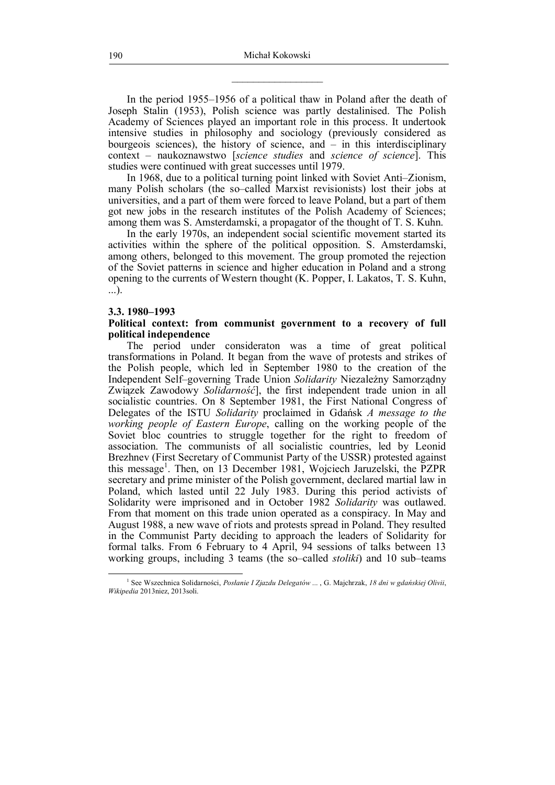$\frac{1}{2}$ 

In the period 1955–1956 of a political thaw in Poland after the death of Joseph Stalin (1953), Polish science was partly destalinised. The Polish Academy of Sciences played an important role in this process. It undertook intensive studies in philosophy and sociology (previously considered as bourgeois sciences), the history of science, and  $-$  in this interdisciplinary context – naukoznawstwo [*science studies* and *science of science*]. This studies were continued with great successes until 1979.

In 1968, due to a political turning point linked with Soviet Anti–Zionism, many Polish scholars (the so–called Marxist revisionists) lost their jobs at universities, and a part of them were forced to leave Poland, but a part of them got new jobs in the research institutes of the Polish Academy of Sciences; among them was S. Amsterdamski, a propagator of the thought of T. S. Kuhn.

In the early 1970s, an independent social scientific movement started its activities within the sphere of the political opposition. S. Amsterdamski, among others, belonged to this movement. The group promoted the rejection of the Soviet patterns in science and higher education in Poland and a strong opening to the currents of Western thought (K. Popper, I. Lakatos, T. S. Kuhn, ...).

# **3.3. 1980–1993**

 $\overline{a}$ 

# **Political context: from communist government to a recovery of full political independence**

The period under consideraton was a time of great political transformations in Poland. It began from the wave of protests and strikes of the Polish people, which led in September 1980 to the creation of the Independent Self–governing Trade Union *Solidarity* Niezależny Samorządny Związek Zawodowy *Solidarność*], the first independent trade union in all socialistic countries. On 8 September 1981, the First National Congress of Delegates of the ISTU *Solidarity* proclaimed in Gdańsk *A message to the working people of Eastern Europe*, calling on the working people of the Soviet bloc countries to struggle together for the right to freedom of association. The communists of all socialistic countries, led by Leonid Brezhnev (First Secretary of Communist Party of the USSR) protested against this message<sup>1</sup>. Then, on 13 December 1981, Wojciech Jaruzelski, the PZPR secretary and prime minister of the Polish government, declared martial law in Poland, which lasted until 22 July 1983. During this period activists of Solidarity were imprisoned and in October 1982 *Solidarity* was outlawed. From that moment on this trade union operated as a conspiracy. In May and August 1988, a new wave of riots and protests spread in Poland. They resulted in the Communist Party deciding to approach the leaders of Solidarity for formal talks. From 6 February to 4 April, 94 sessions of talks between 13 working groups, including 3 teams (the so–called *stoliki*) and 10 sub–teams

<sup>1</sup> See Wszechnica Solidarności, *Posłanie I Zjazdu Delegatów* ... , G. Majchrzak, *18 dni w gdańskiej Olivii*, *Wikipedia* 2013niez, 2013soli.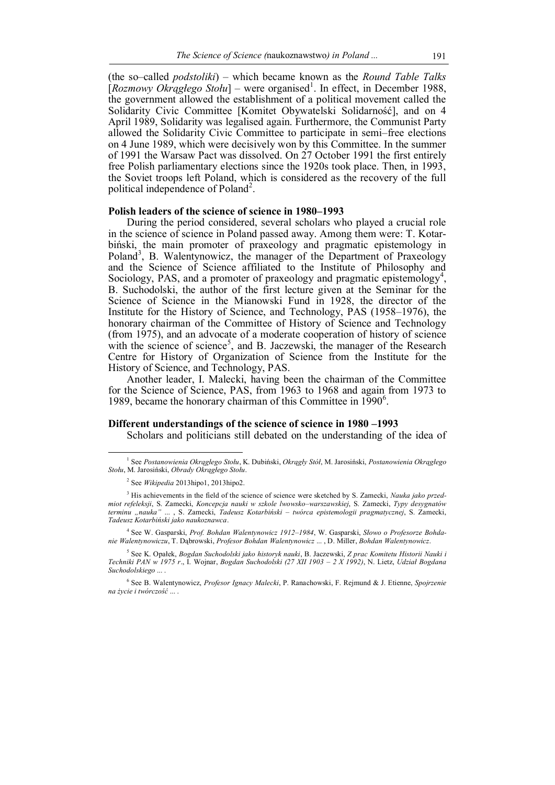(the so–called *podstoliki*) – which became known as the *Round Table Talks* [Rozmowy Okrągłego Stołu] – were organised<sup>1</sup>. In effect, in December 1988, the government allowed the establishment of a political movement called the Solidarity Civic Committee [Komitet Obywatelski Solidarność], and on 4 April 1989, Solidarity was legalised again. Furthermore, the Communist Party allowed the Solidarity Civic Committee to participate in semi–free elections on 4 June 1989, which were decisively won by this Committee. In the summer of 1991 the Warsaw Pact was dissolved. On 27 October 1991 the first entirely free Polish parliamentary elections since the 1920s took place. Then, in 1993, the Soviet troops left Poland, which is considered as the recovery of the full political independence of Poland<sup>2</sup>.

### **Polish leaders of the science of science in 1980–1993**

During the period considered, several scholars who played a crucial role in the science of science in Poland passed away. Among them were: T. Kotarbiński, the main promoter of praxeology and pragmatic epistemology in Poland<sup>3</sup>, B. Walentynowicz, the manager of the Department of Praxeology and the Science of Science affiliated to the Institute of Philosophy and Sociology, PAS, and a promoter of praxeology and pragmatic epistemology<sup>4</sup>, B. Suchodolski, the author of the first lecture given at the Seminar for the Science of Science in the Mianowski Fund in 1928, the director of the Institute for the History of Science, and Technology, PAS (1958–1976), the honorary chairman of the Committee of History of Science and Technology (from 1975), and an advocate of a moderate cooperation of history of science with the science of science<sup>5</sup>, and B. Jaczewski, the manager of the Research Centre for History of Organization of Science from the Institute for the History of Science, and Technology, PAS.

Another leader, I. Malecki, having been the chairman of the Committee for the Science of Science, PAS, from 1963 to 1968 and again from 1973 to 1989, became the honorary chairman of this Committee in 1990<sup>6</sup>.

### **Different understandings of the science of science in 1980 –1993**

Scholars and politicians still debated on the understanding of the idea of

 $\overline{a}$ 

4 See W. Gasparski, *Prof. Bohdan Walentynowicz 1912–1984*, W. Gasparski, *Słowo o Profesorze Bohdanie Walentynowiczu*, T. Dąbrowski, *Profesor Bohdan Walentynowicz* ... , D. Miller, *Bohdan Walentynowicz*.

<sup>1</sup> See *Postanowienia Okrągłego Stołu*, K. Dubiński, *Okrągły Stół*, M. Jarosiński, *Postanowienia Okrągłego Stołu*, M. Jarosiński, *Obrady Okrągłego Stołu*.

<sup>2</sup> See *Wikipedia* 2013hipo1, 2013hipo2.

<sup>3</sup> His achievements in the field of the science of science were sketched by S. Zamecki, *Nauka jako przedmiot refeleksji*, S. Zamecki, *Koncepcja nauki w szkole lwowsko–warszawskiej*, S. Zamecki, *Typy desygnatów terminu "nauka"* ... , S. Zamecki, *Tadeusz Kotarbiński – twórca epistemologii pragmatycznej*, S. Zamecki, *Tadeusz Kotarbiński jako naukoznawca*.

<sup>5</sup> See K. Opałek, *Bogdan Suchodolski jako historyk nauki*, B. Jaczewski, *Z prac Komitetu Historii Nauki i Techniki PAN w 1975 r*., I. Wojnar, *Bogdan Suchodolski (27 XII 1903 – 2 X 1992)*, N. Lietz, *Udział Bogdana Suchodolskiego* ... .

<sup>6</sup> See B. Walentynowicz, *Profesor Ignacy Malecki*, P. Ranachowski, F. Rejmund & J. Etienne, *Spojrzenie na życie i twórczość* ... .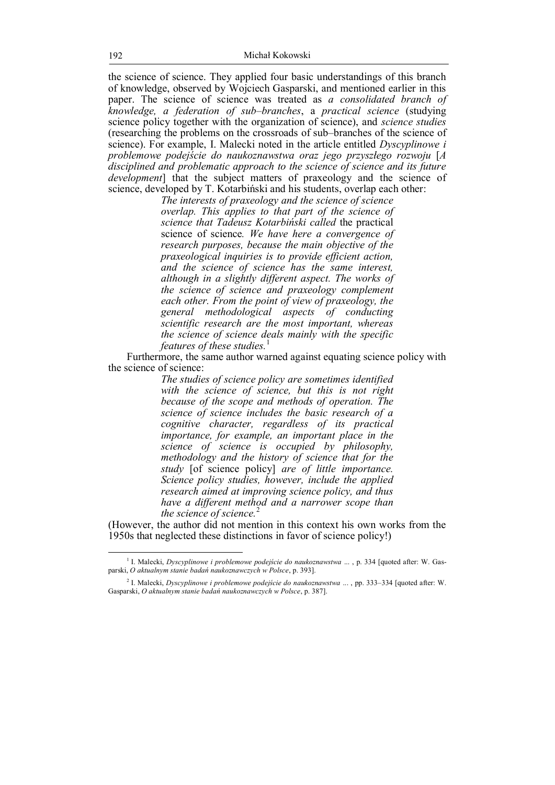the science of science. They applied four basic understandings of this branch of knowledge, observed by Wojciech Gasparski, and mentioned earlier in this paper. The science of science was treated as *a consolidated branch of knowledge, a federation of sub–branches*, a *practical science* (studying science policy together with the organization of science), and *science studies*  (researching the problems on the crossroads of sub–branches of the science of science). For example, I. Malecki noted in the article entitled *Dyscyplinowe i problemowe podejście do naukoznawstwa oraz jego przyszłego rozwoju* [*A disciplined and problematic approach to the science of science and its future development*] that the subject matters of praxeology and the science of science, developed by T. Kotarbiński and his students, overlap each other:

> *The interests of praxeology and the science of science overlap. This applies to that part of the science of science that Tadeusz Kotarbiński called* the practical science of science*. We have here a convergence of research purposes, because the main objective of the praxeological inquiries is to provide efficient action, and the science of science has the same interest, although in a slightly different aspect. The works of the science of science and praxeology complement each other. From the point of view of praxeology, the general methodological aspects of conducting scientific research are the most important, whereas the science of science deals mainly with the specific features of these studies.* 1

Furthermore, the same author warned against equating science policy with the science of science:

> *The studies of science policy are sometimes identified with the science of science, but this is not right because of the scope and methods of operation. The science of science includes the basic research of a cognitive character, regardless of its practical importance, for example, an important place in the science of science is occupied by philosophy, methodology and the history of science that for the study* [of science policy] *are of little importance. Science policy studies, however, include the applied research aimed at improving science policy, and thus have a different method and a narrower scope than the science of science.* 2

(However, the author did not mention in this context his own works from the 1950s that neglected these distinctions in favor of science policy!)

<sup>&</sup>lt;sup>1</sup> I. Malecki, *Dyscyplinowe i problemowe podejście do naukoznawstwa* ... , p. 334 [quoted after: W. Gasparski, *O aktualnym stanie badań naukoznawczych w Polsce*, p. 393].

<sup>2</sup> I. Malecki, *Dyscyplinowe i problemowe podejście do naukoznawstwa* ... , pp. 333–334 [quoted after: W. Gasparski, *O aktualnym stanie badań naukoznawczych w Polsce*, p. 387].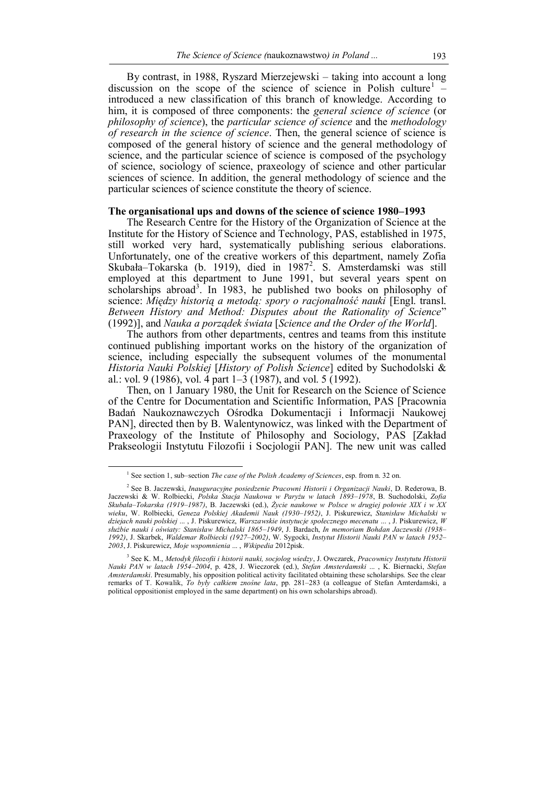By contrast, in 1988, Ryszard Mierzejewski – taking into account a long discussion on the scope of the science of science in Polish culture<sup>1</sup> – introduced a new classification of this branch of knowledge. According to him, it is composed of three components: the *general science of science* (or *philosophy of science*), the *particular science of science* and the *methodology of research in the science of science*. Then, the general science of science is composed of the general history of science and the general methodology of science, and the particular science of science is composed of the psychology of science, sociology of science, praxeology of science and other particular sciences of science. In addition, the general methodology of science and the particular sciences of science constitute the theory of science.

### **The organisational ups and downs of the science of science 1980–1993**

The Research Centre for the History of the Organization of Science at the Institute for the History of Science and Technology, PAS, established in 1975, still worked very hard, systematically publishing serious elaborations. Unfortunately, one of the creative workers of this department, namely Zofia Skubała–Tokarska (b. 1919), died in 1987<sup>2</sup>. S. Amsterdamski was still employed at this department to June 1991, but several years spent on scholarships abroad<sup>3</sup>. In 1983, he published two books on philosophy of science: *Między historią a metodą: spory o racjonalność nauki* [Engl. transl. *Between History and Method: Disputes about the Rationality of Science*" (1992)], and *Nauka a porządek świata* [*Science and the Order of the World*].

The authors from other departments, centres and teams from this institute continued publishing important works on the history of the organization of science, including especially the subsequent volumes of the monumental *Historia Nauki Polskiej* [*History of Polish Science*] edited by Suchodolski & al.: vol. 9 (1986), vol. 4 part  $1-3$  (1987), and vol. 5 (1992).

Then, on 1 January 1980, the Unit for Research on the Science of Science of the Centre for Documentation and Scientific Information, PAS [Pracownia Badań Naukoznawczych Ośrodka Dokumentacji i Informacji Naukowej PAN], directed then by B. Walentynowicz, was linked with the Department of Praxeology of the Institute of Philosophy and Sociology, PAS [Zakład Prakseologii Instytutu Filozofii i Socjologii PAN]. The new unit was called

<sup>&</sup>lt;sup>1</sup> See section 1, sub–section *The case of the Polish Academy of Sciences*, esp. from n. 32 on.

<sup>2</sup> See B. Jaczewski, *Inauguracyjne posiedzenie Pracowni Historii i Organizacji Nauki*, D. Rederowa, B. Jaczewski & W. Rolbiecki, *Polska Stacja Naukowa w Paryżu w latach 1893–1978*, B. Suchodolski, *Zofia Skubała–Tokarska (1919–1987)*, B. Jaczewski (ed.), *Życie naukowe w Polsce w drugiej połowie XIX i w XX wieku*, W. Rolbiecki, *Geneza Polskiej Akademii Nauk (1930–1952)*, J. Piskurewicz, *Stanisław Michalski w dziejach nauki polskiej* ... , J. Piskurewicz, *Warszawskie instytucje społecznego mecenatu* ... , J. Piskurewicz, *W służbie nauki i oświaty: Stanisław Michalski 1865–1949*, J. Bardach, *In memoriam Bohdan Jaczewski (1938– 1992)*, J. Skarbek, *Waldemar Rolbiecki (1927–2002)*, W. Sygocki, *Instytut Historii Nauki PAN w latach 1952– 2003*, J. Piskurewicz, *Moje wspomnienia* ... , *Wikipedia* 2012pisk.

<sup>3</sup> See K. M., *Metodyk filozofii i historii nauki, socjolog wiedzy*, J. Owczarek, *Pracownicy Instytutu Historii Nauki PAN w latach 1954–2004*, p. 428, J. Wieczorek (ed.), *Stefan Amsterdamski* ... , K. Biernacki, *Stefan Amsterdamski*. Presumably, his opposition political activity facilitated obtaining these scholarships. See the clear remarks of T. Kowalik, *To były całkiem znośne lata*, pp. 281–283 (a colleague of Stefan Amterdamski, a political oppositionist employed in the same department) on his own scholarships abroad).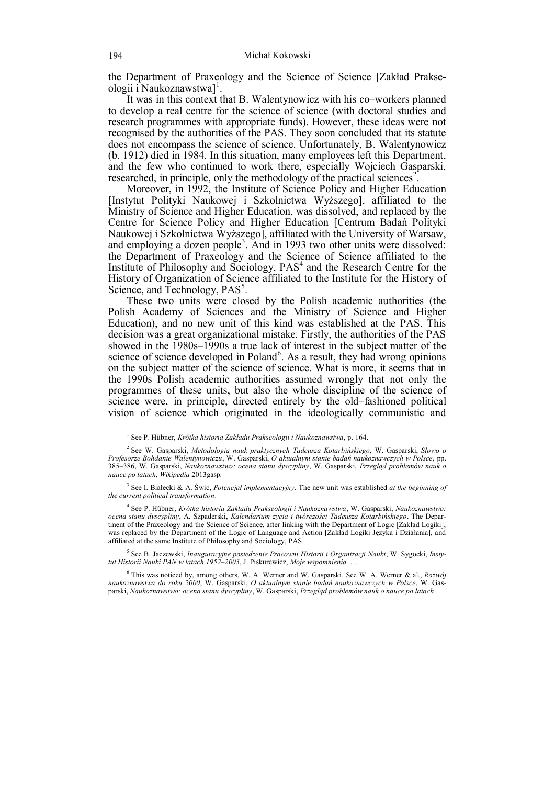the Department of Praxeology and the Science of Science [Zakład Prakseologii i Naukoznawstwa]<sup>1</sup>.

It was in this context that B. Walentynowicz with his co–workers planned to develop a real centre for the science of science (with doctoral studies and research programmes with appropriate funds). However, these ideas were not recognised by the authorities of the PAS. They soon concluded that its statute does not encompass the science of science. Unfortunately, B. Walentynowicz (b. 1912) died in 1984. In this situation, many employees left this Department, and the few who continued to work there, especially Wojciech Gasparski, researched, in principle, only the methodology of the practical sciences<sup>2</sup>.

Moreover, in 1992, the Institute of Science Policy and Higher Education [Instytut Polityki Naukowej i Szkolnictwa Wyższego], affiliated to the Ministry of Science and Higher Education, was dissolved, and replaced by the Centre for Science Policy and Higher Education [Centrum Badań Polityki Naukowej i Szkolnictwa Wyższego], affiliated with the University of Warsaw, and employing a dozen people<sup>3</sup>. And in 1993 two other units were dissolved: the Department of Praxeology and the Science of Science affiliated to the Institute of Philosophy and Sociology, PAS<sup>4</sup> and the Research Centre for the History of Organization of Science affiliated to the Institute for the History of Science, and Technology, PAS<sup>5</sup>.

These two units were closed by the Polish academic authorities (the Polish Academy of Sciences and the Ministry of Science and Higher Education), and no new unit of this kind was established at the PAS. This decision was a great organizational mistake. Firstly, the authorities of the PAS showed in the 1980s–1990s a true lack of interest in the subject matter of the science of science developed in Poland<sup>6</sup>. As a result, they had wrong opinions on the subject matter of the science of science. What is more, it seems that in the 1990s Polish academic authorities assumed wrongly that not only the programmes of these units, but also the whole discipline of the science of science were, in principle, directed entirely by the old–fashioned political vision of science which originated in the ideologically communistic and

<sup>1</sup> See P. Hübner, *Krótka historia Zakładu Prakseologii i Naukoznawstwa*, p. 164.

<sup>2</sup> See W. Gasparski, *Metodologia nauk praktycznych Tadeusza Kotarbińskiego*, W. Gasparski, *Słowo o Profesorze Bohdanie Walentynowiczu*, W. Gasparski, *O aktualnym stanie badań naukoznawczych w Polsce*, pp. 385–386, W. Gasparski, *Naukoznawstwo: ocena stanu dyscypliny*, W. Gasparski, *Przegląd problemów nauk o nauce po latach*, *Wikipedia* 2013gasp.

<sup>3</sup> See I. Białecki & A. Świć, *Potencjał implementacyjny*. The new unit was established *at the beginning of the current political transformation*.

<sup>4</sup> See P. Hübner, *Krótka historia Zakładu Prakseologii i Naukoznawstwa*, W. Gasparski, *Naukoznawstwo: ocena stanu dyscypliny*, A. Szpaderski, *Kalendarium życia i twórczości Tadeusza Kotarbińskiego*. The Department of the Praxeology and the Science of Science, after linking with the Department of Logic [Zakład Logiki], was replaced by the Department of the Logic of Language and Action [Zakład Logiki Języka i Działania], and affiliated at the same Institute of Philosophy and Sociology, PAS.

<sup>5</sup> See B. Jaczewski, *Inauguracyjne posiedzenie Pracowni Historii i Organizacji Nauki*, W. Sygocki, *Instytut Historii Nauki PAN w latach 1952–2003*, J. Piskurewicz, *Moje wspomnienia* ... .

<sup>6</sup> This was noticed by, among others, W. A. Werner and W. Gasparski. See W. A. Werner & al., *Rozwój naukoznawstwa do roku 2000*, W. Gasparski, *O aktualnym stanie badań naukoznawczych w Polsce*, W. Gasparski, *Naukoznawstwo: ocena stanu dyscypliny*, W. Gasparski, *Przegląd problemów nauk o nauce po latach*.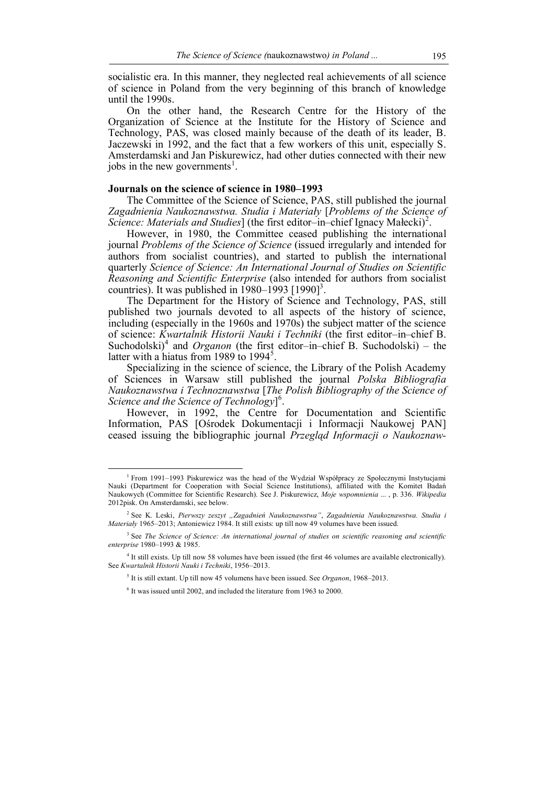socialistic era. In this manner, they neglected real achievements of all science of science in Poland from the very beginning of this branch of knowledge until the 1990s.

On the other hand, the Research Centre for the History of the Organization of Science at the Institute for the History of Science and Technology, PAS, was closed mainly because of the death of its leader, B. Jaczewski in 1992, and the fact that a few workers of this unit, especially S. Amsterdamski and Jan Piskurewicz, had other duties connected with their new jobs in the new governments<sup>1</sup>.

# **Journals on the science of science in 1980–1993**

The Committee of the Science of Science, PAS, still published the journal *Zagadnienia Naukoznawstwa. Studia i Materiały* [*Problems of the Science of*  Science: Materials and Studies] (the first editor–in–chief Ignacy Małecki)<sup>2</sup>.

However, in 1980, the Committee ceased publishing the international journal *Problems of the Science of Science* (issued irregularly and intended for authors from socialist countries), and started to publish the international quarterly *Science of Science: An International Journal of Studies on Scientific Reasoning and Scientific Enterprise* (also intended for authors from socialist countries). It was published in  $1980-1993$   $[1990]$ <sup>3</sup>.

The Department for the History of Science and Technology, PAS, still published two journals devoted to all aspects of the history of science, including (especially in the 1960s and 1970s) the subject matter of the science of science: *Kwartalnik Historii Nauki i Techniki* (the first editor–in–chief B. Suchodolski)<sup>4</sup> and *Organon* (the first editor–in–chief B. Suchodolski) – the latter with a hiatus from 1989 to 1994<sup>5</sup>.

Specializing in the science of science, the Library of the Polish Academy of Sciences in Warsaw still published the journal *Polska Bibliografia Naukoznawstwa i Technoznawstwa* [*The Polish Bibliography of the Science of Science and the Science of Technology*] 6 .

However, in 1992, the Centre for Documentation and Scientific Information, PAS [Ośrodek Dokumentacji i Informacji Naukowej PAN] ceased issuing the bibliographic journal *Przegląd Informacji o Naukoznaw-*

<sup>1</sup> From 1991–1993 Piskurewicz was the head of the Wydział Współpracy ze Społecznymi Instytucjami Nauki (Department for Cooperation with Social Science Institutions), affiliated with the Komitet Badań Naukowych (Committee for Scientific Research). See J. Piskurewicz, *Moje wspomnienia* ... , p. 336. *Wikipedia* 2012pisk. On Amsterdamski, see below.

<sup>2</sup> See K. Leski, *Pierwszy zeszyt "Zagadnień Naukoznawstwa"*, *Zagadnienia Naukoznawstwa. Studia i Materiały* 1965–2013; Antoniewicz 1984. It still exists: up till now 49 volumes have been issued.

<sup>&</sup>lt;sup>3</sup> See *The Science of Science: An international journal of studies on scientific reasoning and scientific enterprise* 1980–1993 & 1985.

<sup>4</sup> It still exists. Up till now 58 volumes have been issued (the first 46 volumes are available electronically). See *Kwartalnik Historii Nauki i Techniki*, 1956–2013.

<sup>5</sup> It is still extant. Up till now 45 volumens have been issued. See *Organon*, 1968–2013.

<sup>&</sup>lt;sup>6</sup> It was issued until 2002, and included the literature from 1963 to 2000.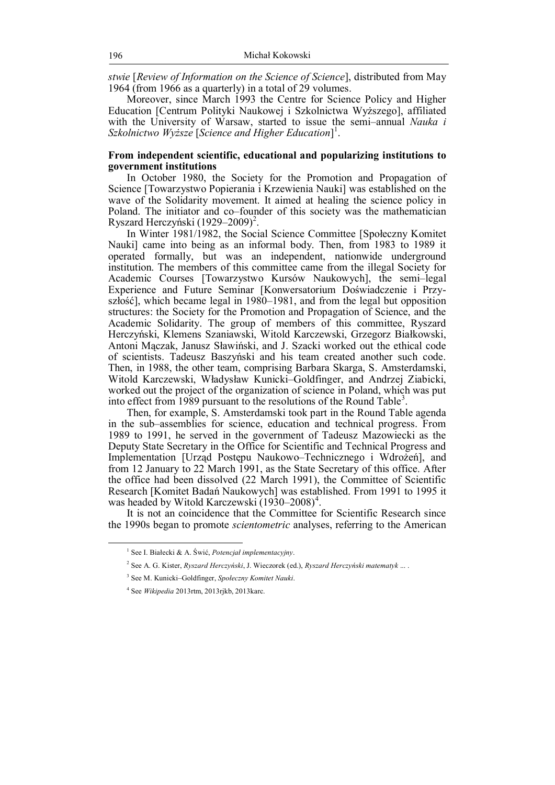*stwie* [*Review of Information on the Science of Science*], distributed from May 1964 (from 1966 as a quarterly) in a total of 29 volumes.

Moreover, since March 1993 the Centre for Science Policy and Higher Education [Centrum Polityki Naukowej i Szkolnictwa Wyższego], affiliated with the University of Warsaw, started to issue the semi–annual *Nauka i Szkolnictwo Wyższe* [*Science and Higher Education*] 1 .

# **From independent scientific, educational and popularizing institutions to government institutions**

In October 1980, the Society for the Promotion and Propagation of Science [Towarzystwo Popierania i Krzewienia Nauki] was established on the wave of the Solidarity movement. It aimed at healing the science policy in Poland. The initiator and co–founder of this society was the mathematician Ryszard Herczyński (1929–2009)<sup>2</sup>.

In Winter 1981/1982, the Social Science Committee [Społeczny Komitet Nauki] came into being as an informal body. Then, from 1983 to 1989 it operated formally, but was an independent, nationwide underground institution. The members of this committee came from the illegal Society for Academic Courses [Towarzystwo Kursów Naukowych], the semi–legal Experience and Future Seminar [Konwersatorium Doświadczenie i Przyszłość], which became legal in 1980–1981, and from the legal but opposition structures: the Society for the Promotion and Propagation of Science, and the Academic Solidarity. The group of members of this committee, Ryszard Herczyński, Klemens Szaniawski, Witold Karczewski, Grzegorz Białkowski, Antoni Mączak, Janusz Sławiński, and J. Szacki worked out the ethical code of scientists. Tadeusz Baszyński and his team created another such code. Then, in 1988, the other team, comprising Barbara Skarga, S. Amsterdamski, Witold Karczewski, Władysław Kunicki–Goldfinger, and Andrzej Ziabicki, worked out the project of the organization of science in Poland, which was put into effect from 1989 pursuant to the resolutions of the Round Table<sup>3</sup>.

Then, for example, S. Amsterdamski took part in the Round Table agenda in the sub–assemblies for science, education and technical progress. From 1989 to 1991, he served in the government of Tadeusz Mazowiecki as the Deputy State Secretary in the Office for Scientific and Technical Progress and Implementation [Urząd Postępu Naukowo–Technicznego i Wdrożeń], and from 12 January to 22 March 1991, as the State Secretary of this office. After the office had been dissolved (22 March 1991), the Committee of Scientific Research [Komitet Badań Naukowych] was established. From 1991 to 1995 it was headed by Witold Karczewski (1930-2008)<sup>4</sup>.

It is not an coincidence that the Committee for Scientific Research since the 1990s began to promote *scientometric* analyses, referring to the American

<sup>1</sup> See I. Białecki & A. Świć, *Potencjał implementacyjny*.

<sup>2</sup> See A. G. Kister, *Ryszard Herczyński*, J. Wieczorek (ed.), *Ryszard Herczyński matematyk* ... .

<sup>3</sup> See M. Kunicki–Goldfinger, *Społeczny Komitet Nauki*.

<sup>4</sup> See *Wikipedia* 2013rtm, 2013rjkb, 2013karc.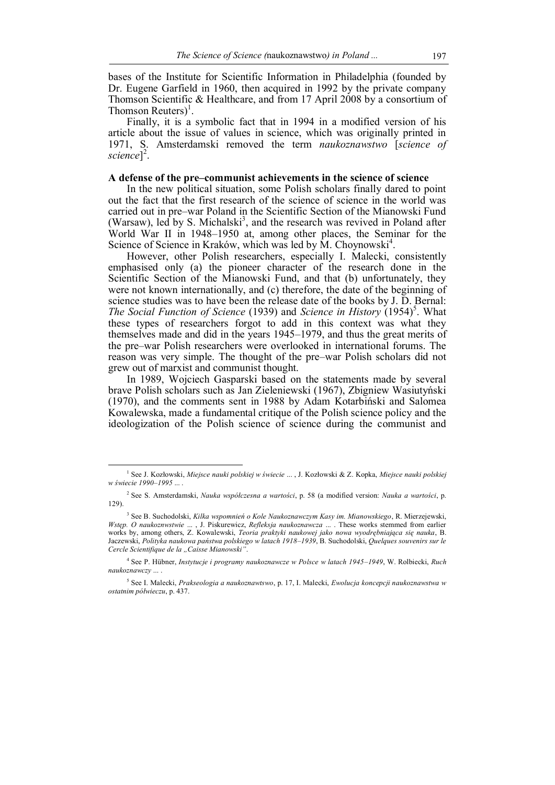bases of the Institute for Scientific Information in Philadelphia (founded by Dr. Eugene Garfield in 1960, then acquired in 1992 by the private company Thomson Scientific & Healthcare, and from 17 April 2008 by a consortium of Thomson Reuters $)^{1}$ .

Finally, it is a symbolic fact that in 1994 in a modified version of his article about the issue of values in science, which was originally printed in 1971, S. Amsterdamski removed the term *naukoznawstwo* [*science of*  science<sup>]2</sup>.

#### **A defense of the pre–communist achievements in the science of science**

In the new political situation, some Polish scholars finally dared to point out the fact that the first research of the science of science in the world was carried out in pre–war Poland in the Scientific Section of the Mianowski Fund (Warsaw), led by S. Michalski<sup>3</sup>, and the research was revived in Poland after World War II in 1948–1950 at, among other places, the Seminar for the Science of Science in Kraków, which was led by M. Choynowski<sup>4</sup>.

However, other Polish researchers, especially I. Malecki, consistently emphasised only (a) the pioneer character of the research done in the Scientific Section of the Mianowski Fund, and that (b) unfortunately, they were not known internationally, and (c) therefore, the date of the beginning of science studies was to have been the release date of the books by J. D. Bernal: The Social Function of Science (1939) and *Science in History* (1954)<sup>5</sup>. What these types of researchers forgot to add in this context was what they themselves made and did in the years 1945–1979, and thus the great merits of the pre–war Polish researchers were overlooked in international forums. The reason was very simple. The thought of the pre–war Polish scholars did not grew out of marxist and communist thought.

In 1989, Wojciech Gasparski based on the statements made by several brave Polish scholars such as Jan Zieleniewski (1967), Zbigniew Wasiutyński (1970), and the comments sent in 1988 by Adam Kotarbiński and Salomea Kowalewska, made a fundamental critique of the Polish science policy and the ideologization of the Polish science of science during the communist and

<sup>1</sup> See J. Kozłowski, *Miejsce nauki polskiej w świecie* ... , J. Kozłowski & Z. Kopka, *Miejsce nauki polskiej w świecie 1990–1995* ... .

<sup>2</sup> See S. Amsterdamski, *Nauka współczesna a wartości*, p. 58 (a modified version: *Nauka a wartości*, p. 129).

<sup>3</sup> See B. Suchodolski, *Kilka wspomnień o Kole Naukoznawczym Kasy im. Mianowskiego*, R. Mierzejewski, *Wstęp. O naukoznwstwie* ... , J. Piskurewicz, *Refleksja naukoznawcza* ... . These works stemmed from earlier works by, among others, Z. Kowalewski, *Teoria praktyki naukowej jako nowa wyodrębniająca się nauka*, B. Jaczewski, *Polityka naukowa państwa polskiego w latach 1918–1939*, B. Suchodolski, *Quelques souvenirs sur le Cercle Scientifique de la "Caisse Mianowski"*.

<sup>4</sup> See P. Hübner, *Instytucje i programy naukoznawcze w Polsce w latach 1945–1949*, W. Rolbiecki, *Ruch naukoznawczy* ... .

<sup>5</sup> See I. Malecki, *Prakseologia a naukoznawtswo*, p. 17, I. Malecki, *Ewolucja koncepcji naukoznawstwa w ostatnim półwieczu*, p. 437.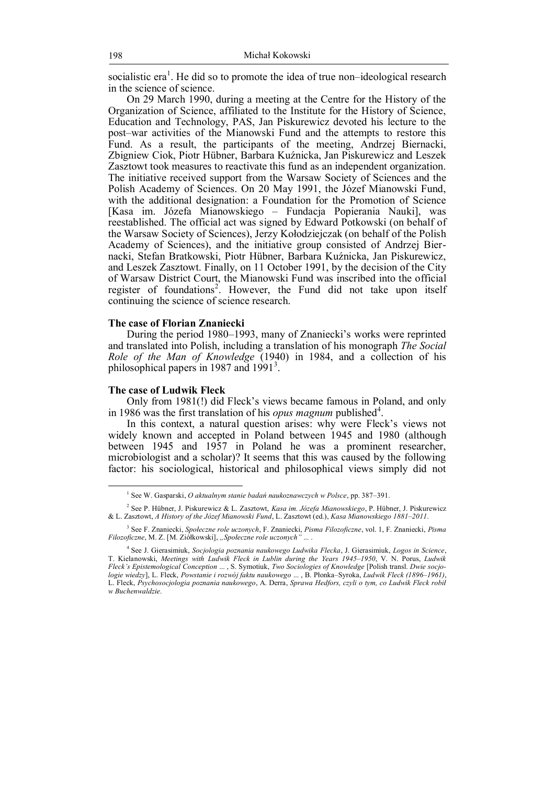socialistic era<sup>1</sup>. He did so to promote the idea of true non-ideological research in the science of science.

On 29 March 1990, during a meeting at the Centre for the History of the Organization of Science, affiliated to the Institute for the History of Science, Education and Technology, PAS, Jan Piskurewicz devoted his lecture to the post–war activities of the Mianowski Fund and the attempts to restore this Fund. As a result, the participants of the meeting, Andrzej Biernacki, Zbigniew Ciok, Piotr Hübner, Barbara Kuźnicka, Jan Piskurewicz and Leszek Zasztowt took measures to reactivate this fund as an independent organization. The initiative received support from the Warsaw Society of Sciences and the Polish Academy of Sciences. On 20 May 1991, the Józef Mianowski Fund, with the additional designation: a Foundation for the Promotion of Science [Kasa im. Józefa Mianowskiego – Fundacja Popierania Nauki], was reestablished. The official act was signed by Edward Potkowski (on behalf of the Warsaw Society of Sciences), Jerzy Kołodziejczak (on behalf of the Polish Academy of Sciences), and the initiative group consisted of Andrzej Biernacki, Stefan Bratkowski, Piotr Hübner, Barbara Kuźnicka, Jan Piskurewicz, and Leszek Zasztowt. Finally, on 11 October 1991, by the decision of the City of Warsaw District Court, the Mianowski Fund was inscribed into the official register of foundations<sup>2</sup>. However, the Fund did not take upon itself continuing the science of science research.

#### **The case of Florian Znaniecki**

During the period 1980–1993, many of Znaniecki's works were reprinted and translated into Polish, including a translation of his monograph *The Social Role of the Man of Knowledge* (1940) in 1984, and a collection of his philosophical papers in 1987 and 1991<sup>3</sup>.

#### **The case of Ludwik Fleck**

 $\overline{a}$ 

Only from 1981(!) did Fleck's views became famous in Poland, and only in 1986 was the first translation of his *opus magnum* published<sup>4</sup>.

In this context, a natural question arises: why were Fleck's views not widely known and accepted in Poland between 1945 and 1980 (although between 1945 and 1957 in Poland he was a prominent researcher, microbiologist and a scholar)? It seems that this was caused by the following factor: his sociological, historical and philosophical views simply did not

<sup>1</sup> See W. Gasparski, *O aktualnym stanie badań naukoznawczych w Polsce*, pp. 387–391.

<sup>2</sup> See P. Hübner, J. Piskurewicz & L. Zasztowt, *Kasa im. Józefa Mianowskiego*, P. Hübner, J. Piskurewicz & L. Zasztowt, *A History of the Józef Mianowski Fund*, L. Zasztowt (ed.), *Kasa Mianowskiego 1881–2011*.

<sup>3</sup> See F. Znaniecki, *Społeczne role uczonych*, F. Znaniecki, *Pisma Filozoficzne*, vol. 1, F. Znaniecki, *Pisma Filozoficzne*, M. Z. [M. Ziółkowski], *"Społeczne role uczonych"* ... .

<sup>4</sup> See J. Gierasimiuk, *Socjologia poznania naukowego Ludwika Flecka*, J. Gierasimiuk, *Logos in Science*, T. Kielanowski, *Meetings with Ludwik Fleck in Lublin during the Years 1945–1950*, V. N. Porus, *Ludwik Fleck's Epistemological Conception* ... , S. Symotiuk, *Тwo Sociologies of Knowledge* [Polish transl. *Dwie socjologie wiedzy*], L. Fleck, *Powstanie i rozwój faktu naukowego* ... , B. Płonka–Syroka, *Ludwik Fleck (1896–1961)*, L. Fleck, *Psychosocjologia poznania naukowego*, A. Derra, *Sprawa Hedfors, czyli o tym, co Ludwik Fleck robił w Buchenwaldzie*.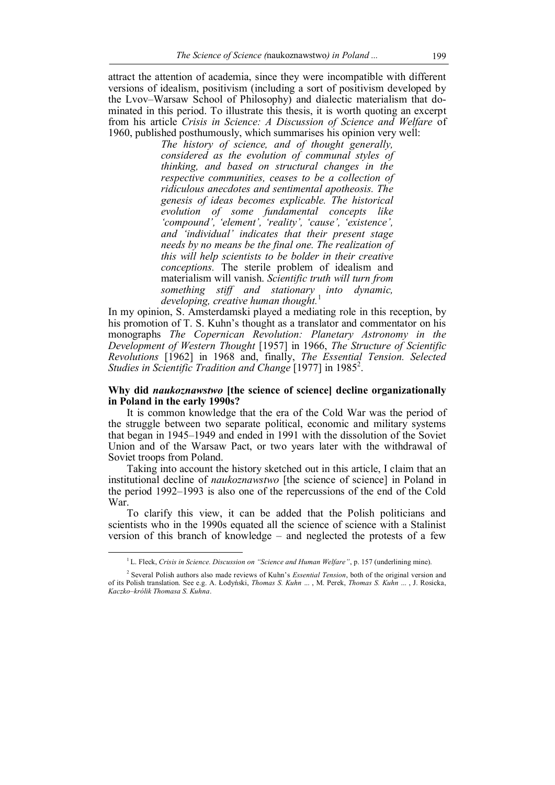attract the attention of academia, since they were incompatible with different versions of idealism, positivism (including a sort of positivism developed by the Lvov–Warsaw School of Philosophy) and dialectic materialism that dominated in this period. To illustrate this thesis, it is worth quoting an excerpt from his article *Crisis in Science: A Discussion of Science and Welfare* of 1960, published posthumously, which summarises his opinion very well:

> *The history of science, and of thought generally, considered as the evolution of communal styles of thinking, and based on structural changes in the respective communities, ceases to be a collection of ridiculous anecdotes and sentimental apotheosis. The genesis of ideas becomes explicable. The historical evolution of some fundamental concepts like 'compound', 'element', 'reality', 'cause', 'existence', and 'individual' indicates that their present stage needs by no means be the final one. The realization of this will help scientists to be bolder in their creative conceptions.* The sterile problem of idealism and materialism will vanish. *Scientific truth will turn from something stiff and stationary into dynamic, developing, creative human thought.*<sup>1</sup>

In my opinion, S. Amsterdamski played a mediating role in this reception, by his promotion of T. S. Kuhn's thought as a translator and commentator on his monographs *The Copernican Revolution: Planetary Astronomy in the Development of Western Thought* [1957] in 1966, *The Structure of Scientific Revolutions* [1962] in 1968 and, finally, *The Essential Tension. Selected*  Studies in Scientific Tradition and Change [1977] in 1985<sup>2</sup>.

# **Why did** *naukoznawstwo* **[the science of science] decline organizationally in Poland in the early 1990s?**

It is common knowledge that the era of the Cold War was the period of the struggle between two separate political, economic and military systems that began in 1945–1949 and ended in 1991 with the dissolution of the Soviet Union and of the Warsaw Pact, or two years later with the withdrawal of Soviet troops from Poland.

Taking into account the history sketched out in this article, I claim that an institutional decline of *naukoznawstwo* [the science of science] in Poland in the period 1992–1993 is also one of the repercussions of the end of the Cold War.

To clarify this view, it can be added that the Polish politicians and scientists who in the 1990s equated all the science of science with a Stalinist version of this branch of knowledge – and neglected the protests of a few

<sup>1</sup> L. Fleck, *Crisis in Science. Discussion on "Science and Human Welfare"*, p. 157 (underlining mine).

<sup>2</sup> Several Polish authors also made reviews of Kuhn's *Essential Tension*, both of the original version and of its Polish translation. See e.g. A. Łodyński, *Thomas S. Kuhn* ... , M. Perek, *Thomas S. Kuhn* ... , J. Rosicka, *Kaczko–królik Thomasa S. Kuhna*.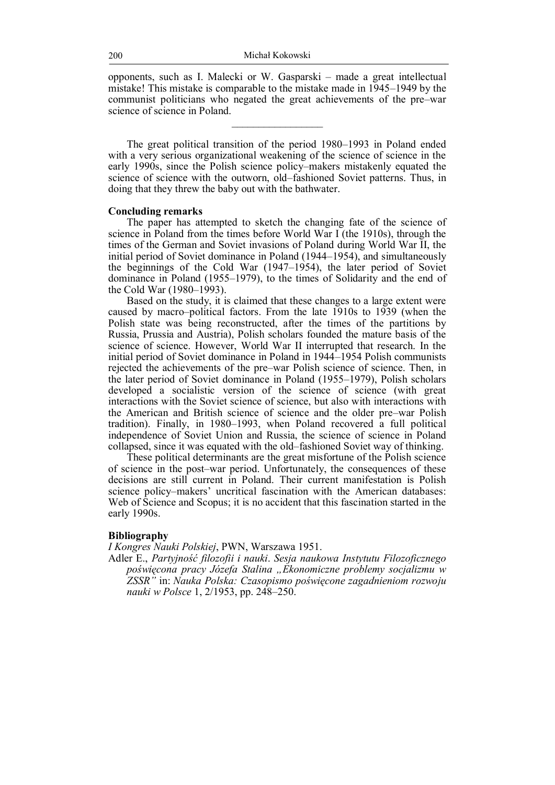opponents, such as I. Malecki or W. Gasparski – made a great intellectual mistake! This mistake is comparable to the mistake made in 1945–1949 by the communist politicians who negated the great achievements of the pre–war science of science in Poland.

 $\mathcal{L}_\text{max}$ 

The great political transition of the period 1980–1993 in Poland ended with a very serious organizational weakening of the science of science in the early 1990s, since the Polish science policy–makers mistakenly equated the science of science with the outworn, old–fashioned Soviet patterns. Thus, in doing that they threw the baby out with the bathwater.

# **Concluding remarks**

The paper has attempted to sketch the changing fate of the science of science in Poland from the times before World War I (the 1910s), through the times of the German and Soviet invasions of Poland during World War II, the initial period of Soviet dominance in Poland (1944–1954), and simultaneously the beginnings of the Cold War (1947–1954), the later period of Soviet dominance in Poland (1955–1979), to the times of Solidarity and the end of the Cold War (1980–1993).

Based on the study, it is claimed that these changes to a large extent were caused by macro–political factors. From the late 1910s to 1939 (when the Polish state was being reconstructed, after the times of the partitions by Russia, Prussia and Austria), Polish scholars founded the mature basis of the science of science. However, World War II interrupted that research. In the initial period of Soviet dominance in Poland in 1944–1954 Polish communists rejected the achievements of the pre–war Polish science of science. Then, in the later period of Soviet dominance in Poland (1955–1979), Polish scholars developed a socialistic version of the science of science (with great interactions with the Soviet science of science, but also with interactions with the American and British science of science and the older pre–war Polish tradition). Finally, in 1980–1993, when Poland recovered a full political independence of Soviet Union and Russia, the science of science in Poland collapsed, since it was equated with the old–fashioned Soviet way of thinking.

These political determinants are the great misfortune of the Polish science of science in the post–war period. Unfortunately, the consequences of these decisions are still current in Poland. Their current manifestation is Polish science policy–makers' uncritical fascination with the American databases: Web of Science and Scopus; it is no accident that this fascination started in the early 1990s.

## **Bibliography**

*I Kongres Nauki Polskiej*, PWN, Warszawa 1951.

Adler E., *Partyjność filozofii i nauki*. *Sesja naukowa Instytutu Filozoficznego poświęcona pracy Józefa Stalina "Ekonomiczne problemy socjalizmu w ZSSR"* in: *Nauka Polska: Czasopismo poświęcone zagadnieniom rozwoju nauki w Polsce* 1, 2/1953, pp. 248–250.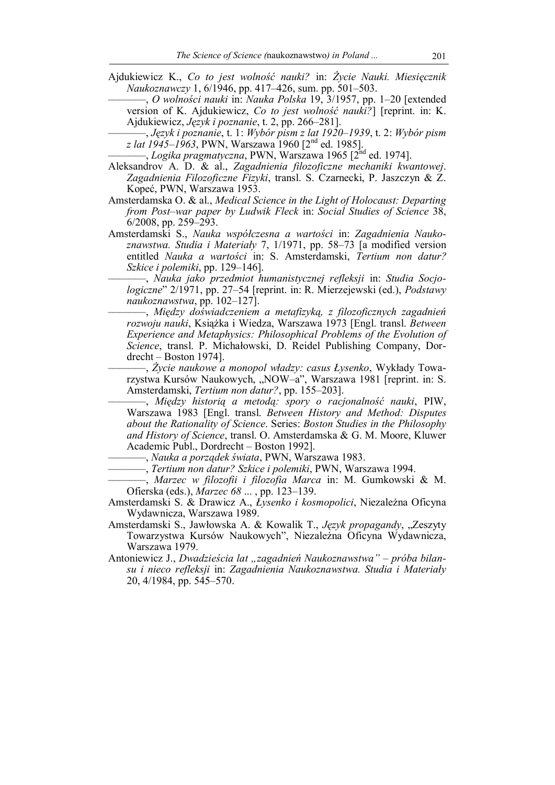- Ajdukiewicz K., *Co to jest wolność nauki?* in: *Życie Nauki. Miesięcznik Naukoznawczy* 1, 6/1946, pp. 417–426, sum. pp. 501–503.
	- –––––––, *O wolności nauki* in: *Nauka Polska* 19, 3/1957, pp. 1–20 [extended version of K. Ajdukiewicz, *Co to jest wolność nauki?*] [reprint. in: K. Ajdukiewicz, *Język i poznanie*, t. 2, pp. 266–281].

–––––––, *Język i poznanie*, t. 1: *Wybór pism z lat 1920–1939*, t. 2: *Wybór pism z lat 1945–1963*, PWN, Warszawa 1960 [2nd ed. 1985].

–––––––, *Logika pragmatyczna*, PWN, Warszawa 1965 [2nd ed. 1974].

- Aleksandrov A. D. & al., *Zagadnienia filozoficzne mechaniki kwantowej*. *Zagadnienia Filozoficzne Fizyki*, transl. S. Czarnecki, P. Jaszczyn & Z. Kopeć, PWN, Warszawa 1953.
- Amsterdamska O. & al., *Medical Science in the Light of Holocaust: Departing from Post–war paper by Ludwik Fleck* in: *Social Studies of Science* 38, 6/2008, pp. 259–293.
- Amsterdamski S., *Nauka współczesna a wartości* in: *Zagadnienia Naukoznawstwa. Studia i Materiały* 7, 1/1971, pp. 58–73 [a modified version entitled *Nauka a wartości* in: S. Amsterdamski, *Tertium non datur? Szkice i polemiki*, pp. 129–146].
	- –––––––, *Nauka jako przedmiot humanistycznej refleksji* in: *Studia Socjologiczne*" 2/1971, pp. 27–54 [reprint. in: R. Mierzejewski (ed.), *Podstawy naukoznawstwa*, pp. 102–127].
	- –––––––, *Między doświadczeniem a metafizyką, z filozoficznych zagadnień rozwoju nauki*, Książka i Wiedza, Warszawa 1973 [Engl. transl. *Between Experience and Metaphysics: Philosophical Problems of the Evolution of Science*, transl. P. Michałowski, D. Reidel Publishing Company, Dordrecht – Boston 1974].

–––––––, *Życie naukowe a monopol władzy: casus Łysenko*, Wykłady Towarzystwa Kursów Naukowych, "NOW-a", Warszawa 1981 [reprint. in: S. Amsterdamski, *Tertium non datur?*, pp. 155–203].

–––––––, *Między historią a metodą: spory o racjonalność nauki*, PIW, Warszawa 1983 [Engl. transl. *Between History and Method: Disputes about the Rationality of Science*. Series: *Boston Studies in the Philosophy and History of Science*, transl. O. Amsterdamska & G. M. Moore, Kluwer Academic Publ., Dordrecht – Boston 1992].

–––––––, *Nauka a porządek świata*, PWN, Warszawa 1983.

–––––––, *Tertium non datur? Szkice i polemiki*, PWN, Warszawa 1994.

–––––––, *Marzec w filozofii i filozofia Marca* in: M. Gumkowski & M. Ofierska (eds.), *Marzec 68* ... , pp. 123–139.

Amsterdamski S. & Drawicz A., *Łysenko i kosmopolici*, Niezależna Oficyna Wydawnicza, Warszawa 1989.

- Amsterdamski S., Jawłowska A. & Kowalik T., *Język propagandy*, "Zeszyty Towarzystwa Kursów Naukowych", Niezależna Oficyna Wydawnicza, Warszawa 1979.
- Antoniewicz J., *Dwadzieścia lat "zagadnień Naukoznawstwa" próba bilansu i nieco refleksji* in: *Zagadnienia Naukoznawstwa. Studia i Materiały* 20, 4/1984, pp. 545–570.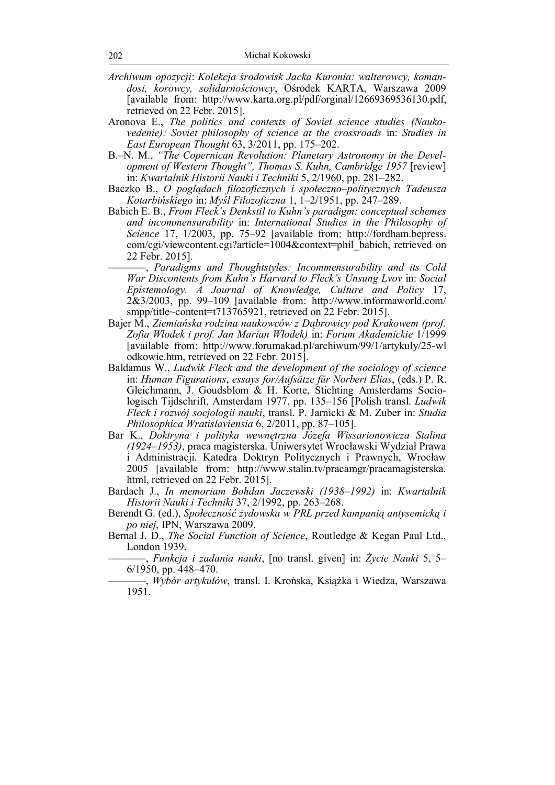- *Archiwum opozycji*: *Kolekcja środowisk Jacka Kuronia: walterowcy, komandosi, korowcy, solidarnościowcy*, Ośrodek KARTA, Warszawa 2009 [available from: http://www.karta.org.pl/pdf/orginal/12669369536130.pdf, retrieved on 22 Febr. 2015].
- Aronova E., *The politics and contexts of Soviet science studies (Naukovedenie): Soviet philosophy of science at the crossroads* in: *Studies in East European Thought* 63, 3/2011, pp. 175–202.
- B.–N. M., *"The Copernican Revolution: Planetary Astronomy in the Development of Western Thought", Thomas S. Kuhn, Cambridge 1957* [review] in: *Kwartalnik Historii Nauki i Techniki* 5, 2/1960, pp. 281–282.
- Baczko B., *O poglądach filozoficznych i społeczno–politycznych Tadeusza Kotarbińskiego* in: *Myśl Filozoficzna* 1, 1–2/1951, pp. 247–289.
- Babich E. B., *From Fleck's Denkstil to Kuhn's paradigm: conceptual schemes and incommensurability* in: *International Studies in the Philosophy of Science* 17, 1/2003, pp. 75–92 [available from: http://fordham.bepress. com/cgi/viewcontent.cgi?article=1004&context=phil\_babich, retrieved on 22 Febr. 2015].

–––––––, *Paradigms and Thoughtstyles: Incommensurability and its Cold War Discontents from Kuhn's Harvard to Fleck's Unsung Lvov* in: *Social Epistemology. A Journal of Knowledge, Culture and Policy* 17, 2&3/2003, pp. 99–109 [available from: http://www.informaworld.com/ smpp/title~content=t713765921, retrieved on 22 Febr. 2015].

- Bajer M., *Ziemiańska rodzina naukowców z Dąbrowicy pod Krakowem (prof. Zofia Włodek i prof. Jan Marian Włodek)* in: *Forum Akademickie* 1/1999 [available from: http://www.forumakad.pl/archiwum/99/1/artykuly/25-wl odkowie.htm, retrieved on 22 Febr. 2015].
- Baldamus W., *Ludwik Fleck and the development of the sociology of science* in: *Human Figurations*, *essays for/Aufsätze für Norbert Elias*, (eds.) P. R. Gleichmann, J. Goudsblom & H. Korte, Stichting Amsterdams Sociologisch Tijdschrift, Amsterdam 1977, pp. 135–156 [Polish transl. *Ludwik Fleck i rozwój socjologii nauki*, transl. P. Jarnicki & M. Zuber in: *Studia Philosophica Wratislaviensia* 6, 2/2011, pp. 87–105].
- Bar K., *Doktryna i polityka wewnętrzna Józefa Wissarionowicza Stalina (1924–1953)*, praca magisterska. Uniwersytet Wrocławski Wydział Prawa i Administracji. Katedra Doktryn Politycznych i Prawnych, Wrocław 2005 [available from: http://www.stalin.tv/pracamgr/pracamagisterska. html, retrieved on 22 Febr. 2015].
- Bardach J., *In memoriam Bohdan Jaczewski (1938–1992)* in: *Kwartalnik Historii Nauki i Techniki* 37, 2/1992, pp. 263–268.
- Berendt G. (ed.), *Społeczność żydowska w PRL przed kampanią antysemicką i po niej*, IPN, Warszawa 2009.
- Bernal J. D., *The Social Function of Science*, Routledge & Kegan Paul Ltd., London 1939.

–––––––, *Funkcja i zadania nauki*, [no transl. given] in: *Życie Nauki* 5, 5– 6/1950, pp. 448–470.

–––––––, *Wybór artykułów*, transl. I. Krońska, Książka i Wiedza, Warszawa 1951.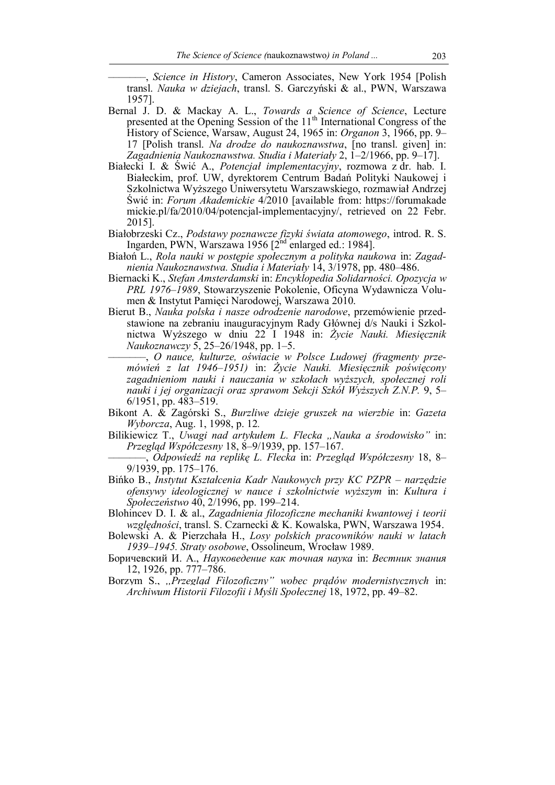–––––––, *Science in History*, Cameron Associates, New York 1954 [Polish transl. *Nauka w dziejach*, transl. S. Garczyński & al., PWN, Warszawa 1957].

- Bernal J. D. & Mackay A. L., *Towards a Science of Science*, Lecture presented at the Opening Session of the  $11<sup>th</sup>$  International Congress of the History of Science, Warsaw, August 24, 1965 in: *Organon* 3, 1966, pp. 9– 17 [Polish transl. *Na drodze do naukoznawstwa*, [no transl. given] in: *Zagadnienia Naukoznawstwa. Studia i Materiały* 2, 1–2/1966, pp. 9–17].
- Białecki I. & Świć A., *Potencjał implementacyjny*, rozmowa z dr. hab. I. Białeckim, prof. UW, dyrektorem Centrum Badań Polityki Naukowej i Szkolnictwa Wyższego Uniwersytetu Warszawskiego, rozmawiał Andrzej Świć in: *Forum Akademickie* 4/2010 [available from: https://forumakade mickie.pl/fa/2010/04/potencjal-implementacyjny/, retrieved on 22 Febr. 2015].
- Białobrzeski Cz., *Podstawy poznawcze fizyki świata atomowego*, introd. R. S. Ingarden, PWN, Warszawa 1956  $[2^{nd}$  enlarged ed.: 1984].
- Białoń L., *Rola nauki w postępie społecznym a polityka naukowa* in: *Zagadnienia Naukoznawstwa. Studia i Materiały* 14, 3/1978, pp. 480–486.
- Biernacki K., *Stefan Amsterdamski* in: *Encyklopedia Solidarności. Opozycja w PRL 1976–1989*, Stowarzyszenie Pokolenie, Oficyna Wydawnicza Volumen & Instytut Pamięci Narodowej, Warszawa 2010.
- Bierut B., *Nauka polska i nasze odrodzenie narodowe*, przemówienie przedstawione na zebraniu inauguracyjnym Rady Głównej d/s Nauki i Szkolnictwa Wyższego w dniu 22 I 1948 in: *Życie Nauki. Miesięcznik Naukoznawczy* 5, 25–26/1948, pp. 1–5.
	- –––––––, *O nauce, kulturze, oświacie w Polsce Ludowej (fragmenty przemówień z lat 1946–1951)* in: *Życie Nauki. Miesięcznik poświęcony zagadnieniom nauki i nauczania w szkołach wyższych, społecznej roli nauki i jej organizacji oraz sprawom Sekcji Szkół Wyższych Z.N.P.* 9, 5– 6/1951, pp. 483–519.
- Bikont A. & Zagórski S., *Burzliwe dzieje gruszek na wierzbie* in: *Gazeta Wyborcza*, Aug. 1, 1998, p. 12*.*
- Bilikiewicz T., *Uwagi nad artykułem L. Flecka "Nauka a środowisko"* in: *Przegląd Współczesny* 18, 8–9/1939, pp. 157–167.
	- –––––––, *Odpowiedź na replikę L. Flecka* in: *Przegląd Współczesny* 18, 8– 9/1939, pp. 175–176.
- Bińko B., *Instytut Kształcenia Kadr Naukowych przy KC PZPR narzędzie ofensywy ideologicznej w nauce i szkolnictwie wyższym* in: *Kultura i Społeczeństwo* 40, 2/1996, pp. 199–214.
- Blohincev D. I. & al., *Zagadnienia filozoficzne mechaniki kwantowej i teorii względności*, transl. S. Czarnecki & K. Kowalska, PWN, Warszawa 1954.
- Bolewski A. & Pierzchała H., *Losy polskich pracowników nauki w latach 1939–1945. Straty osobowe*, Ossolineum, Wrocław 1989.
- Боричевский И. А., *Науковедение как точная наука* in: *Вестник знания* 12, 1926, pp. 777–786.
- Borzym S., *,,Przegląd Filozoficzny" wobec prądów modernistycznych* in: *Archiwum Historii Filozofii i Myśli Społecznej* 18, 1972, pp. 49–82.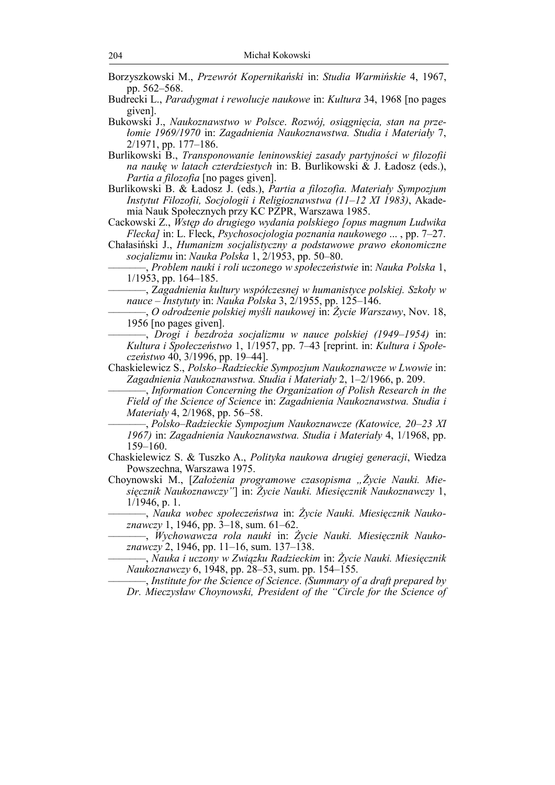- Borzyszkowski M., *Przewrót Kopernikański* in: *Studia Warmińskie* 4, 1967, pp. 562–568.
- Budrecki L., *Paradygmat i rewolucje naukowe* in: *Kultura* 34, 1968 [no pages given].
- Bukowski J., *Naukoznawstwo w Polsce*. *Rozwój, osiągnięcia, stan na przełomie 1969/1970* in: *Zagadnienia Naukoznawstwa. Studia i Materiały* 7, 2/1971, pp. 177–186.
- Burlikowski B., *Transponowanie leninowskiej zasady partyjności w filozofii na naukę w latach czterdziestych* in: B. Burlikowski & J. Ładosz (eds.), *Partia a filozofia* [no pages given].
- Burlikowski B. & Ładosz J. (eds.), *Partia a filozofia. Materiały Sympozjum Instytut Filozofii, Socjologii i Religioznawstwa (11–12 XI 1983)*, Akademia Nauk Społecznych przy KC PZPR, Warszawa 1985.
- Cackowski Z., *Wstęp do drugiego wydania polskiego [opus magnum Ludwika Flecka]* in: L. Fleck, *Psychosocjologia poznania naukowego* ... , pp. 7–27.
- Chałasiński J., *Humanizm socjalistyczny a podstawowe prawo ekonomiczne socjalizmu* in: *Nauka Polska* 1, 2/1953, pp. 50–80.
	- –––––––, *Problem nauki i roli uczonego w społeczeństwie* in: *Nauka Polska* 1, 1/1953, pp. 164–185.

–––––––, Z*agadnienia kultury współczesnej w humanistyce polskiej. Szkoły w nauce – Instytuty* in: *Nauka Polska* 3, 2/1955, pp. 125–146.

- –––––––, *O odrodzenie polskiej myśli naukowej* in: *Życie Warszawy*, Nov. 18, 1956 [no pages given].
- –––––––, *Drogi i bezdroża socjalizmu w nauce polskiej (1949–1954)* in: *Kultura i Społeczeństwo* 1, 1/1957, pp. 7–43 [reprint. in: *Kultura i Społeczeństwo* 40, 3/1996, pp. 19–44].
- Chaskielewicz S., *Polsko–Radzieckie Sympozjum Naukoznawcze w Lwowie* in: *Zagadnienia Naukoznawstwa. Studia i Materiały* 2, 1–2/1966, p. 209.

–––––––, *Information Concerning the Organization of Polish Research in the Field of the Science of Science* in: *Zagadnienia Naukoznawstwa. Studia i Materiały* 4, 2/1968, pp. 56–58.

–––––––, *Polsko–Radzieckie Sympozjum Naukoznawcze (Katowice, 20–23 XI 1967)* in: *Zagadnienia Naukoznawstwa. Studia i Materiały* 4, 1/1968, pp. 159–160.

- Chaskielewicz S. & Tuszko A., *Polityka naukowa drugiej generacji*, Wiedza Powszechna, Warszawa 1975.
- Choynowski M., [*Założenia programowe czasopisma "Życie Nauki. Miesięcznik Naukoznawczy"*] in: *Życie Nauki. Miesięcznik Naukoznawczy* 1, 1/1946, p. 1.
	- –––––––, *Nauka wobec społeczeństwa* in: *Życie Nauki. Miesięcznik Naukoznawczy* 1, 1946, pp. 3–18, sum. 61–62.
	- –––––––, *Wychowawcza rola nauki* in: *Życie Nauki. Miesięcznik Naukoznawczy* 2, 1946, pp. 11–16, sum. 137–138.
	- –––––––, *Nauka i uczony w Związku Radzieckim* in: *Życie Nauki. Miesięcznik Naukoznawczy* 6, 1948, pp. 28–53, sum. pp. 154–155.

<sup>–––––––,</sup> *Institute for the Science of Science*. *(Summary of a draft prepared by Dr. Mieczysław Choynowski, President of the "Circle for the Science of*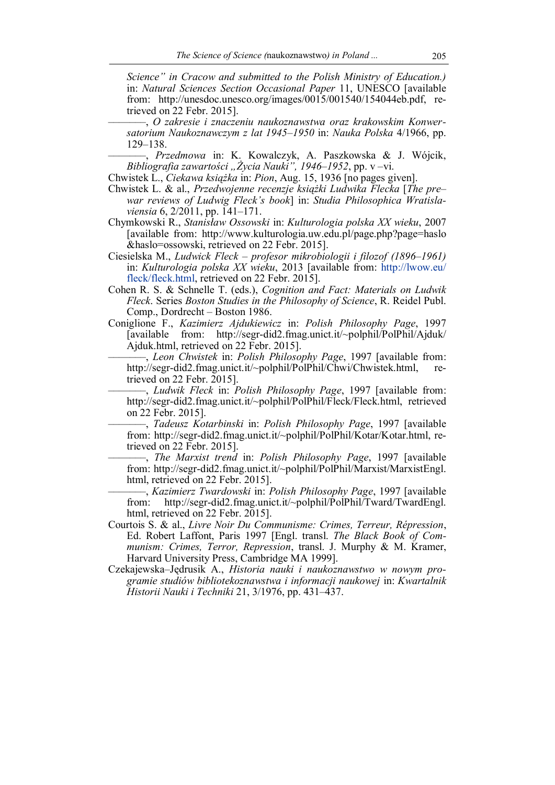*Science" in Cracow and submitted to the Polish Ministry of Education.)* in: *Natural Sciences Section Occasional Paper* 11, UNESCO [available from: http://unesdoc.unesco.org/images/0015/001540/154044eb.pdf, retrieved on 22 Febr. 2015].

–––––––, *O zakresie i znaczeniu naukoznawstwa oraz krakowskim Konwersatorium Naukoznawczym z lat 1945–1950* in: *Nauka Polska* 4/1966, pp. 129–138.

–––––––, *Przedmowa* in: K. Kowalczyk, A. Paszkowska & J. Wójcik, *Bibliografia zawartości "Życia Nauki", 1946–1952*, pp. v –vi.

Chwistek L., *Ciekawa książka* in: *Pion*, Aug. 15, 1936 [no pages given].

- Chwistek L. & al., *Przedwojenne recenzje książki Ludwika Flecka* [*The pre– war reviews of Ludwig Fleck's book*] in: *Studia Philosophica Wratislaviensia* 6, 2/2011, pp. 141–171.
- Chymkowski R., *Stanisław Ossowski* in: *Kulturologia polska XX wieku*, 2007 [available from: http://www.kulturologia.uw.edu.pl/page.php?page=haslo &haslo=ossowski, retrieved on 22 Febr. 2015].
- Ciesielska M., *Ludwick Fleck profesor mikrobiologii i filozof (1896–1961)* in: *Kulturologia polska XX wieku*, 2013 [available from: http://lwow.eu/ fleck/fleck.html, retrieved on 22 Febr. 2015].
- Cohen R. S. & Schnelle T. (eds.), *Cognition and Fact: Materials on Ludwik Fleck*. Series *Boston Studies in the Philosophy of Science*, R. Reidel Publ. Comp., Dordrecht – Boston 1986.
- Coniglione F., *Kazimierz Ajdukiewicz* in: *Polish Philosophy Page*, 1997 [available from: http://segr-did2.fmag.unict.it/~polphil/PolPhil/Ajduk/ Ajduk.html, retrieved on 22 Febr. 2015].
	- –––––––, *Leon Chwistek* in: *Polish Philosophy Page*, 1997 [available from: http://segr-did2.fmag.unict.it/~polphil/PolPhil/Chwi/Chwistek.html, retrieved on 22 Febr. 2015].
	- –––––––, *Ludwik Fleck* in: *Polish Philosophy Page*, 1997 [available from: http://segr-did2.fmag.unict.it/~polphil/PolPhil/Fleck/Fleck.html, retrieved on 22 Febr. 2015].
	- –––––––, *Tadeusz Kotarbinski* in: *Polish Philosophy Page*, 1997 [available from: http://segr-did2.fmag.unict.it/~polphil/PolPhil/Kotar/Kotar.html, retrieved on 22 Febr. 2015].
	- –––––––, *The Marxist trend* in: *Polish Philosophy Page*, 1997 [available from: http://segr-did2.fmag.unict.it/~polphil/PolPhil/Marxist/MarxistEngl. html, retrieved on 22 Febr. 2015].
	- –––––––, *Kazimierz Twardowski* in: *Polish Philosophy Page*, 1997 [available from: http://segr-did2.fmag.unict.it/~polphil/PolPhil/Tward/TwardEngl. html, retrieved on 22 Febr. 2015].
- Courtois S. & al., *Livre Noir Du Communisme: Crimes, Terreur, Répression*, Ed. Robert Laffont, Paris 1997 [Engl. transl. *The Black Book of Communism: Crimes, Terror, Repression*, transl. J. Murphy & M. Kramer, Harvard University Press, Cambridge MA 1999].
- Czekajewska–Jędrusik A., *Historia nauki i naukoznawstwo w nowym programie studiów bibliotekoznawstwa i informacji naukowej* in: *Kwartalnik Historii Nauki i Techniki* 21, 3/1976, pp. 431–437.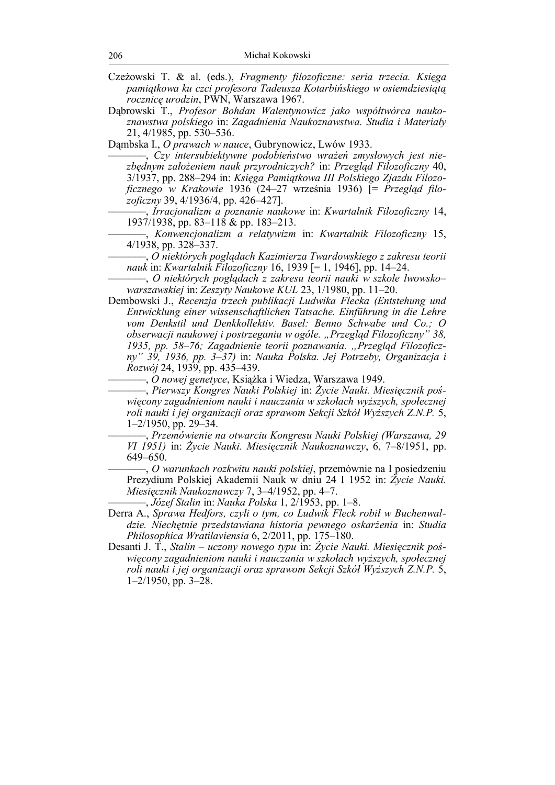- Czeżowski T. & al. (eds.), *Fragmenty filozoficzne: seria trzecia. Księga pamiątkowa ku czci profesora Tadeusza Kotarbińskiego w osiemdziesiątą rocznicę urodzin*, PWN, Warszawa 1967.
- Dąbrowski T., *Profesor Bohdan Walentynowicz jako współtwórca naukoznawstwa polskiego* in: *Zagadnienia Naukoznawstwa. Studia i Materiały* 21, 4/1985, pp. 530–536.
- Dąmbska I., *O prawach w nauce*, Gubrynowicz, Lwów 1933.

–––––––, *Czy intersubiektywne podobieństwo wrażeń zmysłowych jest niezbędnym założeniem nauk przyrodniczych?* in: *Przegląd Filozoficzny* 40, 3/1937, pp. 288–294 in: *Księga Pamiątkowa III Polskiego Zjazdu Filozoficznego w Krakowie* 1936 (24–27 września 1936) [= *Przegląd filozoficzny* 39, 4/1936/4, pp. 426–427].

–––––––, *Irracjonalizm a poznanie naukowe* in: *Kwartalnik Filozoficzny* 14, 1937/1938, pp. 83–118 & pp. 183–213.

–––––––, *Konwencjonalizm a relatywizm* in: *Kwartalnik Filozoficzny* 15, 4/1938, pp. 328–337.

–––––––, *O niektórych poglądach Kazimierza Twardowskiego z zakresu teorii nauk* in: *Kwartalnik Filozoficzny* 16, 1939 [= 1, 1946], pp. 14–24.

–––––––, *O niektórych poglądach z zakresu teorii nauki w szkole lwowsko– warszawskiej* in: *Zeszyty Naukowe KUL* 23, 1/1980, pp. 11–20.

Dembowski J., *Recenzja trzech publikacji Ludwika Flecka (Entstehung und Entwicklung einer wissenschaftlichen Tatsache. Einführung in die Lehre vom Denkstil und Denkkollektiv. Basel: Benno Schwabe und Co.; O obserwacji naukowej i postrzeganiu w ogóle. "Przegląd Filozoficzny" 38, 1935, pp. 58–76; Zagadnienie teorii poznawania. "Przegląd Filozoficzny" 39, 1936, pp. 3–37)* in: *Nauka Polska. Jej Potrzeby, Organizacja i Rozwój* 24, 1939, pp. 435–439.

–––––––, *O nowej genetyce*, Książka i Wiedza, Warszawa 1949.

–––––––, *Pierwszy Kongres Nauki Polskiej* in: *Życie Nauki. Miesięcznik poświęcony zagadnieniom nauki i nauczania w szkołach wyższych, społecznej roli nauki i jej organizacji oraz sprawom Sekcji Szkół Wyższych Z.N.P.* 5, 1–2/1950, pp. 29–34.

–––––––, *Przemówienie na otwarciu Kongresu Nauki Polskiej (Warszawa, 29 VI 1951)* in: *Życie Nauki. Miesięcznik Naukoznawczy*, 6, 7–8/1951, pp. 649–650.

–––––––, *O warunkach rozkwitu nauki polskiej*, przemównie na I posiedzeniu Prezydium Polskiej Akademii Nauk w dniu 24 I 1952 in: *Życie Nauki. Miesięcznik Naukoznawczy* 7, 3–4/1952, pp. 4–7.

–––––––, *Józef Stalin* in: *Nauka Polska* 1, 2/1953, pp. 1–8.

- Derra A., *Sprawa Hedfors, czyli o tym, co Ludwik Fleck robił w Buchenwaldzie. Niechętnie przedstawiana historia pewnego oskarżenia* in: *Studia Philosophica Wratilaviensia* 6, 2/2011, pp. 175–180.
- Desanti J. T., *Stalin uczony nowego typu* in: *Życie Nauki. Miesięcznik poświęcony zagadnieniom nauki i nauczania w szkołach wyższych, społecznej roli nauki i jej organizacji oraz sprawom Sekcji Szkół Wyższych Z.N.P.* 5, 1–2/1950, pp. 3–28.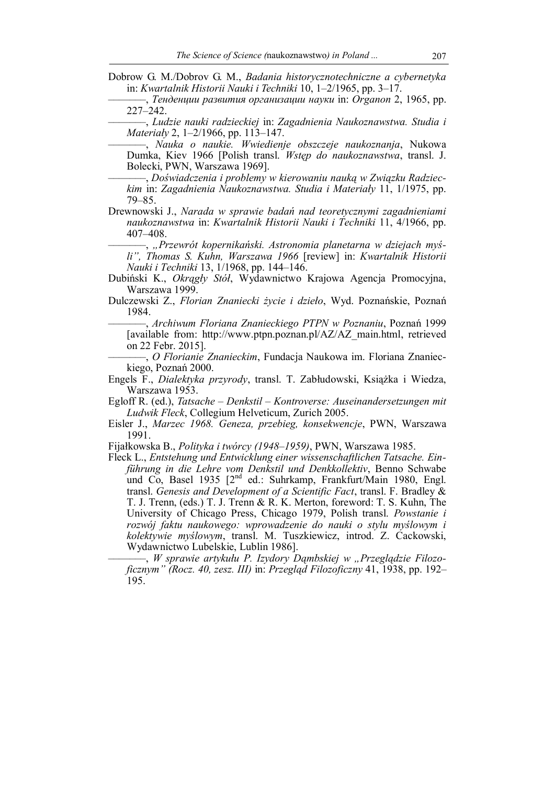- Dobrow G. M./Dobrov G. M., *Badania historycznotechniczne a cybernetyka* in: *Kwartalnik Historii Nauki i Techniki* 10, 1–2/1965, pp. 3–17.
	- –––––––, *Тенденции развития организации науки* in: *Organon* 2, 1965, pp. 227–242.

–––––––, *Ludzie nauki radzieckiej* in: *Zagadnienia Naukoznawstwa. Studia i Materiały* 2, 1–2/1966, pp. 113–147.

–––––––, *Nauka o naukie. Wwiedienje obszczeje naukoznanja*, Nukowa Dumka, Kiev 1966 [Polish transl. *Wstęp do naukoznawstwa*, transl. J. Bolecki, PWN, Warszawa 1969].

–––––––, *Doświadczenia i problemy w kierowaniu nauką w Związku Radzieckim* in: *Zagadnienia Naukoznawstwa. Studia i Materiały* 11, 1/1975, pp. 79–85.

Drewnowski J., *Narada w sprawie badań nad teoretycznymi zagadnieniami naukoznawstwa* in: *Kwartalnik Historii Nauki i Techniki* 11, 4/1966, pp. 407–408.

–––––––, *"Przewrót kopernikański. Astronomia planetarna w dziejach myśli", Thomas S. Kuhn, Warszawa 1966* [review] in: *Kwartalnik Historii Nauki i Techniki* 13, 1/1968, pp. 144–146.

Dubiński K., *Okrągły Stół*, Wydawnictwo Krajowa Agencja Promocyjna, Warszawa 1999.

- Dulczewski Z., *Florian Znaniecki życie i dzieło*, Wyd. Poznańskie, Poznań 1984.
	- –––––––, *Archiwum Floriana Znanieckiego PTPN w Poznaniu*, Poznań 1999 [available from: http://www.ptpn.poznan.pl/AZ/AZ\_main.html, retrieved on 22 Febr. 2015].

–––––––, *O Florianie Znanieckim*, Fundacja Naukowa im. Floriana Znanieckiego, Poznań 2000.

Engels F., *Dialektyka przyrody*, transl. T. Zabłudowski, Książka i Wiedza, Warszawa 1953.

Egloff R. (ed.), *Tatsache – Denkstil – Kontroverse: Auseinandersetzungen mit Ludwik Fleck*, Collegium Helveticum, Zurich 2005.

- Eisler J., *Marzec 1968. Geneza, przebieg, konsekwencje*, PWN, Warszawa 1991.
- Fijałkowska B., *Polityka i twórcy (1948–1959)*, PWN, Warszawa 1985.
- Fleck L., *Entstehung und Entwicklung einer wissenschaftlichen Tatsache. Einführung in die Lehre vom Denkstil und Denkkollektiv*, Benno Schwabe und Co, Basel 1935  $[2^{nd}$  ed.: Suhrkamp, Frankfurt/Main 1980, Engl. transl. *Genesis and Development of a Scientific Fact*, transl. F. Bradley & T. J. Trenn, (eds.) T. J. Trenn & R. K. Merton, foreword: T. S. Kuhn, The University of Chicago Press, Chicago 1979, Polish transl. *Powstanie i rozwój faktu naukowego: wprowadzenie do nauki o stylu myślowym i kolektywie myślowym*, transl. M. Tuszkiewicz, introd. Z. Cackowski, Wydawnictwo Lubelskie, Lublin 1986].

–––––––, *W sprawie artykułu P. Izydory Dąmbskiej w "Przeglądzie Filozoficznym" (Rocz. 40, zesz. III)* in: *Przegląd Filozoficzny* 41, 1938, pp. 192– 195.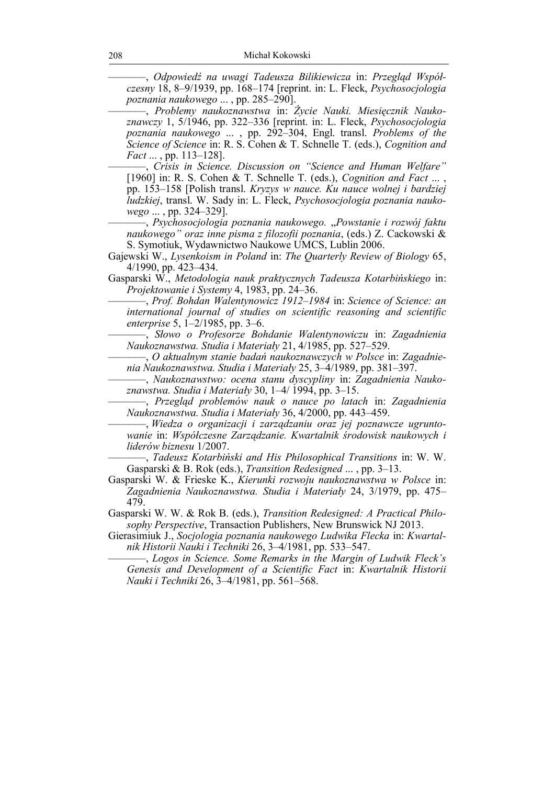–––––––, *Odpowiedź na uwagi Tadeusza Bilikiewicza* in: *Przegląd Współczesny* 18, 8–9/1939, pp. 168–174 [reprint. in: L. Fleck, *Psychosocjologia poznania naukowego* ... , pp. 285–290].

–––––––, *Problemy naukoznawstwa* in: *Życie Nauki. Miesięcznik Naukoznawczy* 1, 5/1946, pp. 322–336 [reprint. in: L. Fleck, *Psychosocjologia poznania naukowego* ... , pp. 292–304, Engl. transl. *Problems of the Science of Science* in: R. S. Cohen & T. Schnelle T. (eds.), *Cognition and Fact* ... , pp. 113–128].

–––––––, *Crisis in Science. Discussion on "Science and Human Welfare"*  [1960] in: R. S. Cohen & T. Schnelle T. (eds.), *Cognition and Fact* ... , pp. 153–158 [Polish transl. *Kryzys w nauce. Ku nauce wolnej i bardziej ludzkiej*, transl. W. Sady in: L. Fleck, *Psychosocjologia poznania naukowego* ... , pp. 324–329].

–––––––, *Psychosocjologia poznania naukowego.* "*Powstanie i rozwój faktu naukowego" oraz inne pisma z filozofii poznania*, (eds.) Z. Cackowski & S. Symotiuk, Wydawnictwo Naukowe UMCS, Lublin 2006.

Gajewski W., *Lysenkoism in Poland* in: *The Quarterly Review of Biology* 65, 4/1990, pp. 423–434.

Gasparski W., *Metodologia nauk praktycznych Tadeusza Kotarbińskiego* in: *Projektowanie i Systemy* 4, 1983, pp. 24–36.

–––––––, *Prof. Bohdan Walentynowicz 1912–1984* in: *Science of Science: an international journal of studies on scientific reasoning and scientific enterprise* 5, 1–2/1985, pp. 3–6.

–––––––, *Słowo o Profesorze Bohdanie Walentynowiczu* in: *Zagadnienia Naukoznawstwa. Studia i Materiały* 21, 4/1985, pp. 527–529.

–––––––, *O aktualnym stanie badań naukoznawczych w Polsce* in: *Zagadnienia Naukoznawstwa. Studia i Materiały* 25, 3–4/1989, pp. 381–397.

–––––––, *Naukoznawstwo: ocena stanu dyscypliny* in: *Zagadnienia Naukoznawstwa. Studia i Materiały* 30, 1–4/ 1994, pp. 3–15.

–––––––, *Przegląd problemów nauk o nauce po latach* in: *Zagadnienia Naukoznawstwa. Studia i Materiały* 36, 4/2000, pp. 443–459.

–––––––, *Wiedza o organizacji i zarządzaniu oraz jej poznawcze ugruntowanie* in: *Współczesne Zarządzanie. Kwartalnik środowisk naukowych i liderów biznesu* 1/2007.

–––––––, *Tadeusz Kotarbiński and His Philosophical Transitions* in: W. W. Gasparski & B. Rok (eds.), *Transition Redesigned* ... , pp. 3–13.

Gasparski W. & Frieske K., *Kierunki rozwoju naukoznawstwa w Polsce* in: *Zagadnienia Naukoznawstwa. Studia i Materiały* 24, 3/1979, pp. 475– 479.

Gasparski W. W. & Rok B. (eds.), *Transition Redesigned: A Practical Philosophy Perspective*, Transaction Publishers, New Brunswick NJ 2013.

Gierasimiuk J., *Socjologia poznania naukowego Ludwika Flecka* in: *Kwartalnik Historii Nauki i Techniki* 26, 3–4/1981, pp. 533–547.

–––––––, *Logos in Science. Some Remarks in the Margin of Ludwik Fleck's Genesis and Development of a Scientific Fact* in: *Kwartalnik Historii Nauki i Techniki* 26, 3–4/1981, pp. 561–568.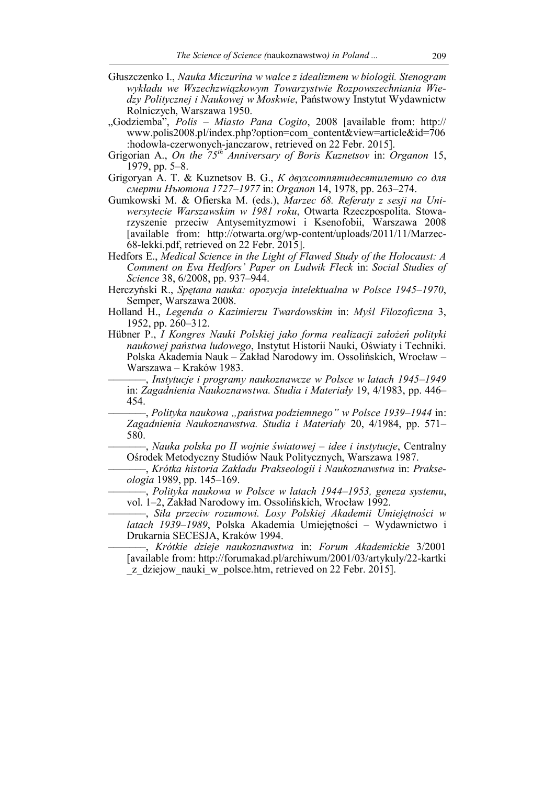- Głuszczenko I., *Nauka Miczurina w walce z idealizmem w biologii. Stenogram wykładu we Wszechzwiązkowym Towarzystwie Rozpowszechniania Wiedzy Politycznej i Naukowej w Moskwie*, Państwowy Instytut Wydawnictw Rolniczych, Warszawa 1950.
- "Godziemba", *Polis – Miasto Pana Cogito*, 2008 [available from: http:// www.polis2008.pl/index.php?option=com\_content&view=article&id=706 :hodowla-czerwonych-janczarow, retrieved on 22 Febr. 2015].
- Grigorian A., *On the 75th Anniversary of Boris Kuznetsov* in: *Organon* 15, 1979, pp. 5–8.
- Grigoryan A. T. & Kuznetsov B. G., *К двухсотпятидесятилетию со для смерти Нъютона 1727–1977* in: *Organon* 14, 1978, pp. 263–274.
- Gumkowski M. & Ofierska M. (eds.), *Marzec 68. Referaty z sesji na Uniwersytecie Warszawskim w 1981 roku*, Otwarta Rzeczpospolita. Stowarzyszenie przeciw Antysemityzmowi i Ksenofobii, Warszawa 2008 [available from: http://otwarta.org/wp-content/uploads/2011/11/Marzec-68-lekki.pdf, retrieved on 22 Febr. 2015].
- Hedfors E., *Medical Science in the Light of Flawed Study of the Holocaust: A Comment on Eva Hedfors' Paper on Ludwik Fleck* in: *Social Studies of Science* 38, 6/2008, pp. 937–944.
- Herczyński R., *Spętana nauka: opozycja intelektualna w Polsce 1945–1970*, Semper, Warszawa 2008.
- Holland H., *Legenda o Kazimierzu Twardowskim* in: *Myśl Filozoficzna* 3, 1952, pp. 260–312.
- Hübner P., *I Kongres Nauki Polskiej jako forma realizacji założeń polityki naukowej państwa ludowego*, Instytut Historii Nauki, Oświaty i Techniki. Polska Akademia Nauk – Zakład Narodowy im. Ossolińskich, Wrocław – Warszawa – Kraków 1983.

–––––––, *Instytucje i programy naukoznawcze w Polsce w latach 1945–1949* in: *Zagadnienia Naukoznawstwa. Studia i Materiały* 19, 4/1983, pp. 446– 454.

–––––––, *Polityka naukowa "państwa podziemnego" w Polsce 1939–1944* in: *Zagadnienia Naukoznawstwa. Studia i Materiały* 20, 4/1984, pp. 571– 580.

–––––––, *Nauka polska po II wojnie światowej – idee i instytucje*, Centralny Ośrodek Metodyczny Studiów Nauk Politycznych, Warszawa 1987.

–––––––, *Krótka historia Zakładu Prakseologii i Naukoznawstwa* in: *Prakseologia* 1989, pp. 145–169.

–––––––, *Polityka naukowa w Polsce w latach 1944–1953, geneza systemu*, vol. 1–2, Zakład Narodowy im. Ossolińskich, Wrocław 1992.

–––––––, *Siła przeciw rozumowi. Losy Polskiej Akademii Umiejętności w latach 1939–1989*, Polska Akademia Umiejętności – Wydawnictwo i Drukarnia SECESJA, Kraków 1994.

–––––––, *Krótkie dzieje naukoznawstwa* in: *Forum Akademickie* 3/2001 [available from: http://forumakad.pl/archiwum/2001/03/artykuly/22-kartki \_z\_dziejow\_nauki\_w\_polsce.htm, retrieved on 22 Febr. 2015].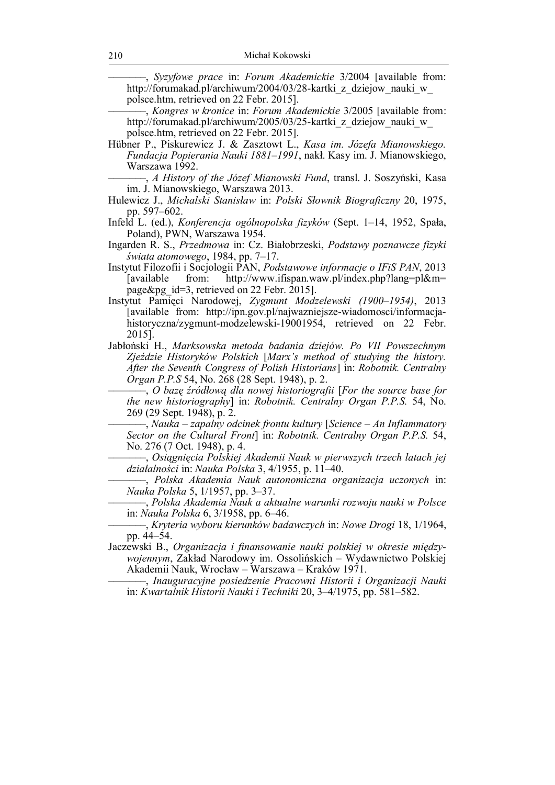–––––––, *Syzyfowe prace* in: *Forum Akademickie* 3/2004 [available from: http://forumakad.pl/archiwum/2004/03/28-kartki\_z\_dziejow\_nauki\_w\_ polsce.htm, retrieved on 22 Febr. 2015].

–––––––, *Kongres w kronice* in: *Forum Akademickie* 3/2005 [available from: http://forumakad.pl/archiwum/2005/03/25-kartki\_z\_dziejow\_nauki\_w\_ polsce.htm, retrieved on 22 Febr. 2015].

Hübner P., Piskurewicz J. & Zasztowt L., *Kasa im. Józefa Mianowskiego. Fundacja Popierania Nauki 1881–1991*, nakł. Kasy im. J. Mianowskiego, Warszawa 1992.

–––––––, *A History of the Józef Mianowski Fund*, transl. J. Soszyński, Kasa im. J. Mianowskiego, Warszawa 2013.

- Hulewicz J., *Michalski Stanisław* in: *Polski Słownik Biograficzny* 20, 1975, pp. 597–602.
- Infeld L. (ed.), *Konferencja ogólnopolska fizyków* (Sept. 1–14, 1952, Spała, Poland), PWN, Warszawa 1954.
- Ingarden R. S., *Przedmowa* in: Cz. Białobrzeski, *Podstawy poznawcze fizyki świata atomowego*, 1984, pp. 7–17.
- Instytut Filozofii i Socjologii PAN, *Podstawowe informacje o IFiS PAN*, 2013 [available from: http://www.ifispan.waw.pl/index.php?lang=pl&m= page&pg\_id=3, retrieved on 22 Febr. 2015].
- Instytut Pamięci Narodowej, *Zygmunt Modzelewski (1900–1954)*, 2013 [available from: http://ipn.gov.pl/najwazniejsze-wiadomosci/informacjahistoryczna/zygmunt-modzelewski-19001954, retrieved on 22 Febr. 2015].
- Jabłoński H., *Marksowska metoda badania dziejów. Po VII Powszechnym Zjeździe Historyków Polskich* [*Marx's method of studying the history. After the Seventh Congress of Polish Historians*] in: *Robotnik. Centralny Organ P.P.S* 54, No. 268 (28 Sept. 1948), p. 2.

–––––––, *O bazę źródłową dla nowej historiografii* [*For the source base for the new historiography*] in: *Robotnik. Centralny Organ P.P.S.* 54, No. 269 (29 Sept. 1948), p. 2.

–––––––, *Nauka – zapalny odcinek frontu kultury* [*Science – An Inflammatory Sector on the Cultural Front*] in: *Robotnik. Centralny Organ P.P.S.* 54, No. 276 (7 Oct. 1948), p. 4.

–––––––, *Osiągnięcia Polskiej Akademii Nauk w pierwszych trzech latach jej działalności* in: *Nauka Polska* 3, 4/1955, p. 11–40.

–––––––, *Polska Akademia Nauk autonomiczna organizacja uczonych* in: *Nauka Polska* 5, 1/1957, pp. 3–37.

–––––––, *Polska Akademia Nauk a aktualne warunki rozwoju nauki w Polsce* in: *Nauka Polska* 6, 3/1958, pp. 6–46.

- –––––––, *Kryteria wyboru kierunków badawczych* in: *Nowe Drogi* 18, 1/1964, pp. 44–54.
- Jaczewski B., *Organizacja i finansowanie nauki polskiej w okresie międzywojennym*, Zakład Narodowy im. Ossolińskich – Wydawnictwo Polskiej Akademii Nauk, Wrocław – Warszawa – Kraków 1971.

<sup>–––––––,</sup> *Inauguracyjne posiedzenie Pracowni Historii i Organizacji Nauki* in: *Kwartalnik Historii Nauki i Techniki* 20, 3–4/1975, pp. 581–582.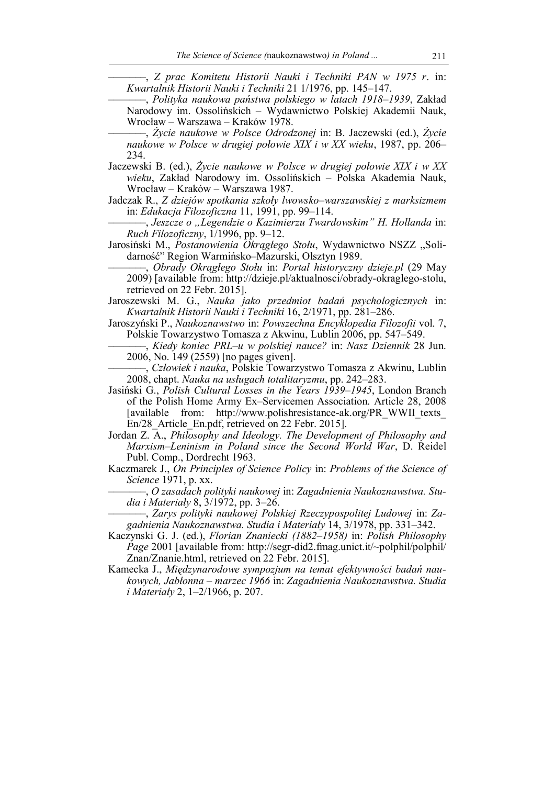–––––––, *Z prac Komitetu Historii Nauki i Techniki PAN w 1975 r*. in: *Kwartalnik Historii Nauki i Techniki* 21 1/1976, pp. 145–147.

–––––––, *Polityka naukowa państwa polskiego w latach 1918–1939*, Zakład Narodowy im. Ossolińskich – Wydawnictwo Polskiej Akademii Nauk, Wrocław – Warszawa – Kraków 1978.

–––––––, *Życie naukowe w Polsce Odrodzonej* in: B. Jaczewski (ed.), *Życie naukowe w Polsce w drugiej połowie XIX i w XX wieku*, 1987, pp. 206– 234.

Jaczewski B. (ed.), *Życie naukowe w Polsce w drugiej połowie XIX i w XX wieku*, Zakład Narodowy im. Ossolińskich – Polska Akademia Nauk, Wrocław – Kraków – Warszawa 1987.

Jadczak R., *Z dziejów spotkania szkoły lwowsko–warszawskiej z marksizmem* in: *Edukacja Filozoficzna* 11, 1991, pp. 99–114.

–––––––, *Jeszcze o "Legendzie o Kazimierzu Twardowskim" H. Hollanda* in: *Ruch Filozoficzny*, 1/1996, pp. 9–12.

Jarosiński M., *Postanowienia Okrągłego Stołu*, Wydawnictwo NSZZ "Solidarność" Region Warmińsko–Mazurski, Olsztyn 1989.

–––––––, *Obrady Okrągłego Stołu* in: *Portal historyczny dzieje.pl* (29 May 2009) [available from: http://dzieje.pl/aktualnosci/obrady-okraglego-stolu, retrieved on 22 Febr. 2015].

- Jaroszewski M. G., *Nauka jako przedmiot badań psychologicznych* in: *Kwartalnik Historii Nauki i Techniki* 16, 2/1971, pp. 281–286.
- Jaroszyński P., *Naukoznawstwo* in: *Powszechna Encyklopedia Filozofii* vol. 7, Polskie Towarzystwo Tomasza z Akwinu, Lublin 2006, pp. 547–549.
	- –––––––, *Kiedy koniec PRL–u w polskiej nauce?* in: *Nasz Dziennik* 28 Jun. 2006, No. 149 (2559) [no pages given].
	- –––––––, *Człowiek i nauka*, Polskie Towarzystwo Tomasza z Akwinu, Lublin 2008, chapt. *Nauka na usługach totalitaryzmu*, pp. 242–283.
- Jasiński G., *Polish Cultural Losses in the Years 1939–1945*, London Branch of the Polish Home Army Ex–Servicemen Association. Article 28, 2008 [available from: http://www.polishresistance-ak.org/PR\_WWII\_texts En/28\_Article\_En.pdf, retrieved on 22 Febr. 2015].
- Jordan Z. A., *Philosophy and Ideology. The Development of Philosophy and Marxism–Leninism in Poland since the Second World War*, D. Reidel Publ. Comp., Dordrecht 1963.
- Kaczmarek J., *On Principles of Science Policy* in: *Problems of the Science of Science* 1971, p. xx.
	- –––––––, *O zasadach polityki naukowej* in: *Zagadnienia Naukoznawstwa. Studia i Materiały* 8, 3/1972, pp. 3–26.

–––––––, *Zarys polityki naukowej Polskiej Rzeczypospolitej Ludowej* in: *Zagadnienia Naukoznawstwa. Studia i Materiały* 14, 3/1978, pp. 331–342.

- Kaczynski G. J. (ed.), *Florian Znaniecki (1882–1958)* in: *Polish Philosophy Page* 2001 [available from: http://segr-did2.fmag.unict.it/~polphil/polphil/ Znan/Znanie.html, retrieved on 22 Febr. 2015].
- Kamecka J., *Międzynarodowe sympozjum na temat efektywności badań naukowych, Jabłonna – marzec 1966* in: *Zagadnienia Naukoznawstwa. Studia i Materiały* 2, 1–2/1966, p. 207.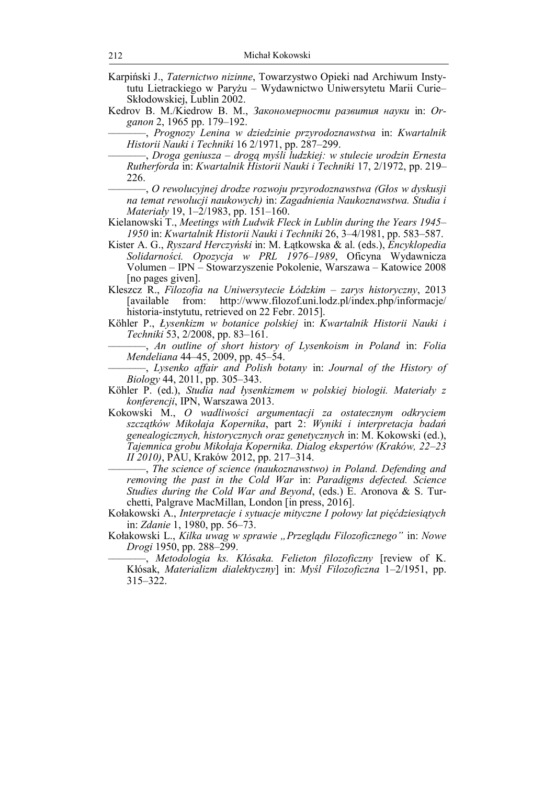- Karpiński J., *Taternictwo nizinne*, Towarzystwo Opieki nad Archiwum Instytutu Lietrackiego w Paryżu – Wydawnictwo Uniwersytetu Marii Curie– Skłodowskiej, Lublin 2002.
- Kedrov B. M./Kiedrow B. M., *Закономерности развития науки* in: *Organon* 2, 1965 pp. 179–192.

–––––––, *Prognozy Lenina w dziedzinie przyrodoznawstwa* in: *Kwartalnik Historii Nauki i Techniki* 16 2/1971, pp. 287–299.

–––––––, *Droga geniusza – drogą myśli ludzkiej: w stulecie urodzin Ernesta Rutherforda* in: *Kwartalnik Historii Nauki i Techniki* 17, 2/1972, pp. 219– 226.

–––––––, *O rewolucyjnej drodze rozwoju przyrodoznawstwa (Głos w dyskusji na temat rewolucji naukowych)* in: *Zagadnienia Naukoznawstwa. Studia i Materiały* 19, 1–2/1983, pp. 151–160.

Kielanowski T., *Meetings with Ludwik Fleck in Lublin during the Years 1945– 1950* in: *Kwartalnik Historii Nauki i Techniki* 26, 3–4/1981, pp. 583–587.

- Kister A. G., *Ryszard Herczyński* in: M. Łątkowska & al. (eds.), *Encyklopedia Solidarności. Opozycja w PRL 1976–1989*, Oficyna Wydawnicza Volumen – IPN – Stowarzyszenie Pokolenie, Warszawa – Katowice 2008 [no pages given].
- Kleszcz R., *Filozofia na Uniwersytecie Łódzkim zarys historyczny*, 2013 [available from: http://www.filozof.uni.lodz.pl/index.php/informacje/ historia-instytutu, retrieved on 22 Febr. 2015].
- Köhler P., *Łysenkizm w botanice polskiej* in: *Kwartalnik Historii Nauki i Techniki* 53, 2/2008, pp. 83–161.

–––––––, *An outline of short history of Lysenkoism in Poland* in: *Folia Mendeliana* 44–45, 2009, pp. 45–54.

–––––––, *Lysenko affair and Polish botany* in: *Journal of the History of Biology* 44, 2011, pp. 305–343.

- Köhler P. (ed.), *Studia nad łysenkizmem w polskiej biologii. Materiały z konferencji*, IPN, Warszawa 2013.
- Kokowski M., *O wadliwości argumentacji za ostatecznym odkryciem szczątków Mikołaja Kopernika*, part 2: *Wyniki i interpretacja badań genealogicznych, historycznych oraz genetycznych* in: M. Kokowski (ed.), *Tajemnica grobu Mikołaja Kopernika. Dialog ekspertów (Kraków, 22–23 II 2010)*, PAU, Kraków 2012, pp. 217–314.

–––––––, *The science of science (naukoznawstwo) in Poland. Defending and removing the past in the Cold War* in: *Paradigms defected. Science Studies during the Cold War and Beyond*, (eds.) E. Aronova & S. Turchetti, Palgrave MacMillan, London [in press, 2016].

Kołakowski A., *Interpretacje i sytuacje mityczne I połowy lat pięćdziesiątych* in: *Zdanie* 1, 1980, pp. 56–73.

Kołakowski L., *Kilka uwag w sprawie "Przeglądu Filozoficznego"* in: *Nowe Drogi* 1950, pp. 288–299.

–––––––, *Metodologia ks. Kłósaka. Felieton filozoficzny* [review of K. Kłósak, *Materializm dialektyczny*] in: *Myśl Filozoficzna* 1–2/1951, pp. 315–322.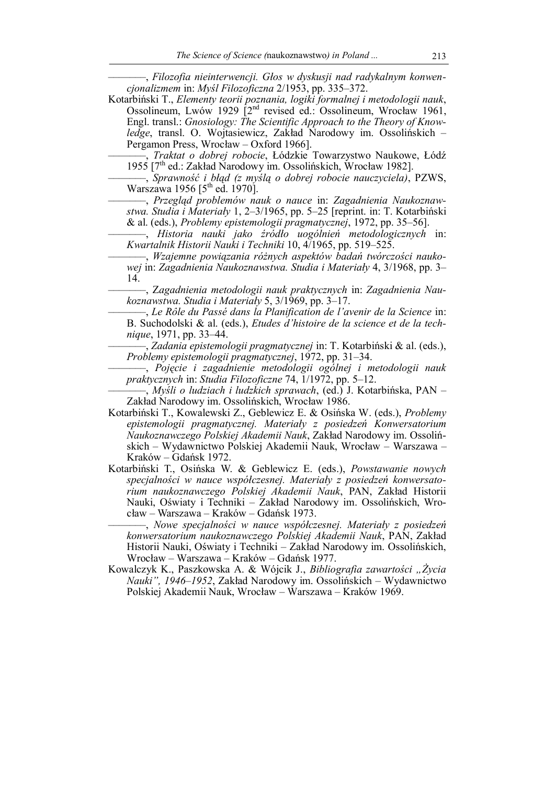–––––––, *Filozofia nieinterwencji. Głos w dyskusji nad radykalnym konwencjonalizmem* in: *Myśl Filozoficzna* 2/1953, pp. 335–372.

Kotarbiński T., *Elementy teorii poznania, logiki formalnej i metodologii nauk*, Ossolineum, Lwów 1929 [2<sup>nd</sup> revised ed.: Ossolineum, Wrocław 1961, Engl. transl.: *Gnosiology: The Scientific Approach to the Theory of Knowledge*, transl. O. Wojtasiewicz, Zakład Narodowy im. Ossolińskich – Pergamon Press, Wrocław – Oxford 1966].

–––––––, *Traktat o dobrej robocie*, Łódzkie Towarzystwo Naukowe, Łódź 1955 [7th ed.: Zakład Narodowy im. Ossolińskich, Wrocław 1982].

–––––––, *Sprawność i błąd (z myślą o dobrej robocie nauczyciela)*, PZWS, Warszawa 1956 [5<sup>th</sup> ed. 1970].

–––––––, *Przegląd problemów nauk o nauce* in: *Zagadnienia Naukoznawstwa. Studia i Materiały* 1, 2–3/1965, pp. 5–25 [reprint. in: T. Kotarbiński & al. (eds.), *Problemy epistemologii pragmatycznej*, 1972, pp. 35–56].

–––––––, *Historia nauki jako źródło uogólnień metodologicznych* in: *Kwartalnik Historii Nauki i Techniki* 10, 4/1965, pp. 519–525.

–––––––, *Wzajemne powiązania różnych aspektów badań twórczości naukowej* in: *Zagadnienia Naukoznawstwa. Studia i Materiały* 4, 3/1968, pp. 3– 14.

–––––––, Z*agadnienia metodologii nauk praktycznych* in: *Zagadnienia Naukoznawstwa. Studia i Materiały* 5, 3/1969, pp. 3–17.

–––––––, *Le Rôle du Passé dans la Planification de l'avenir de la Science* in: B. Suchodolski & al. (eds.), *Etudes d'histoire de la science et de la technique*, 1971, pp. 33–44.

–––––––, *Zadania epistemologii pragmatycznej* in: T. Kotarbiński & al. (eds.), *Problemy epistemologii pragmatycznej*, 1972, pp. 31–34.

–––––––, *Pojęcie i zagadnienie metodologii ogólnej i metodologii nauk praktycznych* in: *Studia Filozoficzne* 74, 1/1972, pp. 5–12.

–––––––, *Myśli o ludziach i ludzkich sprawach*, (ed.) J. Kotarbińska, PAN – Zakład Narodowy im. Ossolińskich, Wrocław 1986.

Kotarbiński T., Kowalewski Z., Geblewicz E. & Osińska W. (eds.), *Problemy epistemologii pragmatycznej. Materiały z posiedzeń Konwersatorium Naukoznawczego Polskiej Akademii Nauk*, Zakład Narodowy im. Ossolińskich – Wydawnictwo Polskiej Akademii Nauk, Wrocław – Warszawa – Kraków – Gdańsk 1972.

Kotarbiński T., Osińska W. & Geblewicz E. (eds.), *Powstawanie nowych specjalności w nauce współczesnej. Materiały z posiedzeń konwersatorium naukoznawczego Polskiej Akademii Nauk*, PAN, Zakład Historii Nauki, Oświaty i Techniki – Zakład Narodowy im. Ossolińskich, Wrocław – Warszawa – Kraków – Gdańsk 1973.

–––––––, *Nowe specjalności w nauce współczesnej. Materiały z posiedzeń konwersatorium naukoznawczego Polskiej Akademii Nauk*, PAN, Zakład Historii Nauki, Oświaty i Techniki – Zakład Narodowy im. Ossolińskich, Wrocław – Warszawa – Kraków – Gdańsk 1977.

Kowalczyk K., Paszkowska A. & Wójcik J., *Bibliografia zawartości "Życia Nauki", 1946–1952*, Zakład Narodowy im. Ossolińskich – Wydawnictwo Polskiej Akademii Nauk, Wrocław – Warszawa – Kraków 1969.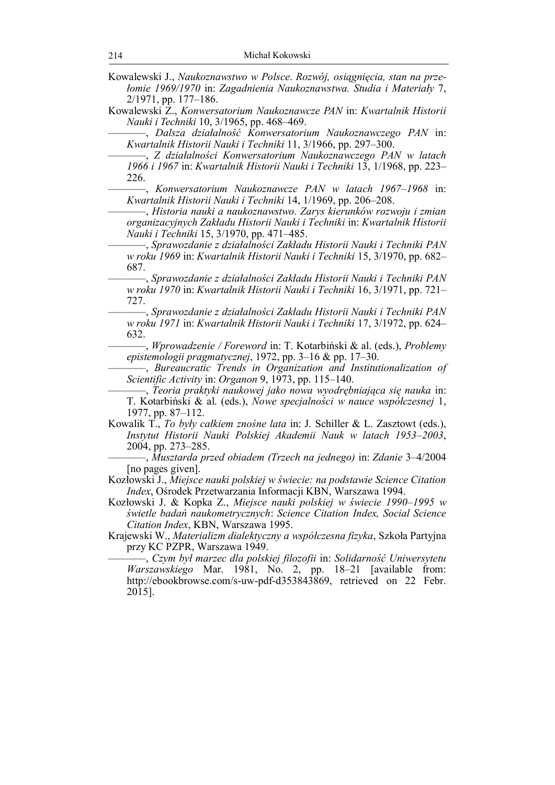Kowalewski J., *Naukoznawstwo w Polsce*. *Rozwój, osiągnięcia, stan na przełomie 1969/1970* in: *Zagadnienia Naukoznawstwa. Studia i Materiały* 7, 2/1971, pp. 177–186.

Kowalewski Z., *Konwersatorium Naukoznawcze PAN* in: *Kwartalnik Historii Nauki i Techniki* 10, 3/1965, pp. 468–469.

–––––––, *Dalsza działalność Konwersatorium Naukoznawczego PAN* in: *Kwartalnik Historii Nauki i Techniki* 11, 3/1966, pp. 297–300.

–––––––, *Z działalności Konwersatorium Naukoznawczego PAN w latach 1966 i 1967* in: *Kwartalnik Historii Nauki i Techniki* 13, 1/1968, pp. 223– 226.

–––––––, *Konwersatorium Naukoznawcze PAN w latach 1967–1968* in: *Kwartalnik Historii Nauki i Techniki* 14, 1/1969, pp. 206–208.

–––––––, *Historia nauki a naukoznawstwo. Zarys kierunków rozwoju i zmian organizacyjnych Zakładu Historii Nauki i Techniki* in: *Kwartalnik Historii Nauki i Techniki* 15, 3/1970, pp. 471–485.

–––––––, *Sprawozdanie z działalności Zakładu Historii Nauki i Techniki PAN w roku 1969* in: *Kwartalnik Historii Nauki i Techniki* 15, 3/1970, pp. 682– 687.

–––––––, *Sprawozdanie z działalności Zakładu Historii Nauki i Techniki PAN w roku 1970* in: *Kwartalnik Historii Nauki i Techniki* 16, 3/1971, pp. 721– 727.

–––––––, *Sprawozdanie z działalności Zakładu Historii Nauki i Techniki PAN w roku 1971* in: *Kwartalnik Historii Nauki i Techniki* 17, 3/1972, pp. 624– 632.

–––––––, *Wprowadzenie / Foreword* in: T. Kotarbiński & al. (eds.), *Problemy epistemologii pragmatycznej*, 1972, pp. 3–16 & pp. 17–30.

–––––––, *Bureaucratic Trends in Organization and Institutionalization of Scientific Activity* in: *Organon* 9, 1973, pp. 115–140.

–––––––, *Teoria praktyki naukowej jako nowa wyodrębniająca się nauka* in: T. Kotarbiński & al. (eds.), *Nowe specjalności w nauce współczesnej* 1, 1977, pp. 87–112.

Kowalik T., *To były całkiem znośne lata* in: J. Schiller & L. Zasztowt (eds.), *Instytut Historii Nauki Polskiej Akademii Nauk w latach 1953–2003*, 2004, pp. 273–285.

–––––––, *Musztarda przed obiadem (Trzech na jednego)* in: *Zdanie* 3–4/2004 [no pages given].

Kozłowski J., *Miejsce nauki polskiej w świecie: na podstawie Science Citation Index*, Ośrodek Przetwarzania Informacji KBN, Warszawa 1994.

Kozłowski J. & Kopka Z., *Miejsce nauki polskiej w świecie 1990–1995 w świetle badań naukometrycznych*: *Science Citation Index, Social Science Citation Index*, KBN, Warszawa 1995.

Krajewski W., *Materializm dialektyczny a współczesna fizyka*, Szkoła Partyjna przy KC PZPR, Warszawa 1949.

–––––––, *Czym był marzec dla polskiej filozofii* in: *Solidarność Uniwersytetu Warszawskiego* Mar. 1981, No. 2, pp. 18–21 [available from: http://ebookbrowse.com/s-uw-pdf-d353843869, retrieved on 22 Febr. 2015].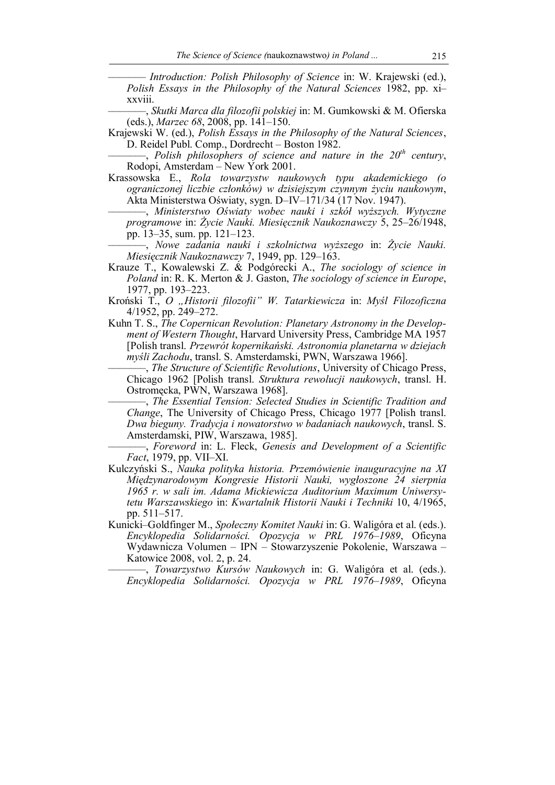––––––– *Introduction: Polish Philosophy of Science* in: W. Krajewski (ed.), *Polish Essays in the Philosophy of the Natural Sciences* 1982, pp. xi– xxviii.

–––––––, *Skutki Marca dla filozofii polskiej* in: M. Gumkowski & M. Ofierska (eds.), *Marzec 68*, 2008, pp. 141–150.

Krajewski W. (ed.), *Polish Essays in the Philosophy of the Natural Sciences*, D. Reidel Publ. Comp., Dordrecht – Boston 1982.

–––––––, *Polish philosophers of science and nature in the 20th century*, Rodopi, Amsterdam – New York 2001.

Krassowska E., *Rola towarzystw naukowych typu akademickiego (o ograniczonej liczbie członków) w dzisiejszym czynnym życiu naukowym*, Akta Ministerstwa Oświaty, sygn. D–IV–171/34 (17 Nov. 1947).

–––––––, *Ministerstwo Oświaty wobec nauki i szkół wyższych. Wytyczne programowe* in: *Życie Nauki. Miesięcznik Naukoznawczy* 5, 25–26/1948, pp. 13–35, sum. pp. 121–123.

–––––––, *Nowe zadania nauki i szkolnictwa wyższego* in: *Życie Nauki. Miesięcznik Naukoznawczy* 7, 1949, pp. 129–163.

Krauze T., Kowalewski Z. & Podgórecki A., *The sociology of science in Poland* in: R. K. Merton & J. Gaston, *The sociology of science in Europe*, 1977, pp. 193–223.

- Kroński T., *O "Historii filozofii" W. Tatarkiewicza* in: *Myśl Filozoficzna* 4/1952, pp. 249–272.
- Kuhn T. S., *The Copernican Revolution: Planetary Astronomy in the Development of Western Thought*, Harvard University Press, Cambridge MA 1957 [Polish transl. *Przewrót kopernikański. Astronomia planetarna w dziejach myśli Zachodu*, transl. S. Amsterdamski, PWN, Warszawa 1966].

–––––––, *The Structure of Scientific Revolutions*, University of Chicago Press, Chicago 1962 [Polish transl. *Struktura rewolucji naukowych*, transl. H. Ostromęcka, PWN, Warszawa 1968].

–––––––, *The Essential Tension: Selected Studies in Scientific Tradition and Change*, The University of Chicago Press, Chicago 1977 [Polish transl. *Dwa bieguny. Tradycja i nowatorstwo w badaniach naukowych*, transl. S. Amsterdamski, PIW, Warszawa, 1985].

–––––––, *Foreword* in: L. Fleck, *Genesis and Development of a Scientific Fact*, 1979, pp. VII–XI.

- Kulczyński S., *Nauka polityka historia. Przemówienie inauguracyjne na XI Międzynarodowym Kongresie Historii Nauki, wygłoszone 24 sierpnia 1965 r. w sali im. Adama Mickiewicza Auditorium Maximum Uniwersytetu Warszawskiego* in: *Kwartalnik Historii Nauki i Techniki* 10, 4/1965, pp. 511–517.
- Kunicki–Goldfinger M., *Społeczny Komitet Nauki* in: G. Waligóra et al. (eds.). *Encyklopedia Solidarności. Opozycja w PRL 1976–1989*, Oficyna Wydawnicza Volumen – IPN – Stowarzyszenie Pokolenie, Warszawa – Katowice 2008, vol. 2, p. 24.

–––––––, *Towarzystwo Kursów Naukowych* in: G. Waligóra et al. (eds.). *Encyklopedia Solidarności. Opozycja w PRL 1976–1989*, Oficyna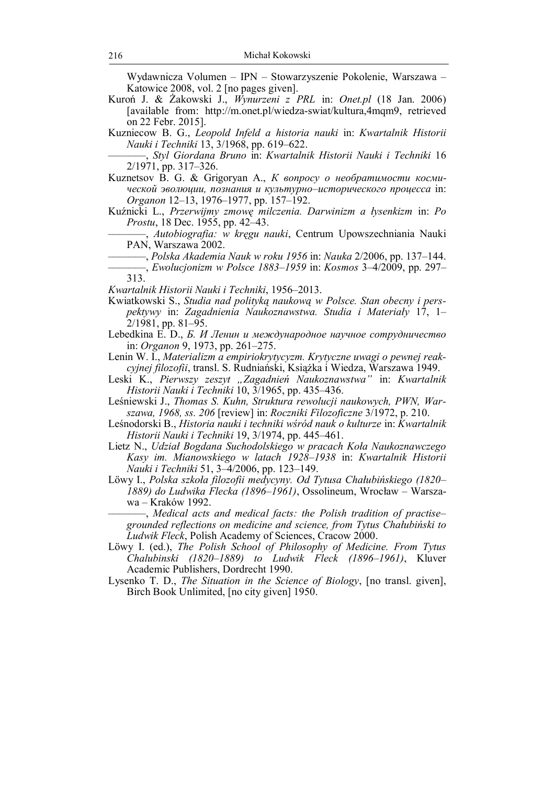Wydawnicza Volumen – IPN – Stowarzyszenie Pokolenie, Warszawa – Katowice 2008, vol. 2 [no pages given].

- Kuroń J. & Żakowski J., *Wynurzeni z PRL* in: *Onet.pl* (18 Jan. 2006) [available from: http://m.onet.pl/wiedza-swiat/kultura,4mqm9, retrieved on 22 Febr. 2015].
- Kuzniecow B. G., *Leopold Infeld a historia nauki* in: *Kwartalnik Historii Nauki i Techniki* 13, 3/1968, pp. 619–622.

–––––––, *Styl Giordana Bruno* in: *Kwartalnik Historii Nauki i Techniki* 16 2/1971, pp. 317–326.

- Kuznetsov B. G. & Grigoryan A., *К вопросy о необратимости космической эволюции, познания и культурно–исторического процесса* in: *Organon* 12–13, 1976–1977, pp. 157–192.
- Kuźnicki L., *Przerwijmy zmowę milczenia. Darwinizm a łysenkizm* in: *Po Prostu*, 18 Dec. 1955, pp. 42–43.
	- –––––––, *Autobiografia: w kręgu nauki*, Centrum Upowszechniania Nauki PAN, Warszawa 2002.

*Kwartalnik Historii Nauki i Techniki*, 1956–2013.

- Kwiatkowski S., *Studia nad polityką naukową w Polsce. Stan obecny i perspektywy* in: *Zagadnienia Naukoznawstwa. Studia i Materiały* 17, 1–  $2/1981$ , pp.  $81-\overline{95}$ .
- Lebedkina E. D., *Б. И Ленин и международное научное сотрудничество* in: *Organon* 9, 1973, pp. 261–275.
- Lenin W. I., *Materializm a empiriokrytycyzm. Krytyczne uwagi o pewnej reakcyjnej filozofii*, transl. S. Rudniański, Książka i Wiedza, Warszawa 1949.
- Leski K., Pierwszy zeszyt "Zagadnień Naukoznawstwa" in: *Kwartalnik Historii Nauki i Techniki* 10, 3/1965, pp. 435–436.
- Leśniewski J., *Thomas S. Kuhn, Struktura rewolucji naukowych, PWN, Warszawa, 1968, ss. 206* [review] in: *Roczniki Filozoficzne* 3/1972, p. 210.
- Leśnodorski B., *Historia nauki i techniki wśród nauk o kulturze* in: *Kwartalnik Historii Nauki i Techniki* 19, 3/1974, pp. 445–461.
- Lietz N., *Udział Bogdana Suchodolskiego w pracach Koła Naukoznawczego Kasy im. Mianowskiego w latach 1928*–*1938* in: *Kwartalnik Historii Nauki i Techniki* 51, 3–4/2006, pp. 123–149.
- Löwy I., *Polska szkoła filozofii medycyny. Od Tytusa Chałubińskiego (1820– 1889) do Ludwika Flecka (1896–1961)*, Ossolineum, Wrocław *–* Warszawa – Kraków 1992.

–––––––, *Medical acts and medical facts: the Polish tradition of practise– grounded reflections on medicine and science, from Tytus Chałubiński to Ludwik Fleck*, Polish Academy of Sciences, Cracow 2000.

- Löwy I. (ed.), *The Polish School of Philosophy of Medicine. From Tytus Chalubinski (1820–1889) to Ludwik Fleck (1896–1961)*, Kluver Academic Publishers, Dordrecht 1990.
- Lysenko T. D., *The Situation in the Science of Biology*, [no transl. given], Birch Book Unlimited, [no city given] 1950.

<sup>–––––––,</sup> *Polska Akademia Nauk w roku 1956* in: *Nauka* 2/2006, pp. 137–144. –––––––, *Ewolucjonizm w Polsce 1883–1959* in: *Kosmos* 3–4/2009, pp. 297– 313.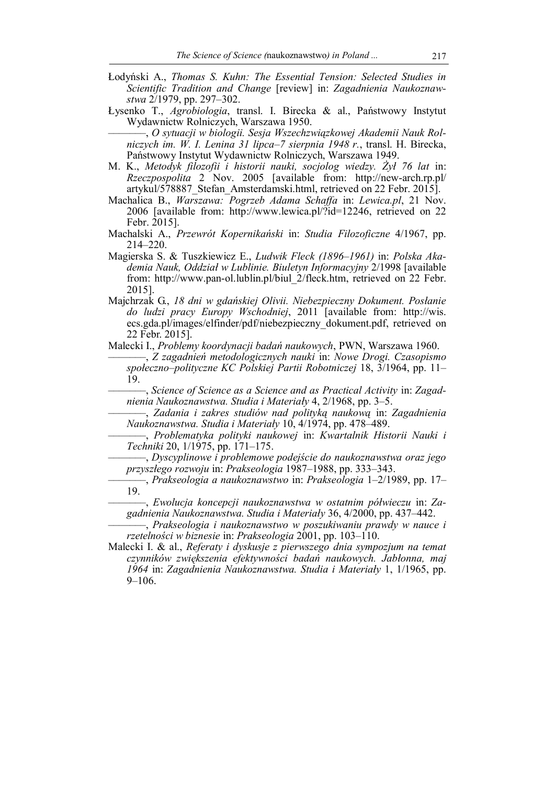- Łodyński A., *Thomas S. Kuhn: The Essential Tension: Selected Studies in Scientific Tradition and Change* [review] in: *Zagadnienia Naukoznawstwa* 2/1979, pp. 297–302.
- Łysenko T., *Agrobiologia*, transl. I. Birecka & al., Państwowy Instytut Wydawnictw Rolniczych, Warszawa 1950.

–––––––, *O sytuacji w biologii. Sesja Wszechzwiązkowej Akademii Nauk Rolniczych im. W. I. Lenina 31 lipca–7 sierpnia 1948 r.*, transl. H. Birecka, Państwowy Instytut Wydawnictw Rolniczych, Warszawa 1949.

- M. K., *Metodyk filozofii i historii nauki, socjolog wiedzy. Żył 76 lat* in: *Rzeczpospolita* 2 Nov. 2005 [available from: http://new-arch.rp.pl/ artykul/578887\_Stefan\_Amsterdamski.html, retrieved on 22 Febr. 2015].
- Machalica B., *Warszawa: Pogrzeb Adama Schaffa* in: *Lewica.pl*, 21 Nov. 2006 [available from: http://www.lewica.pl/?id=12246, retrieved on 22 Febr. 2015].
- Machalski A., *Przewrót Kopernikański* in: *Studia Filozoficzne* 4/1967, pp. 214–220.
- Magierska S. & Tuszkiewicz E., *Ludwik Fleck (1896–1961)* in: *Polska Akademia Nauk, Oddział w Lublinie. Biuletyn Informacyjny* 2/1998 [available from: http://www.pan-ol.lublin.pl/biul\_2/fleck.htm, retrieved on 22 Febr. 2015].
- Majchrzak G., *18 dni w gdańskiej Olivii. Niebezpieczny Dokument. Posłanie do ludzi pracy Europy Wschodniej*, 2011 [available from: http://wis. ecs.gda.pl/images/elfinder/pdf/niebezpieczny\_dokument.pdf, retrieved on 22 Febr. 2015].

Malecki I., *Problemy koordynacji badań naukowych*, PWN, Warszawa 1960.

–––––––, *Z zagadnień metodologicznych nauki* in: *Nowe Drogi. Czasopismo społeczno–polityczne KC Polskiej Partii Robotniczej* 18, 3/1964, pp. 11– 19.

–––––––, *Science of Science as a Science and as Practical Activity* in: *Zagadnienia Naukoznawstwa. Studia i Materiały* 4, 2/1968, pp. 3–5.

–––––––, *Zadania i zakres studiów nad polityką naukową* in: *Zagadnienia Naukoznawstwa. Studia i Materiały* 10, 4/1974, pp. 478–489.

–––––––, *Problematyka polityki naukowej* in: *Kwartalnik Historii Nauki i Techniki* 20, 1/1975, pp. 171–175.

–––––––, *Dyscyplinowe i problemowe podejście do naukoznawstwa oraz jego przyszłego rozwoju* in: *Prakseologia* 1987–1988, pp. 333–343.

–––––––, *Prakseologia a naukoznawstwo* in: *Prakseologia* 1–2/1989, pp. 17– 19.

–––––––, *Ewolucja koncepcji naukoznawstwa w ostatnim półwieczu* in: *Zagadnienia Naukoznawstwa. Studia i Materiały* 36, 4/2000, pp. 437–442.

–––––––, *Prakseologia i naukoznawstwo w poszukiwaniu prawdy w nauce i rzetelności w biznesie* in: *Prakseologia* 2001, pp. 103–110.

Malecki I. & al., *Referaty i dyskusje z pierwszego dnia sympozjum na temat czynników zwiększenia efektywności badań naukowych. Jabłonna, maj 1964* in: *Zagadnienia Naukoznawstwa. Studia i Materiały* 1, 1/1965, pp. 9–106.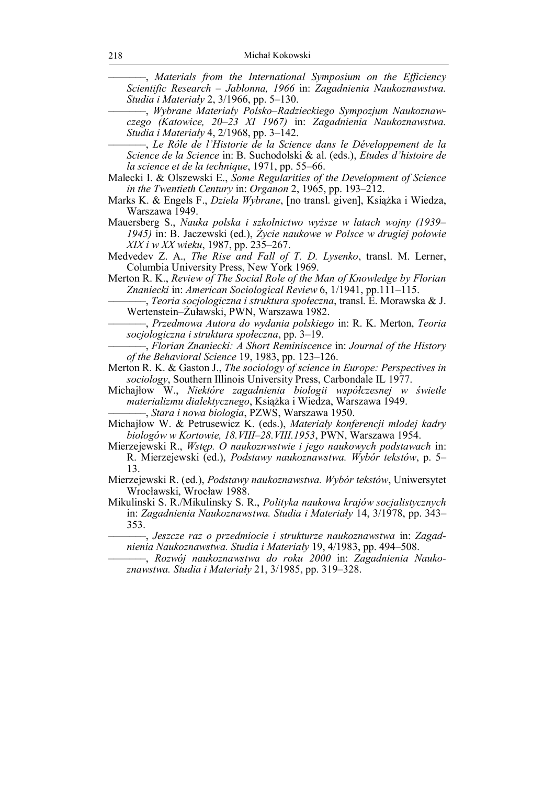–––––––, *Materials from the International Symposium on the Efficiency Scientific Research – Jabłonna, 1966* in: *Zagadnienia Naukoznawstwa. Studia i Materiały* 2, 3/1966, pp. 5–130.

–––––––, *Wybrane Materiały Polsko–Radzieckiego Sympozjum Naukoznawczego (Katowice, 20–23 XI 1967)* in: *Zagadnienia Naukoznawstwa. Studia i Materiały* 4, 2/1968, pp. 3–142.

–––––––, *Le Rôle de l'Historie de la Science dans le Développement de la Science de la Science* in: B. Suchodolski & al. (eds.), *Etudes d'histoire de la science et de la technique*, 1971, pp. 55–66.

- Malecki I. & Olszewski E., *Some Regularities of the Development of Science in the Twentieth Century* in: *Organon* 2, 1965, pp. 193–212.
- Marks K. & Engels F., *Dzieła Wybrane*, [no transl. given], Książka i Wiedza, Warszawa 1949.
- Mauersberg S., *Nauka polska i szkolnictwo wyższe w latach wojny (1939– 1945)* in: B. Jaczewski (ed.), *Życie naukowe w Polsce w drugiej połowie XIX i w XX wieku*, 1987, pp. 235–267.
- Medvedev Z. A., *The Rise and Fall of T. D. Lysenko*, transl. M. Lerner, Columbia University Press, New York 1969.
- Merton R. K., *Review of The Social Role of the Man of Knowledge by Florian Znaniecki* in: *American Sociological Review* 6, 1/1941, pp.111–115.
	- –––––––, *Teoria socjologiczna i struktura społeczna*, transl. E. Morawska & J. Wertenstein–Żuławski, PWN, Warszawa 1982.
	- –––––––, *Przedmowa Autora do wydania polskiego* in: R. K. Merton, *Teoria socjologiczna i struktura społeczna*, pp. 3–19.
	- –––––––, *Florian Znaniecki: A Short Reminiscence* in: *Journal of the History of the Behavioral Science* 19, 1983, pp. 123–126.
- Merton R. K. & Gaston J., *The sociology of science in Europe: Perspectives in sociology*, Southern Illinois University Press, Carbondale IL 1977.
- Michajłow W., *Niektóre zagadnienia biologii współczesnej w świetle materializmu dialektycznego*, Książka i Wiedza, Warszawa 1949. –––––––, *Stara i nowa biologia*, PZWS, Warszawa 1950.
- Michajłow W. & Petrusewicz K. (eds.), *Materiały konferencji młodej kadry biologów w Kortowie, 18.VIII–28.VIII.1953*, PWN, Warszawa 1954.
- Mierzejewski R., *Wstęp. O naukoznwstwie i jego naukowych podstawach* in: R. Mierzejewski (ed.), *Podstawy naukoznawstwa. Wybór tekstów*, p. 5– 13.
- Mierzejewski R. (ed.), *Podstawy naukoznawstwa. Wybór tekstów*, Uniwersytet Wrocławski, Wrocław 1988.
- Mikulinski S. R./Mikulinsky S. R., *Polityka naukowa krajów socjalistycznych* in: *Zagadnienia Naukoznawstwa. Studia i Materiały* 14, 3/1978, pp. 343– 353.

–––––––, *Jeszcze raz o przedmiocie i strukturze naukoznawstwa* in: *Zagadnienia Naukoznawstwa. Studia i Materiały* 19, 4/1983, pp. 494–508.

–––––––, *Rozwój naukoznawstwa do roku 2000* in: *Zagadnienia Naukoznawstwa. Studia i Materiały* 21, 3/1985, pp. 319–328.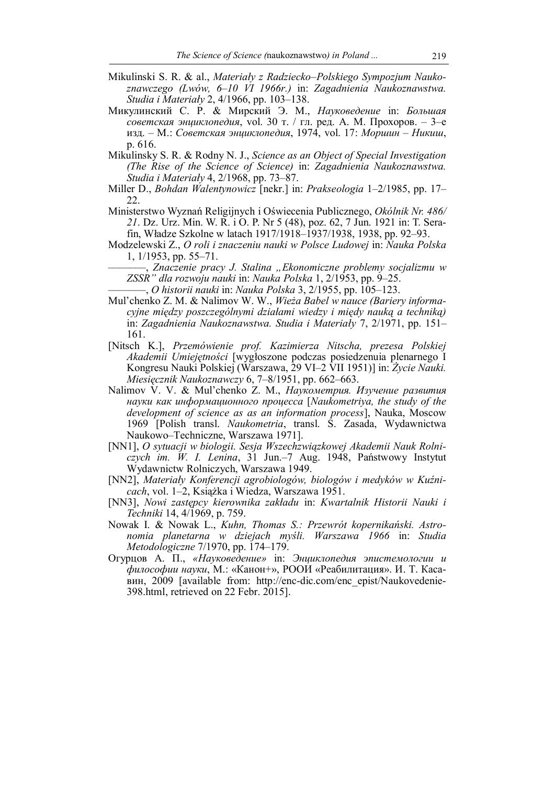- Mikulinski S. R. & al., *Materiały z Radziecko–Polskiego Sympozjum Naukoznawczego (Lwów, 6–10 VI 1966r.)* in: *Zagadnienia Naukoznawstwa. Studia i Materiały* 2, 4/1966, pp. 103–138.
- Микулинский С. Р. & Мирский Э. М., *Науковедение* in: *Большая советская энциклопедия*, vol. 30 т. / гл. ред. А. М. Прохоров. – 3–е изд. – М.: *Советская энциклопедия*, 1974, vol. 17: *Моршин – Никиш*, p. 616.
- Mikulinsky S. R. & Rodny N. J., *Science as an Object of Special Investigation (The Rise of the Science of Science)* in: *Zagadnienia Naukoznawstwa. Studia i Materiały* 4, 2/1968, pp. 73–87.
- Miller D., *Bohdan Walentynowicz* [nekr.] in: *Prakseologia* 1–2/1985, pp. 17– 22.
- Ministerstwo Wyznań Religijnych i Oświecenia Publicznego, *Okólnik Nr. 486/ 21*. Dz. Urz. Min. W. R. i O. P. Nr 5 (48), poz. 62, 7 Jun. 1921 in: T. Serafin, Władze Szkolne w latach 1917/1918–1937/1938, 1938, pp. 92–93.
- Modzelewski Z., *O roli i znaczeniu nauki w Polsce Ludowej* in: *Nauka Polska* 1, 1/1953, pp. 55–71.
	- –––––––, *Znaczenie pracy J. Stalina "Ekonomiczne problemy socjalizmu w ZSSR" dla rozwoju nauki* in: *Nauka Polska* 1, 2/1953, pp. 9–25.
	- –––––––, *O historii nauki* in: *Nauka Polska* 3, 2/1955, pp. 105–123.
- Mul'chenko Z. M. & Nalimov W. W., *Wieża Babel w nauce (Bariery informacyjne między poszczególnymi działami wiedzy i międy nauką a techniką)* in: *Zagadnienia Naukoznawstwa. Studia i Materiały* 7, 2/1971, pp. 151– 161.
- [Nitsch K.], *Przemówienie prof. Kazimierza Nitscha, prezesa Polskiej Akademii Umiejętności* [wygłoszone podczas posiedzenuia plenarnego I Kongresu Nauki Polskiej (Warszawa, 29 VI–2 VII 1951)] in: *Życie Nauki. Miesięcznik Naukoznawczy* 6, 7–8/1951, pp. 662–663.
- Nalimov V. V. & Mul'chenko Z. M., *Наукометрия. Изучение развития науки как информационного процесса* [*Naukometriya, the study of the development of science as as an information process*], Nauka, Moscow 1969 [Polish transl. *Naukometria*, transl. S. Zasada, Wydawnictwa Naukowo–Techniczne, Warszawa 1971].
- [NN1], *O sytuacji w biologii. Sesja Wszechzwiązkowej Akademii Nauk Rolniczych im. W. I. Lenina*, 31 Jun.–7 Aug. 1948, Państwowy Instytut Wydawnictw Rolniczych, Warszawa 1949.
- [NN2], *Materiały Konferencji agrobiologów, biologów i medyków w Kuźnicach*, vol. 1–2, Książka i Wiedza, Warszawa 1951.
- [NN3], *Nowi zastępcy kierownika zakładu* in: *Kwartalnik Historii Nauki i Techniki* 14, 4/1969, p. 759.
- Nowak I. & Nowak L., *Kuhn, Thomas S.: Przewrót kopernikański. Astronomia planetarna w dziejach myśli. Warszawa 1966* in: *Studia Metodologiczne* 7/1970, pp. 174–179.
- Огурцов А. П., *«Науковедение»* in: *Энциклопедия эпистемологии и философии науки*, М.: «Канон+», РООИ «Реабилитация». И. Т. Касавин, 2009 [available from: http://enc-dic.com/enc\_epist/Naukovedenie-398.html, retrieved on 22 Febr. 2015].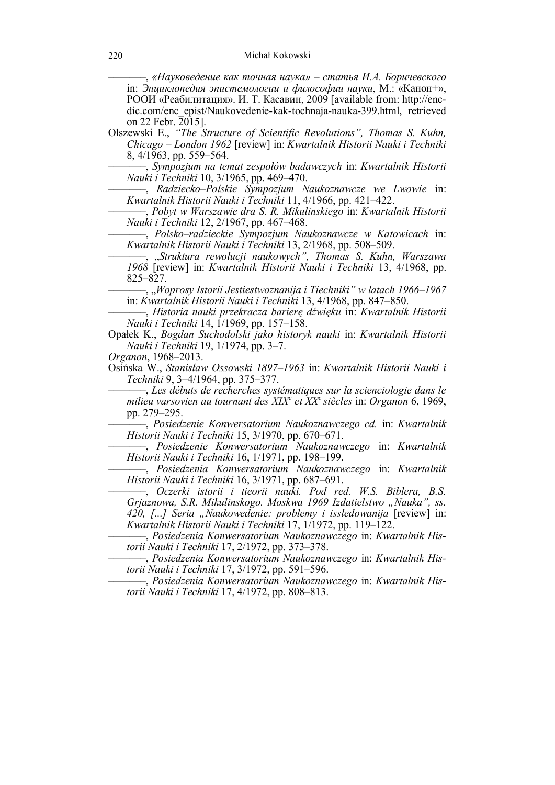–––––––, *«Науковедение как точная наука» – статья И.А. Боричевского* in: *Энциклопедия эпистемологии и философии науки*, М.: «Канон+», РООИ «Реабилитация». И. Т. Касавин, 2009 [available from: http://encdic.com/enc\_epist/Naukovedenie-kak-tochnaja-nauka-399.html, retrieved on 22 Febr. 2015].

- Olszewski E., *"The Structure of Scientific Revolutions", Thomas S. Kuhn, Chicago – London 1962* [review] in: *Kwartalnik Historii Nauki i Techniki* 8, 4/1963, pp. 559–564.
	- –––––––, *Sympozjum na temat zespołów badawczych* in: *Kwartalnik Historii Nauki i Techniki* 10, 3/1965, pp. 469–470.
	- –––––––, *Radziecko–Polskie Sympozjum Naukoznawcze we Lwowie* in: *Kwartalnik Historii Nauki i Techniki* 11, 4/1966, pp. 421–422.
	- –––––––, *Pobyt w Warszawie dra S. R. Mikulinskiego* in: *Kwartalnik Historii Nauki i Techniki* 12, 2/1967, pp. 467–468.
	- –––––––, *Polsko–radzieckie Sympozjum Naukoznawcze w Katowicach* in: *Kwartalnik Historii Nauki i Techniki* 13, 2/1968, pp. 508–509.
	- –––––––, "*Struktura rewolucji naukowych", Thomas S. Kuhn, Warszawa 1968* [review] in: *Kwartalnik Historii Nauki i Techniki* 13, 4/1968, pp. 825–827.

–––––––, "*Woprosy Istorii Jestiestwoznanija i Tiechniki" w latach 1966–1967* in: *Kwartalnik Historii Nauki i Techniki* 13, 4/1968, pp. 847–850.

- –––––––, *Historia nauki przekracza barierę dźwięku* in: *Kwartalnik Historii Nauki i Techniki* 14, 1/1969, pp. 157–158.
- Opałek K., *Bogdan Suchodolski jako historyk nauki* in: *Kwartalnik Historii Nauki i Techniki* 19, 1/1974, pp. 3–7.
- *Organon*, 1968–2013.
- Osińska W., *Stanisław Ossowski 1897–1963* in: *Kwartalnik Historii Nauki i Techniki* 9, 3–4/1964, pp. 375–377.
	- –––––––, *Les débuts de recherches systématiques sur la scienciologie dans le milieu varsovien au tournant des XIX<sup>e</sup> et XX<sup>e</sup>siècles* in: *Organon* 6, 1969, pp. 279–295.

–––––––, *Posiedzenie Konwersatorium Naukoznawczego cd.* in: *Kwartalnik Historii Nauki i Techniki* 15, 3/1970, pp. 670–671.

–––––––, *Posiedzenie Konwersatorium Naukoznawczego* in: *Kwartalnik Historii Nauki i Techniki* 16, 1/1971, pp. 198–199.

–––––––, *Posiedzenia Konwersatorium Naukoznawczego* in: *Kwartalnik Historii Nauki i Techniki* 16, 3/1971, pp. 687–691.

–––––––, *Oczerki istorii i tieorii nauki. Pod red. W.S. Biblera, B.S.*  Grjaznowa, S.R. Mikulinskogo. Moskwa 1969 Izdatielstwo "Nauka", ss. *420, [...] Seria "Naukowedenie: problemy i issledowanija* [review] in: *Kwartalnik Historii Nauki i Techniki* 17, 1/1972, pp. 119–122.

–––––––, *Posiedzenia Konwersatorium Naukoznawczego* in: *Kwartalnik Historii Nauki i Techniki* 17, 2/1972, pp. 373–378.

- –––––––, *Posiedzenia Konwersatorium Naukoznawczego* in: *Kwartalnik Historii Nauki i Techniki* 17, 3/1972, pp. 591–596.
	- –––––––, *Posiedzenia Konwersatorium Naukoznawczego* in: *Kwartalnik Historii Nauki i Techniki* 17, 4/1972, pp. 808–813.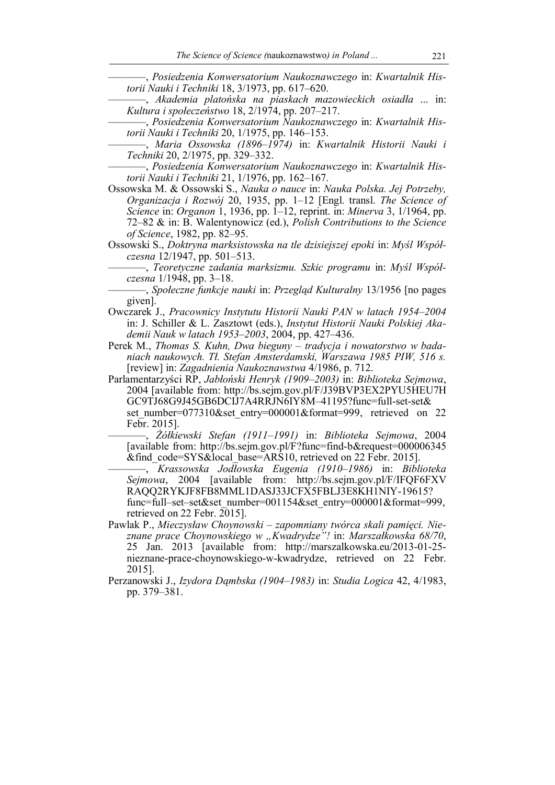–––––––, *Posiedzenia Konwersatorium Naukoznawczego* in: *Kwartalnik Historii Nauki i Techniki* 18, 3/1973, pp. 617–620.

–––––––, *Akademia platońska na piaskach mazowieckich osiadła* ... in: *Kultura i społeczeństwo* 18, 2/1974, pp. 207–217.

–––––––, *Posiedzenia Konwersatorium Naukoznawczego* in: *Kwartalnik Historii Nauki i Techniki* 20, 1/1975, pp. 146–153.

–––––––, *Maria Ossowska (1896–1974)* in: *Kwartalnik Historii Nauki i Techniki* 20, 2/1975, pp. 329–332.

–––––––, *Posiedzenia Konwersatorium Naukoznawczego* in: *Kwartalnik Historii Nauki i Techniki* 21, 1/1976, pp. 162–167.

- Ossowska M. & Ossowski S., *Nauka o nauce* in: *Nauka Polska. Jej Potrzeby, Organizacja i Rozwój* 20, 1935, pp. 1–12 [Engl. transl. *The Science of Science* in: *Organon* 1, 1936, pp. 1–12, reprint. in: *Minerva* 3, 1/1964, pp. 72–82 & in: B. Walentynowicz (ed.), *Polish Contributions to the Science of Science*, 1982, pp. 82–95.
- Ossowski S., *Doktryna marksistowska na tle dzisiejszej epoki* in: *Myśl Współczesna* 12/1947, pp. 501–513.

–––––––, *Teoretyczne zadania marksizmu. Szkic programu* in: *Myśl Współczesna* 1/1948, pp. 3–18.

–––––––, *Społeczne funkcje nauki* in: *Przegląd Kulturalny* 13/1956 [no pages given].

- Owczarek J., *Pracownicy Instytutu Historii Nauki PAN w latach 1954–2004* in: J. Schiller & L. Zasztowt (eds.), *Instytut Historii Nauki Polskiej Akademii Nauk w latach 1953–2003*, 2004, pp. 427–436.
- Perek M., *Thomas S. Kuhn, Dwa bieguny tradycja i nowatorstwo w badaniach naukowych. Tł. Stefan Amsterdamski, Warszawa 1985 PIW, 516 s.*  [review] in: *Zagadnienia Naukoznawstwa* 4/1986, p. 712.
- Parlamentarzyści RP, *Jabłoński Henryk (1909–2003)* in: *Biblioteka Sejmowa*, 2004 [available from: http://bs.sejm.gov.pl/F/J39BVP3EX2PYU5HEU7H GC9TJ68G9J45GB6DCIJ7A4RRJN6IY8M–41195?func=full-set-set& set number=077310&set entry=000001&format=999, retrieved on 22 Febr. 2015].

–––––––, *Żółkiewski Stefan (1911–1991)* in: *Biblioteka Sejmowa*, 2004 [available from: http://bs.sejm.gov.pl/F?func=find-b&request=000006345 &find\_code=SYS&local\_base=ARS10, retrieved on 22 Febr. 2015].

–––––––, *Krassowska Jodłowska Eugenia (1910–1986)* in: *Biblioteka Sejmowa*, 2004 [available from: http://bs.sejm.gov.pl/F/IFQF6FXV RAQQ2RYKJF8FB8MML1DASJ33JCFX5FBLJ3E8KH1NIY-19615? func=full–set–set&set\_number=001154&set\_entry=000001&format=999, retrieved on 22 Febr. 2015].

- Pawlak P., *Mieczysław Choynowski zapomniany twórca skali pamięci. Nieznane prace Choynowskiego w "Kwadrydze"!* in: *Marszałkowska 68/70*, 25 Jan. 2013 [available from: http://marszalkowska.eu/2013-01-25 nieznane-prace-choynowskiego-w-kwadrydze, retrieved on 22 Febr. 2015].
- Perzanowski J., *Izydora Dąmbska (1904–1983)* in: *Studia Logica* 42, 4/1983, pp. 379–381.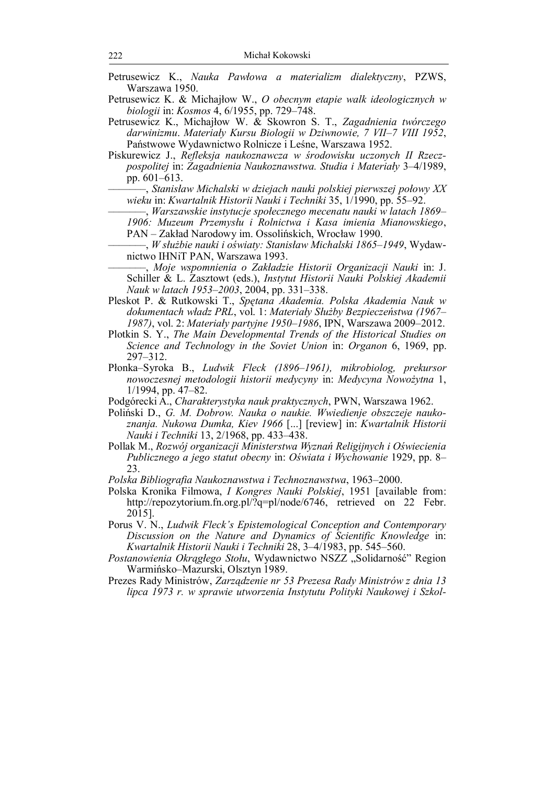- Petrusewicz K., *Nauka Pawłowa a materializm dialektyczny*, PZWS, Warszawa 1950.
- Petrusewicz K. & Michajłow W., *O obecnym etapie walk ideologicznych w biologii* in: *Kosmos* 4, 6/1955, pp. 729–748.
- Petrusewicz K., Michajłow W. & Skowron S. T., *Zagadnienia twórczego darwinizmu*. *Materiały Kursu Biologii w Dziwnowie, 7 VII–7 VIII 1952*, Państwowe Wydawnictwo Rolnicze i Leśne, Warszawa 1952.
- Piskurewicz J., *Refleksja naukoznawcza w środowisku uczonych II Rzeczpospolitej* in: *Zagadnienia Naukoznawstwa. Studia i Materiały* 3–4/1989, pp. 601–613.

–––––––, *Stanisław Michalski w dziejach nauki polskiej pierwszej połowy XX wieku* in: *Kwartalnik Historii Nauki i Techniki* 35, 1/1990, pp. 55–92.

- –––––––, *Warszawskie instytucje społecznego mecenatu nauki w latach 1869–*
- *1906: Muzeum Przemysłu i Rolnictwa i Kasa imienia Mianowskiego*, PAN – Zakład Narodowy im. Ossolińskich, Wrocław 1990.
- –––––––, *W służbie nauki i oświaty: Stanisław Michalski 1865–1949*, Wydawnictwo IHNiT PAN, Warszawa 1993.

–––––––, *Moje wspomnienia o Zakładzie Historii Organizacji Nauki* in: J. Schiller & L. Zasztowt (eds.), *Instytut Historii Nauki Polskiej Akademii Nauk w latach 1953–2003*, 2004, pp. 331–338.

- Pleskot P. & Rutkowski T., *Spętana Akademia. Polska Akademia Nauk w dokumentach władz PRL*, vol. 1: *Materiały Służby Bezpieczeństwa (1967– 1987)*, vol. 2: *Materiały partyjne 1950–1986*, IPN, Warszawa 2009–2012.
- Plotkin S. Y., *The Main Developmental Trends of the Historical Studies on Science and Technology in the Soviet Union* in: *Organon* 6, 1969, pp. 297–312.
- Płonka–Syroka B., *Ludwik Fleck (1896–1961), mikrobiolog, prekursor nowoczesnej metodologii historii medycyny* in: *Medycyna Nowożytna* 1, 1/1994, pp. 47–82.
- Podgórecki A., *Charakterystyka nauk praktycznych*, PWN, Warszawa 1962.
- Poliński D., *G. M. Dobrow. Nauka o naukie. Wwiedienje obszczeje naukoznanja. Nukowa Dumka, Kiev 1966* [...] [review] in: *Kwartalnik Historii Nauki i Techniki* 13, 2/1968, pp. 433–438.
- Pollak M., *Rozwój organizacji Ministerstwa Wyznań Religijnych i Oświecienia Publicznego a jego statut obecny* in: *Oświata i Wychowanie* 1929, pp. 8– 23.
- *Polska Bibliografia Naukoznawstwa i Technoznawstwa*, 1963–2000.
- Polska Kronika Filmowa, *I Kongres Nauki Polskiej*, 1951 [available from: http://repozytorium.fn.org.pl/?q=pl/node/6746, retrieved on 22 Febr. 2015].
- Porus V. N., *Ludwik Fleck's Epistemological Conception and Contemporary Discussion on the Nature and Dynamics of Scientific Knowledge* in: *Kwartalnik Historii Nauki i Techniki* 28, 3–4/1983, pp. 545–560.
- Postanowienia Okrągłego Stołu, Wydawnictwo NSZZ "Solidarność" Region Warmińsko–Mazurski, Olsztyn 1989.
- Prezes Rady Ministrów, *Zarządzenie nr 53 Prezesa Rady Ministrów z dnia 13 lipca 1973 r. w sprawie utworzenia Instytutu Polityki Naukowej i Szkol-*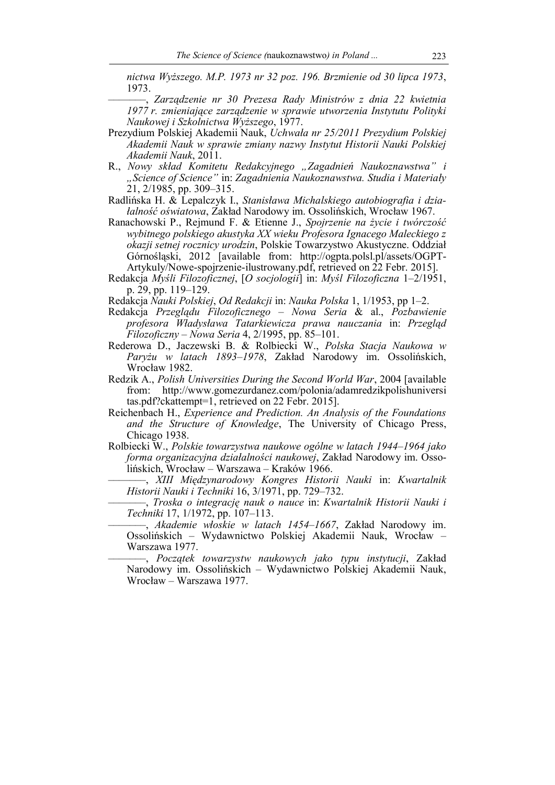*nictwa Wyższego. M.P. 1973 nr 32 poz. 196. Brzmienie od 30 lipca 1973*, 1973.

–––––––, *Zarządzenie nr 30 Prezesa Rady Ministrów z dnia 22 kwietnia 1977 r. zmieniające zarządzenie w sprawie utworzenia Instytutu Polityki Naukowej i Szkolnictwa Wyższego*, 1977.

- Prezydium Polskiej Akademii Nauk, *Uchwała nr 25/2011 Prezydium Polskiej Akademii Nauk w sprawie zmiany nazwy Instytut Historii Nauki Polskiej Akademii Nauk*, 2011.
- R., *Nowy skład Komitetu Redakcyjnego "Zagadnień Naukoznawstwa" i "Science of Science"* in: *Zagadnienia Naukoznawstwa. Studia i Materiały* 21, 2/1985, pp. 309–315.
- Radlińska H. & Lepalczyk I., *Stanisława Michalskiego autobiografia i działalność oświatowa*, Zakład Narodowy im. Ossolińskich, Wrocław 1967.
- Ranachowski P., Rejmund F. & Etienne J., *Spojrzenie na życie i twórczość wybitnego polskiego akustyka XX wieku Profesora Ignacego Maleckiego z okazji setnej rocznicy urodzin*, Polskie Towarzystwo Akustyczne. Oddział Górnośląski, 2012 [available from: http://ogpta.polsl.pl/assets/OGPT-Artykuly/Nowe-spojrzenie-ilustrowany.pdf, retrieved on 22 Febr. 2015].
- Redakcja *Myśli Filozoficznej*, [*O socjologii*] in: *Myśl Filozoficzna* 1–2/1951, p. 29, pp. 119–129.
- Redakcja *Nauki Polskiej*, *Od Redakcji* in: *Nauka Polska* 1, 1/1953, pp 1–2.
- Redakcja *Przeglądu Filozoficznego Nowa Seria* & al., *Pozbawienie profesora Władysława Tatarkiewicza prawa nauczania* in: *Przegląd Filozoficzny – Nowa Seria* 4, 2/1995, pp. 85–101.
- Rederowa D., Jaczewski B. & Rolbiecki W., *Polska Stacja Naukowa w Paryżu w latach 1893–1978*, Zakład Narodowy im. Ossolińskich, Wrocław 1982.
- Redzik A., *Polish Universities During the Second World War*, 2004 [available from: http://www.gomezurdanez.com/polonia/adamredzikpolishuniversi tas.pdf?ckattempt=1, retrieved on 22 Febr. 2015].
- Reichenbach H., *Experience and Prediction. An Analysis of the Foundations and the Structure of Knowledge*, The University of Chicago Press, Chicago 1938.
- Rolbiecki W., *Polskie towarzystwa naukowe ogólne w latach 1944–1964 jako forma organizacyjna działalności naukowej*, Zakład Narodowy im. Ossolińskich, Wrocław – Warszawa – Kraków 1966.

–––––––, *XIII Międzynarodowy Kongres Historii Nauki* in: *Kwartalnik Historii Nauki i Techniki* 16, 3/1971, pp. 729–732.

- –––––––, *Troska o integrację nauk o nauce* in: *Kwartalnik Historii Nauki i Techniki* 17, 1/1972, pp. 107–113.
- –––––––, *Akademie włoskie w latach 1454–1667*, Zakład Narodowy im. Ossolińskich – Wydawnictwo Polskiej Akademii Nauk, Wrocław – Warszawa 1977.
- –––––––, *Początek towarzystw naukowych jako typu instytucji*, Zakład Narodowy im. Ossolińskich – Wydawnictwo Polskiej Akademii Nauk, Wrocław – Warszawa 1977.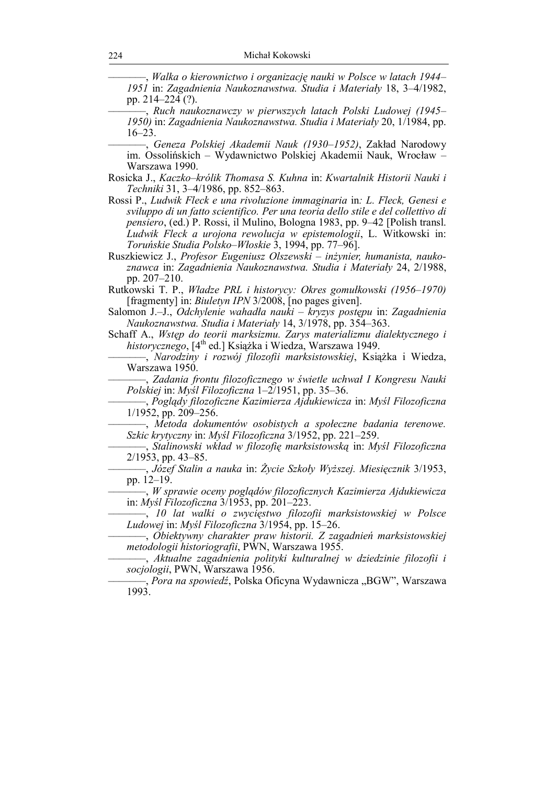–––––––, *Walka o kierownictwo i organizację nauki w Polsce w latach 1944– 1951* in: *Zagadnienia Naukoznawstwa. Studia i Materiały* 18, 3–4/1982, pp. 214*–*224 (?).

–––––––, *Ruch naukoznawczy w pierwszych latach Polski Ludowej (1945– 1950)* in: *Zagadnienia Naukoznawstwa. Studia i Materiały* 20, 1/1984, pp. 16–23.

–––––––, *Geneza Polskiej Akademii Nauk (1930–1952)*, Zakład Narodowy im. Ossolińskich – Wydawnictwo Polskiej Akademii Nauk, Wrocław – Warszawa 1990.

- Rosicka J., *Kaczko–królik Thomasa S. Kuhna* in: *Kwartalnik Historii Nauki i Techniki* 31, 3–4/1986, pp. 852–863.
- Rossi P., *Ludwik Fleck e una rivoluzione immaginaria* in*: L. Fleck, Genesi e sviluppo di un fatto scientifico. Per una teoria dello stile e del collettivo di pensiero*, (ed.) P. Rossi, il Mulino, Bologna 1983, pp. 9–42 [Polish transl. *Ludwik Fleck a urojona rewolucja w epistemologii*, L. Witkowski in: *Toruńskie Studia Polsko–Włoskie* 3, 1994, pp. 77–96].
- Ruszkiewicz J., *Profesor Eugeniusz Olszewski inżynier, humanista, naukoznawca* in: *Zagadnienia Naukoznawstwa. Studia i Materiały* 24, 2/1988, pp. 207–210.
- Rutkowski T. P., *Władze PRL i historycy: Okres gomułkowski (1956–1970)*  [fragmenty] in: *Biuletyn IPN* 3/2008, [no pages given].
- Salomon J.–J., *Odchylenie wahadła nauki – kryzys postępu* in: *Zagadnienia Naukoznawstwa. Studia i Materiały* 14, 3/1978, pp. 354–363.
- Schaff A., *Wstęp do teorii marksizmu. Zarys materializmu dialektycznego i historycznego*, [4th ed.] Książka i Wiedza, Warszawa 1949.
	- –––––––, *Narodziny i rozwój filozofii marksistowskiej*, Książka i Wiedza, Warszawa 1950.
	- –––––––, *Zadania frontu filozoficznego w świetle uchwał I Kongresu Nauki Polskiej* in: *Myśl Filozoficzna* 1–2/1951, pp. 35–36.
	- –––––––, *Poglądy filozoficzne Kazimierza Ajdukiewicza* in: *Myśl Filozoficzna* 1/1952, pp. 209–256.
	- –––––––, *Metoda dokumentów osobistych a społeczne badania terenowe. Szkic krytyczny* in: *Myśl Filozoficzna* 3/1952, pp. 221–259.
	- –––––––, *Stalinowski wkład w filozofię marksistowską* in: *Myśl Filozoficzna* 2/1953, pp. 43–85.
	- –––––––, *Józef Stalin a nauka* in: *Życie Szkoły Wyższej. Miesięcznik* 3/1953, pp. 12–19.
	- –––––––, *W sprawie oceny poglądów filozoficznych Kazimierza Ajdukiewicza* in: *Myśl Filozoficzna* 3/1953, pp. 201–223.
	- –––––––, *10 lat walki o zwycięstwo filozofii marksistowskiej w Polsce Ludowej* in: *Myśl Filozoficzna* 3/1954, pp. 15–26.
	- –––––––, *Obiektywny charakter praw historii. Z zagadnień marksistowskiej metodologii historiografii*, PWN, Warszawa 1955.
- –––––––, *Aktualne zagadnienia polityki kulturalnej w dziedzinie filozofii i socjologii*, PWN, Warszawa 1956.
- –––––––, *Pora na spowiedź*, Polska Oficyna Wydawnicza "BGW", Warszawa 1993.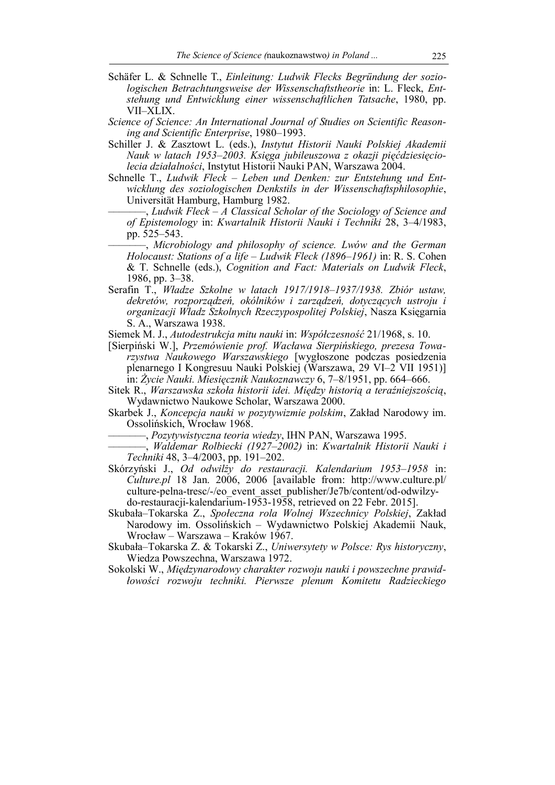- Schäfer L. & Schnelle T., *Einleitung: Ludwik Flecks Begründung der soziologischen Betrachtungsweise der Wissenschaftstheorie* in: L. Fleck, *Entstehung und Entwicklung einer wissenschaftlichen Tatsache*, 1980, pp. VII–XLIX.
- *Science of Science: An International Journal of Studies on Scientific Reasoning and Scientific Enterprise*, 1980–1993.
- Schiller J. & Zasztowt L. (eds.), *Instytut Historii Nauki Polskiej Akademii Nauk w latach 1953–2003. Księga jubileuszowa z okazji pięćdziesięciolecia działalności*, Instytut Historii Nauki PAN, Warszawa 2004.
- Schnelle T., *Ludwik Fleck* – *Leben und Denken: zur Entstehung und Entwicklung des soziologischen Denkstils in der Wissenschaftsphilosophie*, Universität Hamburg, Hamburg 1982.
	- –––––––, *Ludwik Fleck A Classical Scholar of the Sociology of Science and of Epistemology* in: *Kwartalnik Historii Nauki i Techniki* 28, 3–4/1983, pp. 525–543.
	- –––––––, *Microbiology and philosophy of science. Lwów and the German Holocaust: Stations of a life – Ludwik Fleck (1896–1961)* in: R. S. Cohen & T. Schnelle (eds.), *Cognition and Fact: Materials on Ludwik Fleck*, 1986, pp. 3–38.
- Serafin T., *Władze Szkolne w latach 1917/1918–1937/1938. Zbiór ustaw, dekretów, rozporządzeń, okólników i zarządzeń, dotyczących ustroju i organizacji Władz Szkolnych Rzeczypospolitej Polskiej*, Nasza Księgarnia S. A., Warszawa 1938.
- Siemek M. J., *Autodestrukcja mitu nauki* in: *Współczesność* 21/1968, s. 10.
- [Sierpiński W.], *Przemówienie prof. Wacława Sierpińskiego, prezesa Towarzystwa Naukowego Warszawskiego* [wygłoszone podczas posiedzenia plenarnego I Kongresuu Nauki Polskiej (Warszawa, 29 VI–2 VII 1951)] in: *Życie Nauki. Miesięcznik Naukoznawczy* 6, 7–8/1951, pp. 664–666.
- Sitek R., *Warszawska szkoła historii idei. Między historią a teraźniejszością*, Wydawnictwo Naukowe Scholar, Warszawa 2000.
- Skarbek J., *Koncepcja nauki w pozytywizmie polskim*, Zakład Narodowy im. Ossolińskich, Wrocław 1968.
	- –––––––, *Pozytywistyczna teoria wiedzy*, IHN PAN, Warszawa 1995.
	- –––––––, *Waldemar Rolbiecki (1927–2002)* in: *Kwartalnik Historii Nauki i Techniki* 48, 3–4/2003, pp. 191–202.
- Skórzyński J., *Od odwilży do restauracji. Kalendarium 1953–1958* in: *Culture.pl* 18 Jan. 2006, 2006 [available from: http://www.culture.pl/ culture-pelna-tresc/-/eo\_event\_asset\_publisher/Je7b/content/od-odwilzydo-restauracji-kalendarium-1953-1958, retrieved on 22 Febr. 2015].
- Skubała–Tokarska Z., *Społeczna rola Wolnej Wszechnicy Polskiej*, Zakład Narodowy im. Ossolińskich – Wydawnictwo Polskiej Akademii Nauk, Wrocław – Warszawa – Kraków 1967.
- Skubała–Tokarska Z. & Tokarski Z., *Uniwersytety w Polsce: Rys historyczny*, Wiedza Powszechna, Warszawa 1972.
- Sokolski W., *Międzynarodowy charakter rozwoju nauki i powszechne prawidłowości rozwoju techniki. Pierwsze plenum Komitetu Radzieckiego*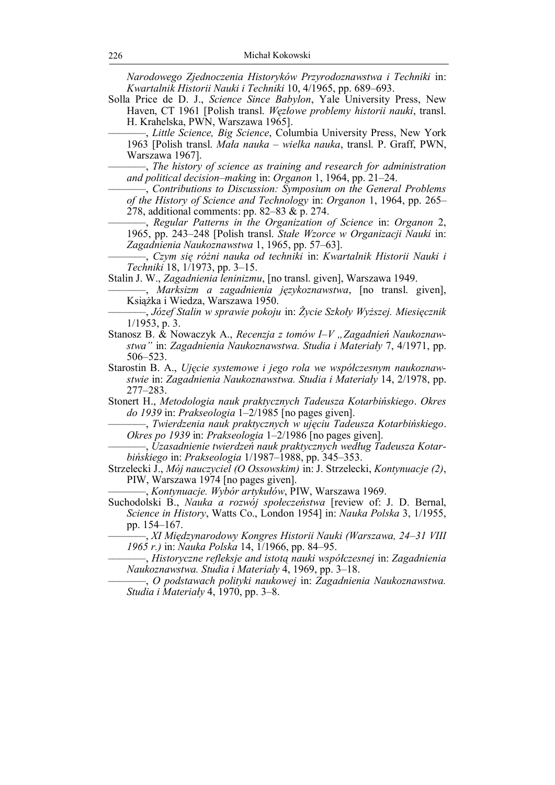*Narodowego Zjednoczenia Historyków Przyrodoznawstwa i Techniki* in: *Kwartalnik Historii Nauki i Techniki* 10, 4/1965, pp. 689–693.

- Solla Price de D. J., *Science Since Babylon*, Yale University Press, New Haven, CT 1961 [Polish transl. *Węzłowe problemy historii nauki*, transl. H. Krahelska, PWN, Warszawa 1965].
	- –––––––, *Little Science, Big Science*, Columbia University Press, New York 1963 [Polish transl. *Mała nauka – wielka nauka*, transl. P. Graff, PWN, Warszawa 1967].
	- –––––––, *The history of science as training and research for administration and political decision–making* in: *Organon* 1, 1964, pp. 21–24.
	- –––––––, *Contributions to Discussion: Symposium on the General Problems of the History of Science and Technology* in: *Organon* 1, 1964, pp. 265– 278, additional comments: pp. 82–83 & p. 274.
	- –––––––, *Regular Patterns in the Organization of Science* in: *Organon* 2, 1965, pp. 243–248 [Polish transl. *Stałe Wzorce w Organizacji Nauki* in: *Zagadnienia Naukoznawstwa* 1, 1965, pp. 57–63].

–––––––, *Czym się różni nauka od techniki* in: *Kwartalnik Historii Nauki i Techniki* 18, 1/1973, pp. 3–15.

Stalin J. W., *Zagadnienia leninizmu*, [no transl. given], Warszawa 1949.

- –––––––, *Marksizm a zagadnienia językoznawstwa*, [no transl. given], Książka i Wiedza, Warszawa 1950.
- –––––––, *Józef Stalin w sprawie pokoju* in: *Życie Szkoły Wyższej. Miesięcznik* 1/1953, p. 3.
- Stanosz B. & Nowaczyk A., *Recenzja z tomów I–V "Zagadnień Naukoznawstwa"* in: *Zagadnienia Naukoznawstwa. Studia i Materiały* 7, 4/1971, pp. 506–523.
- Starostin B. A., *Ujęcie systemowe i jego rola we współczesnym naukoznawstwie* in: *Zagadnienia Naukoznawstwa. Studia i Materiały* 14, 2/1978, pp. 277–283.
- Stonert H., *Metodologia nauk praktycznych Tadeusza Kotarbińskiego*. *Okres do 1939* in: *Prakseologia* 1–2/1985 [no pages given].
	- –––––––, *Twierdzenia nauk praktycznych w ujęciu Tadeusza Kotarbińskiego*. *Okres po 1939* in: *Prakseologia* 1–2/1986 [no pages given].
	- –––––––, *Uzasadnienie twierdzeń nauk praktycznych według Tadeusza Kotarbińskiego* in: *Prakseologia* 1/1987–1988, pp. 345–353.
- Strzelecki J., *Mój nauczyciel (O Ossowskim)* in: J. Strzelecki, *Kontynuacje (2)*, PIW, Warszawa 1974 [no pages given].

–––––––, *Kontynuacje. Wybór artykułów*, PIW, Warszawa 1969.

Suchodolski B., *Nauka a rozwój społeczeństwa* [review of: J. D. Bernal, *Science in History*, Watts Co., London 1954] in: *Nauka Polska* 3, 1/1955, pp. 154–167.

–––––––, *XI Międzynarodowy Kongres Historii Nauki (Warszawa, 24–31 VIII 1965 r.)* in: *Nauka Polska* 14, 1/1966, pp. 84–95.

- –––––––, *Historyczne refleksje and istotą nauki współczesnej* in: *Zagadnienia Naukoznawstwa. Studia i Materiały* 4, 1969, pp. 3–18.
	- –––––––, *O podstawach polityki naukowej* in: *Zagadnienia Naukoznawstwa. Studia i Materiały* 4, 1970, pp. 3–8.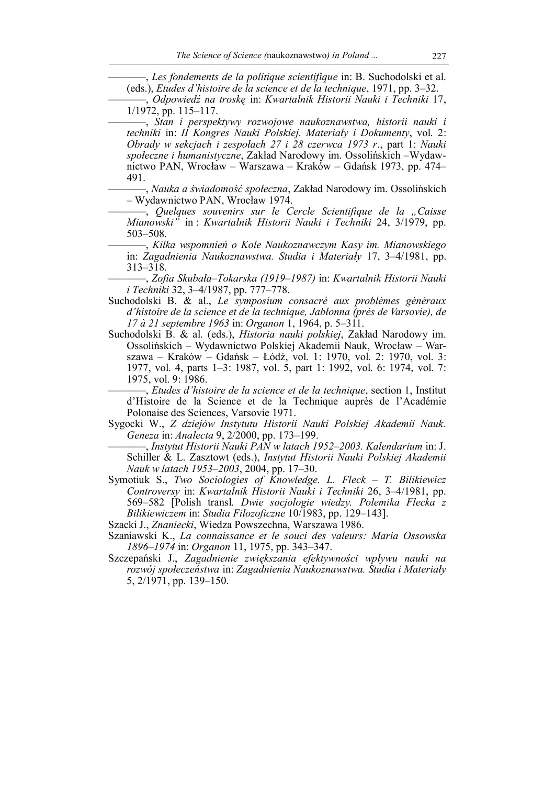–––––––, *Les fondements de la politique scientifique* in: B. Suchodolski et al. (eds.), *Etudes d'histoire de la science et de la technique*, 1971, pp. 3–32.

–––––––, *Odpowiedź na troskę* in: *Kwartalnik Historii Nauki i Techniki* 17, 1/1972, pp. 115–117.

–––––––, *Stan i perspektywy rozwojowe naukoznawstwa, historii nauki i techniki* in: *II Kongres Nauki Polskiej. Materiały i Dokumenty*, vol. 2: *Obrady w sekcjach i zespołach 27 i 28 czerwca 1973 r*., part 1: *Nauki społeczne i humanistyczne*, Zakład Narodowy im. Ossolińskich –Wydawnictwo PAN, Wrocław – Warszawa – Kraków – Gdańsk 1973, pp. 474– 491.

–––––––, *Nauka a świadomość społeczna*, Zakład Narodowy im. Ossolińskich – Wydawnictwo PAN, Wrocław 1974.

–––––––, *Quelques souvenirs sur le Cercle Scientifique de la "Caisse Mianowski"* in : *Kwartalnik Historii Nauki i Techniki* 24, 3/1979, pp. 503–508.

–––––––, *Kilka wspomnień o Kole Naukoznawczym Kasy im. Mianowskiego* in: *Zagadnienia Naukoznawstwa. Studia i Materiały* 17, 3–4/1981, pp. 313–318.

–––––––, *Zofia Skubała–Tokarska (1919–1987)* in: *Kwartalnik Historii Nauki i Techniki* 32, 3–4/1987, pp. 777–778.

- Suchodolski B. & al., *Le symposium consacré aux problèmes généraux d'histoire de la science et de la technique, Jabłonna (près de Varsovie), de 17 à 21 septembre 1963* in: *Organon* 1, 1964, p. 5–311.
- Suchodolski B. & al. (eds.), *Historia nauki polskiej*, Zakład Narodowy im. Ossolińskich – Wydawnictwo Polskiej Akademii Nauk, Wrocław – Warszawa – Kraków – Gdańsk – Łódź, vol. 1: 1970, vol. 2: 1970, vol. 3: 1977, vol. 4, parts 1–3: 1987, vol. 5, part 1: 1992, vol. 6: 1974, vol. 7: 1975, vol. 9: 1986.

–––––––, *Etudes d'histoire de la science et de la technique*, section 1, Institut d'Histoire de la Science et de la Technique auprès de l'Académie Polonaise des Sciences, Varsovie 1971.

Sygocki W., *Z dziejów Instytutu Historii Nauki Polskiej Akademii Nauk. Geneza* in: *Analecta* 9, 2/2000, pp. 173–199.

–––––––, *Instytut Historii Nauki PAN w latach 1952–2003. Kalendarium* in: J. Schiller & L. Zasztowt (eds.), *Instytut Historii Nauki Polskiej Akademii Nauk w latach 1953–2003*, 2004, pp. 17–30.

Symotiuk S., *Тwo Sociologies of Knowledge. L. Fleck – T. Bilikiewicz Controversy* in: *Kwartalnik Historii Nauki i Techniki* 26, 3–4/1981, pp. 569–582 [Polish transl. *Dwie socjologie wiedzy. Polemika Flecka z Bilikiewiczem* in: *Studia Filozoficzne* 10/1983, pp. 129–143].

Szacki J., *Znaniecki*, Wiedza Powszechna, Warszawa 1986.

- Szaniawski K., *La connaissance et le souci des valeurs: Maria Ossowska 1896–1974* in: *Organon* 11, 1975, pp. 343–347.
- Szczepański J., *Zagadnienie zwiększania efektywności wpływu nauki na rozwój społeczeństwa* in: *Zagadnienia Naukoznawstwa. Studia i Materiały* 5, 2/1971, pp. 139–150.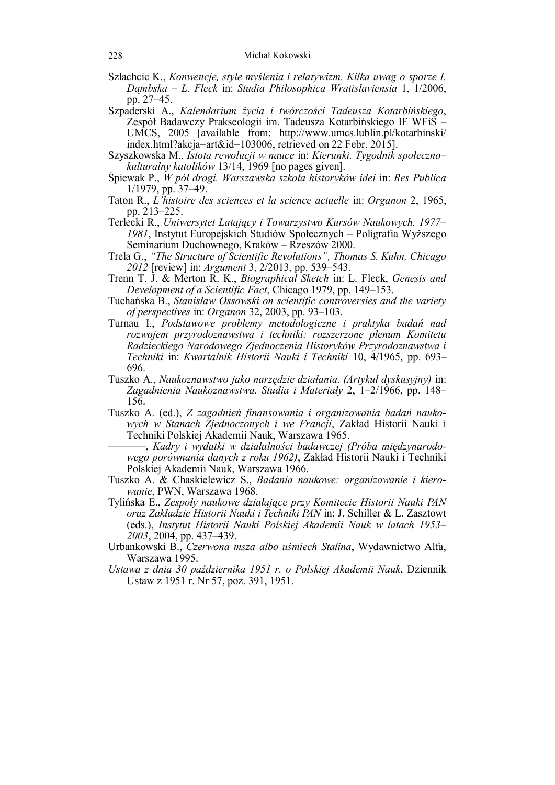Szlachcic K., *Konwencje, style myślenia i relatywizm. Kilka uwag o sporze I. Dąmbska – L. Fleck* in: *Studia Philosophica Wratislaviensia* 1, 1/2006, pp. 27–45.

Szpaderski A., *Kalendarium życia i twórczości Tadeusza Kotarbińskiego*, Zespół Badawczy Prakseologii im. Tadeusza Kotarbińskiego IF WFiS – UMCS, 2005 [available from: http://www.umcs.lublin.pl/kotarbinski/ index.html?akcja=art&id=103006, retrieved on 22 Febr. 2015].

Szyszkowska M., *Istota rewolucji w nauce* in: *Kierunki. Tygodnik społeczno– kulturalny katolików* 13/14, 1969 [no pages given].

- Śpiewak P., *W pół drogi. Warszawska szkoła historyków idei* in: *Res Publica* 1/1979, pp. 37–49.
- Taton R., *L'histoire des sciences et la science actuelle* in: *Organon* 2, 1965, pp. 213–225.
- Terlecki R., *Uniwersytet Latający i Towarzystwo Kursów Naukowych. 1977– 1981*, Instytut Europejskich Studiów Społecznych – Poligrafia Wyższego Seminarium Duchownego, Kraków – Rzeszów 2000.
- Trela G., *"The Structure of Scientific Revolutions", Thomas S. Kuhn, Chicago 2012* [review] in: *Argument* 3, 2/2013, pp. 539–543.
- Trenn T. J. & Merton R. K., *Biographical Sketch* in: L. Fleck, *Genesis and Development of a Scientific Fact*, Chicago 1979, pp. 149–153.
- Tuchańska B., *Stanisław Ossowski on scientific controversies and the variety of perspectives* in: *Organon* 32, 2003, pp. 93–103.
- Turnau I., *Podstawowe problemy metodologiczne i praktyka badań nad rozwojem przyrodoznawstwa i techniki: rozszerzone plenum Komitetu Radzieckiego Narodowego Zjednoczenia Historyków Przyrodoznawstwa i Techniki* in: *Kwartalnik Historii Nauki i Techniki* 10, 4/1965, pp. 693– 696.
- Tuszko A., *Naukoznawstwo jako narzędzie działania. (Artykuł dyskusyjny)* in: *Zagadnienia Naukoznawstwa. Studia i Materiały* 2, 1–2/1966, pp. 148– 156.
- Tuszko A. (ed.), *Z zagadnień finansowania i organizowania badań naukowych w Stanach Zjednoczonych i we Francji*, Zakład Historii Nauki i Techniki Polskiej Akademii Nauk, Warszawa 1965.
- –––––––, *Kadry i wydatki w działalności badawczej (Próba międzynarodowego porównania danych z roku 1962)*, Zakład Historii Nauki i Techniki Polskiej Akademii Nauk, Warszawa 1966.
- Tuszko A. & Chaskielewicz S., *Badania naukowe: organizowanie i kierowanie*, PWN, Warszawa 1968.
- Tylińska E., *Zespoły naukowe działające przy Komitecie Historii Nauki PAN oraz Zakładzie Historii Nauki i Techniki PAN* in: J. Schiller & L. Zasztowt (eds.), *Instytut Historii Nauki Polskiej Akademii Nauk w latach 1953– 2003*, 2004, pp. 437–439.
- Urbankowski B., *Czerwona msza albo uśmiech Stalina*, Wydawnictwo Alfa, Warszawa 1995.
- *Ustawa z dnia 30 października 1951 r. o Polskiej Akademii Nauk*, Dziennik Ustaw z 1951 r. Nr 57, poz. 391, 1951.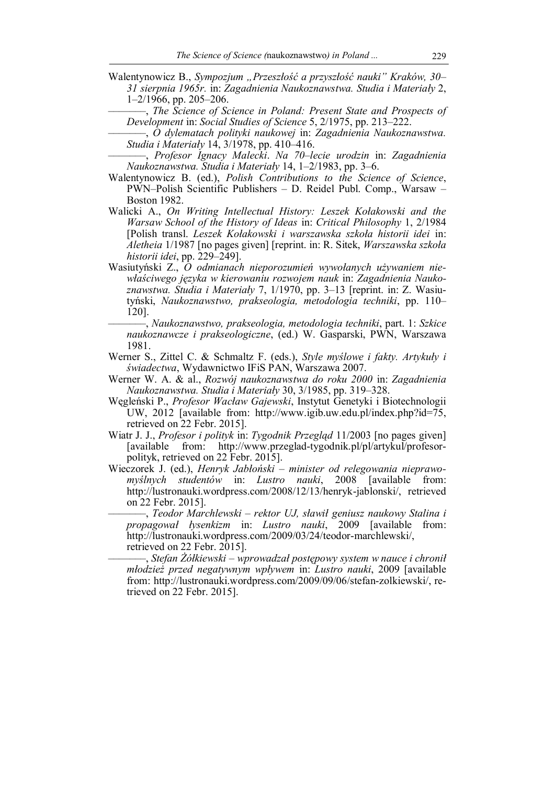- Walentynowicz B., *Sympozjum "Przeszłość a przyszłość nauki" Kraków, 30– 31 sierpnia 1965r.* in: *Zagadnienia Naukoznawstwa. Studia i Materiały* 2, 1–2/1966, pp. 205–206.
	- –––––––, *The Science of Science in Poland: Present State and Prospects of Development* in: *Social Studies of Science* 5, 2/1975, pp. 213–222.
	- –––––––, *O dylematach polityki naukowej* in: *Zagadnienia Naukoznawstwa. Studia i Materiały* 14, 3/1978, pp. 410–416.

–––––––, *Profesor Ignacy Malecki*. *Na 70–lecie urodzin* in: *Zagadnienia Naukoznawstwa. Studia i Materiały* 14, 1–2/1983, pp. 3–6.

- Walentynowicz B. (ed.), *Polish Contributions to the Science of Science*, PWN–Polish Scientific Publishers – D. Reidel Publ. Comp., Warsaw – Boston 1982.
- Walicki A., *On Writing Intellectual History: Leszek Kołakowski and the Warsaw School of the History of Ideas* in: *Critical Philosophy* 1, 2/1984 [Polish transl. *Leszek Kołakowski i warszawska szkoła historii idei* in: *Aletheia* 1/1987 [no pages given] [reprint. in: R. Sitek, *Warszawska szkoła historii idei*, pp. 229–249].
- Wasiutyński Z., *O odmianach nieporozumień wywołanych używaniem niewłaściwego języka w kierowaniu rozwojem nauk* in: *Zagadnienia Naukoznawstwa. Studia i Materiały* 7, 1/1970, pp. 3–13 [reprint. in: Z. Wasiutyński, *Naukoznawstwo, prakseologia, metodologia techniki*, pp. 110– 120].
- –––––––, *Naukoznawstwo, prakseologia, metodologia techniki*, part. 1: *Szkice naukoznawcze i prakseologiczne*, (ed.) W. Gasparski, PWN, Warszawa 1981.
- Werner S., Zittel C. & Schmaltz F. (eds.), *Style myślowe i fakty. Artykuły i świadectwa*, Wydawnictwo IFiS PAN, Warszawa 2007.
- Werner W. A. & al., *Rozwój naukoznawstwa do roku 2000* in: *Zagadnienia Naukoznawstwa. Studia i Materiały* 30, 3/1985, pp. 319–328.
- Węgleński P., *Profesor Wacław Gajewski*, Instytut Genetyki i Biotechnologii UW, 2012 [available from: http://www.igib.uw.edu.pl/index.php?id=75, retrieved on 22 Febr. 2015].
- Wiatr J. J., *Profesor i polityk* in: *Tygodnik Przegląd* 11/2003 [no pages given] [available from: http://www.przeglad-tygodnik.pl/pl/artykul/profesorpolityk, retrieved on 22 Febr. 2015].
- Wieczorek J. (ed.), *Henryk Jabłoński minister od relegowania nieprawomyślnych studentów* in: *Lustro nauki*, 2008 [available from: http://lustronauki.wordpress.com/2008/12/13/henryk-jablonski/, retrieved on 22 Febr. 2015].

–––––––, *Teodor Marchlewski – rektor UJ, sławił geniusz naukowy Stalina i propagował łysenkizm* in: *Lustro nauki*, 2009 [available from: http://lustronauki.wordpress.com/2009/03/24/teodor-marchlewski/, retrieved on 22 Febr. 2015].

–––––––, *Stefan Żółkiewski – wprowadzał postępowy system w nauce i chronił młodzież przed negatywnym wpływem* in: *Lustro nauki*, 2009 [available from: http://lustronauki.wordpress.com/2009/09/06/stefan-zolkiewski/, retrieved on 22 Febr. 2015].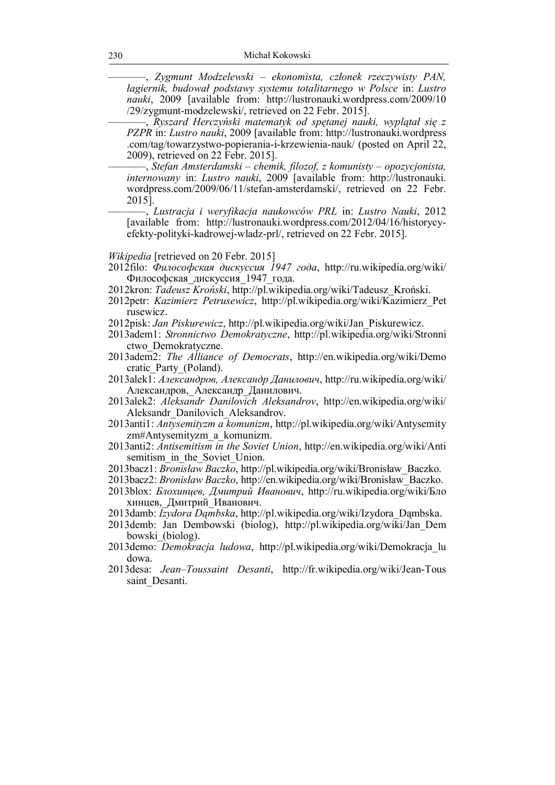–––––––, *Zygmunt Modzelewski – ekonomista, członek rzeczywisty PAN, łagiernik, budował podstawy systemu totalitarnego w Polsce* in: *Lustro nauki*, 2009 [available from: http://lustronauki.wordpress.com/2009/10 /29/zygmunt-modzelewski/, retrieved on 22 Febr. 2015].

–––––––, *Ryszard Herczyński matematyk od spętanej nauki, wyplątał się z PZPR* in: *Lustro nauki*, 2009 [available from: http://lustronauki.wordpress .com/tag/towarzystwo-popierania-i-krzewienia-nauk/ (posted on April 22, 2009), retrieved on 22 Febr. 2015].

–––––––, *Stefan Amsterdamski – chemik, filozof, z komunisty – opozycjonista, internowany* in: *Lustro nauki*, 2009 [available from: http://lustronauki. wordpress.com/2009/06/11/stefan-amsterdamski/, retrieved on 22 Febr. 2015].

–––––––, *Lustracja i weryfikacja naukowców PRL* in: *Lustro Nauki*, 2012 [available from: http://lustronauki.wordpress.com/2012/04/16/historycyefekty-polityki-kadrowej-wladz-prl/, retrieved on 22 Febr. 2015].

- *Wikipedia* [retrieved on 20 Febr. 2015]
- 2012filo: *Философская дискуссия 1947 года*, http://ru.wikipedia.org/wiki/ Философская\_дискуссия\_1947\_года.
- 2012kron: *Tadeusz Kroński*, http://pl.wikipedia.org/wiki/Tadeusz\_Kroński.
- 2012petr: *Kazimierz Petrusewicz*, http://pl.wikipedia.org/wiki/Kazimierz\_Pet rusewicz.
- 2012pisk: *Jan Piskurewicz*, http://pl.wikipedia.org/wiki/Jan\_Piskurewicz.
- 2013adem1: *Stronnictwo Demokratyczne*, http://pl.wikipedia.org/wiki/Stronni ctwo\_Demokratyczne.
- 2013adem2: *The Alliance of Democrats*, http://en.wikipedia.org/wiki/Demo cratic\_Party\_(Poland).
- 2013alek1: *Александров, Александр Данилович*, http://ru.wikipedia.org/wiki/ Александров,\_Александр\_Данилович.
- 2013alek2: *Aleksandr Danilovich Aleksandrov*, http://en.wikipedia.org/wiki/ Aleksandr\_Danilovich\_Aleksandrov.
- 2013anti1: *Antysemityzm a komunizm*, http://pl.wikipedia.org/wiki/Antysemity zm#Antysemityzm\_a\_komunizm.
- 2013anti2: *Antisemitism in the Soviet Union*, http://en.wikipedia.org/wiki/Anti semitism\_in\_the\_Soviet\_Union.
- 2013bacz1: *Bronisław Baczko*, http://pl.wikipedia.org/wiki/Bronisław\_Baczko.
- 2013bacz2: *Bronisław Baczko*, http://en.wikipedia.org/wiki/Bronisław\_Baczko.
- 2013blox: *Блохинцев, Дмитрий Иванович*, http://ru.wikipedia.org/wiki/Бло хинцев,\_Дмитрий\_Иванович.
- 2013damb: *Izydora Dąmbska*, http://pl.wikipedia.org/wiki/Izydora\_Dąmbska.
- 2013demb: Jan Dembowski (biolog), http://pl.wikipedia.org/wiki/Jan\_Dem bowski\_(biolog).
- 2013demo: *Demokracja ludowa*, http://pl.wikipedia.org/wiki/Demokracja\_lu dowa.
- 2013desa: *Jean–Toussaint Desanti*, http://fr.wikipedia.org/wiki/Jean-Tous saint Desanti.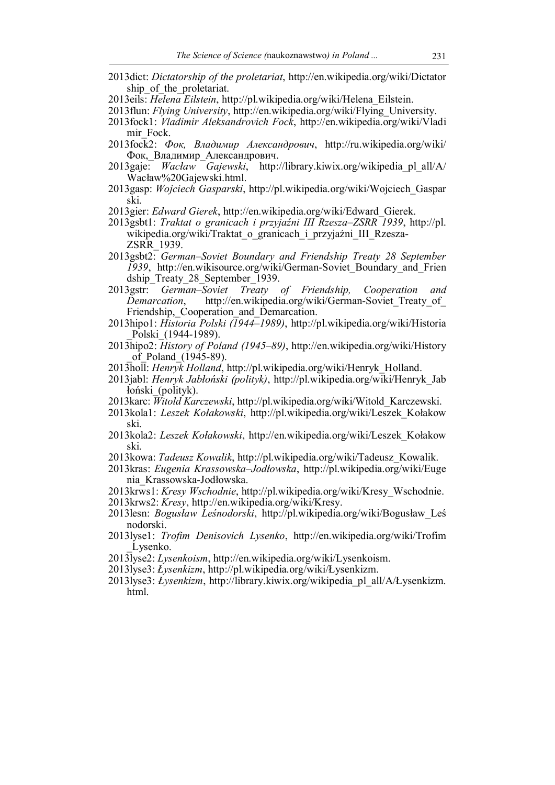- 2013dict: *Dictatorship of the proletariat*, http://en.wikipedia.org/wiki/Dictator ship of the proletariat.
- 2013eils: *Helena Eilstein*, http://pl.wikipedia.org/wiki/Helena\_Eilstein.
- 2013flun: *Flying University*, http://en.wikipedia.org/wiki/Flying\_University.
- 2013fock1: *Vladimir Aleksandrovich Fock*, http://en.wikipedia.org/wiki/Vladi mir\_Fock.
- 2013fock2: *Фок, Владимир Александрович*, http://ru.wikipedia.org/wiki/ Фок,\_Владимир\_Александрович.
- 2013gaje: *Wacław Gajewski*, http://library.kiwix.org/wikipedia\_pl\_all/A/ Wacław%20Gajewski.html.
- 2013gasp: *Wojciech Gasparski*, http://pl.wikipedia.org/wiki/Wojciech\_Gaspar ski.
- 2013gier: *Edward Gierek*, http://en.wikipedia.org/wiki/Edward\_Gierek.
- 2013gsbt1: *Traktat o granicach i przyjaźni III Rzesza–ZSRR 1939*, http://pl. wikipedia.org/wiki/Traktat o granicach i przyjaźni III Rzesza-ZSRR\_1939.
- 2013gsbt2: *German–Soviet Boundary and Friendship Treaty 28 September 1939*, http://en.wikisource.org/wiki/German-Soviet\_Boundary\_and\_Frien dship Treaty 28 September 1939.
- 2013gstr: *German–Soviet Treaty of Friendship, Cooperation and Demarcation*, http://en.wikipedia.org/wiki/German-Soviet Treaty of Friendship, Cooperation and Demarcation.
- 2013hipo1: *Historia Polski (1944–1989)*, http://pl.wikipedia.org/wiki/Historia Polski (1944-1989).
- 2013hipo2: *History of Poland (1945–89)*, http://en.wikipedia.org/wiki/History of Poland  $(1945-89)$ .
- 2013holl: *Henryk Holland*, http://pl.wikipedia.org/wiki/Henryk\_Holland.
- 2013jabl: *Henryk Jabłoński (polityk)*, http://pl.wikipedia.org/wiki/Henryk\_Jab łoński (polityk).
- 2013karc: *Witold Karczewski*, http://pl.wikipedia.org/wiki/Witold\_Karczewski.
- 2013kola1: *Leszek Kołakowski*, http://pl.wikipedia.org/wiki/Leszek\_Kołakow ski.
- 2013kola2: *Leszek Kołakowski*, http://en.wikipedia.org/wiki/Leszek\_Kołakow ski.
- 2013kowa: *Tadeusz Kowalik*, http://pl.wikipedia.org/wiki/Tadeusz\_Kowalik.
- 2013kras: *Eugenia Krassowska–Jodłowska*, http://pl.wikipedia.org/wiki/Euge nia\_Krassowska-Jodłowska.
- 2013krws1: *Kresy Wschodnie*, http://pl.wikipedia.org/wiki/Kresy\_Wschodnie.
- 2013krws2: *Kresy*, http://en.wikipedia.org/wiki/Kresy.
- 2013lesn: *Bogusław Leśnodorski*, http://pl.wikipedia.org/wiki/Bogusław\_Leś nodorski.
- 2013lyse1: *Trofim Denisovich Lysenko*, http://en.wikipedia.org/wiki/Trofim Lysenko.
- 2013lyse2: *Lysenkoism*, http://en.wikipedia.org/wiki/Lysenkoism.
- 2013lyse3: *Łysenkizm*, http://pl.wikipedia.org/wiki/Łysenkizm.
- 2013lyse3: *Łysenkizm*, http://library.kiwix.org/wikipedia\_pl\_all/A/Łysenkizm. html.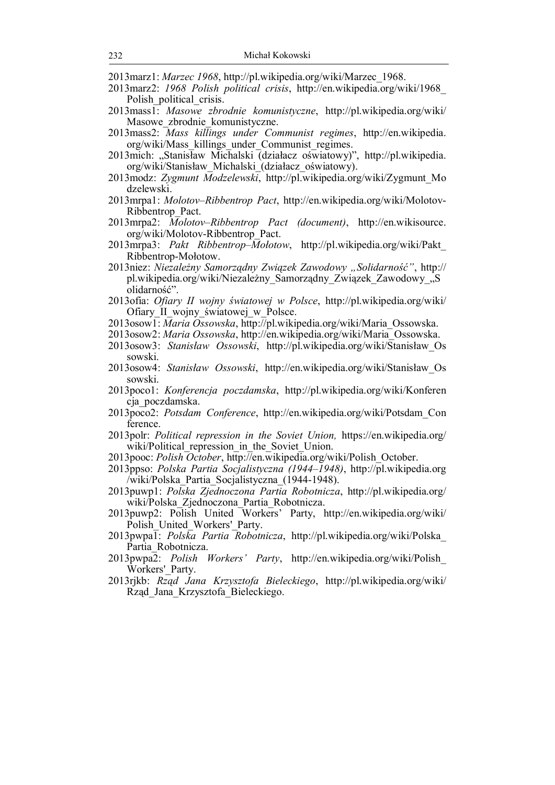- 2013marz1: *Marzec 1968*, http://pl.wikipedia.org/wiki/Marzec\_1968.
- 2013marz2: *1968 Polish political crisis*, http://en.wikipedia.org/wiki/1968\_ Polish political crisis.
- 2013mass1: *Masowe zbrodnie komunistyczne*, http://pl.wikipedia.org/wiki/ Masowe\_zbrodnie\_komunistyczne.
- 2013mass2: *Mass killings under Communist regimes*, http://en.wikipedia. org/wiki/Mass\_killings\_under\_Communist\_regimes.
- 2013mich: "Stanisław Michalski (działacz oświatowy)", http://pl.wikipedia. org/wiki/Stanisław\_Michalski\_(działacz\_oświatowy).
- 2013modz: *Zygmunt Modzelewski*, http://pl.wikipedia.org/wiki/Zygmunt\_Mo dzelewski.
- 2013mrpa1: *Molotov–Ribbentrop Pact*, http://en.wikipedia.org/wiki/Molotov-Ribbentrop\_Pact.
- 2013mrpa2: *Molotov–Ribbentrop Pact (document)*, http://en.wikisource. org/wiki/Molotov-Ribbentrop\_Pact.
- 2013mrpa3: *Pakt Ribbentrop–Mołotow*, http://pl.wikipedia.org/wiki/Pakt\_ Ribbentrop-Mołotow.
- 2013niez: *Niezależny Samorządny Związek Zawodowy "Solidarność"*, http:// pl.wikipedia.org/wiki/Niezależny\_Samorządny\_Związek\_Zawodowy\_"S olidarność".
- 2013ofia: *Ofiary II wojny światowej w Polsce*, http://pl.wikipedia.org/wiki/ Ofiary\_II\_wojny\_światowej\_w\_Polsce.
- 2013osow1: *Maria Ossowska*, http://pl.wikipedia.org/wiki/Maria\_Ossowska.
- 2013osow2: *Maria Ossowska*, http://en.wikipedia.org/wiki/Maria\_Ossowska.
- 2013osow3: *Stanisław Ossowski*, http://pl.wikipedia.org/wiki/Stanisław\_Os sowski.
- 2013osow4: *Stanisław Ossowski*, http://en.wikipedia.org/wiki/Stanisław\_Os sowski.
- 2013poco1: *Konferencja poczdamska*, http://pl.wikipedia.org/wiki/Konferen cja\_poczdamska.
- 2013poco2: *Potsdam Conference*, http://en.wikipedia.org/wiki/Potsdam\_Con ference.
- 2013polr: *Political repression in the Soviet Union,* https://en.wikipedia.org/ wiki/Political repression in the Soviet Union.
- 2013pooc: *Polish October*, http://en.wikipedia.org/wiki/Polish\_October.
- 2013ppso: *Polska Partia Socjalistyczna (1944–1948)*, http://pl.wikipedia.org /wiki/Polska\_Partia\_Socjalistyczna\_(1944-1948).
- 2013puwp1: *Polska Zjednoczona Partia Robotnicza*, http://pl.wikipedia.org/ wiki/Polska\_Zjednoczona\_Partia\_Robotnicza.
- 2013puwp2: Polish United Workers' Party, http://en.wikipedia.org/wiki/ Polish\_United\_Workers'\_Party.
- 2013pwpa1: *Polska Partia Robotnicza*, http://pl.wikipedia.org/wiki/Polska\_ Partia\_Robotnicza.
- 2013pwpa2: *Polish Workers' Party*, http://en.wikipedia.org/wiki/Polish\_ Workers'\_Party.
- 2013rjkb: *Rząd Jana Krzysztofa Bieleckiego*, http://pl.wikipedia.org/wiki/ Rząd\_Jana\_Krzysztofa\_Bieleckiego.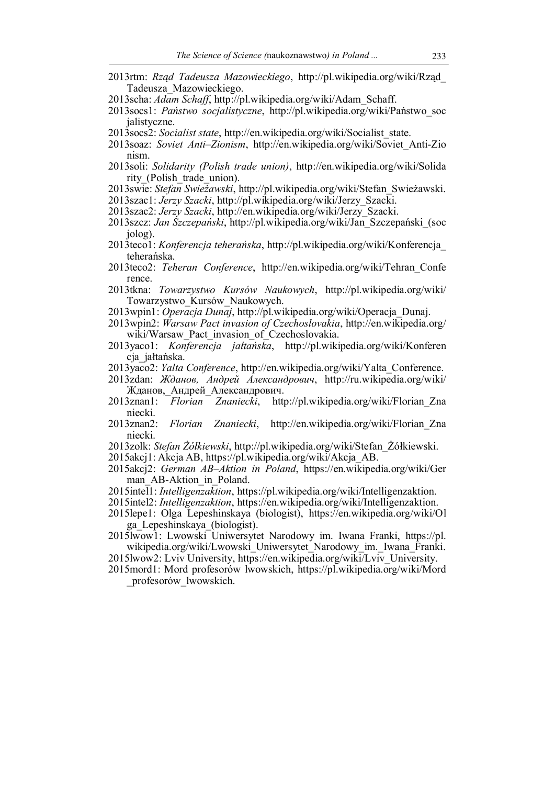- 2013rtm: *Rząd Tadeusza Mazowieckiego*, http://pl.wikipedia.org/wiki/Rząd\_ Tadeusza\_Mazowieckiego.
- 2013scha: *Adam Schaff*, http://pl.wikipedia.org/wiki/Adam\_Schaff.
- 2013socs1: *Państwo socjalistyczne*, http://pl.wikipedia.org/wiki/Państwo\_soc jalistyczne.
- 2013socs2: *Socialist state*, http://en.wikipedia.org/wiki/Socialist\_state.
- 2013soaz: *Soviet Anti–Zionism*, http://en.wikipedia.org/wiki/Soviet\_Anti-Zio nism.
- 2013soli: *Solidarity (Polish trade union)*, http://en.wikipedia.org/wiki/Solida rity (Polish trade union).
- 2013swie: *Stefan Swieżawski*, http://pl.wikipedia.org/wiki/Stefan\_Swieżawski.
- 2013szac1: *Jerzy Szacki*, http://pl.wikipedia.org/wiki/Jerzy\_Szacki.
- 2013szac2: *Jerzy Szacki*, http://en.wikipedia.org/wiki/Jerzy\_Szacki.
- 2013szcz: *Jan Szczepański*, http://pl.wikipedia.org/wiki/Jan\_Szczepański\_(soc jolog).
- 2013teco1: *Konferencja teherańska*, http://pl.wikipedia.org/wiki/Konferencja\_ teherańska.
- 2013teco2: *Teheran Conference*, http://en.wikipedia.org/wiki/Tehran\_Confe rence.
- 2013tkna: *Towarzystwo Kursów Naukowych*, http://pl.wikipedia.org/wiki/ Towarzystwo\_Kursów\_Naukowych.
- 2013wpin1: *Operacja Dunaj*, http://pl.wikipedia.org/wiki/Operacja\_Dunaj.
- 2013wpin2: *Warsaw Pact invasion of Czechoslovakia*, http://en.wikipedia.org/ wiki/Warsaw Pact invasion of Czechoslovakia.
- 2013yaco1: *Konferencja jałtańska*, http://pl.wikipedia.org/wiki/Konferen cja\_jałtańska.
- 2013yaco2: *Yalta Conference*, http://en.wikipedia.org/wiki/Yalta\_Conference.
- 2013zdan: *Жданов, Андрей Александрович*, http://ru.wikipedia.org/wiki/ Жданов, Андрей Александрович.
- 2013znan1: *Florian Znaniecki*, http://pl.wikipedia.org/wiki/Florian\_Zna niecki.
- 2013znan2: *Florian Znaniecki*, http://en.wikipedia.org/wiki/Florian\_Zna niecki.
- 2013zolk: *Stefan Żółkiewski*, http://pl.wikipedia.org/wiki/Stefan\_Żółkiewski.
- 2015akcj1: Akcja AB, https://pl.wikipedia.org/wiki/Akcja\_AB.
- 2015akcj2: *German AB–Aktion in Poland*, https://en.wikipedia.org/wiki/Ger man\_AB-Aktion\_in\_Poland.
- 2015intel1: *Intelligenzaktion*, https://pl.wikipedia.org/wiki/Intelligenzaktion.
- 2015intel2: *Intelligenzaktion*, https://en.wikipedia.org/wiki/Intelligenzaktion.
- 2015lepe1: Olga Lepeshinskaya (biologist), https://en.wikipedia.org/wiki/Ol ga\_Lepeshinskaya\_(biologist).
- 2015lwow1: Lwowski Uniwersytet Narodowy im. Iwana Franki, https://pl. wikipedia.org/wiki/Lwowski\_Uniwersytet\_Narodowy\_im.\_Iwana\_Franki.
- 2015lwow2: Lviv University, https://en.wikipedia.org/wiki/Lviv\_University.
- 2015mord1: Mord profesorów lwowskich, https://pl.wikipedia.org/wiki/Mord \_profesorów\_lwowskich.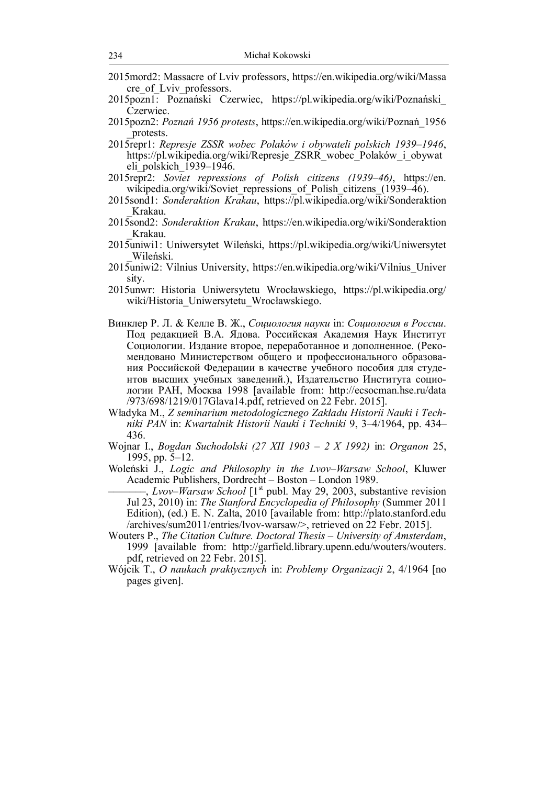- 2015mord2: Massacre of Lviv professors, https://en.wikipedia.org/wiki/Massa cre of Lviv professors.
- 2015pozn1: Poznański Czerwiec, https://pl.wikipedia.org/wiki/Poznański\_ Czerwiec.
- 2015pozn2: *Poznań 1956 protests*, https://en.wikipedia.org/wiki/Poznań\_1956 \_protests.
- 2015repr1: *Represje ZSSR wobec Polaków i obywateli polskich 1939–1946*, https://pl.wikipedia.org/wiki/Represje\_ZSRR\_wobec\_Polaków\_i\_obywat eli polskich 1939–1946.
- 2015repr2: *Soviet repressions of Polish citizens (1939–46)*, https://en. wikipedia.org/wiki/Soviet repressions of Polish citizens (1939–46).
- 2015sond1: *Sonderaktion Krakau*, https://pl.wikipedia.org/wiki/Sonderaktion \_Krakau.
- 2015sond2: *Sonderaktion Krakau*, https://en.wikipedia.org/wiki/Sonderaktion \_Krakau.
- 2015uniwi1: Uniwersytet Wileński, https://pl.wikipedia.org/wiki/Uniwersytet \_Wileński.
- 2015uniwi2: Vilnius University, https://en.wikipedia.org/wiki/Vilnius\_Univer sity.
- 2015unwr: Historia Uniwersytetu Wrocławskiego, https://pl.wikipedia.org/ wiki/Historia\_Uniwersytetu\_Wrocławskiego.
- Винклер Р. Л. & Келле В. Ж., *Социология науки* in: *Социология в России*. Под редакцией В.А. Ядова. Российская Академия Наук Институт Социологии. Издание второе, переработанное и дополненное. (Рекомендовано Министерством общего и профессионального образования Российской Федерации в качестве учебного пособия для студентов высших учебных заведений.), Издательство Института социологии РАН, Москва 1998 [available from: http://ecsocman.hse.ru/data /973/698/1219/017Glava14.pdf, retrieved on 22 Febr. 2015].
- Władyka M., *Z seminarium metodologicznego Zakładu Historii Nauki i Techniki PAN* in: *Kwartalnik Historii Nauki i Techniki* 9, 3–4/1964, pp. 434– 436.
- Wojnar I., *Bogdan Suchodolski (27 XII 1903 2 X 1992)* in: *Organon* 25, 1995, pp. 5–12.
- Woleński J., *Logic and Philosophy in the Lvov–Warsaw School*, Kluwer Academic Publishers, Dordrecht – Boston – London 1989.
- –––––––, *Lvov–Warsaw School* [1st publ. May 29, 2003, substantive revision Jul 23, 2010) in: *The Stanford Encyclopedia of Philosophy* (Summer 2011 Edition), (ed.) E. N. Zalta, 2010 [available from: http://plato.stanford.edu /archives/sum2011/entries/lvov-warsaw/>, retrieved on 22 Febr. 2015].
- Wouters P., *The Citation Culture. Doctoral Thesis University of Amsterdam*, 1999 [available from: http://garfield.library.upenn.edu/wouters/wouters. pdf, retrieved on 22 Febr. 2015].
- Wójcik T., *O naukach praktycznych* in: *Problemy Organizacji* 2, 4/1964 [no pages given].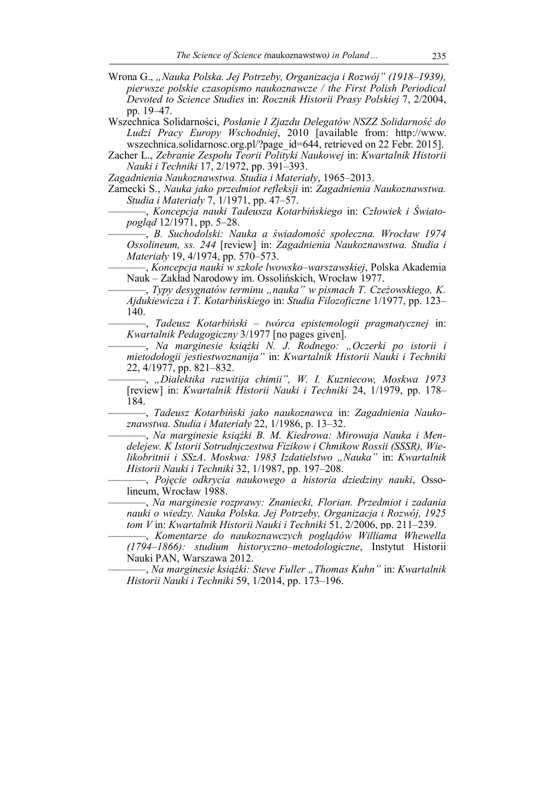- Wrona G., *"Nauka Polska. Jej Potrzeby, Organizacja i Rozwój" (1918–1939), pierwsze polskie czasopismo naukoznawcze / the First Polish Periodical Devoted to Science Studies* in: *Rocznik Historii Prasy Polskiej* 7, 2/2004, pp. 19–47.
- Wszechnica Solidarności, *Posłanie I Zjazdu Delegatów NSZZ Solidarność do Ludzi Pracy Europy Wschodniej*, 2010 [available from: http://www. wszechnica.solidarnosc.org.pl/?page\_id=644, retrieved on 22 Febr. 2015].
- Zacher L., *Zebranie Zespołu Teorii Polityki Naukowej* in: *Kwartalnik Historii Nauki i Techniki* 17, 2/1972, pp. 391–393.

*Zagadnienia Naukoznawstwa. Studia i Materiały*, 1965–2013.

Zamecki S., *Nauka jako przedmiot refleksji* in: *Zagadnienia Naukoznawstwa. Studia i Materiały* 7, 1/1971, pp. 47–57.

- –––––––, *Koncepcja nauki Tadeusza Kotarbińskiego* in: *Człowiek i Światopogląd* 12/1971, pp. 5–28.
- –––––––, *B. Suchodolski: Nauka a świadomość społeczna. Wrocław 1974 Ossolineum, ss. 244* [review] in: *Zagadnienia Naukoznawstwa. Studia i Materiały* 19, 4/1974, pp. 570–573.

–––––––, *Koncepcja nauki w szkole lwowsko–warszawskiej*, Polska Akademia Nauk – Zakład Narodowy im. Ossolińskich, Wrocław 1977.

–––––––, *Typy desygnatów terminu "nauka" w pismach T. Czeżowskiego, K. Ajdukiewicza i T. Kotarbińskiego* in: *Studia Filozoficzne* 1/1977, pp. 123– 140.

–––––––, *Tadeusz Kotarbiński – twórca epistemologii pragmatycznej* in: *Kwartalnik Pedagogiczny* 3/1977 [no pages given].

–––––––, *Na marginesie książki N. J. Rodnego: "Oczerki po istorii i mietodołogii jestiestwoznanija"* in: *Kwartalnik Historii Nauki i Techniki* 22, 4/1977, pp. 821–832.

–––––––, *"Dialektika razwitija chimii", W. I. Kuzniecow, Moskwa 1973* [review] in: *Kwartalnik Historii Nauki i Techniki* 24, 1/1979, pp. 178– 184.

–––––––, *Tadeusz Kotarbiński jako naukoznawca* in: *Zagadnienia Naukoznawstwa. Studia i Materiały* 22, 1/1986, p. 13–32.

–––––––, *Na marginesie książki B. M. Kiedrowa: Mirowaja Nauka i Mendelejew. K Istorii Sotrudnjczestwa Fizikow i Chmikow Rossii (SSSR), Wielikobritnii i SSzA*. *Moskwa: 1983 Izdatielstwo "Nauka"* in: *Kwartalnik Historii Nauki i Techniki* 32, 1/1987, pp. 197–208.

–––––––, *Pojęcie odkrycia naukowego a historia dziedziny nauki*, Ossolineum, Wrocław 1988.

–––––––, *Na marginesie rozprawy: Znaniecki, Florian. Przedmiot i zadania nauki o wiedzy. Nauka Polska. Jej Potrzeby, Organizacja i Rozwój, 1925 tom V* in: *Kwartalnik Historii Nauki i Techniki* 51, 2/2006, pp. 211–239.

–––––––, *Komentarze do naukoznawczych poglądów Williama Whewella (1794–1866): studium historyczno–metodologiczne*, Instytut Historii Nauki PAN, Warszawa 2012.

–––––––, *Na marginesie książki: Steve Fuller "Thomas Kuhn"* in: *Kwartalnik Historii Nauki i Techniki* 59, 1/2014, pp. 173–196.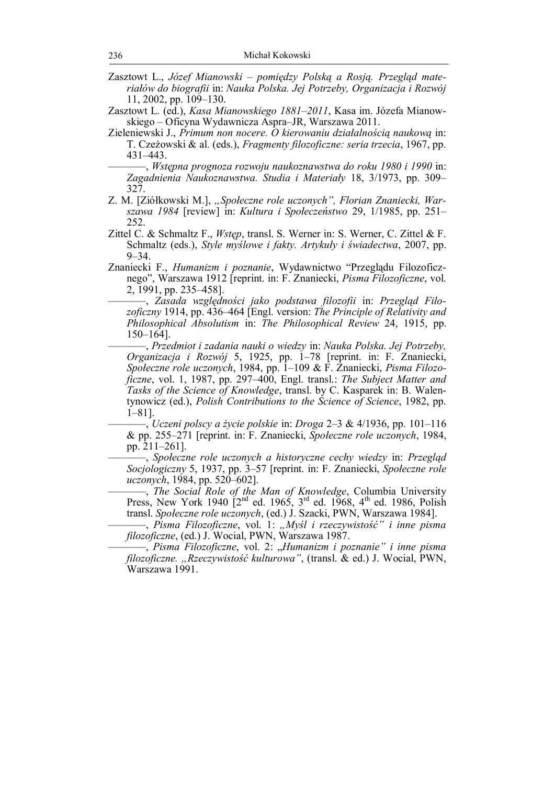- Zasztowt L., *Józef Mianowski pomiędzy Polską a Rosją. Przegląd materiałów do biografii* in: *Nauka Polska. Jej Potrzeby, Organizacja i Rozwój* 11, 2002, pp. 109–130.
- Zasztowt L. (ed.), *Kasa Mianowskiego 1881–2011*, Kasa im. Józefa Mianowskiego – Oficyna Wydawnicza Aspra–JR, Warszawa 2011.
- Zieleniewski J., *Primum non nocere. O kierowaniu działalnością naukową* in: T. Czeżowski & al. (eds.), *Fragmenty filozoficzne: seria trzecia*, 1967, pp. 431–443.

–––––––, *Wstępna prognoza rozwoju naukoznawstwa do roku 1980 i 1990* in: *Zagadnienia Naukoznawstwa. Studia i Materiały* 18, 3/1973, pp. 309– 327.

- Z. M. [Ziółkowski M.], *"Społeczne role uczonych", Florian Znaniecki, Warszawa 1984* [review] in: *Kultura i Społeczeństwo* 29, 1/1985, pp. 251– 252.
- Zittel C. & Schmaltz F., *Wstęp*, transl. S. Werner in: S. Werner, C. Zittel & F. Schmaltz (eds.), *Style myślowe i fakty. Artykuły i świadectwa*, 2007, pp. 9–34.
- Znaniecki F., *Humanizm i poznanie*, Wydawnictwo "Przeglądu Filozoficznego", Warszawa 1912 [reprint. in: F. Znaniecki, *Pisma Filozoficzne*, vol. 2, 1991, pp. 235–458].

–––––––, *Zasada względności jako podstawa filozofii* in: *Przegląd Filozoficzny* 1914, pp. 436–464 [Engl. version: *The Principle of Relativity and Philosophical Absolutism* in: *The Philosophical Review* 24, 1915, pp. 150–164].

–––––––, *Przedmiot i zadania nauki o wiedzy* in: *Nauka Polska. Jej Potrzeby, Organizacja i Rozwój* 5, 1925, pp. 1–78 [reprint. in: F. Znaniecki, *Społeczne role uczonych*, 1984, pp. 1–109 & F. Znaniecki, *Pisma Filozoficzne*, vol. 1, 1987, pp. 297–400, Engl. transl.: *The Subject Matter and Tasks of the Science of Knowledge*, transl. by C. Kasparek in: B. Walentynowicz (ed.), *Polish Contributions to the Science of Science*, 1982, pp. 1–81].

–––––––, *Uczeni polscy a życie polskie* in: *Droga* 2–3 & 4/1936, pp. 101–116 & pp. 255–271 [reprint. in: F. Znaniecki, *Społeczne role uczonych*, 1984, pp. 211–261].

–––––––, *Społeczne role uczonych a historyczne cechy wiedzy* in: *Przegląd Socjologiczny* 5, 1937, pp. 3–57 [reprint. in: F. Znaniecki, *Społeczne role uczonych*, 1984, pp. 520–602].

–––––––, *The Social Role of the Man of Knowledge*, Columbia University Press, New York 1940  $[2^{nd}$  ed. 1965, 3<sup>rd</sup> ed. 1968, 4<sup>th</sup> ed. 1986, Polish transl. *Społeczne role uczonych*, (ed.) J. Szacki, PWN, Warszawa 1984].

–––––––, *Pisma Filozoficzne*, vol. 1: *"Myśl i rzeczywistość" i inne pisma filozoficzne*, (ed.) J. Wocial, PWN, Warszawa 1987.

–––––––, *Pisma Filozoficzne*, vol. 2: "*Humanizm i poznanie" i inne pisma filozoficzne. "Rzeczywistość kulturowa"*, (transl. & ed.) J. Wocial, PWN, Warszawa 1991.